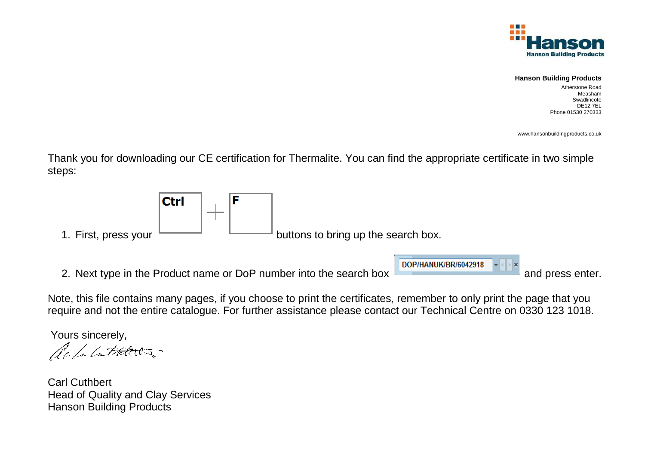

## **Hanson Building Products**

 Atherstone Road Measham Swadlincote DE12 7ELPhone 01530 270333

www.hansonbuildingproducts.co.uk

Thank you for downloading our CE certification for Thermalite. You can find the appropriate certificate in two simple steps:



Note, this file contains many pages, if you choose to print the certificates, remember to only print the page that you require and not the entire catalogue. For further assistance please contact our Technical Centre on 0330 123 1018.

Yours sincerely,

No for lather a

Carl Cuthbert Head of Quality and Clay Services Hanson Building Products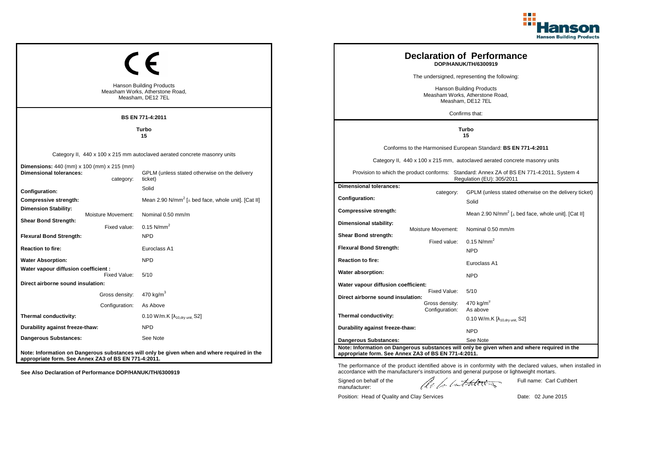

|                                                                                     |                                                                                         |                                                                                             |  |                                                                                         |                                  | <b>Declaration of Performance</b><br>DOP/HANUK/TH/6300919                                                              |
|-------------------------------------------------------------------------------------|-----------------------------------------------------------------------------------------|---------------------------------------------------------------------------------------------|--|-----------------------------------------------------------------------------------------|----------------------------------|------------------------------------------------------------------------------------------------------------------------|
|                                                                                     |                                                                                         |                                                                                             |  |                                                                                         |                                  | The undersigned, representing the following:                                                                           |
|                                                                                     | <b>Hanson Building Products</b><br>Measham Works, Atherstone Road,<br>Measham, DE12 7EL |                                                                                             |  | <b>Hanson Building Products</b><br>Measham Works, Atherstone Road,<br>Measham, DE12 7EL |                                  |                                                                                                                        |
|                                                                                     |                                                                                         | BS EN 771-4:2011                                                                            |  |                                                                                         |                                  | Confirms that:                                                                                                         |
|                                                                                     |                                                                                         | <b>Turbo</b><br>15                                                                          |  | Turbo<br>15                                                                             |                                  |                                                                                                                        |
|                                                                                     |                                                                                         |                                                                                             |  |                                                                                         |                                  | Conforms to the Harmonised European Standard: BS EN 771-4:2011                                                         |
|                                                                                     |                                                                                         | Category II, 440 x 100 x 215 mm autoclaved aerated concrete masonry units                   |  |                                                                                         |                                  | Category II, 440 x 100 x 215 mm, autoclaved aerated concrete masonry units                                             |
| <b>Dimensions:</b> 440 (mm) x 100 (mm) x 215 (mm)<br><b>Dimensional tolerances:</b> | category:                                                                               | GPLM (unless stated otherwise on the delivery<br>ticket)                                    |  |                                                                                         |                                  | Provision to which the product conforms: Standard: Annex ZA of BS EN 771-4:2011, System 4<br>Regulation (EU): 305/2011 |
| Configuration:                                                                      |                                                                                         | Solid                                                                                       |  | <b>Dimensional tolerances:</b>                                                          | category:                        | GPLM (unless stated otherwise on the delivery ticket)                                                                  |
| <b>Compressive strength:</b>                                                        |                                                                                         | Mean 2.90 N/mm <sup>2</sup> [ $\perp$ bed face, whole unit]. [Cat II]                       |  | Configuration:                                                                          |                                  | Solid                                                                                                                  |
| <b>Dimension Stability:</b>                                                         | Moisture Movement:                                                                      | Nominal 0.50 mm/m                                                                           |  | Compressive strength:                                                                   |                                  | Mean 2.90 N/mm <sup>2</sup> [ $\perp$ bed face, whole unit]. [Cat II]                                                  |
| <b>Shear Bond Strength:</b>                                                         | Fixed value:                                                                            | $0.15$ N/mm <sup>2</sup>                                                                    |  | Dimensional stability:                                                                  | Moisture Movement:               | Nominal 0.50 mm/m                                                                                                      |
| <b>Flexural Bond Strength:</b>                                                      |                                                                                         | <b>NPD</b>                                                                                  |  | Shear Bond strength:                                                                    |                                  |                                                                                                                        |
| <b>Reaction to fire:</b>                                                            |                                                                                         | Euroclass A1                                                                                |  | <b>Flexural Bond Strength:</b>                                                          | Fixed value:                     | 0.15 $N/mm^2$<br><b>NPD</b>                                                                                            |
| <b>Water Absorption:</b>                                                            |                                                                                         | <b>NPD</b>                                                                                  |  | <b>Reaction to fire:</b>                                                                |                                  | Euroclass A1                                                                                                           |
| Water vapour diffusion coefficient :                                                | Fixed Value:                                                                            | 5/10                                                                                        |  | Water absorption:                                                                       |                                  | <b>NPD</b>                                                                                                             |
| Direct airborne sound insulation:                                                   |                                                                                         |                                                                                             |  | Water vapour diffusion coefficient:                                                     |                                  |                                                                                                                        |
|                                                                                     | Gross density:                                                                          | 470 kg/m <sup>3</sup>                                                                       |  | Direct airborne sound insulation:                                                       | Fixed Value:                     | 5/10                                                                                                                   |
|                                                                                     | Configuration:                                                                          | As Above                                                                                    |  |                                                                                         | Gross density:<br>Configuration: | 470 $kg/m3$<br>As above                                                                                                |
| Thermal conductivity:                                                               |                                                                                         | 0.10 W/m.K [λ <sub>10,dry unit,</sub> S2]                                                   |  | Thermal conductivity:                                                                   |                                  | $0.10$ W/m.K [ $\lambda_{10, dry \text{ unit}}$ , S2]                                                                  |
| Durability against freeze-thaw:                                                     |                                                                                         | <b>NPD</b>                                                                                  |  | Durability against freeze-thaw:                                                         |                                  | <b>NPD</b>                                                                                                             |
| Dangerous Substances:                                                               |                                                                                         | See Note                                                                                    |  | <b>Dangerous Substances:</b>                                                            |                                  | See Note                                                                                                               |
| appropriate form. See Annex ZA3 of BS EN 771-4:2011.                                |                                                                                         | Note: Information on Dangerous substances will only be given when and where required in the |  | appropriate form. See Annex ZA3 of BS EN 771-4:2011.                                    |                                  | Note: Information on Dangerous substances will only be given when and where required in the                            |

The performance of the product identified above is in conformity with the declared values, when installed in accordance with the manufacturer's instructions and general purpose or lightweight mortars. Full name: Carl Cuthbert

Signed on behalf of the manufacturer:

ach lathering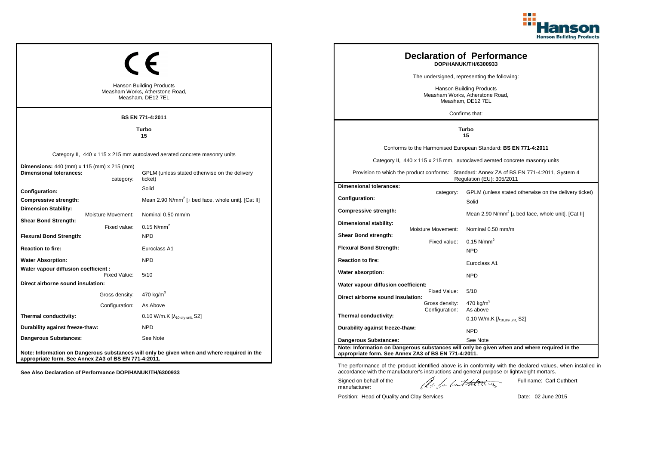

|                                                                                                           | <b>Hanson Building Products</b><br>Measham Works, Atherstone Road,<br>Measham, DE12 7EL<br><b>BS EN 771-4:2011</b>                    |                                                                                  | <b>Declaration of Performance</b><br>DOP/HANUK/TH/6300933<br>The undersigned, representing the following:<br><b>Hanson Building Products</b><br>Measham Works, Atherstone Road,<br>Measham, DE12 7EL<br>Confirms that: |                                                                                                                                                                                                                                                                        |  |
|-----------------------------------------------------------------------------------------------------------|---------------------------------------------------------------------------------------------------------------------------------------|----------------------------------------------------------------------------------|------------------------------------------------------------------------------------------------------------------------------------------------------------------------------------------------------------------------|------------------------------------------------------------------------------------------------------------------------------------------------------------------------------------------------------------------------------------------------------------------------|--|
|                                                                                                           | Turbo<br>15                                                                                                                           |                                                                                  | Turbo<br>15                                                                                                                                                                                                            |                                                                                                                                                                                                                                                                        |  |
| Dimensions: 440 (mm) x 115 (mm) x 215 (mm)<br><b>Dimensional tolerances:</b><br>category:                 | Category II, 440 x 115 x 215 mm autoclaved aerated concrete masonry units<br>GPLM (unless stated otherwise on the delivery<br>ticket) |                                                                                  |                                                                                                                                                                                                                        | Conforms to the Harmonised European Standard: BS EN 771-4:2011<br>Category II, 440 x 115 x 215 mm, autoclaved aerated concrete masonry units<br>Provision to which the product conforms: Standard: Annex ZA of BS EN 771-4:2011, System 4<br>Regulation (EU): 305/2011 |  |
| Configuration:<br>Compressive strength:<br><b>Dimension Stability:</b><br>Moisture Movement:              | Solid<br>Mean 2.90 N/mm <sup>2</sup> [ $\perp$ bed face, whole unit]. [Cat II]<br>Nominal 0.50 mm/m                                   | <b>Dimensional tolerances:</b><br>Configuration:<br>Compressive strength:        | category:                                                                                                                                                                                                              | GPLM (unless stated otherwise on the delivery ticket)<br>Solid<br>Mean 2.90 N/mm <sup>2</sup> [ $\perp$ bed face, whole unit]. [Cat II]                                                                                                                                |  |
| <b>Shear Bond Strength:</b><br>Fixed value:<br><b>Flexural Bond Strength:</b><br><b>Reaction to fire:</b> | $0.15$ N/mm <sup>2</sup><br><b>NPD</b><br>Euroclass A1                                                                                | Dimensional stability:<br>Shear Bond strength:<br><b>Flexural Bond Strength:</b> | Moisture Movement:<br>Fixed value:                                                                                                                                                                                     | Nominal 0.50 mm/m<br>0.15 $N/mm^2$<br><b>NPD</b>                                                                                                                                                                                                                       |  |
| <b>Water Absorption:</b><br>Water vapour diffusion coefficient :<br>Fixed Value:                          | <b>NPD</b><br>5/10                                                                                                                    | <b>Reaction to fire:</b><br>Water absorption:                                    |                                                                                                                                                                                                                        | Euroclass A1<br><b>NPD</b>                                                                                                                                                                                                                                             |  |
| Direct airborne sound insulation:<br>Gross density:<br>Configuration:                                     | 470 kg/m $3$<br>As Above                                                                                                              | Water vapour diffusion coefficient:<br>Direct airborne sound insulation:         | Fixed Value:<br>Gross density:<br>Configuration:                                                                                                                                                                       | 5/10<br>470 kg/m <sup>3</sup><br>As above                                                                                                                                                                                                                              |  |
| Thermal conductivity:<br>Durability against freeze-thaw:                                                  | 0.10 W/m.K $[\lambda_{10, dry \text{ unit}}, S2]$<br><b>NPD</b>                                                                       | Thermal conductivity:<br>Durability against freeze-thaw:                         |                                                                                                                                                                                                                        | $0.10$ W/m.K [ $\lambda_{10, dry}$ unit, S2]<br><b>NPD</b>                                                                                                                                                                                                             |  |
| Dangerous Substances:<br>appropriate form. See Annex ZA3 of BS EN 771-4:2011.                             | See Note<br>Note: Information on Dangerous substances will only be given when and where required in the                               | <b>Dangerous Substances:</b>                                                     | appropriate form. See Annex ZA3 of BS EN 771-4:2011.                                                                                                                                                                   | See Note<br>Note: Information on Dangerous substances will only be given when and where required in the                                                                                                                                                                |  |

The performance of the product identified above is in conformity with the declared values, when installed in accordance with the manufacturer's instructions and general purpose or lightweight mortars.

Signed on behalf of the manufacturer:

ach lathering

Full name: Carl Cuthbert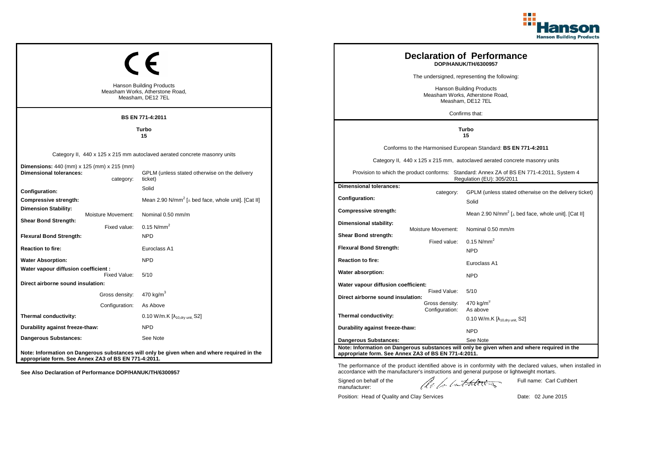

|                                                                              |                                                                                         |                                                                                             |  |                                                                                         |                    | <b>Declaration of Performance</b><br>DOP/HANUK/TH/6300957                                                              |
|------------------------------------------------------------------------------|-----------------------------------------------------------------------------------------|---------------------------------------------------------------------------------------------|--|-----------------------------------------------------------------------------------------|--------------------|------------------------------------------------------------------------------------------------------------------------|
|                                                                              |                                                                                         |                                                                                             |  |                                                                                         |                    | The undersigned, representing the following:                                                                           |
|                                                                              | <b>Hanson Building Products</b><br>Measham Works, Atherstone Road,<br>Measham, DE12 7EL |                                                                                             |  | <b>Hanson Building Products</b><br>Measham Works, Atherstone Road,<br>Measham, DE12 7EL |                    |                                                                                                                        |
|                                                                              |                                                                                         | BS EN 771-4:2011                                                                            |  |                                                                                         |                    | Confirms that:                                                                                                         |
|                                                                              | Turbo<br>15                                                                             |                                                                                             |  | Turbo<br>15                                                                             |                    |                                                                                                                        |
|                                                                              |                                                                                         |                                                                                             |  |                                                                                         |                    | Conforms to the Harmonised European Standard: BS EN 771-4:2011                                                         |
|                                                                              |                                                                                         | Category II, 440 x 125 x 215 mm autoclaved aerated concrete masonry units                   |  |                                                                                         |                    | Category II, 440 x 125 x 215 mm, autoclaved aerated concrete masonry units                                             |
| Dimensions: 440 (mm) x 125 (mm) x 215 (mm)<br><b>Dimensional tolerances:</b> | category:                                                                               | GPLM (unless stated otherwise on the delivery<br>ticket)                                    |  |                                                                                         |                    | Provision to which the product conforms: Standard: Annex ZA of BS EN 771-4:2011, System 4<br>Regulation (EU): 305/2011 |
| Configuration:                                                               |                                                                                         | Solid                                                                                       |  | <b>Dimensional tolerances:</b>                                                          |                    | GPLM (unless stated otherwise on the delivery ticket)                                                                  |
| Compressive strength:                                                        |                                                                                         | Mean 2.90 N/mm <sup>2</sup> [⊥ bed face, whole unit]. [Cat II]                              |  | Configuration:                                                                          | category:          | Solid                                                                                                                  |
| <b>Dimension Stability:</b>                                                  | <b>Moisture Movement:</b>                                                               | Nominal 0.50 mm/m                                                                           |  | Compressive strength:                                                                   |                    | Mean 2.90 N/mm <sup>2</sup> [ $\perp$ bed face, whole unit]. [Cat II]                                                  |
| <b>Shear Bond Strength:</b>                                                  | Fixed value:                                                                            | $0.15$ N/mm <sup>2</sup>                                                                    |  | Dimensional stability:                                                                  |                    | Nominal 0.50 mm/m                                                                                                      |
| <b>Flexural Bond Strength:</b>                                               |                                                                                         | <b>NPD</b>                                                                                  |  | Shear Bond strength:                                                                    | Moisture Movement: |                                                                                                                        |
| <b>Reaction to fire:</b>                                                     |                                                                                         | Euroclass A1                                                                                |  | <b>Flexural Bond Strength:</b>                                                          | Fixed value:       | $0.15$ N/mm <sup>2</sup><br><b>NPD</b>                                                                                 |
| <b>Water Absorption:</b>                                                     |                                                                                         | <b>NPD</b>                                                                                  |  | <b>Reaction to fire:</b>                                                                |                    | Euroclass A1                                                                                                           |
| Water vapour diffusion coefficient :                                         | Fixed Value:                                                                            | 5/10                                                                                        |  | Water absorption:                                                                       |                    |                                                                                                                        |
| Direct airborne sound insulation:                                            |                                                                                         |                                                                                             |  | Water vapour diffusion coefficient:                                                     |                    | <b>NPD</b>                                                                                                             |
|                                                                              | Gross density:                                                                          | 470 kg/m <sup>3</sup>                                                                       |  | Direct airborne sound insulation:                                                       | Fixed Value:       | 5/10                                                                                                                   |
|                                                                              | Configuration:                                                                          | As Above                                                                                    |  |                                                                                         | Gross density:     | 470 kg/m <sup>3</sup>                                                                                                  |
| Thermal conductivity:                                                        |                                                                                         | 0.10 W/m.K [λ <sub>10,dry unit,</sub> S2]                                                   |  | Thermal conductivity:                                                                   | Configuration:     | As above<br>0.10 W/m.K $[\lambda_{10.0}$ <sub>tv unit.</sub> S2]                                                       |
| Durability against freeze-thaw:                                              |                                                                                         | <b>NPD</b>                                                                                  |  | Durability against freeze-thaw:                                                         |                    | <b>NPD</b>                                                                                                             |
| <b>Dangerous Substances:</b>                                                 |                                                                                         | See Note                                                                                    |  | <b>Dangerous Substances:</b>                                                            |                    | See Note                                                                                                               |
|                                                                              |                                                                                         | Note: Information on Dangerous substances will only be given when and where required in the |  | appropriate form. See Annex ZA3 of BS EN 771-4:2011.                                    |                    | Note: Information on Dangerous substances will only be given when and where required in the                            |
| appropriate form. See Annex ZA3 of BS EN 771-4:2011.                         |                                                                                         |                                                                                             |  |                                                                                         |                    |                                                                                                                        |

Signed on behalf of the manufacturer:

The performance of the product identified above is in conformity with the declared values, when installed in accordance with the manufacturer's instructions and general purpose or lightweight mortars.

ach lathering

Position: Head of Quality and Clay Services Date: 02 June 2015

Full name: Carl Cuthbert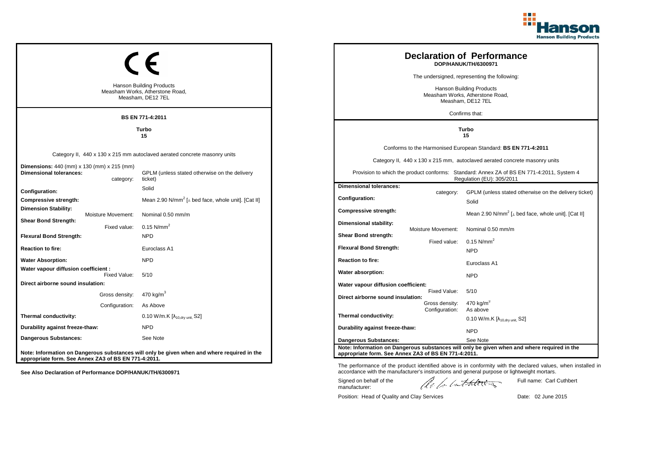

|                                                                                     |                                                                                         |                                                                                             |  |                                                                                         |                    | <b>Declaration of Performance</b><br>DOP/HANUK/TH/6300971                                                              |  |
|-------------------------------------------------------------------------------------|-----------------------------------------------------------------------------------------|---------------------------------------------------------------------------------------------|--|-----------------------------------------------------------------------------------------|--------------------|------------------------------------------------------------------------------------------------------------------------|--|
|                                                                                     |                                                                                         |                                                                                             |  | The undersigned, representing the following:                                            |                    |                                                                                                                        |  |
|                                                                                     | <b>Hanson Building Products</b><br>Measham Works, Atherstone Road,<br>Measham, DE12 7EL |                                                                                             |  | <b>Hanson Building Products</b><br>Measham Works, Atherstone Road,<br>Measham, DE12 7EL |                    |                                                                                                                        |  |
|                                                                                     |                                                                                         | BS EN 771-4:2011                                                                            |  |                                                                                         |                    | Confirms that:                                                                                                         |  |
| Turbo<br>15                                                                         |                                                                                         |                                                                                             |  | Turbo<br>15                                                                             |                    |                                                                                                                        |  |
|                                                                                     |                                                                                         |                                                                                             |  |                                                                                         |                    | Conforms to the Harmonised European Standard: BS EN 771-4:2011                                                         |  |
|                                                                                     |                                                                                         | Category II, 440 x 130 x 215 mm autoclaved aerated concrete masonry units                   |  |                                                                                         |                    | Category II, 440 x 130 x 215 mm, autoclaved aerated concrete masonry units                                             |  |
| <b>Dimensions:</b> 440 (mm) x 130 (mm) x 215 (mm)<br><b>Dimensional tolerances:</b> | category:                                                                               | GPLM (unless stated otherwise on the delivery<br>ticket)                                    |  |                                                                                         |                    | Provision to which the product conforms: Standard: Annex ZA of BS EN 771-4:2011, System 4<br>Regulation (EU): 305/2011 |  |
| <b>Configuration:</b>                                                               |                                                                                         | Solid                                                                                       |  | <b>Dimensional tolerances:</b>                                                          | category:          | GPLM (unless stated otherwise on the delivery ticket)                                                                  |  |
| Compressive strength:                                                               |                                                                                         | Mean 2.90 N/mm <sup>2</sup> [ $\perp$ bed face, whole unit]. [Cat II]                       |  | <b>Configuration:</b>                                                                   |                    | Solid                                                                                                                  |  |
| <b>Dimension Stability:</b>                                                         | Moisture Movement:                                                                      | Nominal 0.50 mm/m                                                                           |  | Compressive strength:                                                                   |                    | Mean 2.90 N/mm <sup>2</sup> [ $\perp$ bed face, whole unit]. [Cat II]                                                  |  |
| <b>Shear Bond Strength:</b>                                                         | Fixed value:                                                                            | $0.15$ N/mm <sup>2</sup>                                                                    |  | <b>Dimensional stability:</b>                                                           |                    |                                                                                                                        |  |
| <b>Flexural Bond Strength:</b>                                                      |                                                                                         | <b>NPD</b>                                                                                  |  | <b>Shear Bond strength:</b>                                                             | Moisture Movement: | Nominal 0.50 mm/m                                                                                                      |  |
| <b>Reaction to fire:</b>                                                            |                                                                                         | Euroclass A1                                                                                |  | <b>Flexural Bond Strength:</b>                                                          | Fixed value:       | $0.15$ N/mm <sup>2</sup><br><b>NPD</b>                                                                                 |  |
| <b>Water Absorption:</b>                                                            |                                                                                         | <b>NPD</b>                                                                                  |  | <b>Reaction to fire:</b>                                                                |                    | Euroclass A1                                                                                                           |  |
| Water vapour diffusion coefficient :                                                |                                                                                         |                                                                                             |  | Water absorption:                                                                       |                    |                                                                                                                        |  |
| Direct airborne sound insulation:                                                   | Fixed Value:                                                                            | 5/10                                                                                        |  | Water vapour diffusion coefficient:                                                     |                    | <b>NPD</b>                                                                                                             |  |
|                                                                                     | Gross density:                                                                          | 470 kg/m <sup>3</sup>                                                                       |  |                                                                                         | Fixed Value:       | 5/10                                                                                                                   |  |
|                                                                                     | Configuration:                                                                          | As Above                                                                                    |  | Direct airborne sound insulation:                                                       | Gross density:     | 470 $kg/m3$                                                                                                            |  |
| Thermal conductivity:                                                               |                                                                                         | 0.10 W/m.K [λ <sub>10,dry unit,</sub> S2]                                                   |  | Thermal conductivity:                                                                   | Configuration:     | As above<br>0.10 W/m.K $[\lambda_{10.0}$ <sub>W unit.</sub> S2]                                                        |  |
| Durability against freeze-thaw:                                                     |                                                                                         | <b>NPD</b>                                                                                  |  | Durability against freeze-thaw:                                                         |                    | <b>NPD</b>                                                                                                             |  |
| Dangerous Substances:                                                               |                                                                                         | See Note                                                                                    |  | <b>Dangerous Substances:</b>                                                            |                    | See Note                                                                                                               |  |
|                                                                                     |                                                                                         | Note: Information on Dangerous substances will only be given when and where required in the |  |                                                                                         |                    | Note: Information on Dangerous substances will only be given when and where required in the                            |  |
| appropriate form. See Annex ZA3 of BS EN 771-4:2011.                                |                                                                                         |                                                                                             |  | appropriate form. See Annex ZA3 of BS EN 771-4:2011.                                    |                    |                                                                                                                        |  |

The performance of the product identified above is in conformity with the declared values, when installed in accordance with the manufacturer's instructions and general purpose or lightweight mortars.

Signed on behalf of the manufacturer:

ach lathering

Full name: Carl Cuthbert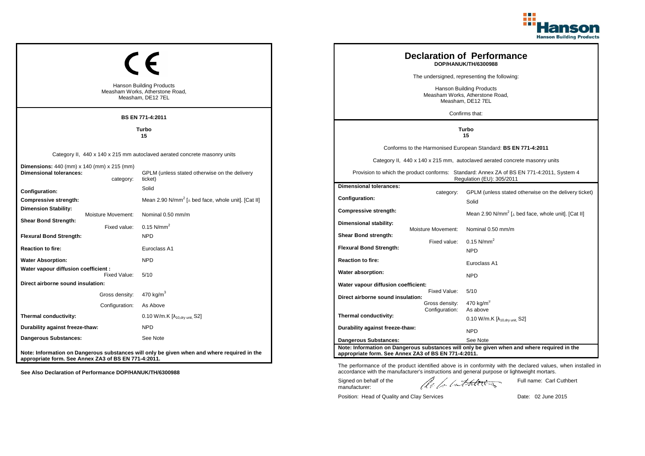

|                                                                                     |                                                      |                                                                                             |  |                                                      |                    | <b>Declaration of Performance</b>                                                                                      |
|-------------------------------------------------------------------------------------|------------------------------------------------------|---------------------------------------------------------------------------------------------|--|------------------------------------------------------|--------------------|------------------------------------------------------------------------------------------------------------------------|
|                                                                                     |                                                      |                                                                                             |  |                                                      |                    | DOP/HANUK/TH/6300988                                                                                                   |
|                                                                                     |                                                      |                                                                                             |  |                                                      |                    | The undersigned, representing the following:                                                                           |
|                                                                                     |                                                      | <b>Hanson Building Products</b>                                                             |  |                                                      |                    | <b>Hanson Building Products</b>                                                                                        |
|                                                                                     | Measham Works, Atherstone Road,<br>Measham, DE12 7EL |                                                                                             |  | Measham Works, Atherstone Road,<br>Measham, DE12 7EL |                    |                                                                                                                        |
|                                                                                     |                                                      |                                                                                             |  |                                                      |                    | Confirms that:                                                                                                         |
|                                                                                     |                                                      | BS EN 771-4:2011                                                                            |  |                                                      |                    |                                                                                                                        |
| Turbo<br>15                                                                         |                                                      |                                                                                             |  | Turbo<br>15                                          |                    |                                                                                                                        |
|                                                                                     |                                                      |                                                                                             |  |                                                      |                    | Conforms to the Harmonised European Standard: BS EN 771-4:2011                                                         |
|                                                                                     |                                                      | Category II, 440 x 140 x 215 mm autoclaved aerated concrete masonry units                   |  |                                                      |                    | Category II, 440 x 140 x 215 mm, autoclaved aerated concrete masonry units                                             |
| <b>Dimensions:</b> 440 (mm) x 140 (mm) x 215 (mm)<br><b>Dimensional tolerances:</b> | category:                                            | GPLM (unless stated otherwise on the delivery<br>ticket)                                    |  |                                                      |                    | Provision to which the product conforms: Standard: Annex ZA of BS EN 771-4:2011, System 4<br>Regulation (EU): 305/2011 |
| <b>Configuration:</b>                                                               |                                                      | Solid                                                                                       |  | <b>Dimensional tolerances:</b>                       | category:          | GPLM (unless stated otherwise on the delivery ticket)                                                                  |
| Compressive strength:                                                               |                                                      | Mean 2.90 N/mm <sup>2</sup> [ $\perp$ bed face, whole unit]. [Cat II]                       |  | <b>Configuration:</b>                                |                    | Solid                                                                                                                  |
| <b>Dimension Stability:</b>                                                         | Moisture Movement:                                   | Nominal 0.50 mm/m                                                                           |  | Compressive strength:                                |                    | Mean 2.90 N/mm <sup>2</sup> [ $\perp$ bed face, whole unit]. [Cat II]                                                  |
| <b>Shear Bond Strength:</b>                                                         | Fixed value:                                         | $0.15$ N/mm <sup>2</sup>                                                                    |  | <b>Dimensional stability:</b>                        |                    |                                                                                                                        |
| <b>Flexural Bond Strength:</b>                                                      |                                                      | <b>NPD</b>                                                                                  |  | <b>Shear Bond strength:</b>                          | Moisture Movement: | Nominal 0.50 mm/m                                                                                                      |
| <b>Reaction to fire:</b>                                                            |                                                      | Euroclass A1                                                                                |  | <b>Flexural Bond Strength:</b>                       | Fixed value:       | $0.15$ N/mm <sup>2</sup>                                                                                               |
| <b>Water Absorption:</b>                                                            |                                                      | <b>NPD</b>                                                                                  |  | <b>Reaction to fire:</b>                             |                    | <b>NPD</b>                                                                                                             |
| Water vapour diffusion coefficient :                                                |                                                      |                                                                                             |  |                                                      |                    | Euroclass A1                                                                                                           |
|                                                                                     | Fixed Value:                                         | 5/10                                                                                        |  | Water absorption:                                    |                    | <b>NPD</b>                                                                                                             |
| Direct airborne sound insulation:                                                   |                                                      |                                                                                             |  | Water vapour diffusion coefficient:                  | Fixed Value:       | 5/10                                                                                                                   |
|                                                                                     | Gross density:                                       | 470 kg/m <sup>3</sup>                                                                       |  | Direct airborne sound insulation:                    | Gross density:     | 470 $kg/m3$                                                                                                            |
|                                                                                     | Configuration:                                       | As Above                                                                                    |  |                                                      | Configuration:     | As above                                                                                                               |
| Thermal conductivity:                                                               |                                                      | 0.10 W/m.K [λ <sub>10,dry unit,</sub> S2]                                                   |  | Thermal conductivity:                                |                    | 0.10 W/m.K $[\lambda_{10.0}$ <sub>W unit.</sub> S2]                                                                    |
| Durability against freeze-thaw:                                                     |                                                      | <b>NPD</b>                                                                                  |  | Durability against freeze-thaw:                      |                    | <b>NPD</b>                                                                                                             |
| Dangerous Substances:                                                               |                                                      | See Note                                                                                    |  | <b>Dangerous Substances:</b>                         |                    | See Note                                                                                                               |
| appropriate form. See Annex ZA3 of BS EN 771-4:2011.                                |                                                      | Note: Information on Dangerous substances will only be given when and where required in the |  | appropriate form. See Annex ZA3 of BS EN 771-4:2011. |                    | Note: Information on Dangerous substances will only be given when and where required in the                            |

The performance of the product identified above is in conformity with the declared values, when installed in accordance with the manufacturer's instructions and general purpose or lightweight mortars. ach lathering Signed on behalf of the Full name: Carl Cuthbert manufacturer: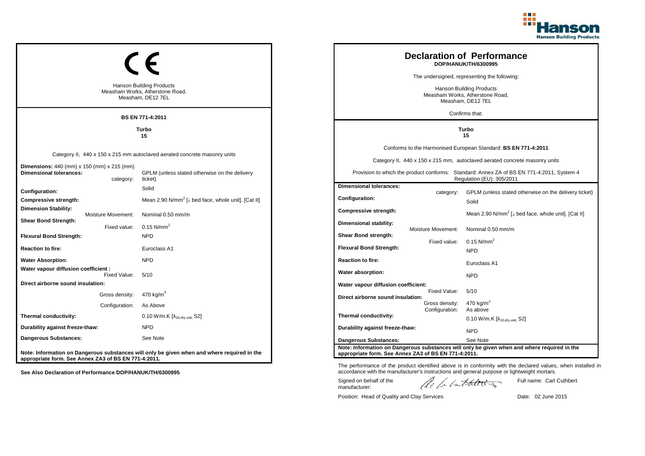

|                                                                              |                                                                                         |                                                                                             |  |                                                                                         |                    | <b>Declaration of Performance</b><br>DOP/HANUK/TH/6300995                                                              |
|------------------------------------------------------------------------------|-----------------------------------------------------------------------------------------|---------------------------------------------------------------------------------------------|--|-----------------------------------------------------------------------------------------|--------------------|------------------------------------------------------------------------------------------------------------------------|
|                                                                              |                                                                                         |                                                                                             |  |                                                                                         |                    | The undersigned, representing the following:                                                                           |
|                                                                              | <b>Hanson Building Products</b><br>Measham Works, Atherstone Road,<br>Measham, DE12 7EL |                                                                                             |  | <b>Hanson Building Products</b><br>Measham Works, Atherstone Road,<br>Measham, DE12 7EL |                    |                                                                                                                        |
|                                                                              |                                                                                         | BS EN 771-4:2011                                                                            |  |                                                                                         |                    | Confirms that:                                                                                                         |
|                                                                              | Turbo<br>15                                                                             |                                                                                             |  | Turbo<br>15                                                                             |                    |                                                                                                                        |
|                                                                              |                                                                                         |                                                                                             |  |                                                                                         |                    | Conforms to the Harmonised European Standard: BS EN 771-4:2011                                                         |
|                                                                              |                                                                                         | Category II, 440 x 150 x 215 mm autoclaved aerated concrete masonry units                   |  |                                                                                         |                    | Category II, 440 x 150 x 215 mm, autoclaved aerated concrete masonry units                                             |
| Dimensions: 440 (mm) x 150 (mm) x 215 (mm)<br><b>Dimensional tolerances:</b> | category:                                                                               | GPLM (unless stated otherwise on the delivery<br>ticket)                                    |  |                                                                                         |                    | Provision to which the product conforms: Standard: Annex ZA of BS EN 771-4:2011, System 4<br>Regulation (EU): 305/2011 |
| Configuration:                                                               |                                                                                         | Solid                                                                                       |  | <b>Dimensional tolerances:</b>                                                          |                    | GPLM (unless stated otherwise on the delivery ticket)                                                                  |
| Compressive strength:                                                        |                                                                                         | Mean 2.90 N/mm <sup>2</sup> [⊥ bed face, whole unit]. [Cat II]                              |  | Configuration:                                                                          | category:          | Solid                                                                                                                  |
| <b>Dimension Stability:</b>                                                  | <b>Moisture Movement:</b>                                                               | Nominal 0.50 mm/m                                                                           |  | Compressive strength:                                                                   |                    | Mean 2.90 N/mm <sup>2</sup> [ $\perp$ bed face, whole unit]. [Cat II]                                                  |
| <b>Shear Bond Strength:</b>                                                  | Fixed value:                                                                            | $0.15$ N/mm <sup>2</sup>                                                                    |  | Dimensional stability:                                                                  | Moisture Movement: | Nominal 0.50 mm/m                                                                                                      |
| <b>Flexural Bond Strength:</b>                                               |                                                                                         | <b>NPD</b>                                                                                  |  | Shear Bond strength:                                                                    |                    |                                                                                                                        |
| <b>Reaction to fire:</b>                                                     |                                                                                         | Euroclass A1                                                                                |  | <b>Flexural Bond Strength:</b>                                                          | Fixed value:       | $0.15$ N/mm <sup>2</sup><br><b>NPD</b>                                                                                 |
| <b>Water Absorption:</b>                                                     |                                                                                         | <b>NPD</b>                                                                                  |  | <b>Reaction to fire:</b>                                                                |                    |                                                                                                                        |
| Water vapour diffusion coefficient :                                         |                                                                                         |                                                                                             |  | Water absorption:                                                                       |                    | Euroclass A1                                                                                                           |
| Direct airborne sound insulation:                                            | Fixed Value:                                                                            | 5/10                                                                                        |  | Water vapour diffusion coefficient:                                                     |                    | <b>NPD</b>                                                                                                             |
|                                                                              | Gross density:                                                                          | 470 kg/m <sup>3</sup>                                                                       |  |                                                                                         | Fixed Value:       | 5/10                                                                                                                   |
|                                                                              | Configuration:                                                                          | As Above                                                                                    |  | Direct airborne sound insulation:                                                       | Gross density:     | 470 kg/m <sup>3</sup>                                                                                                  |
| Thermal conductivity:                                                        |                                                                                         | 0.10 W/m.K [λ <sub>10,dry unit,</sub> S2]                                                   |  | Thermal conductivity:                                                                   | Configuration:     | As above<br>0.10 W/m.K $[\lambda_{10.0}$ <sub>tv unit.</sub> S2]                                                       |
| Durability against freeze-thaw:                                              |                                                                                         | <b>NPD</b>                                                                                  |  | Durability against freeze-thaw:                                                         |                    | <b>NPD</b>                                                                                                             |
| <b>Dangerous Substances:</b>                                                 |                                                                                         | See Note                                                                                    |  | <b>Dangerous Substances:</b>                                                            |                    | See Note                                                                                                               |
|                                                                              |                                                                                         |                                                                                             |  |                                                                                         |                    | Note: Information on Dangerous substances will only be given when and where required in the                            |
| appropriate form. See Annex ZA3 of BS EN 771-4:2011.                         |                                                                                         | Note: Information on Dangerous substances will only be given when and where required in the |  | appropriate form. See Annex ZA3 of BS EN 771-4:2011.                                    |                    |                                                                                                                        |

The performance of the product identified above is in conformity with the declared values, when installed in accordance with the manufacturer's instructions and general purpose or lightweight mortars.

Signed on behalf of the manufacturer:

ach lathering

Full name: Carl Cuthbert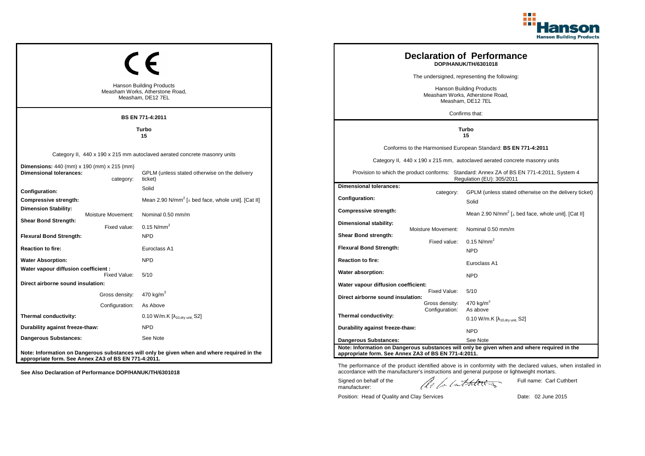

|                                                                              |                                                                                         |                                                                                             |  |                                                                                         |                    | <b>Declaration of Performance</b><br>DOP/HANUK/TH/6301018                                                              |
|------------------------------------------------------------------------------|-----------------------------------------------------------------------------------------|---------------------------------------------------------------------------------------------|--|-----------------------------------------------------------------------------------------|--------------------|------------------------------------------------------------------------------------------------------------------------|
|                                                                              |                                                                                         |                                                                                             |  |                                                                                         |                    | The undersigned, representing the following:                                                                           |
|                                                                              | <b>Hanson Building Products</b><br>Measham Works, Atherstone Road,<br>Measham, DE12 7EL |                                                                                             |  | <b>Hanson Building Products</b><br>Measham Works, Atherstone Road,<br>Measham, DE12 7EL |                    |                                                                                                                        |
|                                                                              |                                                                                         | <b>BS EN 771-4:2011</b>                                                                     |  |                                                                                         |                    | Confirms that:                                                                                                         |
|                                                                              |                                                                                         | Turbo<br>15                                                                                 |  |                                                                                         |                    | Turbo<br>15                                                                                                            |
|                                                                              |                                                                                         |                                                                                             |  |                                                                                         |                    | Conforms to the Harmonised European Standard: BS EN 771-4:2011                                                         |
|                                                                              |                                                                                         | Category II, 440 x 190 x 215 mm autoclaved aerated concrete masonry units                   |  |                                                                                         |                    | Category II, 440 x 190 x 215 mm, autoclaved aerated concrete masonry units                                             |
| Dimensions: 440 (mm) x 190 (mm) x 215 (mm)<br><b>Dimensional tolerances:</b> | category:                                                                               | GPLM (unless stated otherwise on the delivery<br>ticket)                                    |  |                                                                                         |                    | Provision to which the product conforms: Standard: Annex ZA of BS EN 771-4:2011, System 4<br>Regulation (EU): 305/2011 |
| Configuration:                                                               |                                                                                         | Solid                                                                                       |  | <b>Dimensional tolerances:</b>                                                          | category:          | GPLM (unless stated otherwise on the delivery ticket)                                                                  |
| Compressive strength:                                                        |                                                                                         | Mean 2.90 N/mm <sup>2</sup> [ $\perp$ bed face, whole unit]. [Cat II]                       |  | Configuration:                                                                          |                    | Solid                                                                                                                  |
| <b>Dimension Stability:</b>                                                  | Moisture Movement:                                                                      | Nominal 0.50 mm/m                                                                           |  | Compressive strength:                                                                   |                    | Mean 2.90 N/mm <sup>2</sup> [ $\perp$ bed face, whole unit]. [Cat II]                                                  |
| <b>Shear Bond Strength:</b>                                                  | Fixed value:                                                                            | $0.15$ N/mm <sup>2</sup>                                                                    |  | Dimensional stability:                                                                  |                    |                                                                                                                        |
| <b>Flexural Bond Strength:</b>                                               |                                                                                         | <b>NPD</b>                                                                                  |  | Shear Bond strength:                                                                    | Moisture Movement: | Nominal 0.50 mm/m                                                                                                      |
| <b>Reaction to fire:</b>                                                     |                                                                                         | Euroclass A1                                                                                |  | <b>Flexural Bond Strength:</b>                                                          | Fixed value:       | 0.15 N/mm <sup>2</sup>                                                                                                 |
| <b>Water Absorption:</b>                                                     |                                                                                         | <b>NPD</b>                                                                                  |  | <b>Reaction to fire:</b>                                                                |                    | <b>NPD</b>                                                                                                             |
| Water vapour diffusion coefficient :                                         |                                                                                         |                                                                                             |  | Water absorption:                                                                       |                    | Euroclass A1                                                                                                           |
| Direct airborne sound insulation:                                            | Fixed Value:                                                                            | 5/10                                                                                        |  |                                                                                         |                    | <b>NPD</b>                                                                                                             |
|                                                                              |                                                                                         | 470 kg/m <sup>3</sup>                                                                       |  | Water vapour diffusion coefficient:                                                     | Fixed Value:       | 5/10                                                                                                                   |
|                                                                              | Gross density:<br>Configuration:                                                        | As Above                                                                                    |  | Direct airborne sound insulation:                                                       | Gross density:     | 470 kg/m <sup>3</sup>                                                                                                  |
|                                                                              |                                                                                         |                                                                                             |  | Thermal conductivity:                                                                   | Configuration:     | As above                                                                                                               |
| Thermal conductivity:                                                        |                                                                                         | 0.10 W/m.K $[\lambda_{10, dry \text{ unit}}, S2]$                                           |  |                                                                                         |                    | $0.10$ W/m.K [ $\lambda_{10, dry}$ unit, S2]                                                                           |
| Durability against freeze-thaw:                                              |                                                                                         | <b>NPD</b>                                                                                  |  | Durability against freeze-thaw:                                                         |                    | <b>NPD</b>                                                                                                             |
| Dangerous Substances:                                                        |                                                                                         | See Note                                                                                    |  | <b>Dangerous Substances:</b>                                                            |                    | See Note                                                                                                               |
| appropriate form. See Annex ZA3 of BS EN 771-4:2011.                         |                                                                                         | Note: Information on Dangerous substances will only be given when and where required in the |  | appropriate form. See Annex ZA3 of BS EN 771-4:2011.                                    |                    | Note: Information on Dangerous substances will only be given when and where required in the                            |

The performance of the product identified above is in conformity with the declared values, when installed in accordance with the manufacturer's instructions and general purpose or lightweight mortars.

Signed on behalf of the manufacturer:

ach lathering

Full name: Carl Cuthbert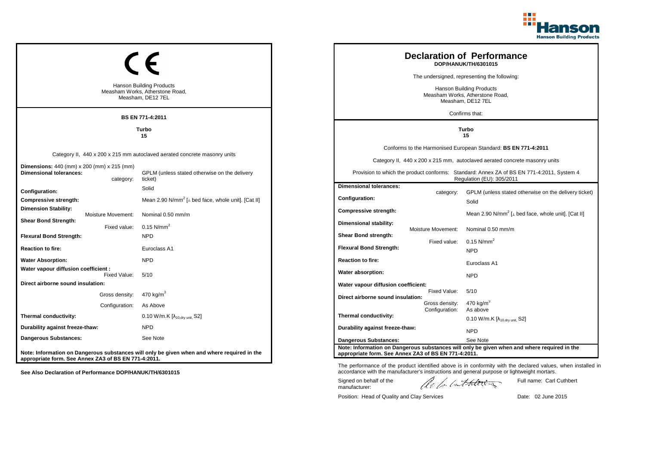

|                                                                                     |                                                                                         |                                                                                             |  |                                                                                         |                    | <b>Declaration of Performance</b><br>DOP/HANUK/TH/6301015                                                              |  |
|-------------------------------------------------------------------------------------|-----------------------------------------------------------------------------------------|---------------------------------------------------------------------------------------------|--|-----------------------------------------------------------------------------------------|--------------------|------------------------------------------------------------------------------------------------------------------------|--|
|                                                                                     |                                                                                         |                                                                                             |  | The undersigned, representing the following:                                            |                    |                                                                                                                        |  |
|                                                                                     | <b>Hanson Building Products</b><br>Measham Works, Atherstone Road,<br>Measham, DE12 7EL |                                                                                             |  | <b>Hanson Building Products</b><br>Measham Works, Atherstone Road,<br>Measham, DE12 7EL |                    |                                                                                                                        |  |
|                                                                                     |                                                                                         | BS EN 771-4:2011                                                                            |  |                                                                                         |                    | Confirms that:                                                                                                         |  |
|                                                                                     |                                                                                         | Turbo<br>15                                                                                 |  | Turbo<br>15                                                                             |                    |                                                                                                                        |  |
|                                                                                     |                                                                                         |                                                                                             |  |                                                                                         |                    | Conforms to the Harmonised European Standard: BS EN 771-4:2011                                                         |  |
|                                                                                     |                                                                                         | Category II, 440 x 200 x 215 mm autoclaved aerated concrete masonry units                   |  |                                                                                         |                    | Category II, 440 x 200 x 215 mm, autoclaved aerated concrete masonry units                                             |  |
| <b>Dimensions:</b> 440 (mm) x 200 (mm) x 215 (mm)<br><b>Dimensional tolerances:</b> | category:                                                                               | GPLM (unless stated otherwise on the delivery<br>ticket)                                    |  |                                                                                         |                    | Provision to which the product conforms: Standard: Annex ZA of BS EN 771-4:2011, System 4<br>Regulation (EU): 305/2011 |  |
| Configuration:                                                                      |                                                                                         | Solid                                                                                       |  | <b>Dimensional tolerances:</b>                                                          | category:          | GPLM (unless stated otherwise on the delivery ticket)                                                                  |  |
| Compressive strength:                                                               |                                                                                         | Mean 2.90 N/mm <sup>2</sup> [ $\perp$ bed face, whole unit]. [Cat II]                       |  | Configuration:                                                                          |                    | Solid                                                                                                                  |  |
| <b>Dimension Stability:</b>                                                         | Moisture Movement:                                                                      | Nominal 0.50 mm/m                                                                           |  | Compressive strength:                                                                   |                    | Mean 2.90 N/mm <sup>2</sup> [ $\perp$ bed face, whole unit]. [Cat II]                                                  |  |
| <b>Shear Bond Strength:</b>                                                         | Fixed value:                                                                            | $0.15$ N/mm <sup>2</sup>                                                                    |  | Dimensional stability:                                                                  |                    |                                                                                                                        |  |
| <b>Flexural Bond Strength:</b>                                                      |                                                                                         | <b>NPD</b>                                                                                  |  | Shear Bond strength:                                                                    | Moisture Movement: | Nominal 0.50 mm/m                                                                                                      |  |
| <b>Reaction to fire:</b>                                                            |                                                                                         | Euroclass A1                                                                                |  | <b>Flexural Bond Strength:</b>                                                          | Fixed value:       | $0.15$ N/mm <sup>2</sup><br><b>NPD</b>                                                                                 |  |
| <b>Water Absorption:</b>                                                            |                                                                                         | <b>NPD</b>                                                                                  |  | <b>Reaction to fire:</b>                                                                |                    | Euroclass A1                                                                                                           |  |
| Water vapour diffusion coefficient :                                                |                                                                                         | 5/10                                                                                        |  | Water absorption:                                                                       |                    |                                                                                                                        |  |
| Direct airborne sound insulation:                                                   | Fixed Value:                                                                            |                                                                                             |  | Water vapour diffusion coefficient:                                                     |                    | <b>NPD</b>                                                                                                             |  |
|                                                                                     | Gross density:                                                                          | 470 kg/m <sup>3</sup>                                                                       |  | Direct airborne sound insulation:                                                       | Fixed Value:       | 5/10                                                                                                                   |  |
|                                                                                     | Configuration:                                                                          | As Above                                                                                    |  |                                                                                         | Gross density:     | $470$ kg/m <sup>3</sup>                                                                                                |  |
| Thermal conductivity:                                                               |                                                                                         | 0.10 W/m.K $[\lambda_{10, dry \text{ unit}}, S2]$                                           |  | Thermal conductivity:                                                                   | Configuration:     | As above<br>0.10 W/m.K $[\lambda_{10.0}$ <sub>tv unit.</sub> S2]                                                       |  |
| Durability against freeze-thaw:                                                     |                                                                                         | <b>NPD</b>                                                                                  |  | Durability against freeze-thaw:                                                         |                    | <b>NPD</b>                                                                                                             |  |
| <b>Dangerous Substances:</b>                                                        |                                                                                         | See Note                                                                                    |  | <b>Dangerous Substances:</b>                                                            |                    | See Note                                                                                                               |  |
|                                                                                     |                                                                                         | Note: Information on Dangerous substances will only be given when and where required in the |  | appropriate form. See Annex ZA3 of BS EN 771-4:2011.                                    |                    | Note: Information on Dangerous substances will only be given when and where required in the                            |  |
| appropriate form. See Annex ZA3 of BS EN 771-4:2011.                                |                                                                                         |                                                                                             |  |                                                                                         |                    |                                                                                                                        |  |

ach lathering Signed on behalf of the Full name: Carl Cuthbert manufacturer:

The performance of the product identified above is in conformity with the declared values, when installed in accordance with the manufacturer's instructions and general purpose or lightweight mortars.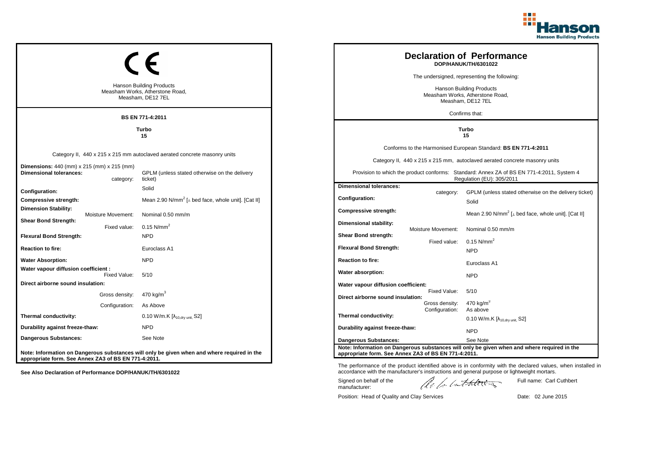

|                                                                              |                                                                                         |                                                                                             |  |                                                                                         |                    | <b>Declaration of Performance</b><br>DOP/HANUK/TH/6301022                                                              |
|------------------------------------------------------------------------------|-----------------------------------------------------------------------------------------|---------------------------------------------------------------------------------------------|--|-----------------------------------------------------------------------------------------|--------------------|------------------------------------------------------------------------------------------------------------------------|
|                                                                              |                                                                                         |                                                                                             |  |                                                                                         |                    | The undersigned, representing the following:                                                                           |
|                                                                              | <b>Hanson Building Products</b><br>Measham Works, Atherstone Road,<br>Measham, DE12 7EL |                                                                                             |  | <b>Hanson Building Products</b><br>Measham Works, Atherstone Road,<br>Measham, DE12 7EL |                    |                                                                                                                        |
|                                                                              |                                                                                         | <b>BS EN 771-4:2011</b>                                                                     |  |                                                                                         |                    | Confirms that:                                                                                                         |
|                                                                              |                                                                                         | Turbo<br>15                                                                                 |  |                                                                                         | Turbo<br>15        |                                                                                                                        |
|                                                                              |                                                                                         |                                                                                             |  |                                                                                         |                    | Conforms to the Harmonised European Standard: BS EN 771-4:2011                                                         |
|                                                                              |                                                                                         | Category II, 440 x 215 x 215 mm autoclaved aerated concrete masonry units                   |  |                                                                                         |                    | Category II, 440 x 215 x 215 mm, autoclaved aerated concrete masonry units                                             |
| Dimensions: 440 (mm) x 215 (mm) x 215 (mm)<br><b>Dimensional tolerances:</b> | category:                                                                               | GPLM (unless stated otherwise on the delivery<br>ticket)                                    |  |                                                                                         |                    | Provision to which the product conforms: Standard: Annex ZA of BS EN 771-4:2011, System 4<br>Regulation (EU): 305/2011 |
| Configuration:                                                               |                                                                                         | Solid                                                                                       |  | <b>Dimensional tolerances:</b>                                                          | category:          | GPLM (unless stated otherwise on the delivery ticket)                                                                  |
| Compressive strength:                                                        |                                                                                         | Mean 2.90 N/mm <sup>2</sup> [ $\perp$ bed face, whole unit]. [Cat II]                       |  | Configuration:                                                                          |                    | Solid                                                                                                                  |
| <b>Dimension Stability:</b>                                                  | Moisture Movement:                                                                      | Nominal 0.50 mm/m                                                                           |  | Compressive strength:                                                                   |                    | Mean 2.90 N/mm <sup>2</sup> [ $\perp$ bed face, whole unit]. [Cat II]                                                  |
| <b>Shear Bond Strength:</b>                                                  | Fixed value:                                                                            | $0.15$ N/mm <sup>2</sup>                                                                    |  | Dimensional stability:                                                                  |                    |                                                                                                                        |
| <b>Flexural Bond Strength:</b>                                               |                                                                                         | <b>NPD</b>                                                                                  |  | Shear Bond strength:                                                                    | Moisture Movement: | Nominal 0.50 mm/m                                                                                                      |
| <b>Reaction to fire:</b>                                                     |                                                                                         | Euroclass A1                                                                                |  | <b>Flexural Bond Strength:</b>                                                          | Fixed value:       | 0.15 N/mm <sup>2</sup><br><b>NPD</b>                                                                                   |
| <b>Water Absorption:</b>                                                     |                                                                                         | <b>NPD</b>                                                                                  |  | <b>Reaction to fire:</b>                                                                |                    |                                                                                                                        |
| Water vapour diffusion coefficient :                                         |                                                                                         |                                                                                             |  | Water absorption:                                                                       |                    | Euroclass A1                                                                                                           |
| Direct airborne sound insulation:                                            | Fixed Value:                                                                            | 5/10                                                                                        |  |                                                                                         |                    | <b>NPD</b>                                                                                                             |
|                                                                              | Gross density:                                                                          | 470 kg/m <sup>3</sup>                                                                       |  | Water vapour diffusion coefficient:                                                     | Fixed Value:       | 5/10                                                                                                                   |
|                                                                              | Configuration:                                                                          | As Above                                                                                    |  | Direct airborne sound insulation:                                                       | Gross density:     | 470 kg/m <sup>3</sup>                                                                                                  |
| Thermal conductivity:                                                        |                                                                                         | 0.10 W/m.K $[\lambda_{10, dry \text{ unit}}, S2]$                                           |  | Thermal conductivity:                                                                   | Configuration:     | As above                                                                                                               |
| Durability against freeze-thaw:                                              |                                                                                         | <b>NPD</b>                                                                                  |  | Durability against freeze-thaw:                                                         |                    | $0.10$ W/m.K [ $\lambda_{10, dry}$ unit, S2]                                                                           |
| Dangerous Substances:                                                        |                                                                                         | See Note                                                                                    |  |                                                                                         |                    | <b>NPD</b>                                                                                                             |
|                                                                              |                                                                                         |                                                                                             |  | <b>Dangerous Substances:</b>                                                            |                    | See Note<br>Note: Information on Dangerous substances will only be given when and where required in the                |
| appropriate form. See Annex ZA3 of BS EN 771-4:2011.                         |                                                                                         | Note: Information on Dangerous substances will only be given when and where required in the |  | appropriate form. See Annex ZA3 of BS EN 771-4:2011.                                    |                    |                                                                                                                        |

The performance of the product identified above is in conformity with the declared values, when installed in accordance with the manufacturer's instructions and general purpose or lightweight mortars. Signed on behalf of the Full name: Carl Cuthbert

manufacturer:

ach lathering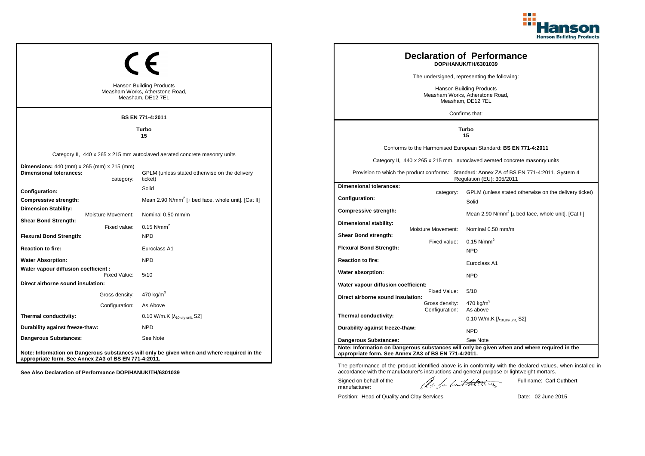

|                                                                                                           | <b>Hanson Building Products</b><br>Measham Works, Atherstone Road,<br>Measham, DE12 7EL<br><b>BS EN 771-4:2011</b>                    |                                                                                  | <b>Declaration of Performance</b><br>DOP/HANUK/TH/6301039<br>The undersigned, representing the following:<br><b>Hanson Building Products</b><br>Measham Works, Atherstone Road,<br>Measham, DE12 7EL<br>Confirms that: |                                                                                                                                                                                                                                                                        |  |
|-----------------------------------------------------------------------------------------------------------|---------------------------------------------------------------------------------------------------------------------------------------|----------------------------------------------------------------------------------|------------------------------------------------------------------------------------------------------------------------------------------------------------------------------------------------------------------------|------------------------------------------------------------------------------------------------------------------------------------------------------------------------------------------------------------------------------------------------------------------------|--|
|                                                                                                           | Turbo<br>15                                                                                                                           |                                                                                  | Turbo<br>15                                                                                                                                                                                                            |                                                                                                                                                                                                                                                                        |  |
| <b>Dimensions:</b> 440 (mm) x 265 (mm) x 215 (mm)<br><b>Dimensional tolerances:</b><br>category:          | Category II, 440 x 265 x 215 mm autoclaved aerated concrete masonry units<br>GPLM (unless stated otherwise on the delivery<br>ticket) |                                                                                  |                                                                                                                                                                                                                        | Conforms to the Harmonised European Standard: BS EN 771-4:2011<br>Category II, 440 x 265 x 215 mm, autoclaved aerated concrete masonry units<br>Provision to which the product conforms: Standard: Annex ZA of BS EN 771-4:2011, System 4<br>Regulation (EU): 305/2011 |  |
| Configuration:<br>Compressive strength:<br><b>Dimension Stability:</b><br>Moisture Movement:              | Solid<br>Mean 2.90 N/mm <sup>2</sup> [ $\perp$ bed face, whole unit]. [Cat II]<br>Nominal 0.50 mm/m                                   | <b>Dimensional tolerances:</b><br>Configuration:<br>Compressive strength:        | category:                                                                                                                                                                                                              | GPLM (unless stated otherwise on the delivery ticket)<br>Solid<br>Mean 2.90 N/mm <sup>2</sup> [ $\perp$ bed face, whole unit]. [Cat II]                                                                                                                                |  |
| <b>Shear Bond Strength:</b><br>Fixed value:<br><b>Flexural Bond Strength:</b><br><b>Reaction to fire:</b> | $0.15$ N/mm <sup>2</sup><br><b>NPD</b><br>Euroclass A1                                                                                | Dimensional stability:<br>Shear Bond strength:<br><b>Flexural Bond Strength:</b> | Moisture Movement:<br>Fixed value:                                                                                                                                                                                     | Nominal 0.50 mm/m<br>0.15 $N/mm^2$<br><b>NPD</b>                                                                                                                                                                                                                       |  |
| <b>Water Absorption:</b><br>Water vapour diffusion coefficient :<br>Fixed Value:                          | <b>NPD</b><br>5/10                                                                                                                    | <b>Reaction to fire:</b><br>Water absorption:                                    |                                                                                                                                                                                                                        | Euroclass A1<br><b>NPD</b>                                                                                                                                                                                                                                             |  |
| Direct airborne sound insulation:<br>Gross density:<br>Configuration:                                     | 470 kg/m $3$<br>As Above                                                                                                              | Water vapour diffusion coefficient:<br>Direct airborne sound insulation:         | Fixed Value:<br>Gross density:<br>Configuration:                                                                                                                                                                       | 5/10<br>470 kg/m <sup>3</sup><br>As above                                                                                                                                                                                                                              |  |
| Thermal conductivity:<br>Durability against freeze-thaw:                                                  | 0.10 W/m.K $[\lambda_{10, dry \text{ unit}}, S2]$<br><b>NPD</b>                                                                       | Thermal conductivity:<br>Durability against freeze-thaw:                         |                                                                                                                                                                                                                        | $0.10$ W/m.K [ $\lambda_{10, dry}$ unit, S2]<br><b>NPD</b>                                                                                                                                                                                                             |  |
| Dangerous Substances:<br>appropriate form. See Annex ZA3 of BS EN 771-4:2011.                             | See Note<br>Note: Information on Dangerous substances will only be given when and where required in the                               | <b>Dangerous Substances:</b>                                                     | appropriate form. See Annex ZA3 of BS EN 771-4:2011.                                                                                                                                                                   | See Note<br>Note: Information on Dangerous substances will only be given when and where required in the                                                                                                                                                                |  |

The performance of the product identified above is in conformity with the declared values, when installed in accordance with the manufacturer's instructions and general purpose or lightweight mortars.

Signed on behalf of the manufacturer:

ach lathering

Full name: Carl Cuthbert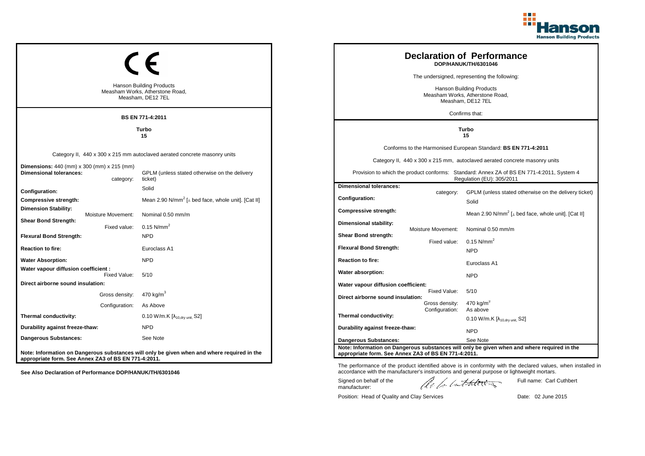

|                                                                                                  |                                                                                             |  |                                                      |                                                                                         | <b>Declaration of Performance</b><br>DOP/HANUK/TH/6301046                                                              |  |
|--------------------------------------------------------------------------------------------------|---------------------------------------------------------------------------------------------|--|------------------------------------------------------|-----------------------------------------------------------------------------------------|------------------------------------------------------------------------------------------------------------------------|--|
|                                                                                                  |                                                                                             |  |                                                      |                                                                                         | The undersigned, representing the following:                                                                           |  |
|                                                                                                  | <b>Hanson Building Products</b><br>Measham Works, Atherstone Road,<br>Measham, DE12 7EL     |  |                                                      | <b>Hanson Building Products</b><br>Measham Works, Atherstone Road,<br>Measham, DE12 7EL |                                                                                                                        |  |
|                                                                                                  | BS EN 771-4:2011                                                                            |  |                                                      |                                                                                         | Confirms that:                                                                                                         |  |
|                                                                                                  | Turbo<br>15                                                                                 |  |                                                      | Turbo<br>15                                                                             |                                                                                                                        |  |
|                                                                                                  |                                                                                             |  |                                                      |                                                                                         | Conforms to the Harmonised European Standard: BS EN 771-4:2011                                                         |  |
|                                                                                                  | Category II, 440 x 300 x 215 mm autoclaved aerated concrete masonry units                   |  |                                                      |                                                                                         | Category II, 440 x 300 x 215 mm, autoclaved aerated concrete masonry units                                             |  |
| <b>Dimensions:</b> 440 (mm) x 300 (mm) x 215 (mm)<br><b>Dimensional tolerances:</b><br>category: | GPLM (unless stated otherwise on the delivery<br>ticket)                                    |  |                                                      |                                                                                         | Provision to which the product conforms: Standard: Annex ZA of BS EN 771-4:2011, System 4<br>Regulation (EU): 305/2011 |  |
| Configuration:                                                                                   | Solid                                                                                       |  | <b>Dimensional tolerances:</b>                       | category:                                                                               | GPLM (unless stated otherwise on the delivery ticket)                                                                  |  |
| Compressive strength:                                                                            | Mean 2.90 N/mm <sup>2</sup> [ $\perp$ bed face, whole unit]. [Cat II]                       |  | <b>Configuration:</b>                                |                                                                                         | Solid                                                                                                                  |  |
| <b>Dimension Stability:</b><br>Moisture Movement:                                                | Nominal 0.50 mm/m                                                                           |  | Compressive strength:                                |                                                                                         | Mean 2.90 N/mm <sup>2</sup> [ $\perp$ bed face, whole unit]. [Cat II]                                                  |  |
| <b>Shear Bond Strength:</b><br>Fixed value:                                                      | 0.15 $N/mm^2$                                                                               |  | Dimensional stability:                               | Moisture Movement:                                                                      | Nominal 0.50 mm/m                                                                                                      |  |
| <b>Flexural Bond Strength:</b>                                                                   | <b>NPD</b>                                                                                  |  | Shear Bond strength:                                 |                                                                                         |                                                                                                                        |  |
| <b>Reaction to fire:</b>                                                                         | Euroclass A1                                                                                |  | <b>Flexural Bond Strength:</b>                       | Fixed value:                                                                            | 0.15 $N/mm^2$<br><b>NPD</b>                                                                                            |  |
| <b>Water Absorption:</b>                                                                         | <b>NPD</b>                                                                                  |  | <b>Reaction to fire:</b>                             |                                                                                         | Euroclass A1                                                                                                           |  |
| Water vapour diffusion coefficient :<br>Fixed Value:                                             | 5/10                                                                                        |  | Water absorption:                                    |                                                                                         | <b>NPD</b>                                                                                                             |  |
| Direct airborne sound insulation:                                                                |                                                                                             |  | Water vapour diffusion coefficient:                  |                                                                                         |                                                                                                                        |  |
| Gross density:                                                                                   | 470 kg/m <sup>3</sup>                                                                       |  | Direct airborne sound insulation:                    | Fixed Value:                                                                            | 5/10                                                                                                                   |  |
| Configuration:                                                                                   | As Above                                                                                    |  |                                                      | Gross density:<br>Configuration:                                                        | 470 kg/m <sup>3</sup><br>As above                                                                                      |  |
| Thermal conductivity:                                                                            | 0.10 W/m.K [λ <sub>10,dry unit,</sub> S2]                                                   |  | Thermal conductivity:                                |                                                                                         | $0.10$ W/m.K [ $\lambda_{10, dry \text{ unit}}$ , S2]                                                                  |  |
| Durability against freeze-thaw:                                                                  | <b>NPD</b>                                                                                  |  | Durability against freeze-thaw:                      |                                                                                         | <b>NPD</b>                                                                                                             |  |
| Dangerous Substances:                                                                            | See Note                                                                                    |  | <b>Dangerous Substances:</b>                         |                                                                                         | See Note                                                                                                               |  |
| appropriate form. See Annex ZA3 of BS EN 771-4:2011.                                             | Note: Information on Dangerous substances will only be given when and where required in the |  | appropriate form. See Annex ZA3 of BS EN 771-4:2011. |                                                                                         | Note: Information on Dangerous substances will only be given when and where required in the                            |  |

The performance of the product identified above is in conformity with the declared values, when installed in accordance with the manufacturer's instructions and general purpose or lightweight mortars. Full name: Carl Cuthbert

Signed on behalf of the manufacturer:

ach lathering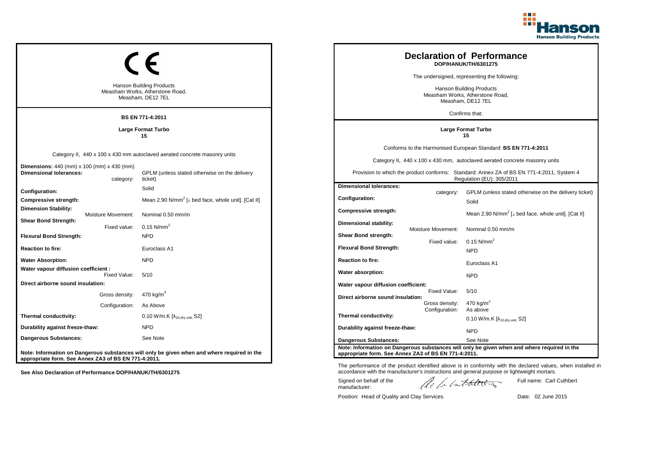

| <b>Hanson Building Products</b><br>Measham Works, Atherstone Road,<br>Measham, DE12 7EL<br>BS EN 771-4:2011 |                                  |                                                                                                                                       | <b>Declaration of Performance</b><br>DOP/HANUK/TH/6301275<br>The undersigned, representing the following:<br>Hanson Building Products<br>Measham Works, Atherstone Road,<br>Measham, DE12 7EL<br>Confirms that: |                                    |                                                                                                                                                                                                                                                                        |
|-------------------------------------------------------------------------------------------------------------|----------------------------------|---------------------------------------------------------------------------------------------------------------------------------------|-----------------------------------------------------------------------------------------------------------------------------------------------------------------------------------------------------------------|------------------------------------|------------------------------------------------------------------------------------------------------------------------------------------------------------------------------------------------------------------------------------------------------------------------|
| Large Format Turbo<br>15                                                                                    |                                  |                                                                                                                                       | <b>Large Format Turbo</b><br>15                                                                                                                                                                                 |                                    |                                                                                                                                                                                                                                                                        |
| <b>Dimensions:</b> 440 (mm) x 100 (mm) x 430 (mm)<br><b>Dimensional tolerances:</b>                         | category:                        | Category II, 440 x 100 x 430 mm autoclaved aerated concrete masonry units<br>GPLM (unless stated otherwise on the delivery<br>ticket) |                                                                                                                                                                                                                 |                                    | Conforms to the Harmonised European Standard: BS EN 771-4:2011<br>Category II, 440 x 100 x 430 mm, autoclaved aerated concrete masonry units<br>Provision to which the product conforms: Standard: Annex ZA of BS EN 771-4:2011, System 4<br>Regulation (EU): 305/2011 |
| Configuration:<br>Compressive strength:<br><b>Dimension Stability:</b><br>Moisture Movement:                |                                  | Solid<br>Mean 2.90 N/mm <sup>2</sup> [ $\perp$ bed face, whole unit]. [Cat II]<br>Nominal 0.50 mm/m                                   | <b>Dimensional tolerances:</b><br><b>Configuration:</b><br>Compressive strength:                                                                                                                                | category:                          | GPLM (unless stated otherwise on the delivery ticket)<br>Solid<br>Mean 2.90 N/mm <sup>2</sup> [⊥ bed face, whole unit]. [Cat II]                                                                                                                                       |
| <b>Shear Bond Strength:</b><br><b>Flexural Bond Strength:</b><br><b>Reaction to fire:</b>                   | Fixed value:                     | $0.15$ N/mm <sup>2</sup><br><b>NPD</b><br>Euroclass A1                                                                                | Dimensional stability:<br>Shear Bond strength:<br><b>Flexural Bond Strength:</b>                                                                                                                                | Moisture Movement:<br>Fixed value: | Nominal 0.50 mm/m<br>$0.15$ N/mm <sup>2</sup><br><b>NPD</b>                                                                                                                                                                                                            |
| <b>Water Absorption:</b><br>Water vapour diffusion coefficient :                                            | Fixed Value:                     | <b>NPD</b><br>5/10                                                                                                                    | <b>Reaction to fire:</b><br>Water absorption:                                                                                                                                                                   |                                    | Euroclass A1                                                                                                                                                                                                                                                           |
| Direct airborne sound insulation:                                                                           | Gross density:<br>Configuration: | 470 kg/m <sup>3</sup><br>As Above                                                                                                     | Water vapour diffusion coefficient:<br>Direct airborne sound insulation:                                                                                                                                        | Fixed Value:<br>Gross density:     | <b>NPD</b><br>5/10<br>470 kg/m <sup>3</sup>                                                                                                                                                                                                                            |
| Thermal conductivity:<br>Durability against freeze-thaw:<br><b>Dangerous Substances:</b>                    |                                  | 0.10 W/m.K [ $\lambda$ <sub>10.drv unit.</sub> S2]<br><b>NPD</b><br>See Note                                                          | Thermal conductivity:<br>Durability against freeze-thaw:                                                                                                                                                        | Configuration:                     | As above<br>0.10 W/m.K $[\lambda_{10.0}$ <sub>tv unit.</sub> S2]<br><b>NPD</b>                                                                                                                                                                                         |
| appropriate form. See Annex ZA3 of BS EN 771-4:2011.                                                        |                                  | Note: Information on Dangerous substances will only be given when and where required in the                                           | Dangerous Substances:<br>appropriate form. See Annex ZA3 of BS EN 771-4:2011.                                                                                                                                   |                                    | See Note<br>Note: Information on Dangerous substances will only be given when and where required in the                                                                                                                                                                |

The performance of the product identified above is in conformity with the declared values, when installed in accordance with the manufacturer's instructions and general purpose or lightweight mortars.

Signed on behalf of the manufacturer:

ach lathering

Full name: Carl Cuthbert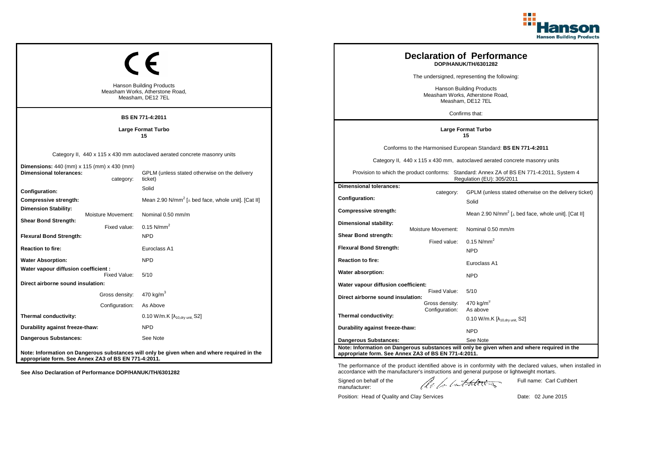

| <b>Hanson Building Products</b><br>Measham Works, Atherstone Road,<br>Measham, DE12 7EL<br><b>BS EN 771-4:2011</b> |                                                  | <b>Declaration of Performance</b><br>DOP/HANUK/TH/6301282<br>The undersigned, representing the following:<br><b>Hanson Building Products</b><br>Measham Works, Atherstone Road,<br>Measham, DE12 7EL<br>Confirms that: |                                                                                  |                                           |                                                                                                                                                                                                                                                                        |
|--------------------------------------------------------------------------------------------------------------------|--------------------------------------------------|------------------------------------------------------------------------------------------------------------------------------------------------------------------------------------------------------------------------|----------------------------------------------------------------------------------|-------------------------------------------|------------------------------------------------------------------------------------------------------------------------------------------------------------------------------------------------------------------------------------------------------------------------|
|                                                                                                                    |                                                  | <b>Large Format Turbo</b><br>15                                                                                                                                                                                        | <b>Large Format Turbo</b><br>15                                                  |                                           |                                                                                                                                                                                                                                                                        |
| <b>Dimensions:</b> 440 (mm) x 115 (mm) x 430 (mm)<br><b>Dimensional tolerances:</b>                                | category:                                        | Category II, 440 x 115 x 430 mm autoclaved aerated concrete masonry units<br>GPLM (unless stated otherwise on the delivery<br>ticket)                                                                                  |                                                                                  |                                           | Conforms to the Harmonised European Standard: BS EN 771-4:2011<br>Category II, 440 x 115 x 430 mm, autoclaved aerated concrete masonry units<br>Provision to which the product conforms: Standard: Annex ZA of BS EN 771-4:2011, System 4<br>Regulation (EU): 305/2011 |
| Configuration:<br>Compressive strength:<br><b>Dimension Stability:</b><br>Moisture Movement:                       |                                                  | Solid<br>Mean 2.90 N/mm <sup>2</sup> [ $\perp$ bed face, whole unit]. [Cat II]<br>Nominal 0.50 mm/m                                                                                                                    | <b>Dimensional tolerances:</b><br>Configuration:<br><b>Compressive strength:</b> | category:                                 | GPLM (unless stated otherwise on the delivery ticket)<br>Solid<br>Mean 2.90 N/mm <sup>2</sup> [⊥ bed face, whole unit]. [Cat II]                                                                                                                                       |
| <b>Shear Bond Strength:</b><br><b>Flexural Bond Strength:</b><br><b>Reaction to fire:</b>                          | Fixed value:                                     | $0.15$ N/mm <sup>2</sup><br><b>NPD</b><br>Euroclass A1                                                                                                                                                                 | Dimensional stability:<br>Shear Bond strength:<br><b>Flexural Bond Strength:</b> | <b>Moisture Movement:</b><br>Fixed value: | Nominal 0.50 mm/m<br>$0.15$ N/mm <sup>2</sup>                                                                                                                                                                                                                          |
| <b>Water Absorption:</b><br>Water vapour diffusion coefficient :                                                   |                                                  | <b>NPD</b>                                                                                                                                                                                                             | <b>Reaction to fire:</b><br>Water absorption:                                    |                                           | <b>NPD</b><br>Euroclass A1                                                                                                                                                                                                                                             |
| Direct airborne sound insulation:                                                                                  | Fixed Value:<br>Gross density:<br>Configuration: | 5/10<br>$470$ kg/m <sup>3</sup><br>As Above                                                                                                                                                                            | Water vapour diffusion coefficient:<br>Direct airborne sound insulation:         | Fixed Value:<br>Gross density:            | <b>NPD</b><br>5/10<br>470 kg/m <sup>3</sup>                                                                                                                                                                                                                            |
| Thermal conductivity:<br>Durability against freeze-thaw:<br>Dangerous Substances:                                  |                                                  | $0.10 W/m.K [ \lambda_{10, dry unit}, S2 ]$<br><b>NPD</b><br>See Note                                                                                                                                                  | Thermal conductivity:<br>Durability against freeze-thaw:                         | Configuration:                            | As above<br>0.10 W/m.K $[\lambda_{10.0}$ <sub>W unit.</sub> S2]<br><b>NPD</b>                                                                                                                                                                                          |
| appropriate form. See Annex ZA3 of BS EN 771-4:2011.                                                               |                                                  | Note: Information on Dangerous substances will only be given when and where required in the                                                                                                                            | Dangerous Substances:<br>appropriate form. See Annex ZA3 of BS EN 771-4:2011.    |                                           | See Note<br>Note: Information on Dangerous substances will only be given when and where required in the                                                                                                                                                                |

Position: Head of Quality and Clay Services Date: 02 June 2015

Signed on behalf of the manufacturer:

The performance of the product identified above is in conformity with the declared values, when installed in accordance with the manufacturer's instructions and general purpose or lightweight mortars.

ach lathering

Full name: Carl Cuthbert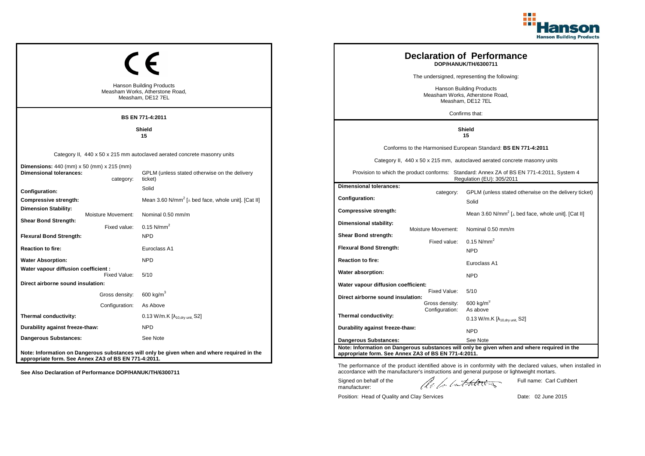

|                                                                                    |                    |                                                                                             |                                                                                  |                    | <b>Declaration of Performance</b><br>DOP/HANUK/TH/6300711                                                              |
|------------------------------------------------------------------------------------|--------------------|---------------------------------------------------------------------------------------------|----------------------------------------------------------------------------------|--------------------|------------------------------------------------------------------------------------------------------------------------|
|                                                                                    |                    |                                                                                             |                                                                                  |                    | The undersigned, representing the following:                                                                           |
|                                                                                    |                    | <b>Hanson Building Products</b><br>Measham Works, Atherstone Road,<br>Measham, DE12 7EL     | Hanson Building Products<br>Measham Works, Atherstone Road,<br>Measham, DE12 7EL |                    |                                                                                                                        |
|                                                                                    |                    | <b>BS EN 771-4:2011</b>                                                                     |                                                                                  |                    | Confirms that:                                                                                                         |
|                                                                                    |                    | Shield<br>15                                                                                | <b>Shield</b><br>15                                                              |                    |                                                                                                                        |
|                                                                                    |                    |                                                                                             |                                                                                  |                    | Conforms to the Harmonised European Standard: BS EN 771-4:2011                                                         |
|                                                                                    |                    | Category II, 440 x 50 x 215 mm autoclaved aerated concrete masonry units                    |                                                                                  |                    | Category II, 440 x 50 x 215 mm, autoclaved aerated concrete masonry units                                              |
| <b>Dimensions:</b> 440 (mm) x 50 (mm) x 215 (mm)<br><b>Dimensional tolerances:</b> | category:          | GPLM (unless stated otherwise on the delivery<br>ticket)                                    |                                                                                  |                    | Provision to which the product conforms: Standard: Annex ZA of BS EN 771-4:2011, System 4<br>Regulation (EU): 305/2011 |
| Configuration:                                                                     |                    | Solid                                                                                       | <b>Dimensional tolerances:</b>                                                   | category:          | GPLM (unless stated otherwise on the delivery ticket)                                                                  |
| Compressive strength:                                                              |                    | Mean 3.60 N/mm <sup>2</sup> [ $\perp$ bed face, whole unit]. [Cat II]                       | <b>Configuration:</b>                                                            |                    | Solid                                                                                                                  |
| <b>Dimension Stability:</b>                                                        | Moisture Movement: | Nominal 0.50 mm/m                                                                           | Compressive strength:                                                            |                    | Mean 3.60 N/mm <sup>2</sup> [⊥ bed face, whole unit]. [Cat II]                                                         |
| <b>Shear Bond Strength:</b>                                                        | Fixed value:       | $0.15$ N/mm <sup>2</sup>                                                                    | Dimensional stability:                                                           |                    |                                                                                                                        |
| <b>Flexural Bond Strength:</b>                                                     |                    | <b>NPD</b>                                                                                  | Shear Bond strength:                                                             | Moisture Movement: | Nominal 0.50 mm/m                                                                                                      |
| <b>Reaction to fire:</b>                                                           |                    | Euroclass A1                                                                                | <b>Flexural Bond Strength:</b>                                                   | Fixed value:       | 0.15 N/mm <sup>2</sup><br><b>NPD</b>                                                                                   |
| <b>Water Absorption:</b>                                                           |                    | <b>NPD</b>                                                                                  | <b>Reaction to fire:</b>                                                         |                    |                                                                                                                        |
| Water vapour diffusion coefficient :                                               |                    |                                                                                             | Water absorption:                                                                |                    | Euroclass A1                                                                                                           |
| Direct airborne sound insulation:                                                  | Fixed Value:       | 5/10                                                                                        | Water vapour diffusion coefficient:                                              |                    | <b>NPD</b>                                                                                                             |
|                                                                                    | Gross density:     | 600 kg/m <sup>3</sup>                                                                       |                                                                                  | Fixed Value:       | 5/10                                                                                                                   |
|                                                                                    | Configuration:     | As Above                                                                                    | Direct airborne sound insulation:                                                | Gross density:     | 600 kg/m <sup>3</sup>                                                                                                  |
| Thermal conductivity:                                                              |                    | 0.13 W/m.K $[\lambda_{10.0}$ <sub>W unit.</sub> S2]                                         | Thermal conductivity:                                                            | Configuration:     | As above<br>$0.13$ W/m.K [ $\lambda_{10, dry \text{ unit}}$ , S2]                                                      |
| Durability against freeze-thaw:                                                    |                    | <b>NPD</b>                                                                                  | Durability against freeze-thaw:                                                  |                    |                                                                                                                        |
| Dangerous Substances:                                                              |                    | See Note                                                                                    | <b>Dangerous Substances:</b>                                                     |                    | <b>NPD</b><br>See Note                                                                                                 |
| appropriate form. See Annex ZA3 of BS EN 771-4:2011.                               |                    | Note: Information on Dangerous substances will only be given when and where required in the | appropriate form. See Annex ZA3 of BS EN 771-4:2011.                             |                    | Note: Information on Dangerous substances will only be given when and where required in the                            |

The performance of the product identified above is in conformity with the declared values, when installed in accordance with the manufacturer's instructions and general purpose or lightweight mortars.

Signed on behalf of the manufacturer:

ach lathering

Full name: Carl Cuthbert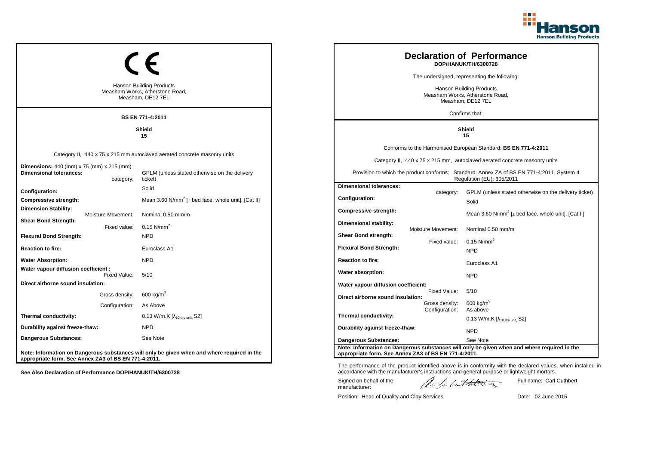

|                                                                             |                    |                                                                                             | <b>Declaration of Performance</b><br>DOP/HANUK/TH/6300728                        |                    |                                                                                                                        |
|-----------------------------------------------------------------------------|--------------------|---------------------------------------------------------------------------------------------|----------------------------------------------------------------------------------|--------------------|------------------------------------------------------------------------------------------------------------------------|
|                                                                             |                    |                                                                                             |                                                                                  |                    | The undersigned, representing the following:                                                                           |
|                                                                             |                    | <b>Hanson Building Products</b><br>Measham Works, Atherstone Road,<br>Measham, DE12 7EL     | Hanson Building Products<br>Measham Works, Atherstone Road,<br>Measham, DE12 7EL |                    |                                                                                                                        |
|                                                                             |                    | <b>BS EN 771-4:2011</b>                                                                     |                                                                                  |                    | Confirms that:                                                                                                         |
|                                                                             |                    | Shield<br>15                                                                                | Shield<br>15                                                                     |                    |                                                                                                                        |
|                                                                             |                    |                                                                                             |                                                                                  |                    | Conforms to the Harmonised European Standard: BS EN 771-4:2011                                                         |
|                                                                             |                    | Category II, 440 x 75 x 215 mm autoclaved aerated concrete masonry units                    |                                                                                  |                    | Category II, 440 x 75 x 215 mm, autoclaved aerated concrete masonry units                                              |
| <b>Dimensions:</b> 440 (mm) x 75 (mm) x 215 (mm)<br>Dimensional tolerances: | category:          | GPLM (unless stated otherwise on the delivery<br>ticket)                                    |                                                                                  |                    | Provision to which the product conforms: Standard: Annex ZA of BS EN 771-4:2011, System 4<br>Regulation (EU): 305/2011 |
| Configuration:                                                              |                    | Solid                                                                                       | <b>Dimensional tolerances:</b>                                                   | category:          | GPLM (unless stated otherwise on the delivery ticket)                                                                  |
| <b>Compressive strength:</b>                                                |                    | Mean 3.60 N/mm <sup>2</sup> [ $\perp$ bed face, whole unit]. [Cat II]                       | Configuration:                                                                   |                    | Solid                                                                                                                  |
| <b>Dimension Stability:</b>                                                 | Moisture Movement: | Nominal 0.50 mm/m                                                                           | <b>Compressive strength:</b>                                                     |                    | Mean 3.60 N/mm <sup>2</sup> [ $\perp$ bed face, whole unit]. [Cat II]                                                  |
| <b>Shear Bond Strength:</b>                                                 | Fixed value:       | $0.15$ N/mm <sup>2</sup>                                                                    | Dimensional stability:                                                           |                    |                                                                                                                        |
| <b>Flexural Bond Strength:</b>                                              |                    | <b>NPD</b>                                                                                  | Shear Bond strength:                                                             | Moisture Movement: | Nominal 0.50 mm/m                                                                                                      |
| <b>Reaction to fire:</b>                                                    |                    | Euroclass A1                                                                                | <b>Flexural Bond Strength:</b>                                                   | Fixed value:       | $0.15$ N/mm <sup>2</sup><br><b>NPD</b>                                                                                 |
| <b>Water Absorption:</b>                                                    |                    | <b>NPD</b>                                                                                  | <b>Reaction to fire:</b>                                                         |                    |                                                                                                                        |
| Water vapour diffusion coefficient :                                        |                    |                                                                                             | Water absorption:                                                                |                    | Euroclass A1                                                                                                           |
| Direct airborne sound insulation:                                           | Fixed Value:       | 5/10                                                                                        |                                                                                  |                    | <b>NPD</b>                                                                                                             |
|                                                                             | Gross density:     | 600 kg/m $3$                                                                                | Water vapour diffusion coefficient:                                              | Fixed Value:       | 5/10                                                                                                                   |
|                                                                             | Configuration:     | As Above                                                                                    | Direct airborne sound insulation:                                                | Gross density:     | $600$ kg/m <sup>3</sup>                                                                                                |
| Thermal conductivity:                                                       |                    | 0.13 W/m.K $[\lambda_{10, dry \text{ unit}}, S2]$                                           | Thermal conductivity:                                                            | Configuration:     | As above                                                                                                               |
| Durability against freeze-thaw:                                             |                    | <b>NPD</b>                                                                                  | Durability against freeze-thaw:                                                  |                    | 0.13 W/m.K $[\lambda_{10, dry \text{ unit}}]$ S2]                                                                      |
| <b>Dangerous Substances:</b>                                                |                    | See Note                                                                                    |                                                                                  |                    | <b>NPD</b>                                                                                                             |
|                                                                             |                    |                                                                                             | <b>Dangerous Substances:</b>                                                     |                    | See Note<br>Note: Information on Dangerous substances will only be given when and where required in the                |
| appropriate form. See Annex ZA3 of BS EN 771-4:2011.                        |                    | Note: Information on Dangerous substances will only be given when and where required in the | appropriate form. See Annex ZA3 of BS EN 771-4:2011.                             |                    |                                                                                                                        |

The performance of the product identified above is in conformity with the declared values, when installed in accordance with the manufacturer's instructions and general purpose or lightweight mortars.

Signed on behalf of the manufacturer:

ach lathering

Full name: Carl Cuthbert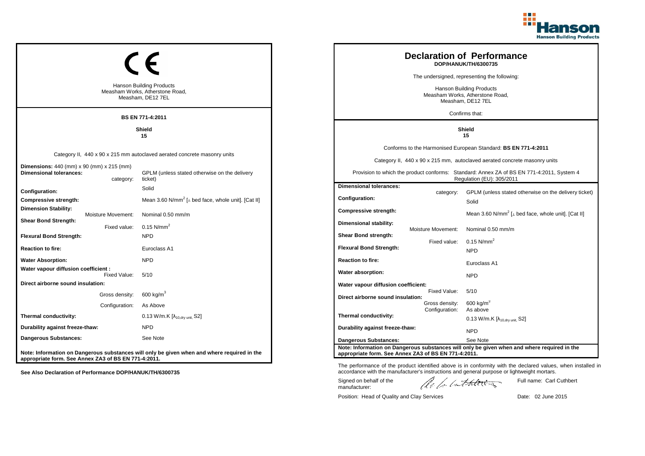

|                                                                                         |                    |                                                                                             |                                                      |                    | <b>Declaration of Performance</b><br>DOP/HANUK/TH/6300735                                                              |
|-----------------------------------------------------------------------------------------|--------------------|---------------------------------------------------------------------------------------------|------------------------------------------------------|--------------------|------------------------------------------------------------------------------------------------------------------------|
|                                                                                         |                    |                                                                                             |                                                      |                    | The undersigned, representing the following:                                                                           |
| <b>Hanson Building Products</b><br>Measham Works, Atherstone Road,<br>Measham, DE12 7EL |                    | Hanson Building Products<br>Measham Works, Atherstone Road,<br>Measham, DE12 7EL            |                                                      |                    |                                                                                                                        |
|                                                                                         |                    | <b>BS EN 771-4:2011</b>                                                                     |                                                      |                    | Confirms that:                                                                                                         |
|                                                                                         |                    | Shield<br>15                                                                                | Shield<br>15                                         |                    |                                                                                                                        |
|                                                                                         |                    |                                                                                             |                                                      |                    | Conforms to the Harmonised European Standard: BS EN 771-4:2011                                                         |
|                                                                                         |                    | Category II, 440 x 90 x 215 mm autoclaved aerated concrete masonry units                    |                                                      |                    | Category II, 440 x 90 x 215 mm, autoclaved aerated concrete masonry units                                              |
| <b>Dimensions:</b> 440 (mm) x 90 (mm) x 215 (mm)<br><b>Dimensional tolerances:</b>      | category:          | GPLM (unless stated otherwise on the delivery<br>ticket)                                    |                                                      |                    | Provision to which the product conforms: Standard: Annex ZA of BS EN 771-4:2011, System 4<br>Regulation (EU): 305/2011 |
| Configuration:                                                                          |                    | Solid                                                                                       | <b>Dimensional tolerances:</b>                       | category:          | GPLM (unless stated otherwise on the delivery ticket)                                                                  |
| <b>Compressive strength:</b>                                                            |                    | Mean 3.60 N/mm <sup>2</sup> [ $\perp$ bed face, whole unit]. [Cat II]                       | <b>Configuration:</b>                                |                    | Solid                                                                                                                  |
| <b>Dimension Stability:</b>                                                             | Moisture Movement: | Nominal 0.50 mm/m                                                                           | <b>Compressive strength:</b>                         |                    | Mean 3.60 N/mm <sup>2</sup> [ $\perp$ bed face, whole unit]. [Cat II]                                                  |
| <b>Shear Bond Strength:</b>                                                             | Fixed value:       | 0.15 $N/mm^2$                                                                               | Dimensional stability:                               |                    |                                                                                                                        |
| <b>Flexural Bond Strength:</b>                                                          |                    | <b>NPD</b>                                                                                  | <b>Shear Bond strength:</b>                          | Moisture Movement: | Nominal 0.50 mm/m                                                                                                      |
| <b>Reaction to fire:</b>                                                                |                    | Euroclass A1                                                                                | <b>Flexural Bond Strength:</b>                       | Fixed value:       | 0.15 N/mm <sup>2</sup><br><b>NPD</b>                                                                                   |
| <b>Water Absorption:</b>                                                                |                    | <b>NPD</b>                                                                                  | <b>Reaction to fire:</b>                             |                    | Euroclass A1                                                                                                           |
| Water vapour diffusion coefficient :                                                    | Fixed Value:       | 5/10                                                                                        | Water absorption:                                    |                    | <b>NPD</b>                                                                                                             |
| Direct airborne sound insulation:                                                       |                    |                                                                                             | Water vapour diffusion coefficient:                  |                    |                                                                                                                        |
|                                                                                         | Gross density:     | 600 kg/m <sup>3</sup>                                                                       | Direct airborne sound insulation:                    | Fixed Value:       | 5/10                                                                                                                   |
|                                                                                         | Configuration:     | As Above                                                                                    |                                                      | Gross density:     | 600 kg/m <sup>3</sup>                                                                                                  |
| Thermal conductivity:                                                                   |                    | $0.13$ W/m.K $[\lambda_{10, dry \text{ unit}}, S2]$                                         | Thermal conductivity:                                | Configuration:     | As above<br>$0.13$ W/m.K [ $\lambda_{10, dry \text{ unit}}$ , S2]                                                      |
| Durability against freeze-thaw:                                                         |                    | <b>NPD</b>                                                                                  | Durability against freeze-thaw:                      |                    | <b>NPD</b>                                                                                                             |
| <b>Dangerous Substances:</b>                                                            |                    | See Note                                                                                    | <b>Dangerous Substances:</b>                         |                    | See Note                                                                                                               |
| appropriate form. See Annex ZA3 of BS EN 771-4:2011.                                    |                    | Note: Information on Dangerous substances will only be given when and where required in the | appropriate form. See Annex ZA3 of BS EN 771-4:2011. |                    | Note: Information on Dangerous substances will only be given when and where required in the                            |

The performance of the product identified above is in conformity with the declared values, when installed in accordance with the manufacturer's instructions and general purpose or lightweight mortars.

Signed on behalf of the manufacturer:

ach lathering

Full name: Carl Cuthbert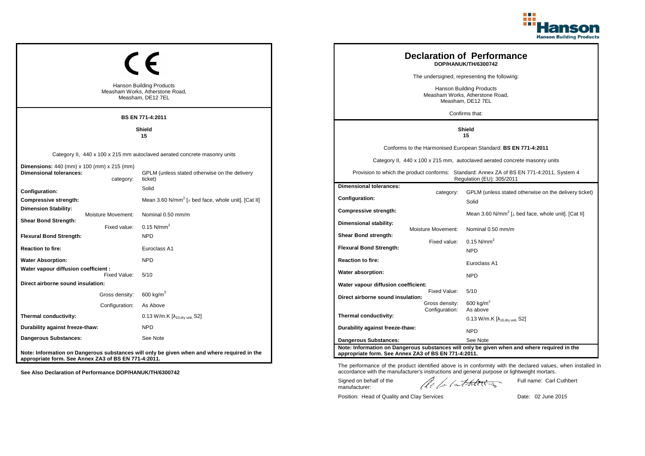

|                                                                                     |                                                                                             |                                                      |                    | <b>Declaration of Performance</b><br>DOP/HANUK/TH/6300742                                                              |  |
|-------------------------------------------------------------------------------------|---------------------------------------------------------------------------------------------|------------------------------------------------------|--------------------|------------------------------------------------------------------------------------------------------------------------|--|
|                                                                                     |                                                                                             | The undersigned, representing the following:         |                    |                                                                                                                        |  |
|                                                                                     | <b>Hanson Building Products</b><br>Measham Works, Atherstone Road,<br>Measham, DE12 7EL     |                                                      |                    | Hanson Building Products<br>Measham Works, Atherstone Road,<br>Measham, DE12 7EL                                       |  |
|                                                                                     | BS EN 771-4:2011                                                                            |                                                      |                    | Confirms that:                                                                                                         |  |
|                                                                                     | Shield<br>15                                                                                | <b>Shield</b><br>15                                  |                    |                                                                                                                        |  |
|                                                                                     |                                                                                             |                                                      |                    | Conforms to the Harmonised European Standard: BS EN 771-4:2011                                                         |  |
|                                                                                     | Category II, 440 x 100 x 215 mm autoclaved aerated concrete masonry units                   |                                                      |                    | Category II, 440 x 100 x 215 mm, autoclaved aerated concrete masonry units                                             |  |
| <b>Dimensions:</b> 440 (mm) x 100 (mm) x 215 (mm)<br><b>Dimensional tolerances:</b> | GPLM (unless stated otherwise on the delivery<br>category:<br>ticket)                       |                                                      |                    | Provision to which the product conforms: Standard: Annex ZA of BS EN 771-4:2011, System 4<br>Regulation (EU): 305/2011 |  |
| Configuration:                                                                      | Solid                                                                                       | <b>Dimensional tolerances:</b>                       | category:          | GPLM (unless stated otherwise on the delivery ticket)                                                                  |  |
| Compressive strength:                                                               | Mean 3.60 N/mm <sup>2</sup> [ $\perp$ bed face, whole unit]. [Cat II]                       | <b>Configuration:</b>                                |                    | Solid                                                                                                                  |  |
| <b>Dimension Stability:</b><br>Moisture Movement:                                   | Nominal 0.50 mm/m                                                                           | <b>Compressive strength:</b>                         |                    | Mean 3.60 N/mm <sup>2</sup> [ $\perp$ bed face, whole unit]. [Cat II]                                                  |  |
| <b>Shear Bond Strength:</b><br>Fixed value:                                         | $0.15$ N/mm <sup>2</sup>                                                                    | Dimensional stability:                               |                    |                                                                                                                        |  |
| <b>Flexural Bond Strength:</b>                                                      | <b>NPD</b>                                                                                  | <b>Shear Bond strength:</b>                          | Moisture Movement: | Nominal 0.50 mm/m                                                                                                      |  |
| <b>Reaction to fire:</b>                                                            | Euroclass A1                                                                                | <b>Flexural Bond Strength:</b>                       | Fixed value:       | 0.15 $N/mm^2$<br><b>NPD</b>                                                                                            |  |
| <b>Water Absorption:</b>                                                            | <b>NPD</b>                                                                                  | <b>Reaction to fire:</b>                             |                    |                                                                                                                        |  |
| Water vapour diffusion coefficient :                                                |                                                                                             | Water absorption:                                    |                    | Euroclass A1                                                                                                           |  |
| Fixed Value:<br>Direct airborne sound insulation:                                   | 5/10                                                                                        | Water vapour diffusion coefficient:                  |                    | <b>NPD</b>                                                                                                             |  |
| Gross density:                                                                      | 600 kg/m $3$                                                                                |                                                      | Fixed Value:       | 5/10                                                                                                                   |  |
| Configuration:                                                                      | As Above                                                                                    | Direct airborne sound insulation:                    | Gross density:     | $600$ kg/m <sup>3</sup>                                                                                                |  |
| Thermal conductivity:                                                               | 0.13 W/m.K [λ <sub>10,dry unit,</sub> S2]                                                   | Thermal conductivity:                                | Configuration:     | As above<br>0.13 W/m.K $[\lambda_{10.0 \text{rv unit}} S2]$                                                            |  |
| Durability against freeze-thaw:                                                     | <b>NPD</b>                                                                                  | Durability against freeze-thaw:                      |                    |                                                                                                                        |  |
| <b>Dangerous Substances:</b>                                                        | See Note                                                                                    | <b>Dangerous Substances:</b>                         |                    | <b>NPD</b><br>See Note                                                                                                 |  |
| appropriate form. See Annex ZA3 of BS EN 771-4:2011.                                | Note: Information on Dangerous substances will only be given when and where required in the | appropriate form. See Annex ZA3 of BS EN 771-4:2011. |                    | Note: Information on Dangerous substances will only be given when and where required in the                            |  |

The performance of the product identified above is in conformity with the declared values, when installed in accordance with the manufacturer's instructions and general purpose or lightweight mortars.

Signed on behalf of the manufacturer:

ach lathering

Full name: Carl Cuthbert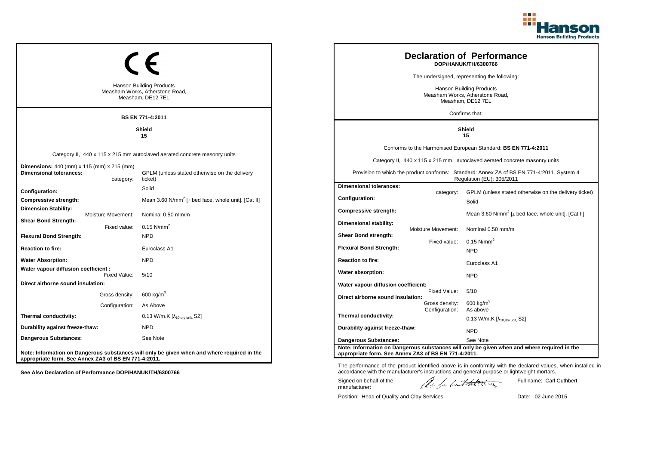

|                                                                                                  |                                                                                             |                                                                                  |                    | <b>Declaration of Performance</b><br>DOP/HANUK/TH/6300766                                                              |
|--------------------------------------------------------------------------------------------------|---------------------------------------------------------------------------------------------|----------------------------------------------------------------------------------|--------------------|------------------------------------------------------------------------------------------------------------------------|
|                                                                                                  |                                                                                             |                                                                                  |                    | The undersigned, representing the following:                                                                           |
|                                                                                                  | <b>Hanson Building Products</b><br>Measham Works, Atherstone Road,<br>Measham, DE12 7EL     | Hanson Building Products<br>Measham Works, Atherstone Road,<br>Measham, DE12 7EL |                    |                                                                                                                        |
|                                                                                                  | <b>BS EN 771-4:2011</b>                                                                     |                                                                                  |                    | Confirms that:                                                                                                         |
|                                                                                                  | Shield<br>15                                                                                | Shield<br>15                                                                     |                    |                                                                                                                        |
|                                                                                                  |                                                                                             |                                                                                  |                    | Conforms to the Harmonised European Standard: BS EN 771-4:2011                                                         |
|                                                                                                  | Category II, 440 x 115 x 215 mm autoclaved aerated concrete masonry units                   |                                                                                  |                    | Category II, 440 x 115 x 215 mm, autoclaved aerated concrete masonry units                                             |
| <b>Dimensions:</b> 440 (mm) x 115 (mm) x 215 (mm)<br><b>Dimensional tolerances:</b><br>category: | GPLM (unless stated otherwise on the delivery<br>ticket)                                    |                                                                                  |                    | Provision to which the product conforms: Standard: Annex ZA of BS EN 771-4:2011, System 4<br>Regulation (EU): 305/2011 |
| Configuration:                                                                                   | Solid                                                                                       | <b>Dimensional tolerances:</b>                                                   | category:          | GPLM (unless stated otherwise on the delivery ticket)                                                                  |
| Compressive strength:                                                                            | Mean 3.60 N/mm <sup>2</sup> [ $\perp$ bed face, whole unit]. [Cat II]                       | Configuration:                                                                   |                    | Solid                                                                                                                  |
| <b>Dimension Stability:</b><br>Moisture Movement:                                                | Nominal 0.50 mm/m                                                                           | Compressive strength:                                                            |                    | Mean 3.60 N/mm <sup>2</sup> [ $\perp$ bed face, whole unit]. [Cat II]                                                  |
| <b>Shear Bond Strength:</b><br>Fixed value:                                                      | 0.15 N/mm <sup>2</sup>                                                                      | <b>Dimensional stability:</b>                                                    |                    |                                                                                                                        |
| <b>Flexural Bond Strength:</b>                                                                   | <b>NPD</b>                                                                                  | Shear Bond strength:                                                             | Moisture Movement: | Nominal 0.50 mm/m                                                                                                      |
| <b>Reaction to fire:</b>                                                                         | Euroclass A1                                                                                | <b>Flexural Bond Strength:</b>                                                   | Fixed value:       | 0.15 $N/mm^2$<br><b>NPD</b>                                                                                            |
| <b>Water Absorption:</b>                                                                         | <b>NPD</b>                                                                                  | <b>Reaction to fire:</b>                                                         |                    | Euroclass A1                                                                                                           |
| Water vapour diffusion coefficient :                                                             |                                                                                             | Water absorption:                                                                |                    |                                                                                                                        |
| Fixed Value:<br>Direct airborne sound insulation:                                                | 5/10                                                                                        | Water vapour diffusion coefficient:                                              |                    | <b>NPD</b>                                                                                                             |
| Gross density:                                                                                   | $600 \text{ kg/m}^3$                                                                        | Direct airborne sound insulation:                                                | Fixed Value:       | 5/10                                                                                                                   |
| Configuration:                                                                                   | As Above                                                                                    |                                                                                  | Gross density:     | 600 kg/m <sup>3</sup>                                                                                                  |
| Thermal conductivity:                                                                            | 0.13 W/m.K $[\lambda_{10, dry \text{ unit}}, S2]$                                           | Thermal conductivity:                                                            | Configuration:     | As above<br>0.13 W/m.K $[\lambda_{10.0 \text{rv unit}} S2]$                                                            |
| Durability against freeze-thaw:                                                                  | <b>NPD</b>                                                                                  | Durability against freeze-thaw:                                                  |                    | <b>NPD</b>                                                                                                             |
| Dangerous Substances:                                                                            | See Note                                                                                    | <b>Dangerous Substances:</b>                                                     |                    | See Note                                                                                                               |
| appropriate form. See Annex ZA3 of BS EN 771-4:2011.                                             | Note: Information on Dangerous substances will only be given when and where required in the | appropriate form. See Annex ZA3 of BS EN 771-4:2011.                             |                    | Note: Information on Dangerous substances will only be given when and where required in the                            |

The performance of the product identified above is in conformity with the declared values, when installed in accordance with the manufacturer's instructions and general purpose or lightweight mortars.

Signed on behalf of the manufacturer:

ach lathering

Full name: Carl Cuthbert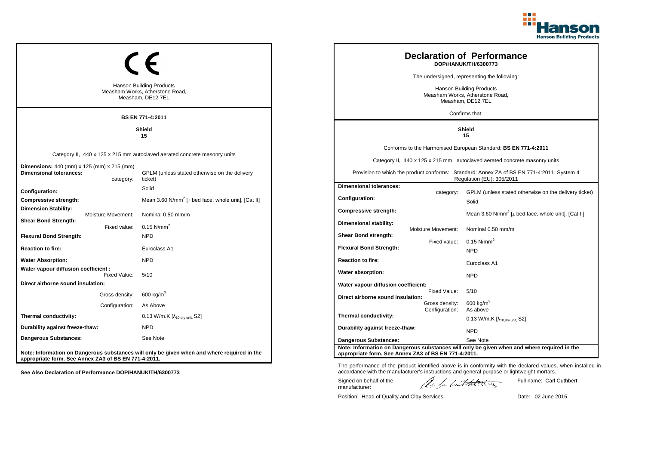

|                                                                                                  |                                                                                             |                                                      |                    | <b>Declaration of Performance</b><br>DOP/HANUK/TH/6300773                                                              |
|--------------------------------------------------------------------------------------------------|---------------------------------------------------------------------------------------------|------------------------------------------------------|--------------------|------------------------------------------------------------------------------------------------------------------------|
|                                                                                                  |                                                                                             |                                                      |                    | The undersigned, representing the following:                                                                           |
|                                                                                                  | <b>Hanson Building Products</b><br>Measham Works, Atherstone Road,<br>Measham, DE12 7EL     |                                                      |                    | Hanson Building Products<br>Measham Works, Atherstone Road,<br>Measham, DE12 7EL                                       |
|                                                                                                  | BS EN 771-4:2011                                                                            |                                                      |                    | Confirms that:                                                                                                         |
|                                                                                                  | Shield<br>15                                                                                | <b>Shield</b><br>15                                  |                    |                                                                                                                        |
|                                                                                                  |                                                                                             |                                                      |                    | Conforms to the Harmonised European Standard: BS EN 771-4:2011                                                         |
|                                                                                                  | Category II, 440 x 125 x 215 mm autoclaved aerated concrete masonry units                   |                                                      |                    | Category II, 440 x 125 x 215 mm, autoclaved aerated concrete masonry units                                             |
| <b>Dimensions:</b> 440 (mm) x 125 (mm) x 215 (mm)<br><b>Dimensional tolerances:</b><br>category: | GPLM (unless stated otherwise on the delivery<br>ticket)                                    |                                                      |                    | Provision to which the product conforms: Standard: Annex ZA of BS EN 771-4:2011, System 4<br>Regulation (EU): 305/2011 |
| Configuration:                                                                                   | Solid                                                                                       | <b>Dimensional tolerances:</b>                       | category:          | GPLM (unless stated otherwise on the delivery ticket)                                                                  |
| Compressive strength:                                                                            | Mean 3.60 N/mm <sup>2</sup> [ $\perp$ bed face, whole unit]. [Cat II]                       | <b>Configuration:</b>                                |                    | Solid                                                                                                                  |
| <b>Dimension Stability:</b><br>Moisture Movement:                                                | Nominal 0.50 mm/m                                                                           | <b>Compressive strength:</b>                         |                    | Mean 3.60 N/mm <sup>2</sup> [ $\perp$ bed face, whole unit]. [Cat II]                                                  |
| <b>Shear Bond Strength:</b><br>Fixed value:                                                      | $0.15$ N/mm <sup>2</sup>                                                                    | Dimensional stability:                               |                    |                                                                                                                        |
| <b>Flexural Bond Strength:</b>                                                                   | <b>NPD</b>                                                                                  | <b>Shear Bond strength:</b>                          | Moisture Movement: | Nominal 0.50 mm/m                                                                                                      |
| <b>Reaction to fire:</b>                                                                         | Euroclass A1                                                                                | <b>Flexural Bond Strength:</b>                       | Fixed value:       | 0.15 $N/mm^2$<br><b>NPD</b>                                                                                            |
| <b>Water Absorption:</b>                                                                         | <b>NPD</b>                                                                                  | <b>Reaction to fire:</b>                             |                    |                                                                                                                        |
| Water vapour diffusion coefficient :                                                             |                                                                                             | Water absorption:                                    |                    | Euroclass A1                                                                                                           |
| Fixed Value:<br>Direct airborne sound insulation:                                                | 5/10                                                                                        | Water vapour diffusion coefficient:                  |                    | <b>NPD</b>                                                                                                             |
| Gross density:                                                                                   | 600 kg/m $3$                                                                                |                                                      | Fixed Value:       | 5/10                                                                                                                   |
| Configuration:                                                                                   | As Above                                                                                    | Direct airborne sound insulation:                    | Gross density:     | $600$ kg/m <sup>3</sup>                                                                                                |
| Thermal conductivity:                                                                            | 0.13 W/m.K [λ <sub>10,dry unit,</sub> S2]                                                   | Thermal conductivity:                                | Configuration:     | As above<br>0.13 W/m.K $[\lambda_{10.0 \text{rv unit}} S2]$                                                            |
| Durability against freeze-thaw:                                                                  | <b>NPD</b>                                                                                  | Durability against freeze-thaw:                      |                    | <b>NPD</b>                                                                                                             |
| <b>Dangerous Substances:</b>                                                                     | See Note                                                                                    | <b>Dangerous Substances:</b>                         |                    | See Note                                                                                                               |
| appropriate form. See Annex ZA3 of BS EN 771-4:2011.                                             | Note: Information on Dangerous substances will only be given when and where required in the | appropriate form. See Annex ZA3 of BS EN 771-4:2011. |                    | Note: Information on Dangerous substances will only be given when and where required in the                            |

ach lathering Signed on behalf of the Full name: Carl Cuthbert manufacturer:

The performance of the product identified above is in conformity with the declared values, when installed in accordance with the manufacturer's instructions and general purpose or lightweight mortars.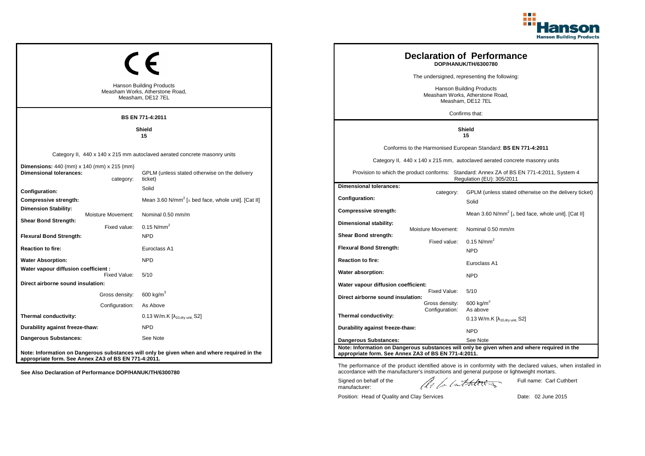

|                                                                              |                                                                                             |                                                                                  |                    | <b>Declaration of Performance</b><br>DOP/HANUK/TH/6300780                                                              |
|------------------------------------------------------------------------------|---------------------------------------------------------------------------------------------|----------------------------------------------------------------------------------|--------------------|------------------------------------------------------------------------------------------------------------------------|
|                                                                              |                                                                                             |                                                                                  |                    | The undersigned, representing the following:                                                                           |
|                                                                              | <b>Hanson Building Products</b><br>Measham Works, Atherstone Road,<br>Measham, DE12 7EL     | Hanson Building Products<br>Measham Works, Atherstone Road,<br>Measham, DE12 7EL |                    |                                                                                                                        |
|                                                                              | <b>BS EN 771-4:2011</b>                                                                     |                                                                                  |                    | Confirms that:                                                                                                         |
|                                                                              | Shield<br>15                                                                                | Shield<br>15                                                                     |                    |                                                                                                                        |
|                                                                              |                                                                                             |                                                                                  |                    | Conforms to the Harmonised European Standard: BS EN 771-4:2011                                                         |
|                                                                              | Category II, 440 x 140 x 215 mm autoclaved aerated concrete masonry units                   |                                                                                  |                    | Category II, 440 x 140 x 215 mm, autoclaved aerated concrete masonry units                                             |
| Dimensions: 440 (mm) x 140 (mm) x 215 (mm)<br><b>Dimensional tolerances:</b> | GPLM (unless stated otherwise on the delivery<br>category:<br>ticket)                       |                                                                                  |                    | Provision to which the product conforms: Standard: Annex ZA of BS EN 771-4:2011, System 4<br>Regulation (EU): 305/2011 |
| Configuration:                                                               | Solid                                                                                       | <b>Dimensional tolerances:</b>                                                   | category:          | GPLM (unless stated otherwise on the delivery ticket)                                                                  |
| Compressive strength:                                                        | Mean 3.60 N/mm <sup>2</sup> [ $\perp$ bed face, whole unit]. [Cat II]                       | Configuration:                                                                   |                    | Solid                                                                                                                  |
| <b>Dimension Stability:</b><br>Moisture Movement:                            | Nominal 0.50 mm/m                                                                           | Compressive strength:                                                            |                    | Mean 3.60 N/mm <sup>2</sup> [ $\perp$ bed face, whole unit]. [Cat II]                                                  |
| <b>Shear Bond Strength:</b>                                                  | 0.15 N/mm <sup>2</sup><br>Fixed value:                                                      | <b>Dimensional stability:</b>                                                    |                    |                                                                                                                        |
| <b>Flexural Bond Strength:</b>                                               | <b>NPD</b>                                                                                  | Shear Bond strength:                                                             | Moisture Movement: | Nominal 0.50 mm/m                                                                                                      |
| <b>Reaction to fire:</b>                                                     | Euroclass A1                                                                                | <b>Flexural Bond Strength:</b>                                                   | Fixed value:       | 0.15 $N/mm^2$<br><b>NPD</b>                                                                                            |
| <b>Water Absorption:</b>                                                     | <b>NPD</b>                                                                                  | <b>Reaction to fire:</b>                                                         |                    |                                                                                                                        |
| Water vapour diffusion coefficient :                                         |                                                                                             | Water absorption:                                                                |                    | Euroclass A1                                                                                                           |
| Direct airborne sound insulation:                                            | Fixed Value:<br>5/10                                                                        | Water vapour diffusion coefficient:                                              |                    | <b>NPD</b>                                                                                                             |
| Gross density:                                                               | $600 \text{ kg/m}^3$                                                                        |                                                                                  | Fixed Value:       | 5/10                                                                                                                   |
| Configuration:                                                               | As Above                                                                                    | Direct airborne sound insulation:                                                | Gross density:     | 600 kg/m <sup>3</sup>                                                                                                  |
| Thermal conductivity:                                                        | 0.13 W/m.K $[\lambda_{10, dry \text{ unit}}, S2]$                                           | Thermal conductivity:                                                            | Configuration:     | As above<br>0.13 W/m.K $[\lambda_{10.0 \text{rv unit}} S2]$                                                            |
| Durability against freeze-thaw:                                              | <b>NPD</b>                                                                                  | Durability against freeze-thaw:                                                  |                    |                                                                                                                        |
| Dangerous Substances:                                                        | See Note                                                                                    | <b>Dangerous Substances:</b>                                                     |                    | <b>NPD</b><br>See Note                                                                                                 |
| appropriate form. See Annex ZA3 of BS EN 771-4:2011.                         | Note: Information on Dangerous substances will only be given when and where required in the | appropriate form. See Annex ZA3 of BS EN 771-4:2011.                             |                    | Note: Information on Dangerous substances will only be given when and where required in the                            |

The performance of the product identified above is in conformity with the declared values, when installed in accordance with the manufacturer's instructions and general purpose or lightweight mortars.

Signed on behalf of the manufacturer:

ach lathering

Full name: Carl Cuthbert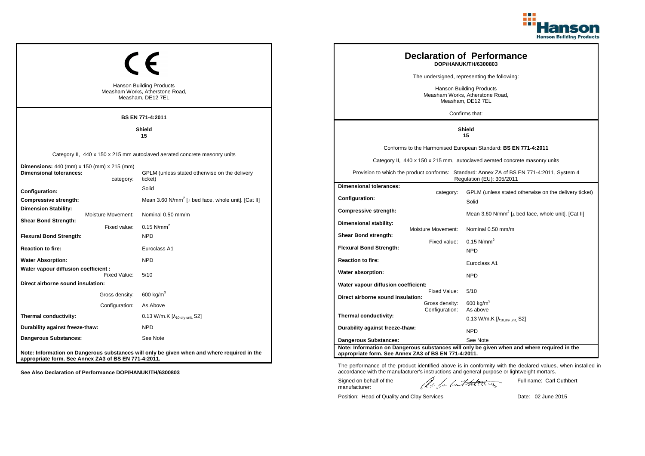

|                                                                                                  |                                                                                             |                                                                                  |                                  | <b>Declaration of Performance</b><br>DOP/HANUK/TH/6300803                                                              |
|--------------------------------------------------------------------------------------------------|---------------------------------------------------------------------------------------------|----------------------------------------------------------------------------------|----------------------------------|------------------------------------------------------------------------------------------------------------------------|
|                                                                                                  |                                                                                             |                                                                                  |                                  | The undersigned, representing the following:                                                                           |
|                                                                                                  | <b>Hanson Building Products</b><br>Measham Works, Atherstone Road,<br>Measham, DE12 7EL     | Hanson Building Products<br>Measham Works, Atherstone Road,<br>Measham, DE12 7EL |                                  |                                                                                                                        |
|                                                                                                  | <b>BS EN 771-4:2011</b>                                                                     |                                                                                  |                                  | Confirms that:                                                                                                         |
|                                                                                                  | <b>Shield</b><br>15                                                                         | <b>Shield</b><br>15                                                              |                                  |                                                                                                                        |
|                                                                                                  |                                                                                             |                                                                                  |                                  | Conforms to the Harmonised European Standard: BS EN 771-4:2011                                                         |
|                                                                                                  | Category II, 440 x 150 x 215 mm autoclaved aerated concrete masonry units                   |                                                                                  |                                  | Category II, 440 x 150 x 215 mm, autoclaved aerated concrete masonry units                                             |
| <b>Dimensions:</b> 440 (mm) x 150 (mm) x 215 (mm)<br><b>Dimensional tolerances:</b><br>category: | GPLM (unless stated otherwise on the delivery<br>ticket)                                    |                                                                                  |                                  | Provision to which the product conforms: Standard: Annex ZA of BS EN 771-4:2011, System 4<br>Regulation (EU): 305/2011 |
| Configuration:                                                                                   | Solid                                                                                       | <b>Dimensional tolerances:</b>                                                   | category:                        | GPLM (unless stated otherwise on the delivery ticket)                                                                  |
| Compressive strength:                                                                            | Mean 3.60 N/mm <sup>2</sup> [ $\perp$ bed face, whole unit]. [Cat II]                       | <b>Configuration:</b>                                                            |                                  | Solid                                                                                                                  |
| <b>Dimension Stability:</b><br>Moisture Movement:                                                | Nominal 0.50 mm/m                                                                           | Compressive strength:                                                            |                                  | Mean 3.60 N/mm <sup>2</sup> [ $\perp$ bed face, whole unit]. [Cat II]                                                  |
| <b>Shear Bond Strength:</b><br>Fixed value:                                                      | 0.15 $N/mm^2$                                                                               | Dimensional stability:                                                           | Moisture Movement:               | Nominal 0.50 mm/m                                                                                                      |
| <b>Flexural Bond Strength:</b>                                                                   | <b>NPD</b>                                                                                  | Shear Bond strength:                                                             |                                  |                                                                                                                        |
| <b>Reaction to fire:</b>                                                                         | Euroclass A1                                                                                | <b>Flexural Bond Strength:</b>                                                   | Fixed value:                     | 0.15 $N/mm^2$<br><b>NPD</b>                                                                                            |
| <b>Water Absorption:</b>                                                                         | <b>NPD</b>                                                                                  | <b>Reaction to fire:</b>                                                         |                                  | Euroclass A1                                                                                                           |
| Water vapour diffusion coefficient :<br>Fixed Value:                                             | 5/10                                                                                        | Water absorption:                                                                |                                  | <b>NPD</b>                                                                                                             |
| Direct airborne sound insulation:                                                                |                                                                                             | Water vapour diffusion coefficient:                                              |                                  |                                                                                                                        |
| Gross density:                                                                                   | 600 kg/m $3$                                                                                | Direct airborne sound insulation:                                                | Fixed Value:                     | 5/10                                                                                                                   |
| Configuration:                                                                                   | As Above                                                                                    |                                                                                  | Gross density:<br>Configuration: | 600 kg/m $3$<br>As above                                                                                               |
| Thermal conductivity:                                                                            | $0.13$ W/m.K $[\lambda_{10, dry \text{ unit}}, S2]$                                         | Thermal conductivity:                                                            |                                  | $0.13$ W/m.K [ $\lambda_{10, dry \text{ unit}}$ , S2]                                                                  |
| Durability against freeze-thaw:                                                                  | <b>NPD</b>                                                                                  | Durability against freeze-thaw:                                                  |                                  | <b>NPD</b>                                                                                                             |
| <b>Dangerous Substances:</b>                                                                     | See Note                                                                                    | <b>Dangerous Substances:</b>                                                     |                                  | See Note                                                                                                               |
| appropriate form. See Annex ZA3 of BS EN 771-4:2011.                                             | Note: Information on Dangerous substances will only be given when and where required in the | appropriate form. See Annex ZA3 of BS EN 771-4:2011.                             |                                  | Note: Information on Dangerous substances will only be given when and where required in the                            |

The performance of the product identified above is in conformity with the declared values, when installed in accordance with the manufacturer's instructions and general purpose or lightweight mortars.

Signed on behalf of the manufacturer:

ach lathering

Full name: Carl Cuthbert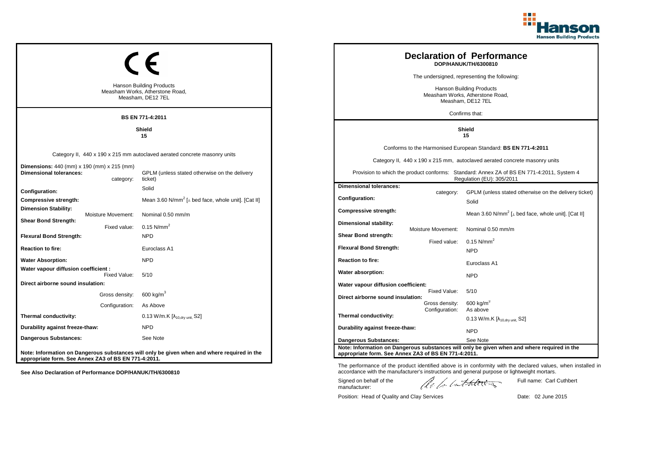

|                                                                                                  |                                                                                             |                                                      |                    | <b>Declaration of Performance</b><br>DOP/HANUK/TH/6300810                                                              |
|--------------------------------------------------------------------------------------------------|---------------------------------------------------------------------------------------------|------------------------------------------------------|--------------------|------------------------------------------------------------------------------------------------------------------------|
|                                                                                                  |                                                                                             |                                                      |                    | The undersigned, representing the following:                                                                           |
|                                                                                                  | <b>Hanson Building Products</b><br>Measham Works, Atherstone Road,<br>Measham, DE12 7EL     |                                                      |                    | Hanson Building Products<br>Measham Works, Atherstone Road,<br>Measham, DE12 7EL                                       |
|                                                                                                  | BS EN 771-4:2011                                                                            |                                                      |                    | Confirms that:                                                                                                         |
|                                                                                                  | Shield<br>15                                                                                | <b>Shield</b><br>15                                  |                    |                                                                                                                        |
|                                                                                                  |                                                                                             |                                                      |                    | Conforms to the Harmonised European Standard: BS EN 771-4:2011                                                         |
|                                                                                                  | Category II, 440 x 190 x 215 mm autoclaved aerated concrete masonry units                   |                                                      |                    | Category II, 440 x 190 x 215 mm, autoclaved aerated concrete masonry units                                             |
| <b>Dimensions:</b> 440 (mm) x 190 (mm) x 215 (mm)<br><b>Dimensional tolerances:</b><br>category: | GPLM (unless stated otherwise on the delivery<br>ticket)                                    |                                                      |                    | Provision to which the product conforms: Standard: Annex ZA of BS EN 771-4:2011, System 4<br>Regulation (EU): 305/2011 |
| Configuration:                                                                                   | Solid                                                                                       | <b>Dimensional tolerances:</b>                       | category:          | GPLM (unless stated otherwise on the delivery ticket)                                                                  |
| Compressive strength:                                                                            | Mean 3.60 N/mm <sup>2</sup> [ $\perp$ bed face, whole unit]. [Cat II]                       | <b>Configuration:</b>                                |                    | Solid                                                                                                                  |
| <b>Dimension Stability:</b><br>Moisture Movement:                                                | Nominal 0.50 mm/m                                                                           | <b>Compressive strength:</b>                         |                    | Mean 3.60 N/mm <sup>2</sup> [ $\perp$ bed face, whole unit]. [Cat II]                                                  |
| <b>Shear Bond Strength:</b><br>Fixed value:                                                      | $0.15$ N/mm <sup>2</sup>                                                                    | Dimensional stability:                               |                    |                                                                                                                        |
| <b>Flexural Bond Strength:</b>                                                                   | <b>NPD</b>                                                                                  | <b>Shear Bond strength:</b>                          | Moisture Movement: | Nominal 0.50 mm/m                                                                                                      |
| <b>Reaction to fire:</b>                                                                         | Euroclass A1                                                                                | <b>Flexural Bond Strength:</b>                       | Fixed value:       | 0.15 $N/mm^2$<br><b>NPD</b>                                                                                            |
| <b>Water Absorption:</b>                                                                         | <b>NPD</b>                                                                                  | <b>Reaction to fire:</b>                             |                    |                                                                                                                        |
| Water vapour diffusion coefficient :                                                             |                                                                                             | Water absorption:                                    |                    | Euroclass A1                                                                                                           |
| Fixed Value:<br>Direct airborne sound insulation:                                                | 5/10                                                                                        | Water vapour diffusion coefficient:                  |                    | <b>NPD</b>                                                                                                             |
| Gross density:                                                                                   | 600 kg/m $3$                                                                                |                                                      | Fixed Value:       | 5/10                                                                                                                   |
| Configuration:                                                                                   | As Above                                                                                    | Direct airborne sound insulation:                    | Gross density:     | $600$ kg/m <sup>3</sup>                                                                                                |
| Thermal conductivity:                                                                            | 0.13 W/m.K [λ <sub>10,dry unit,</sub> S2]                                                   | Thermal conductivity:                                | Configuration:     | As above<br>0.13 W/m.K $[\lambda_{10.0 \text{rv unit}} S2]$                                                            |
| Durability against freeze-thaw:                                                                  | <b>NPD</b>                                                                                  | Durability against freeze-thaw:                      |                    | <b>NPD</b>                                                                                                             |
| <b>Dangerous Substances:</b>                                                                     | See Note                                                                                    | <b>Dangerous Substances:</b>                         |                    | See Note                                                                                                               |
| appropriate form. See Annex ZA3 of BS EN 771-4:2011.                                             | Note: Information on Dangerous substances will only be given when and where required in the | appropriate form. See Annex ZA3 of BS EN 771-4:2011. |                    | Note: Information on Dangerous substances will only be given when and where required in the                            |

The performance of the product identified above is in conformity with the declared values, when installed in accordance with the manufacturer's instructions and general purpose or lightweight mortars.

Signed on behalf of the manufacturer:

ach lathering

Full name: Carl Cuthbert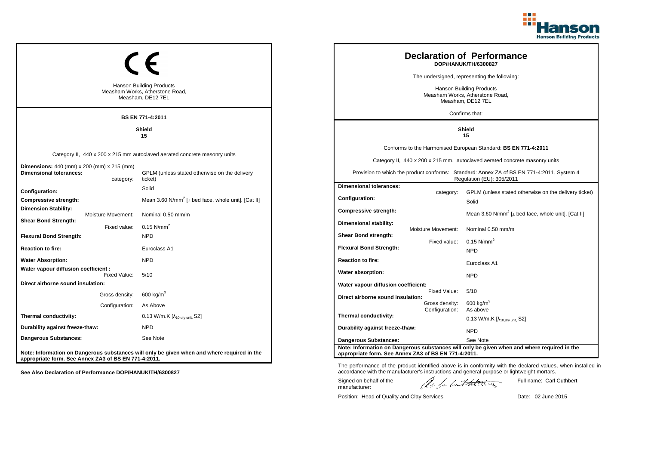

|                                                                                     |                    |                                                                                             |                                                                                  |                                  | <b>Declaration of Performance</b><br>DOP/HANUK/TH/6300827                                                              |
|-------------------------------------------------------------------------------------|--------------------|---------------------------------------------------------------------------------------------|----------------------------------------------------------------------------------|----------------------------------|------------------------------------------------------------------------------------------------------------------------|
|                                                                                     |                    |                                                                                             |                                                                                  |                                  | The undersigned, representing the following:                                                                           |
|                                                                                     |                    | <b>Hanson Building Products</b><br>Measham Works, Atherstone Road,<br>Measham, DE12 7EL     | Hanson Building Products<br>Measham Works, Atherstone Road,<br>Measham, DE12 7EL |                                  |                                                                                                                        |
|                                                                                     |                    | <b>BS EN 771-4:2011</b>                                                                     |                                                                                  |                                  | Confirms that:                                                                                                         |
|                                                                                     |                    | Shield<br>15                                                                                | Shield<br>15                                                                     |                                  |                                                                                                                        |
|                                                                                     |                    |                                                                                             |                                                                                  |                                  | Conforms to the Harmonised European Standard: BS EN 771-4:2011                                                         |
|                                                                                     |                    | Category II, 440 x 200 x 215 mm autoclaved aerated concrete masonry units                   |                                                                                  |                                  | Category II, 440 x 200 x 215 mm, autoclaved aerated concrete masonry units                                             |
| <b>Dimensions:</b> 440 (mm) x 200 (mm) x 215 (mm)<br><b>Dimensional tolerances:</b> | category:          | GPLM (unless stated otherwise on the delivery<br>ticket)                                    |                                                                                  |                                  | Provision to which the product conforms: Standard: Annex ZA of BS EN 771-4:2011, System 4<br>Regulation (EU): 305/2011 |
| <b>Configuration:</b>                                                               |                    | Solid                                                                                       | <b>Dimensional tolerances:</b>                                                   | category:                        | GPLM (unless stated otherwise on the delivery ticket)                                                                  |
| Compressive strength:                                                               |                    | Mean 3.60 N/mm <sup>2</sup> [ $\perp$ bed face, whole unit]. [Cat II]                       | <b>Configuration:</b>                                                            |                                  | Solid                                                                                                                  |
| <b>Dimension Stability:</b>                                                         | Moisture Movement: | Nominal 0.50 mm/m                                                                           | Compressive strength:                                                            |                                  | Mean 3.60 N/mm <sup>2</sup> [ $\perp$ bed face, whole unit]. [Cat II]                                                  |
| <b>Shear Bond Strength:</b>                                                         | Fixed value:       | 0.15 $N/mm^2$                                                                               | Dimensional stability:                                                           | Moisture Movement:               | Nominal 0.50 mm/m                                                                                                      |
| <b>Flexural Bond Strength:</b>                                                      |                    | <b>NPD</b>                                                                                  | <b>Shear Bond strength:</b>                                                      |                                  | $0.15$ N/mm <sup>2</sup>                                                                                               |
| <b>Reaction to fire:</b>                                                            |                    | Euroclass A1                                                                                | <b>Flexural Bond Strength:</b>                                                   | Fixed value:                     | <b>NPD</b>                                                                                                             |
| <b>Water Absorption:</b>                                                            |                    | <b>NPD</b>                                                                                  | <b>Reaction to fire:</b>                                                         |                                  | Euroclass A1                                                                                                           |
| Water vapour diffusion coefficient :                                                | Fixed Value:       | 5/10                                                                                        | Water absorption:                                                                |                                  | <b>NPD</b>                                                                                                             |
| Direct airborne sound insulation:                                                   |                    |                                                                                             | Water vapour diffusion coefficient:                                              |                                  |                                                                                                                        |
|                                                                                     | Gross density:     | $600 \text{ kg/m}^3$                                                                        | Direct airborne sound insulation:                                                | Fixed Value:                     | 5/10                                                                                                                   |
|                                                                                     | Configuration:     | As Above                                                                                    |                                                                                  | Gross density:<br>Configuration: | $600$ kg/m <sup>3</sup><br>As above                                                                                    |
| Thermal conductivity:                                                               |                    | 0.13 W/m.K $[\lambda_{10, dry \text{ unit}}, S2]$                                           | Thermal conductivity:                                                            |                                  | $0.13$ W/m.K [ $\lambda_{10, dry \text{ unit}}$ , S2]                                                                  |
| Durability against freeze-thaw:                                                     |                    | <b>NPD</b>                                                                                  | Durability against freeze-thaw:                                                  |                                  | <b>NPD</b>                                                                                                             |
| Dangerous Substances:                                                               |                    | See Note                                                                                    | <b>Dangerous Substances:</b>                                                     |                                  | See Note                                                                                                               |
| appropriate form. See Annex ZA3 of BS EN 771-4:2011.                                |                    | Note: Information on Dangerous substances will only be given when and where required in the | appropriate form. See Annex ZA3 of BS EN 771-4:2011.                             |                                  | Note: Information on Dangerous substances will only be given when and where required in the                            |

The performance of the product identified above is in conformity with the declared values, when installed in accordance with the manufacturer's instructions and general purpose or lightweight mortars.

Signed on behalf of the manufacturer:

ach lathering

Full name: Carl Cuthbert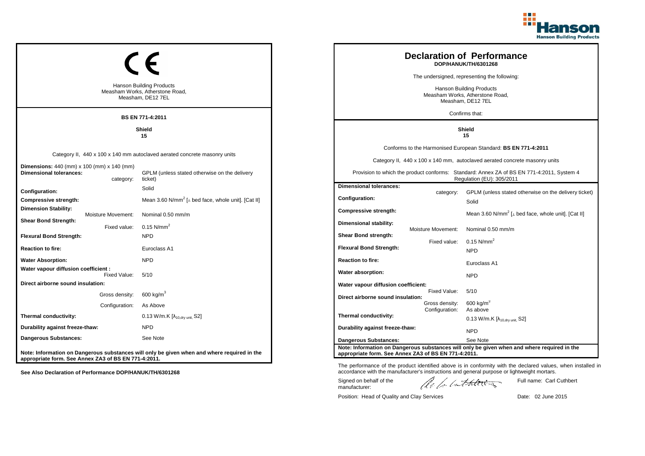

|                                                                                                  |                                                                                             |                                                                                  |                                  | <b>Declaration of Performance</b><br>DOP/HANUK/TH/6301268                                                              |
|--------------------------------------------------------------------------------------------------|---------------------------------------------------------------------------------------------|----------------------------------------------------------------------------------|----------------------------------|------------------------------------------------------------------------------------------------------------------------|
|                                                                                                  |                                                                                             |                                                                                  |                                  | The undersigned, representing the following:                                                                           |
|                                                                                                  | <b>Hanson Building Products</b><br>Measham Works, Atherstone Road,<br>Measham, DE12 7EL     | Hanson Building Products<br>Measham Works, Atherstone Road,<br>Measham, DE12 7EL |                                  |                                                                                                                        |
|                                                                                                  | <b>BS EN 771-4:2011</b>                                                                     |                                                                                  |                                  | Confirms that:                                                                                                         |
|                                                                                                  | Shield<br>15                                                                                | <b>Shield</b><br>15                                                              |                                  |                                                                                                                        |
|                                                                                                  |                                                                                             |                                                                                  |                                  | Conforms to the Harmonised European Standard: BS EN 771-4:2011                                                         |
|                                                                                                  | Category II, 440 x 100 x 140 mm autoclaved aerated concrete masonry units                   |                                                                                  |                                  | Category II, 440 x 100 x 140 mm, autoclaved aerated concrete masonry units                                             |
| <b>Dimensions:</b> 440 (mm) x 100 (mm) x 140 (mm)<br><b>Dimensional tolerances:</b><br>category: | GPLM (unless stated otherwise on the delivery<br>ticket)                                    |                                                                                  |                                  | Provision to which the product conforms: Standard: Annex ZA of BS EN 771-4:2011, System 4<br>Regulation (EU): 305/2011 |
| Configuration:                                                                                   | Solid                                                                                       | <b>Dimensional tolerances:</b>                                                   | category:                        | GPLM (unless stated otherwise on the delivery ticket)                                                                  |
| Compressive strength:                                                                            | Mean 3.60 N/mm <sup>2</sup> [ $\perp$ bed face, whole unit]. [Cat II]                       | Configuration:                                                                   |                                  | Solid                                                                                                                  |
| <b>Dimension Stability:</b><br>Moisture Movement:                                                | Nominal 0.50 mm/m                                                                           | Compressive strength:                                                            |                                  | Mean 3.60 N/mm <sup>2</sup> [ $\perp$ bed face, whole unit]. [Cat II]                                                  |
| <b>Shear Bond Strength:</b><br>Fixed value:                                                      | 0.15 $N/mm^2$                                                                               | Dimensional stability:                                                           | Moisture Movement:               | Nominal 0.50 mm/m                                                                                                      |
| <b>Flexural Bond Strength:</b>                                                                   | <b>NPD</b>                                                                                  | Shear Bond strength:                                                             | Fixed value:                     | 0.15 $N/mm^2$                                                                                                          |
| <b>Reaction to fire:</b>                                                                         | Euroclass A1                                                                                | <b>Flexural Bond Strength:</b>                                                   |                                  | <b>NPD</b>                                                                                                             |
| <b>Water Absorption:</b>                                                                         | <b>NPD</b>                                                                                  | <b>Reaction to fire:</b>                                                         |                                  | Euroclass A1                                                                                                           |
| Water vapour diffusion coefficient :<br>Fixed Value:                                             | 5/10                                                                                        | Water absorption:                                                                |                                  | <b>NPD</b>                                                                                                             |
| Direct airborne sound insulation:                                                                |                                                                                             | Water vapour diffusion coefficient:                                              |                                  |                                                                                                                        |
| Gross density:                                                                                   | $600 \text{ kg/m}^3$                                                                        | Direct airborne sound insulation:                                                | Fixed Value:                     | 5/10                                                                                                                   |
| Configuration:                                                                                   | As Above                                                                                    |                                                                                  | Gross density:<br>Configuration: | $600$ kg/m <sup>3</sup><br>As above                                                                                    |
| Thermal conductivity:                                                                            | 0.13 W/m.K $[\lambda_{10, dry \text{ unit}}, S2]$                                           | Thermal conductivity:                                                            |                                  | 0.13 W/m.K $[\lambda_{10.0}$ <sub>tv unit.</sub> S2]                                                                   |
| Durability against freeze-thaw:                                                                  | <b>NPD</b>                                                                                  | Durability against freeze-thaw:                                                  |                                  | <b>NPD</b>                                                                                                             |
| Dangerous Substances:                                                                            | See Note                                                                                    | <b>Dangerous Substances:</b>                                                     |                                  | See Note                                                                                                               |
| appropriate form. See Annex ZA3 of BS EN 771-4:2011.                                             | Note: Information on Dangerous substances will only be given when and where required in the | appropriate form. See Annex ZA3 of BS EN 771-4:2011.                             |                                  | Note: Information on Dangerous substances will only be given when and where required in the                            |

The performance of the product identified above is in conformity with the declared values, when installed in accordance with the manufacturer's instructions and general purpose or lightweight mortars.

Signed on behalf of the manufacturer:

ach lathering

Full name: Carl Cuthbert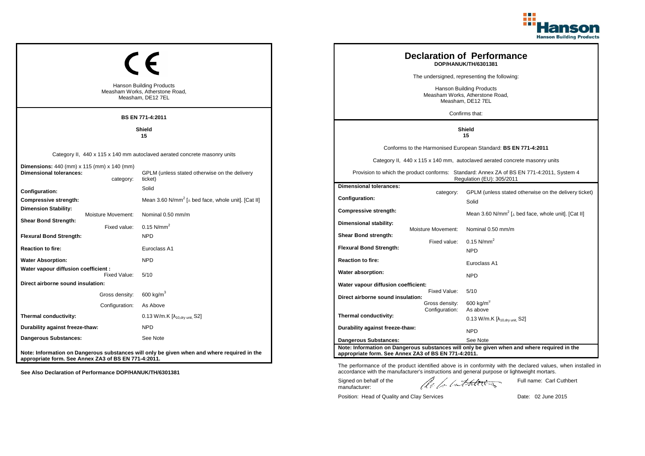

|                                                                                         |                |                                                                                             |                                                                                         |                    | <b>Declaration of Performance</b><br>DOP/HANUK/TH/6301381                                                              |
|-----------------------------------------------------------------------------------------|----------------|---------------------------------------------------------------------------------------------|-----------------------------------------------------------------------------------------|--------------------|------------------------------------------------------------------------------------------------------------------------|
|                                                                                         |                |                                                                                             |                                                                                         |                    | The undersigned, representing the following:                                                                           |
| <b>Hanson Building Products</b><br>Measham Works, Atherstone Road,<br>Measham, DE12 7EL |                |                                                                                             | <b>Hanson Building Products</b><br>Measham Works, Atherstone Road,<br>Measham, DE12 7EL |                    |                                                                                                                        |
|                                                                                         |                | <b>BS EN 771-4:2011</b>                                                                     |                                                                                         |                    | Confirms that:                                                                                                         |
|                                                                                         |                | Shield<br>15                                                                                |                                                                                         |                    | Shield<br>15                                                                                                           |
|                                                                                         |                |                                                                                             |                                                                                         |                    | Conforms to the Harmonised European Standard: BS EN 771-4:2011                                                         |
|                                                                                         |                | Category II, 440 x 115 x 140 mm autoclaved aerated concrete masonry units                   |                                                                                         |                    | Category II, 440 x 115 x 140 mm, autoclaved aerated concrete masonry units                                             |
| <b>Dimensions:</b> 440 (mm) x 115 (mm) x 140 (mm)<br><b>Dimensional tolerances:</b>     | category:      | GPLM (unless stated otherwise on the delivery<br>ticket)                                    |                                                                                         |                    | Provision to which the product conforms: Standard: Annex ZA of BS EN 771-4:2011, System 4<br>Regulation (EU): 305/2011 |
| Configuration:                                                                          |                | Solid                                                                                       | <b>Dimensional tolerances:</b>                                                          | category:          | GPLM (unless stated otherwise on the delivery ticket)                                                                  |
| Compressive strength:                                                                   |                | Mean 3.60 N/mm <sup>2</sup> [ $\perp$ bed face, whole unit]. [Cat II]                       | <b>Configuration:</b>                                                                   |                    | Solid                                                                                                                  |
| <b>Dimension Stability:</b><br>Moisture Movement:                                       |                | Nominal 0.50 mm/m                                                                           | Compressive strength:                                                                   |                    | Mean 3.60 N/mm <sup>2</sup> [ $\perp$ bed face, whole unit]. [Cat II]                                                  |
| <b>Shear Bond Strength:</b>                                                             | Fixed value:   | $0.15$ N/mm <sup>2</sup>                                                                    | <b>Dimensional stability:</b>                                                           |                    |                                                                                                                        |
| <b>Flexural Bond Strength:</b>                                                          |                | <b>NPD</b>                                                                                  | Shear Bond strength:                                                                    | Moisture Movement: | Nominal 0.50 mm/m                                                                                                      |
| <b>Reaction to fire:</b>                                                                |                | Euroclass A1                                                                                | <b>Flexural Bond Strength:</b>                                                          | Fixed value:       | 0.15 $N/mm^2$<br><b>NPD</b>                                                                                            |
| <b>Water Absorption:</b>                                                                |                | <b>NPD</b>                                                                                  | <b>Reaction to fire:</b>                                                                |                    | Euroclass A1                                                                                                           |
| Water vapour diffusion coefficient :                                                    | Fixed Value:   | 5/10                                                                                        | Water absorption:                                                                       |                    |                                                                                                                        |
| Direct airborne sound insulation:                                                       |                |                                                                                             | Water vapour diffusion coefficient:                                                     |                    | <b>NPD</b>                                                                                                             |
|                                                                                         | Gross density: | 600 kg/m $3$                                                                                | Direct airborne sound insulation:                                                       | Fixed Value:       | 5/10                                                                                                                   |
|                                                                                         | Configuration: | As Above                                                                                    |                                                                                         | Gross density:     | 600 kg/m <sup>3</sup><br>As above                                                                                      |
| Thermal conductivity:                                                                   |                | 0.13 W/m.K [λ <sub>10,dry unit,</sub> S2]                                                   | Thermal conductivity:                                                                   | Configuration:     | 0.13 W/m.K $[\lambda_{10.0}$ <sub>W unit.</sub> S2]                                                                    |
| Durability against freeze-thaw:                                                         |                | <b>NPD</b>                                                                                  | Durability against freeze-thaw:                                                         |                    | <b>NPD</b>                                                                                                             |
| Dangerous Substances:                                                                   |                | See Note                                                                                    | <b>Dangerous Substances:</b>                                                            |                    | See Note                                                                                                               |
| appropriate form. See Annex ZA3 of BS EN 771-4:2011.                                    |                | Note: Information on Dangerous substances will only be given when and where required in the | appropriate form. See Annex ZA3 of BS EN 771-4:2011.                                    |                    | Note: Information on Dangerous substances will only be given when and where required in the                            |

Position: Head of Quality and Clay Services Date: 02 June 2015

Signed on behalf of the manufacturer:

The performance of the product identified above is in conformity with the declared values, when installed in accordance with the manufacturer's instructions and general purpose or lightweight mortars.

ach lathering

Full name: Carl Cuthbert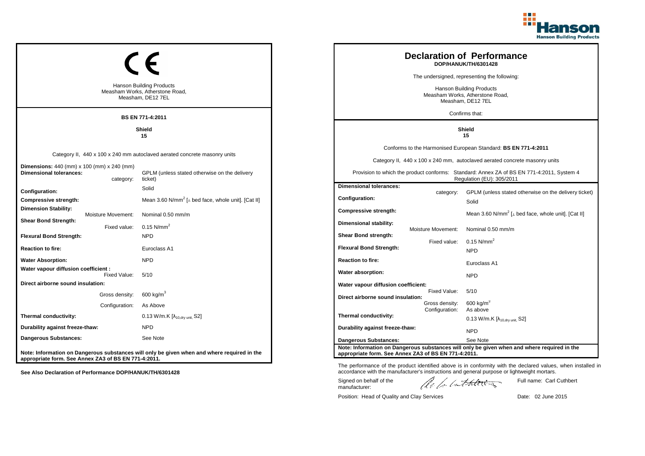

|                                                                                         |                    |                                                                                             |                                                                                  |                                  | <b>Declaration of Performance</b><br>DOP/HANUK/TH/6301428                                                              |
|-----------------------------------------------------------------------------------------|--------------------|---------------------------------------------------------------------------------------------|----------------------------------------------------------------------------------|----------------------------------|------------------------------------------------------------------------------------------------------------------------|
|                                                                                         |                    |                                                                                             |                                                                                  |                                  | The undersigned, representing the following:                                                                           |
| <b>Hanson Building Products</b><br>Measham Works, Atherstone Road,<br>Measham, DE12 7EL |                    |                                                                                             | Hanson Building Products<br>Measham Works, Atherstone Road,<br>Measham, DE12 7EL |                                  |                                                                                                                        |
|                                                                                         |                    | <b>BS EN 771-4:2011</b>                                                                     |                                                                                  |                                  | Confirms that:                                                                                                         |
|                                                                                         |                    | Shield<br>15                                                                                |                                                                                  |                                  | Shield<br>15                                                                                                           |
|                                                                                         |                    |                                                                                             |                                                                                  |                                  | Conforms to the Harmonised European Standard: BS EN 771-4:2011                                                         |
|                                                                                         |                    | Category II, 440 x 100 x 240 mm autoclaved aerated concrete masonry units                   |                                                                                  |                                  | Category II, 440 x 100 x 240 mm, autoclaved aerated concrete masonry units                                             |
| <b>Dimensions:</b> 440 (mm) x 100 (mm) x 240 (mm)<br><b>Dimensional tolerances:</b>     | category:          | GPLM (unless stated otherwise on the delivery<br>ticket)                                    |                                                                                  |                                  | Provision to which the product conforms: Standard: Annex ZA of BS EN 771-4:2011, System 4<br>Regulation (EU): 305/2011 |
| <b>Configuration:</b>                                                                   |                    | Solid                                                                                       | <b>Dimensional tolerances:</b>                                                   | category:                        | GPLM (unless stated otherwise on the delivery ticket)                                                                  |
| Compressive strength:                                                                   |                    | Mean 3.60 N/mm <sup>2</sup> [ $\perp$ bed face, whole unit]. [Cat II]                       | <b>Configuration:</b>                                                            |                                  | Solid                                                                                                                  |
| <b>Dimension Stability:</b>                                                             | Moisture Movement: | Nominal 0.50 mm/m                                                                           | Compressive strength:                                                            |                                  | Mean 3.60 N/mm <sup>2</sup> [ $\perp$ bed face, whole unit]. [Cat II]                                                  |
| <b>Shear Bond Strength:</b>                                                             | Fixed value:       | 0.15 $N/mm^2$                                                                               | Dimensional stability:                                                           | Moisture Movement:               | Nominal 0.50 mm/m                                                                                                      |
| <b>Flexural Bond Strength:</b>                                                          |                    | <b>NPD</b>                                                                                  | <b>Shear Bond strength:</b>                                                      |                                  | $0.15$ N/mm <sup>2</sup>                                                                                               |
| <b>Reaction to fire:</b>                                                                |                    | Euroclass A1                                                                                | <b>Flexural Bond Strength:</b>                                                   | Fixed value:                     | <b>NPD</b>                                                                                                             |
| <b>Water Absorption:</b>                                                                |                    | <b>NPD</b>                                                                                  | <b>Reaction to fire:</b>                                                         |                                  | Euroclass A1                                                                                                           |
| Water vapour diffusion coefficient :                                                    | Fixed Value:       | 5/10                                                                                        | Water absorption:                                                                |                                  | <b>NPD</b>                                                                                                             |
| Direct airborne sound insulation:                                                       |                    |                                                                                             | Water vapour diffusion coefficient:                                              |                                  |                                                                                                                        |
|                                                                                         | Gross density:     | $600 \text{ kg/m}^3$                                                                        | Direct airborne sound insulation:                                                | Fixed Value:                     | 5/10                                                                                                                   |
|                                                                                         | Configuration:     | As Above                                                                                    |                                                                                  | Gross density:<br>Configuration: | $600$ kg/m <sup>3</sup><br>As above                                                                                    |
| Thermal conductivity:                                                                   |                    | 0.13 W/m.K $[\lambda_{10, dry \text{ unit}}, S2]$                                           | Thermal conductivity:                                                            |                                  | $0.13$ W/m.K [ $\lambda_{10, dry \text{ unit}}$ , S2]                                                                  |
| Durability against freeze-thaw:                                                         |                    | <b>NPD</b>                                                                                  | Durability against freeze-thaw:                                                  |                                  | <b>NPD</b>                                                                                                             |
| Dangerous Substances:                                                                   |                    | See Note                                                                                    | <b>Dangerous Substances:</b>                                                     |                                  | See Note                                                                                                               |
| appropriate form. See Annex ZA3 of BS EN 771-4:2011.                                    |                    | Note: Information on Dangerous substances will only be given when and where required in the | appropriate form. See Annex ZA3 of BS EN 771-4:2011.                             |                                  | Note: Information on Dangerous substances will only be given when and where required in the                            |

The performance of the product identified above is in conformity with the declared values, when installed in accordance with the manufacturer's instructions and general purpose or lightweight mortars.

Signed on behalf of the manufacturer:

ach lathering

Full name: Carl Cuthbert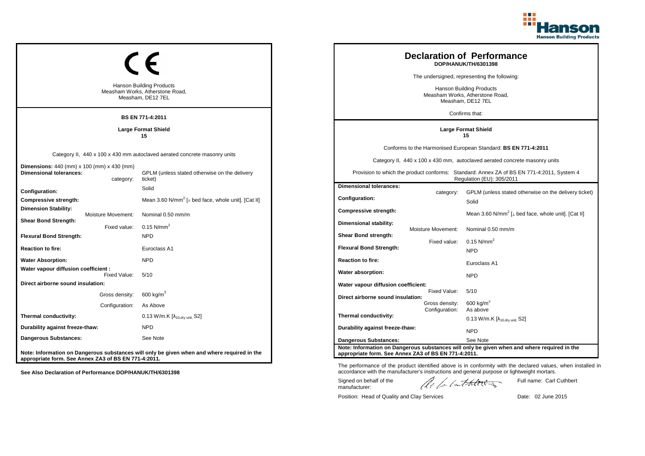

| <b>Hanson Building Products</b><br>Measham Works, Atherstone Road,<br>Measham, DE12 7EL<br><b>BS EN 771-4:2011</b> |                                                                                                         |                                                                                                                                       | <b>Declaration of Performance</b><br>DOP/HANUK/TH/6301398<br>The undersigned, representing the following:<br><b>Hanson Building Products</b><br>Measham Works, Atherstone Road,<br>Measham, DE12 7EL<br>Confirms that: |                                                                                                         |                                                                                                                                                                                                                                                                        |
|--------------------------------------------------------------------------------------------------------------------|---------------------------------------------------------------------------------------------------------|---------------------------------------------------------------------------------------------------------------------------------------|------------------------------------------------------------------------------------------------------------------------------------------------------------------------------------------------------------------------|---------------------------------------------------------------------------------------------------------|------------------------------------------------------------------------------------------------------------------------------------------------------------------------------------------------------------------------------------------------------------------------|
|                                                                                                                    |                                                                                                         | <b>Large Format Shield</b><br>15                                                                                                      |                                                                                                                                                                                                                        |                                                                                                         | <b>Large Format Shield</b><br>15                                                                                                                                                                                                                                       |
| <b>Dimensions:</b> 440 (mm) x 100 (mm) x 430 (mm)<br><b>Dimensional tolerances:</b>                                | category:                                                                                               | Category II, 440 x 100 x 430 mm autoclaved aerated concrete masonry units<br>GPLM (unless stated otherwise on the delivery<br>ticket) |                                                                                                                                                                                                                        |                                                                                                         | Conforms to the Harmonised European Standard: BS EN 771-4:2011<br>Category II, 440 x 100 x 430 mm, autoclaved aerated concrete masonry units<br>Provision to which the product conforms: Standard: Annex ZA of BS EN 771-4:2011, System 4<br>Regulation (EU): 305/2011 |
| Configuration:<br>Compressive strength:<br><b>Dimension Stability:</b><br>Moisture Movement:                       |                                                                                                         | Solid<br>Mean 3.60 N/mm <sup>2</sup> [ $\perp$ bed face, whole unit]. [Cat II]<br>Nominal 0.50 mm/m                                   | <b>Dimensional tolerances:</b><br><b>Configuration:</b><br>Compressive strength:                                                                                                                                       | category:                                                                                               | GPLM (unless stated otherwise on the delivery ticket)<br>Solid<br>Mean 3.60 N/mm <sup>2</sup> [⊥ bed face, whole unit]. [Cat II]                                                                                                                                       |
| <b>Shear Bond Strength:</b><br><b>Flexural Bond Strength:</b><br><b>Reaction to fire:</b>                          | Fixed value:                                                                                            | 0.15 $N/mm^2$<br><b>NPD</b><br>Euroclass A1                                                                                           | Dimensional stability:<br>Shear Bond strength:<br><b>Flexural Bond Strength:</b>                                                                                                                                       | Moisture Movement:<br>Fixed value:                                                                      | Nominal 0.50 mm/m<br>$0.15$ N/mm <sup>2</sup><br><b>NPD</b>                                                                                                                                                                                                            |
| <b>Water Absorption:</b><br>Water vapour diffusion coefficient :                                                   |                                                                                                         | <b>NPD</b>                                                                                                                            | <b>Reaction to fire:</b><br>Water absorption:                                                                                                                                                                          |                                                                                                         | Euroclass A1                                                                                                                                                                                                                                                           |
| Direct airborne sound insulation:                                                                                  | Fixed Value:<br>Gross density:<br>Configuration:                                                        | 5/10<br>600 kg/m $^3$<br>As Above                                                                                                     | Water vapour diffusion coefficient:<br>Direct airborne sound insulation:                                                                                                                                               | Fixed Value:<br>Gross density:                                                                          | <b>NPD</b><br>5/10<br>$600$ kg/m <sup>3</sup>                                                                                                                                                                                                                          |
| Thermal conductivity:<br>Durability against freeze-thaw:                                                           |                                                                                                         | 0.13 W/m.K [λ <sub>10,dry unit,</sub> S2]<br><b>NPD</b>                                                                               | Thermal conductivity:<br>Durability against freeze-thaw:                                                                                                                                                               | Configuration:                                                                                          | As above<br>0.13 W/m.K $[\lambda_{10.0}$ <sub>W unit.</sub> S2]<br><b>NPD</b>                                                                                                                                                                                          |
| <b>Dangerous Substances:</b><br>appropriate form. See Annex ZA3 of BS EN 771-4:2011.                               | See Note<br>Note: Information on Dangerous substances will only be given when and where required in the | <b>Dangerous Substances:</b><br>appropriate form. See Annex ZA3 of BS EN 771-4:2011.                                                  |                                                                                                                                                                                                                        | See Note<br>Note: Information on Dangerous substances will only be given when and where required in the |                                                                                                                                                                                                                                                                        |

Position: Head of Quality and Clay Services Date: 02 June 2015

Signed on behalf of the manufacturer:

Full name: Carl Cuthbert

The performance of the product identified above is in conformity with the declared values, when installed in accordance with the manufacturer's instructions and general purpose or lightweight mortars.

ach lathering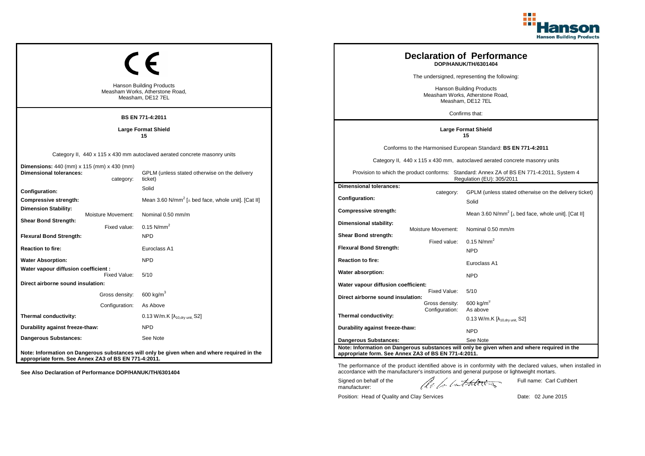

| <b>Hanson Building Products</b><br>Measham Works, Atherstone Road,<br>Measham, DE12 7EL<br><b>BS EN 771-4:2011</b> |                                    |                                                                                                                                       |                                                                                  |                                                  | <b>Declaration of Performance</b><br>DOP/HANUK/TH/6301404<br>The undersigned, representing the following:<br>Hanson Building Products<br>Measham Works, Atherstone Road,<br>Measham, DE12 7EL<br>Confirms that:                                                        |
|--------------------------------------------------------------------------------------------------------------------|------------------------------------|---------------------------------------------------------------------------------------------------------------------------------------|----------------------------------------------------------------------------------|--------------------------------------------------|------------------------------------------------------------------------------------------------------------------------------------------------------------------------------------------------------------------------------------------------------------------------|
|                                                                                                                    |                                    | <b>Large Format Shield</b><br>15                                                                                                      |                                                                                  |                                                  | <b>Large Format Shield</b><br>15                                                                                                                                                                                                                                       |
| <b>Dimensions:</b> 440 (mm) x 115 (mm) x 430 (mm)<br><b>Dimensional tolerances:</b>                                | category:                          | Category II, 440 x 115 x 430 mm autoclaved aerated concrete masonry units<br>GPLM (unless stated otherwise on the delivery<br>ticket) |                                                                                  |                                                  | Conforms to the Harmonised European Standard: BS EN 771-4:2011<br>Category II, 440 x 115 x 430 mm, autoclaved aerated concrete masonry units<br>Provision to which the product conforms: Standard: Annex ZA of BS EN 771-4:2011, System 4<br>Regulation (EU): 305/2011 |
| Configuration:<br>Compressive strength:<br><b>Dimension Stability:</b>                                             |                                    | Solid<br>Mean 3.60 N/mm <sup>2</sup> [ $\perp$ bed face, whole unit]. [Cat II]                                                        | <b>Dimensional tolerances:</b><br>Configuration:<br><b>Compressive strength:</b> | category:                                        | GPLM (unless stated otherwise on the delivery ticket)<br>Solid                                                                                                                                                                                                         |
| <b>Shear Bond Strength:</b><br><b>Flexural Bond Strength:</b>                                                      | Moisture Movement:<br>Fixed value: | Nominal 0.50 mm/m<br>0.15 $N/mm^2$<br><b>NPD</b>                                                                                      | Dimensional stability:<br><b>Shear Bond strength:</b>                            | Moisture Movement:<br>Fixed value:               | Mean 3.60 N/mm <sup>2</sup> [ $\perp$ bed face, whole unit]. [Cat II]<br>Nominal 0.50 mm/m<br>$0.15$ N/mm <sup>2</sup>                                                                                                                                                 |
| <b>Reaction to fire:</b>                                                                                           |                                    | Euroclass A1<br><b>NPD</b>                                                                                                            | <b>Flexural Bond Strength:</b><br><b>Reaction to fire:</b>                       |                                                  | <b>NPD</b>                                                                                                                                                                                                                                                             |
| <b>Water Absorption:</b><br>Water vapour diffusion coefficient :                                                   | Fixed Value:                       | 5/10                                                                                                                                  | Water absorption:                                                                |                                                  | Euroclass A1<br><b>NPD</b>                                                                                                                                                                                                                                             |
| Direct airborne sound insulation:                                                                                  | Gross density:<br>Configuration:   | $600 \text{ kg/m}^3$<br>As Above                                                                                                      | Water vapour diffusion coefficient:<br>Direct airborne sound insulation:         | Fixed Value:<br>Gross density:<br>Configuration: | 5/10<br>$600 \text{ kg/m}^3$<br>As above                                                                                                                                                                                                                               |
| Thermal conductivity:                                                                                              |                                    | 0.13 W/m.K [λ <sub>10,dry unit,</sub> S2]<br><b>NPD</b>                                                                               | Thermal conductivity:                                                            |                                                  | 0.13 W/m.K $[\lambda_{10.0}$ <sub>W unit.</sub> S2]                                                                                                                                                                                                                    |
| Durability against freeze-thaw:<br><b>Dangerous Substances:</b>                                                    |                                    | See Note                                                                                                                              | Durability against freeze-thaw:<br><b>Dangerous Substances:</b>                  |                                                  | <b>NPD</b><br>See Note                                                                                                                                                                                                                                                 |
| appropriate form. See Annex ZA3 of BS EN 771-4:2011.                                                               |                                    | Note: Information on Dangerous substances will only be given when and where required in the                                           | appropriate form. See Annex ZA3 of BS EN 771-4:2011.                             |                                                  | Note: Information on Dangerous substances will only be given when and where required in the                                                                                                                                                                            |

The performance of the product identified above is in conformity with the declared values, when installed in accordance with the manufacturer's instructions and general purpose or lightweight mortars.

Signed on behalf of the manufacturer:

ach lathering

Full name: Carl Cuthbert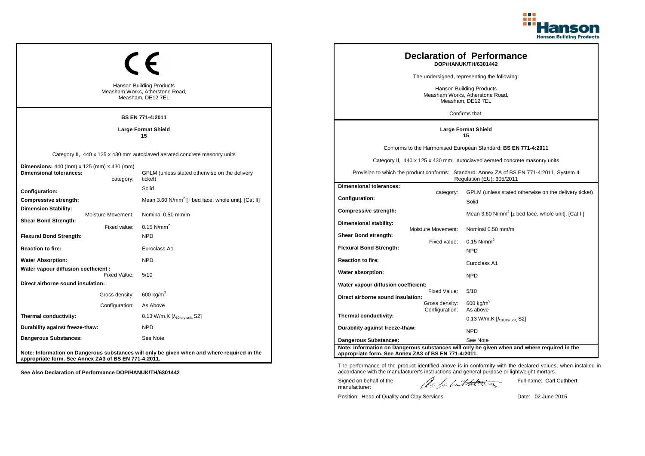

| <b>Hanson Building Products</b><br>Measham Works, Atherstone Road,<br>Measham, DE12 7EL<br><b>BS EN 771-4:2011</b> |                                  |                                                                                                                                       |                                                                                  |                                                  | <b>Declaration of Performance</b><br>DOP/HANUK/TH/6301442<br>The undersigned, representing the following:<br>Hanson Building Products<br>Measham Works, Atherstone Road,<br>Measham, DE12 7EL<br>Confirms that:                                                        |
|--------------------------------------------------------------------------------------------------------------------|----------------------------------|---------------------------------------------------------------------------------------------------------------------------------------|----------------------------------------------------------------------------------|--------------------------------------------------|------------------------------------------------------------------------------------------------------------------------------------------------------------------------------------------------------------------------------------------------------------------------|
|                                                                                                                    |                                  | <b>Large Format Shield</b><br>15                                                                                                      |                                                                                  |                                                  | <b>Large Format Shield</b><br>15                                                                                                                                                                                                                                       |
| <b>Dimensions:</b> 440 (mm) x 125 (mm) x 430 (mm)<br><b>Dimensional tolerances:</b>                                | category:                        | Category II, 440 x 125 x 430 mm autoclaved aerated concrete masonry units<br>GPLM (unless stated otherwise on the delivery<br>ticket) |                                                                                  |                                                  | Conforms to the Harmonised European Standard: BS EN 771-4:2011<br>Category II, 440 x 125 x 430 mm, autoclaved aerated concrete masonry units<br>Provision to which the product conforms: Standard: Annex ZA of BS EN 771-4:2011, System 4<br>Regulation (EU): 305/2011 |
| Configuration:<br>Compressive strength:<br><b>Dimension Stability:</b>                                             | Moisture Movement:               | Solid<br>Mean 3.60 N/mm <sup>2</sup> [ $\perp$ bed face, whole unit]. [Cat II]<br>Nominal 0.50 mm/m                                   | <b>Dimensional tolerances:</b><br>Configuration:<br><b>Compressive strength:</b> | category:                                        | GPLM (unless stated otherwise on the delivery ticket)<br>Solid<br>Mean 3.60 N/mm <sup>2</sup> [ $\perp$ bed face, whole unit]. [Cat II]                                                                                                                                |
| <b>Shear Bond Strength:</b><br><b>Flexural Bond Strength:</b><br><b>Reaction to fire:</b>                          | Fixed value:                     | $0.15$ N/mm <sup>2</sup><br><b>NPD</b><br>Euroclass A1                                                                                | Dimensional stability:<br>Shear Bond strength:<br><b>Flexural Bond Strength:</b> | Moisture Movement:<br>Fixed value:               | Nominal 0.50 mm/m<br>$0.15$ N/mm <sup>2</sup><br><b>NPD</b>                                                                                                                                                                                                            |
| <b>Water Absorption:</b>                                                                                           |                                  | <b>NPD</b>                                                                                                                            | <b>Reaction to fire:</b>                                                         |                                                  | Euroclass A1                                                                                                                                                                                                                                                           |
| Water vapour diffusion coefficient :<br>Direct airborne sound insulation:                                          | Fixed Value:                     | 5/10                                                                                                                                  | Water absorption:<br>Water vapour diffusion coefficient:                         |                                                  | <b>NPD</b>                                                                                                                                                                                                                                                             |
|                                                                                                                    | Gross density:<br>Configuration: | 600 kg/m $^3$<br>As Above                                                                                                             | Direct airborne sound insulation:                                                | Fixed Value:<br>Gross density:<br>Configuration: | 5/10<br>$600$ kg/m <sup>3</sup><br>As above                                                                                                                                                                                                                            |
| Thermal conductivity:<br>Durability against freeze-thaw:                                                           |                                  | 0.13 W/m.K [λ <sub>10,dry unit,</sub> S2]<br><b>NPD</b>                                                                               | Thermal conductivity:                                                            |                                                  | 0.13 W/m.K $[\lambda_{10.0}$ <sub>W unit.</sub> S2]                                                                                                                                                                                                                    |
| <b>Dangerous Substances:</b>                                                                                       |                                  | See Note                                                                                                                              | Durability against freeze-thaw:<br><b>Dangerous Substances:</b>                  |                                                  | <b>NPD</b><br>See Note                                                                                                                                                                                                                                                 |
| appropriate form. See Annex ZA3 of BS EN 771-4:2011.                                                               |                                  | Note: Information on Dangerous substances will only be given when and where required in the                                           | appropriate form. See Annex ZA3 of BS EN 771-4:2011.                             |                                                  | Note: Information on Dangerous substances will only be given when and where required in the                                                                                                                                                                            |

The performance of the product identified above is in conformity with the declared values, when installed in accordance with the manufacturer's instructions and general purpose or lightweight mortars.

Signed on behalf of the manufacturer:

ach lathering

Full name: Carl Cuthbert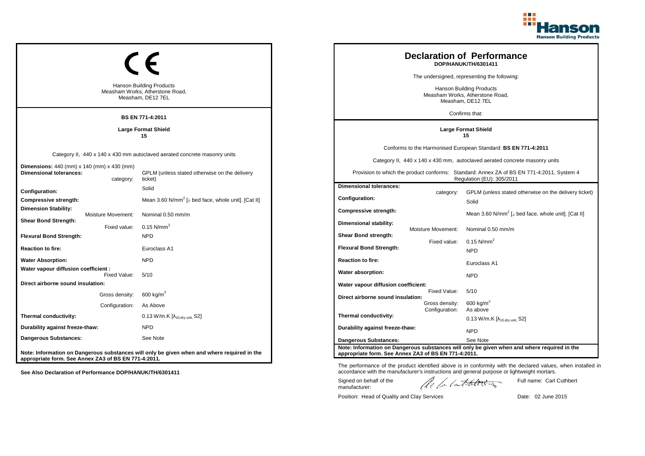

| <b>Hanson Building Products</b><br>Measham Works, Atherstone Road,<br>Measham, DE12 7EL<br><b>BS EN 771-4:2011</b> |                                  |                                                                                                                                       |                                                                                  |                                                  | <b>Declaration of Performance</b><br>DOP/HANUK/TH/6301411<br>The undersigned, representing the following:<br>Hanson Building Products<br>Measham Works, Atherstone Road,<br>Measham, DE12 7EL<br>Confirms that:                                                        |
|--------------------------------------------------------------------------------------------------------------------|----------------------------------|---------------------------------------------------------------------------------------------------------------------------------------|----------------------------------------------------------------------------------|--------------------------------------------------|------------------------------------------------------------------------------------------------------------------------------------------------------------------------------------------------------------------------------------------------------------------------|
|                                                                                                                    |                                  | <b>Large Format Shield</b><br>15                                                                                                      |                                                                                  |                                                  | <b>Large Format Shield</b><br>15                                                                                                                                                                                                                                       |
| <b>Dimensions:</b> 440 (mm) $\times$ 140 (mm) $\times$ 430 (mm)<br><b>Dimensional tolerances:</b>                  | category:                        | Category II, 440 x 140 x 430 mm autoclaved aerated concrete masonry units<br>GPLM (unless stated otherwise on the delivery<br>ticket) |                                                                                  |                                                  | Conforms to the Harmonised European Standard: BS EN 771-4:2011<br>Category II, 440 x 140 x 430 mm, autoclaved aerated concrete masonry units<br>Provision to which the product conforms: Standard: Annex ZA of BS EN 771-4:2011, System 4<br>Regulation (EU): 305/2011 |
| Configuration:<br>Compressive strength:<br><b>Dimension Stability:</b>                                             | Moisture Movement:               | Solid<br>Mean 3.60 N/mm <sup>2</sup> [ $\perp$ bed face, whole unit]. [Cat II]<br>Nominal 0.50 mm/m                                   | <b>Dimensional tolerances:</b><br>Configuration:<br><b>Compressive strength:</b> | category:                                        | GPLM (unless stated otherwise on the delivery ticket)<br>Solid<br>Mean 3.60 N/mm <sup>2</sup> [ $\perp$ bed face, whole unit]. [Cat II]                                                                                                                                |
| <b>Shear Bond Strength:</b><br><b>Flexural Bond Strength:</b><br><b>Reaction to fire:</b>                          | Fixed value:                     | $0.15$ N/mm <sup>2</sup><br><b>NPD</b><br>Euroclass A1                                                                                | Dimensional stability:<br>Shear Bond strength:<br><b>Flexural Bond Strength:</b> | Moisture Movement:<br>Fixed value:               | Nominal 0.50 mm/m<br>$0.15$ N/mm <sup>2</sup><br><b>NPD</b>                                                                                                                                                                                                            |
| <b>Water Absorption:</b><br>Water vapour diffusion coefficient :                                                   |                                  | <b>NPD</b>                                                                                                                            | <b>Reaction to fire:</b>                                                         |                                                  | Euroclass A1                                                                                                                                                                                                                                                           |
| Direct airborne sound insulation:                                                                                  | Fixed Value:                     | 5/10                                                                                                                                  | Water absorption:<br>Water vapour diffusion coefficient:                         |                                                  | <b>NPD</b>                                                                                                                                                                                                                                                             |
|                                                                                                                    | Gross density:<br>Configuration: | 600 kg/m $^3$<br>As Above                                                                                                             | Direct airborne sound insulation:                                                | Fixed Value:<br>Gross density:<br>Configuration: | 5/10<br>$600$ kg/m <sup>3</sup><br>As above                                                                                                                                                                                                                            |
| Thermal conductivity:                                                                                              |                                  | 0.13 W/m.K [λ <sub>10,dry unit,</sub> S2]                                                                                             | Thermal conductivity:                                                            |                                                  | 0.13 W/m.K $[\lambda_{10.0}$ <sub>W unit.</sub> S2]                                                                                                                                                                                                                    |
| Durability against freeze-thaw:<br><b>Dangerous Substances:</b>                                                    |                                  | <b>NPD</b><br>See Note                                                                                                                | Durability against freeze-thaw:<br><b>Dangerous Substances:</b>                  |                                                  | <b>NPD</b><br>See Note                                                                                                                                                                                                                                                 |
| appropriate form. See Annex ZA3 of BS EN 771-4:2011.                                                               |                                  | Note: Information on Dangerous substances will only be given when and where required in the                                           | appropriate form. See Annex ZA3 of BS EN 771-4:2011.                             |                                                  | Note: Information on Dangerous substances will only be given when and where required in the                                                                                                                                                                            |

The performance of the product identified above is in conformity with the declared values, when installed in accordance with the manufacturer's instructions and general purpose or lightweight mortars. Signed on behalf of the Full name: Carl Cuthbert

manufacturer:

ach lathering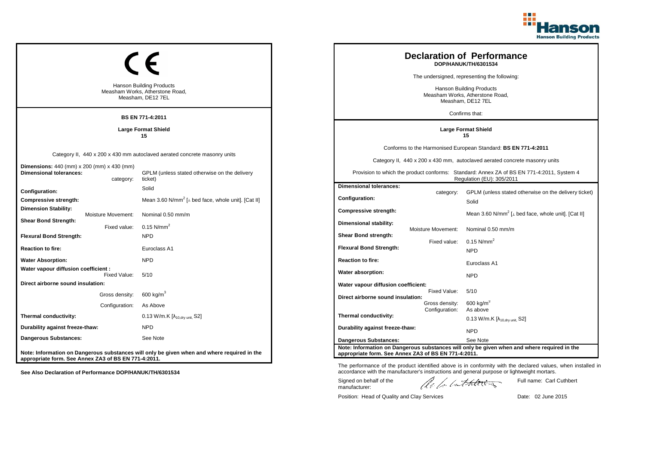

|                                                                                           |                                                                                                                                                                                                                                                                                                                                                                    | <b>Hanson Building Products</b><br>Measham Works, Atherstone Road,<br>Measham, DE12 7EL<br><b>BS EN 771-4:2011</b>                    |  |                                                                                                                                                             |                                    | <b>Declaration of Performance</b><br>DOP/HANUK/TH/6301534<br>The undersigned, representing the following:<br>Hanson Building Products<br>Measham Works, Atherstone Road,<br>Measham, DE12 7EL<br>Confirms that:                                                        |
|-------------------------------------------------------------------------------------------|--------------------------------------------------------------------------------------------------------------------------------------------------------------------------------------------------------------------------------------------------------------------------------------------------------------------------------------------------------------------|---------------------------------------------------------------------------------------------------------------------------------------|--|-------------------------------------------------------------------------------------------------------------------------------------------------------------|------------------------------------|------------------------------------------------------------------------------------------------------------------------------------------------------------------------------------------------------------------------------------------------------------------------|
|                                                                                           |                                                                                                                                                                                                                                                                                                                                                                    | <b>Large Format Shield</b><br>15                                                                                                      |  |                                                                                                                                                             |                                    | <b>Large Format Shield</b><br>15                                                                                                                                                                                                                                       |
| <b>Dimensions:</b> 440 (mm) x 200 (mm) x 430 (mm)<br><b>Dimensional tolerances:</b>       | category:                                                                                                                                                                                                                                                                                                                                                          | Category II, 440 x 200 x 430 mm autoclaved aerated concrete masonry units<br>GPLM (unless stated otherwise on the delivery<br>ticket) |  |                                                                                                                                                             |                                    | Conforms to the Harmonised European Standard: BS EN 771-4:2011<br>Category II, 440 x 200 x 430 mm, autoclaved aerated concrete masonry units<br>Provision to which the product conforms: Standard: Annex ZA of BS EN 771-4:2011, System 4<br>Regulation (EU): 305/2011 |
| <b>Configuration:</b><br>Compressive strength:<br><b>Dimension Stability:</b>             | <b>Moisture Movement:</b>                                                                                                                                                                                                                                                                                                                                          | Solid<br>Mean 3.60 N/mm <sup>2</sup> [ $\perp$ bed face, whole unit]. [Cat II]<br>Nominal 0.50 mm/m                                   |  | <b>Dimensional tolerances:</b><br>Configuration:<br><b>Compressive strength:</b>                                                                            | category:                          | GPLM (unless stated otherwise on the delivery ticket)<br>Solid<br>Mean 3.60 N/mm <sup>2</sup> [⊥ bed face, whole unit]. [Cat II]                                                                                                                                       |
| <b>Shear Bond Strength:</b><br><b>Flexural Bond Strength:</b><br><b>Reaction to fire:</b> | Fixed value:                                                                                                                                                                                                                                                                                                                                                       | $0.15$ N/mm <sup>2</sup><br><b>NPD</b><br>Euroclass A1                                                                                |  | Dimensional stability:<br>Shear Bond strength:<br><b>Flexural Bond Strength:</b>                                                                            | Moisture Movement:<br>Fixed value: | Nominal 0.50 mm/m<br>$0.15$ N/mm <sup>2</sup>                                                                                                                                                                                                                          |
| <b>Water Absorption:</b><br>Water vapour diffusion coefficient :                          |                                                                                                                                                                                                                                                                                                                                                                    | <b>NPD</b>                                                                                                                            |  | <b>Reaction to fire:</b><br>Water absorption:                                                                                                               |                                    | <b>NPD</b><br>Euroclass A1                                                                                                                                                                                                                                             |
| Direct airborne sound insulation:                                                         | Fixed Value:<br>Gross density:<br>Configuration:                                                                                                                                                                                                                                                                                                                   | 5/10<br>$600 \text{ kg/m}^3$<br>As Above                                                                                              |  | Water vapour diffusion coefficient:<br>Direct airborne sound insulation:                                                                                    | Fixed Value:<br>Gross density:     | <b>NPD</b><br>5/10<br>$600$ kg/m <sup>3</sup>                                                                                                                                                                                                                          |
| Thermal conductivity:<br>Durability against freeze-thaw:                                  |                                                                                                                                                                                                                                                                                                                                                                    | 0.13 W/m.K [λ <sub>10,dry unit,</sub> S2]<br><b>NPD</b>                                                                               |  | As above<br>Configuration:<br>Thermal conductivity:<br>0.13 W/m.K $[\lambda_{10.0}$ <sub>W unit.</sub> S2]<br>Durability against freeze-thaw:<br><b>NPD</b> |                                    |                                                                                                                                                                                                                                                                        |
| Dangerous Substances:                                                                     | See Note<br><b>Dangerous Substances:</b><br>See Note<br>Note: Information on Dangerous substances will only be given when and where required in the<br>Note: Information on Dangerous substances will only be given when and where required in the<br>appropriate form. See Annex ZA3 of BS EN 771-4:2011.<br>appropriate form. See Annex ZA3 of BS EN 771-4:2011. |                                                                                                                                       |  |                                                                                                                                                             |                                    |                                                                                                                                                                                                                                                                        |

Position: Head of Quality and Clay Services Date: 02 June 2015

Signed on behalf of the manufacturer:

Full name: Carl Cuthbert

The performance of the product identified above is in conformity with the declared values, when installed in accordance with the manufacturer's instructions and general purpose or lightweight mortars.

ach lathering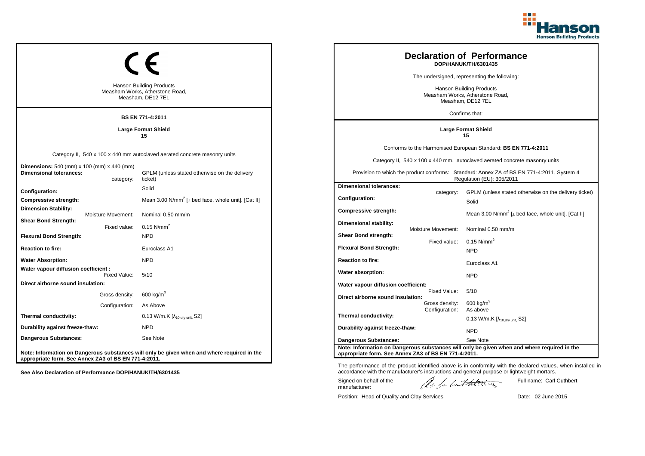

| <b>Hanson Building Products</b><br>Measham Works, Atherstone Road,<br>Measham, DE12 7EL                   | <b>Declaration of Performance</b><br>DOP/HANUK/TH/6301435<br>The undersigned, representing the following:<br><b>Hanson Building Products</b><br>Measham Works, Atherstone Road,<br>Measham, DE12 7EL<br>Confirms that: |                                                                                      |                                    |                                                                                                                                                                                                                                                                        |
|-----------------------------------------------------------------------------------------------------------|------------------------------------------------------------------------------------------------------------------------------------------------------------------------------------------------------------------------|--------------------------------------------------------------------------------------|------------------------------------|------------------------------------------------------------------------------------------------------------------------------------------------------------------------------------------------------------------------------------------------------------------------|
|                                                                                                           | <b>BS EN 771-4:2011</b><br><b>Large Format Shield</b><br>15                                                                                                                                                            |                                                                                      |                                    | <b>Large Format Shield</b><br>15                                                                                                                                                                                                                                       |
| <b>Dimensions:</b> 540 (mm) x 100 (mm) x 440 (mm)<br><b>Dimensional tolerances:</b>                       | Category II, 540 x 100 x 440 mm autoclaved aerated concrete masonry units<br>GPLM (unless stated otherwise on the delivery<br>ticket)<br>category:                                                                     |                                                                                      |                                    | Conforms to the Harmonised European Standard: BS EN 771-4:2011<br>Category II, 540 x 100 x 440 mm, autoclaved aerated concrete masonry units<br>Provision to which the product conforms: Standard: Annex ZA of BS EN 771-4:2011, System 4<br>Regulation (EU): 305/2011 |
| Configuration:<br>Compressive strength:<br><b>Dimension Stability:</b><br>Moisture Movement:              | Solid<br>Mean 3.00 N/mm <sup>2</sup> [ $\perp$ bed face, whole unit]. [Cat II]<br>Nominal 0.50 mm/m                                                                                                                    | <b>Dimensional tolerances:</b><br><b>Configuration:</b><br>Compressive strength:     | category:                          | GPLM (unless stated otherwise on the delivery ticket)<br>Solid<br>Mean 3.00 N/mm <sup>2</sup> [⊥ bed face, whole unit]. [Cat II]                                                                                                                                       |
| <b>Shear Bond Strength:</b><br>Fixed value:<br><b>Flexural Bond Strength:</b><br><b>Reaction to fire:</b> | 0.15 $N/mm^2$<br><b>NPD</b><br>Euroclass A1                                                                                                                                                                            | Dimensional stability:<br>Shear Bond strength:<br><b>Flexural Bond Strength:</b>     | Moisture Movement:<br>Fixed value: | Nominal 0.50 mm/m<br>$0.15$ N/mm <sup>2</sup><br><b>NPD</b>                                                                                                                                                                                                            |
| <b>Water Absorption:</b><br>Water vapour diffusion coefficient :                                          | <b>NPD</b>                                                                                                                                                                                                             | <b>Reaction to fire:</b><br>Water absorption:                                        |                                    | Euroclass A1                                                                                                                                                                                                                                                           |
| Fixed Value:<br>Direct airborne sound insulation:<br>Gross density:<br>Configuration:                     | 5/10<br>600 kg/m $^3$<br>As Above                                                                                                                                                                                      | Water vapour diffusion coefficient:<br>Direct airborne sound insulation:             | Fixed Value:<br>Gross density:     | <b>NPD</b><br>5/10<br>$600$ kg/m <sup>3</sup>                                                                                                                                                                                                                          |
| Thermal conductivity:<br>Durability against freeze-thaw:                                                  | 0.13 W/m.K [λ <sub>10,dry unit,</sub> S2]<br><b>NPD</b>                                                                                                                                                                | Thermal conductivity:<br>Durability against freeze-thaw:                             | Configuration:                     | As above<br>0.13 W/m.K $[\lambda_{10.0}$ <sub>W unit.</sub> S2]<br><b>NPD</b>                                                                                                                                                                                          |
| <b>Dangerous Substances:</b><br>appropriate form. See Annex ZA3 of BS EN 771-4:2011.                      | See Note<br>Note: Information on Dangerous substances will only be given when and where required in the                                                                                                                | <b>Dangerous Substances:</b><br>appropriate form. See Annex ZA3 of BS EN 771-4:2011. |                                    | See Note<br>Note: Information on Dangerous substances will only be given when and where required in the                                                                                                                                                                |

Position: Head of Quality and Clay Services Date: 02 June 2015

Signed on behalf of the manufacturer:

The performance of the product identified above is in conformity with the declared values, when installed in accordance with the manufacturer's instructions and general purpose or lightweight mortars.

ach lathering

Full name: Carl Cuthbert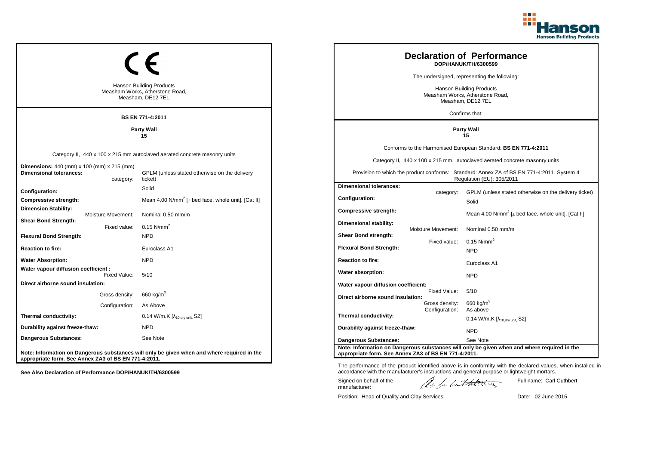

|                                                                                         |                    |                                                                                             |                                                                                                           |                                  | <b>Declaration of Performance</b><br>DOP/HANUK/TH/6300599                                                              |
|-----------------------------------------------------------------------------------------|--------------------|---------------------------------------------------------------------------------------------|-----------------------------------------------------------------------------------------------------------|----------------------------------|------------------------------------------------------------------------------------------------------------------------|
|                                                                                         |                    |                                                                                             |                                                                                                           |                                  | The undersigned, representing the following:                                                                           |
| <b>Hanson Building Products</b><br>Measham Works, Atherstone Road,<br>Measham, DE12 7EL |                    |                                                                                             | <b>Hanson Building Products</b><br>Measham Works, Atherstone Road,<br>Measham, DE12 7EL<br>Confirms that: |                                  |                                                                                                                        |
|                                                                                         |                    | <b>BS EN 771-4:2011</b>                                                                     |                                                                                                           |                                  |                                                                                                                        |
|                                                                                         |                    | <b>Party Wall</b><br>15                                                                     |                                                                                                           |                                  | <b>Party Wall</b><br>15                                                                                                |
|                                                                                         |                    |                                                                                             |                                                                                                           |                                  | Conforms to the Harmonised European Standard: BS EN 771-4:2011                                                         |
|                                                                                         |                    | Category II, 440 x 100 x 215 mm autoclaved aerated concrete masonry units                   |                                                                                                           |                                  | Category II, 440 x 100 x 215 mm, autoclaved aerated concrete masonry units                                             |
| <b>Dimensions:</b> 440 (mm) x 100 (mm) x 215 (mm)<br><b>Dimensional tolerances:</b>     | category:          | GPLM (unless stated otherwise on the delivery<br>ticket)                                    |                                                                                                           |                                  | Provision to which the product conforms: Standard: Annex ZA of BS EN 771-4:2011, System 4<br>Regulation (EU): 305/2011 |
| Configuration:                                                                          |                    | Solid                                                                                       | <b>Dimensional tolerances:</b>                                                                            |                                  | GPLM (unless stated otherwise on the delivery ticket)                                                                  |
| Compressive strength:                                                                   |                    | Mean 4.00 N/mm <sup>2</sup> [ $\perp$ bed face, whole unit]. [Cat II]                       | <b>Configuration:</b>                                                                                     | category:                        | Solid                                                                                                                  |
| <b>Dimension Stability:</b>                                                             | Moisture Movement: | Nominal 0.50 mm/m                                                                           | Compressive strength:                                                                                     |                                  | Mean 4.00 N/mm <sup>2</sup> [ $\perp$ bed face, whole unit]. [Cat II]                                                  |
| <b>Shear Bond Strength:</b>                                                             | Fixed value:       | $0.15$ N/mm <sup>2</sup>                                                                    | Dimensional stability:                                                                                    | Moisture Movement:               | Nominal 0.50 mm/m                                                                                                      |
| <b>Flexural Bond Strength:</b>                                                          |                    | <b>NPD</b>                                                                                  | Shear Bond strength:                                                                                      |                                  |                                                                                                                        |
| <b>Reaction to fire:</b>                                                                |                    | Euroclass A1                                                                                | <b>Flexural Bond Strength:</b>                                                                            | Fixed value:                     | $0.15$ N/mm <sup>2</sup><br><b>NPD</b>                                                                                 |
| <b>Water Absorption:</b>                                                                |                    | <b>NPD</b>                                                                                  | <b>Reaction to fire:</b>                                                                                  |                                  | Euroclass A1                                                                                                           |
| Water vapour diffusion coefficient :                                                    | Fixed Value:       | 5/10                                                                                        | Water absorption:                                                                                         |                                  | <b>NPD</b>                                                                                                             |
| Direct airborne sound insulation:                                                       |                    |                                                                                             | Water vapour diffusion coefficient:                                                                       |                                  |                                                                                                                        |
|                                                                                         | Gross density:     | 660 kg/m <sup>3</sup>                                                                       | Direct airborne sound insulation:                                                                         | Fixed Value:                     | 5/10                                                                                                                   |
|                                                                                         | Configuration:     | As Above                                                                                    |                                                                                                           | Gross density:<br>Configuration: | 660 kg/ $m3$<br>As above                                                                                               |
| Thermal conductivity:                                                                   |                    | $0.14$ W/m.K [ $\lambda_{10, dry \text{ unit}}$ , S2]                                       | Thermal conductivity:                                                                                     |                                  | 0.14 W/m.K $[\lambda_{10, dry \text{ unit}}]$ S2]                                                                      |
| Durability against freeze-thaw:                                                         |                    | <b>NPD</b>                                                                                  | Durability against freeze-thaw:                                                                           |                                  | <b>NPD</b>                                                                                                             |
| Dangerous Substances:                                                                   |                    | See Note                                                                                    | Dangerous Substances:                                                                                     |                                  | See Note                                                                                                               |
| appropriate form. See Annex ZA3 of BS EN 771-4:2011.                                    |                    | Note: Information on Dangerous substances will only be given when and where required in the | appropriate form. See Annex ZA3 of BS EN 771-4:2011.                                                      |                                  | Note: Information on Dangerous substances will only be given when and where required in the                            |

The performance of the product identified above is in conformity with the declared values, when installed in accordance with the manufacturer's instructions and general purpose or lightweight mortars.

Signed on behalf of the manufacturer:

ach lathering

Full name: Carl Cuthbert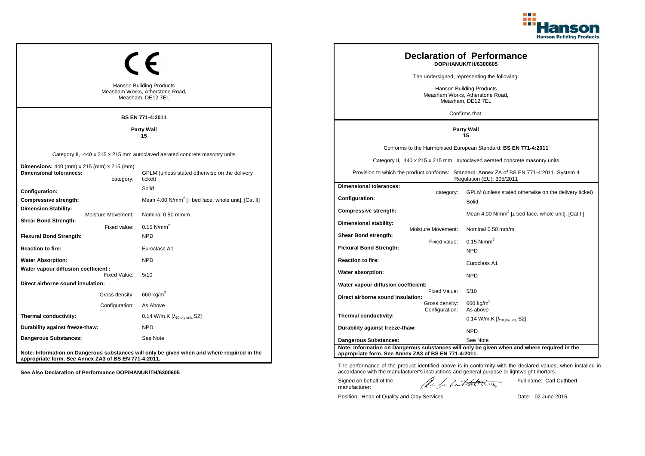

|                                                                                         |                    |                                                                                             |                                                                                                                        |                    | <b>Declaration of Performance</b><br>DOP/HANUK/TH/6300605                                   |
|-----------------------------------------------------------------------------------------|--------------------|---------------------------------------------------------------------------------------------|------------------------------------------------------------------------------------------------------------------------|--------------------|---------------------------------------------------------------------------------------------|
|                                                                                         |                    |                                                                                             |                                                                                                                        |                    | The undersigned, representing the following:                                                |
| <b>Hanson Building Products</b><br>Measham Works, Atherstone Road,<br>Measham, DE12 7EL |                    |                                                                                             | <b>Hanson Building Products</b><br>Measham Works, Atherstone Road,<br>Measham, DE12 7EL<br>Confirms that:              |                    |                                                                                             |
|                                                                                         |                    | BS EN 771-4:2011                                                                            |                                                                                                                        |                    |                                                                                             |
|                                                                                         |                    | <b>Party Wall</b><br>15                                                                     |                                                                                                                        |                    | <b>Party Wall</b><br>15                                                                     |
|                                                                                         |                    |                                                                                             |                                                                                                                        |                    | Conforms to the Harmonised European Standard: BS EN 771-4:2011                              |
|                                                                                         |                    | Category II, 440 x 215 x 215 mm autoclaved aerated concrete masonry units                   |                                                                                                                        |                    | Category II, 440 x 215 x 215 mm, autoclaved aerated concrete masonry units                  |
| <b>Dimensions:</b> 440 (mm) x 215 (mm) x 215 (mm)<br><b>Dimensional tolerances:</b>     | category:          | GPLM (unless stated otherwise on the delivery<br>ticket)                                    | Provision to which the product conforms: Standard: Annex ZA of BS EN 771-4:2011, System 4<br>Regulation (EU): 305/2011 |                    |                                                                                             |
| Configuration:                                                                          |                    | Solid                                                                                       | <b>Dimensional tolerances:</b>                                                                                         |                    | GPLM (unless stated otherwise on the delivery ticket)                                       |
| Compressive strength:                                                                   |                    | Mean 4.00 N/mm <sup>2</sup> [ $\perp$ bed face, whole unit]. [Cat II]                       | <b>Configuration:</b>                                                                                                  | category:          | Solid                                                                                       |
| <b>Dimension Stability:</b>                                                             | Moisture Movement: | Nominal 0.50 mm/m                                                                           | <b>Compressive strength:</b>                                                                                           |                    | Mean 4.00 N/mm <sup>2</sup> [ $\perp$ bed face, whole unit]. [Cat II]                       |
| <b>Shear Bond Strength:</b>                                                             | Fixed value:       | $0.15$ N/mm <sup>2</sup>                                                                    | Dimensional stability:                                                                                                 |                    |                                                                                             |
| <b>Flexural Bond Strength:</b>                                                          |                    | <b>NPD</b>                                                                                  | Shear Bond strength:                                                                                                   | Moisture Movement: | Nominal 0.50 mm/m                                                                           |
| <b>Reaction to fire:</b>                                                                |                    | Euroclass A1                                                                                | <b>Flexural Bond Strength:</b>                                                                                         | Fixed value:       | $0.15$ N/mm <sup>2</sup><br><b>NPD</b>                                                      |
| <b>Water Absorption:</b>                                                                |                    | <b>NPD</b>                                                                                  | <b>Reaction to fire:</b>                                                                                               |                    | Euroclass A1                                                                                |
| Water vapour diffusion coefficient :                                                    | Fixed Value:       | 5/10                                                                                        | Water absorption:                                                                                                      |                    | <b>NPD</b>                                                                                  |
| Direct airborne sound insulation:                                                       |                    |                                                                                             | Water vapour diffusion coefficient:                                                                                    |                    |                                                                                             |
|                                                                                         | Gross density:     | 660 kg/m $^3$                                                                               | Direct airborne sound insulation:                                                                                      | Fixed Value:       | 5/10                                                                                        |
|                                                                                         | Configuration:     | As Above                                                                                    |                                                                                                                        | Gross density:     | 660 kg/m <sup>3</sup>                                                                       |
| Thermal conductivity:                                                                   |                    | 0.14 W/m.K $[\lambda_{10, dry \text{ unit}}, S2]$                                           | Thermal conductivity:                                                                                                  | Configuration:     | As above<br>0.14 W/m.K $[\lambda_{10, dry \text{ unit}}]$ S2]                               |
| Durability against freeze-thaw:                                                         |                    | <b>NPD</b>                                                                                  | Durability against freeze-thaw:                                                                                        |                    | <b>NPD</b>                                                                                  |
| <b>Dangerous Substances:</b>                                                            |                    | See Note                                                                                    | <b>Dangerous Substances:</b>                                                                                           |                    | See Note                                                                                    |
| appropriate form. See Annex ZA3 of BS EN 771-4:2011.                                    |                    | Note: Information on Dangerous substances will only be given when and where required in the | appropriate form. See Annex ZA3 of BS EN 771-4:2011.                                                                   |                    | Note: Information on Dangerous substances will only be given when and where required in the |

The performance of the product identified above is in conformity with the declared values, when installed in accordance with the manufacturer's instructions and general purpose or lightweight mortars.

Signed on behalf of the manufacturer:

ach lathering

Full name: Carl Cuthbert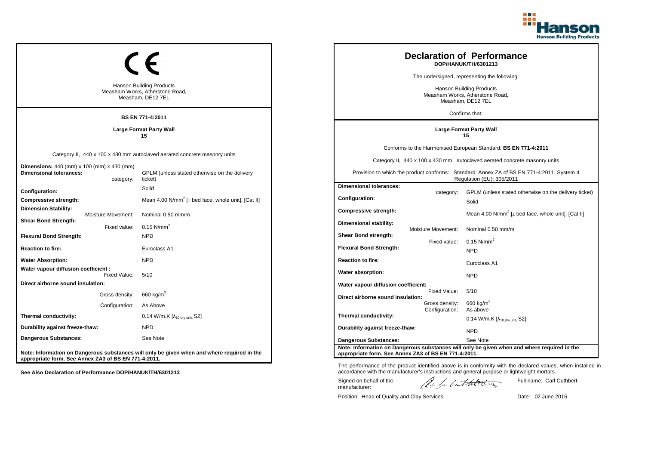

| <b>Hanson Building Products</b><br>Measham Works, Atherstone Road,<br>Measham, DE12 7EL<br><b>BS EN 771-4:2011</b> |           |                                                                                                                                       | <b>Declaration of Performance</b><br>DOP/HANUK/TH/6301213<br>The undersigned, representing the following:<br>Hanson Building Products<br>Measham Works, Atherstone Road,<br>Measham, DE12 7EL<br>Confirms that: |                                                  |                                                                                                                                                                                                                                                                        |
|--------------------------------------------------------------------------------------------------------------------|-----------|---------------------------------------------------------------------------------------------------------------------------------------|-----------------------------------------------------------------------------------------------------------------------------------------------------------------------------------------------------------------|--------------------------------------------------|------------------------------------------------------------------------------------------------------------------------------------------------------------------------------------------------------------------------------------------------------------------------|
|                                                                                                                    |           | <b>Large Format Party Wall</b><br>15                                                                                                  |                                                                                                                                                                                                                 |                                                  | <b>Large Format Party Wall</b><br>15                                                                                                                                                                                                                                   |
| <b>Dimensions:</b> 440 (mm) x 100 (mm) x 430 (mm)<br><b>Dimensional tolerances:</b>                                | category: | Category II, 440 x 100 x 430 mm autoclaved aerated concrete masonry units<br>GPLM (unless stated otherwise on the delivery<br>ticket) |                                                                                                                                                                                                                 |                                                  | Conforms to the Harmonised European Standard: BS EN 771-4:2011<br>Category II, 440 x 100 x 430 mm, autoclaved aerated concrete masonry units<br>Provision to which the product conforms: Standard: Annex ZA of BS EN 771-4:2011, System 4<br>Regulation (EU): 305/2011 |
| Configuration:<br>Compressive strength:<br><b>Dimension Stability:</b><br>Moisture Movement:                       |           | Solid<br>Mean 4.00 N/mm <sup>2</sup> [ $\perp$ bed face, whole unit]. [Cat II]<br>Nominal 0.50 mm/m                                   | <b>Dimensional tolerances:</b><br><b>Configuration:</b><br>Compressive strength:                                                                                                                                | category:                                        | GPLM (unless stated otherwise on the delivery ticket)<br>Solid<br>Mean 4.00 N/mm <sup>2</sup> [ $\perp$ bed face, whole unit]. [Cat II]                                                                                                                                |
| <b>Shear Bond Strength:</b><br>Fixed value:<br><b>Flexural Bond Strength:</b><br><b>Reaction to fire:</b>          |           | $0.15$ N/mm <sup>2</sup><br><b>NPD</b><br>Euroclass A1                                                                                | Dimensional stability:<br>Shear Bond strength:<br><b>Flexural Bond Strength:</b>                                                                                                                                | <b>Moisture Movement:</b><br>Fixed value:        | Nominal 0.50 mm/m<br>$0.15$ N/mm <sup>2</sup><br><b>NPD</b>                                                                                                                                                                                                            |
| <b>Water Absorption:</b><br>Water vapour diffusion coefficient :                                                   |           | <b>NPD</b>                                                                                                                            | <b>Reaction to fire:</b>                                                                                                                                                                                        |                                                  | Euroclass A1                                                                                                                                                                                                                                                           |
| Fixed Value:<br>Direct airborne sound insulation:                                                                  |           | 5/10                                                                                                                                  | Water absorption:<br>Water vapour diffusion coefficient:                                                                                                                                                        |                                                  | <b>NPD</b>                                                                                                                                                                                                                                                             |
| Gross density:<br>Configuration:                                                                                   |           | 660 kg/m <sup>3</sup><br>As Above                                                                                                     | Direct airborne sound insulation:                                                                                                                                                                               | Fixed Value:<br>Gross density:<br>Configuration: | 5/10<br>660 kg/m <sup>3</sup><br>As above                                                                                                                                                                                                                              |
| Thermal conductivity:                                                                                              |           | 0.14 W/m.K $[\lambda_{10, dry \text{ unit}}, S2]$                                                                                     | Thermal conductivity:                                                                                                                                                                                           |                                                  | 0.14 W/m.K $[\lambda_{10.0}$ <sub>tv unit.</sub> S2]                                                                                                                                                                                                                   |
| Durability against freeze-thaw:<br>Dangerous Substances:                                                           |           | <b>NPD</b><br>See Note                                                                                                                | Durability against freeze-thaw:<br><b>Dangerous Substances:</b>                                                                                                                                                 |                                                  | <b>NPD</b><br>See Note                                                                                                                                                                                                                                                 |
| appropriate form. See Annex ZA3 of BS EN 771-4:2011.                                                               |           | Note: Information on Dangerous substances will only be given when and where required in the                                           | appropriate form. See Annex ZA3 of BS EN 771-4:2011.                                                                                                                                                            |                                                  | Note: Information on Dangerous substances will only be given when and where required in the                                                                                                                                                                            |

Signed on behalf of the manufacturer:

Position: Head of Quality and Clay Services Date: 02 June 2015

Full name: Carl Cuthbert

The performance of the product identified above is in conformity with the declared values, when installed in accordance with the manufacturer's instructions and general purpose or lightweight mortars.

ach lathering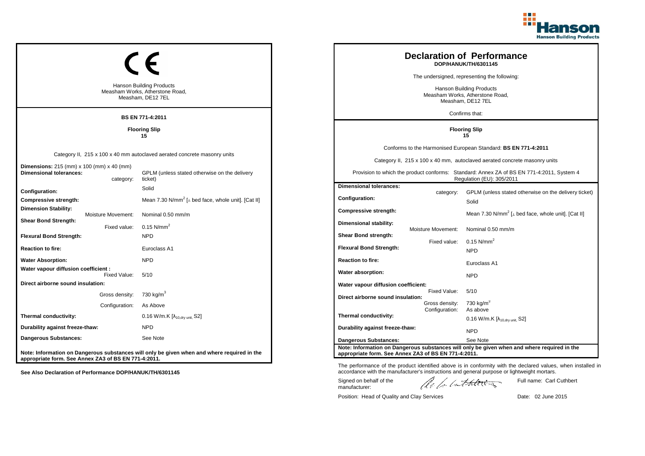

|                                                                                         |                                    |                                                                                                                                      |                                                                                |                                | <b>Declaration of Performance</b><br>DOP/HANUK/TH/6301145<br>The undersigned, representing the following:                                                                                                                                                             |
|-----------------------------------------------------------------------------------------|------------------------------------|--------------------------------------------------------------------------------------------------------------------------------------|--------------------------------------------------------------------------------|--------------------------------|-----------------------------------------------------------------------------------------------------------------------------------------------------------------------------------------------------------------------------------------------------------------------|
| <b>Hanson Building Products</b><br>Measham Works, Atherstone Road,<br>Measham, DE12 7EL |                                    |                                                                                                                                      |                                                                                |                                | <b>Hanson Building Products</b><br>Measham Works, Atherstone Road,<br>Measham, DE12 7EL<br>Confirms that:                                                                                                                                                             |
|                                                                                         |                                    | <b>BS EN 771-4:2011</b><br><b>Flooring Slip</b><br>15                                                                                |                                                                                |                                | <b>Flooring Slip</b><br>15                                                                                                                                                                                                                                            |
| Dimensions: 215 (mm) x 100 (mm) x 40 (mm)<br><b>Dimensional tolerances:</b>             | category:                          | Category II, 215 x 100 x 40 mm autoclaved aerated concrete masonry units<br>GPLM (unless stated otherwise on the delivery<br>ticket) |                                                                                |                                | Conforms to the Harmonised European Standard: BS EN 771-4:2011<br>Category II, 215 x 100 x 40 mm, autoclaved aerated concrete masonry units<br>Provision to which the product conforms: Standard: Annex ZA of BS EN 771-4:2011, System 4<br>Regulation (EU): 305/2011 |
| Configuration:<br>Compressive strength:                                                 |                                    | Solid<br>Mean 7.30 N/mm <sup>2</sup> [ $\perp$ bed face, whole unit]. [Cat II]                                                       | <b>Dimensional tolerances:</b><br>Configuration:                               | category:                      | GPLM (unless stated otherwise on the delivery ticket)<br>Solid                                                                                                                                                                                                        |
| Dimension Stability:<br><b>Shear Bond Strength:</b><br><b>Flexural Bond Strength:</b>   | Moisture Movement:<br>Fixed value: | Nominal 0.50 mm/m<br>$0.15$ N/mm <sup>2</sup><br><b>NPD</b>                                                                          | <b>Compressive strength:</b><br>Dimensional stability:<br>Shear Bond strength: | <b>Moisture Movement:</b>      | Mean 7.30 N/mm <sup>2</sup> [⊥ bed face, whole unit]. [Cat II]<br>Nominal 0.50 mm/m                                                                                                                                                                                   |
| <b>Reaction to fire:</b>                                                                |                                    | Euroclass A1                                                                                                                         | <b>Flexural Bond Strength:</b>                                                 | Fixed value:                   | $0.15$ N/mm <sup>2</sup><br><b>NPD</b>                                                                                                                                                                                                                                |
| <b>Water Absorption:</b><br>Water vapour diffusion coefficient :                        | Fixed Value:                       | <b>NPD</b><br>5/10                                                                                                                   | <b>Reaction to fire:</b><br>Water absorption:                                  |                                | Euroclass A1<br><b>NPD</b>                                                                                                                                                                                                                                            |
| Direct airborne sound insulation:                                                       | Gross density:<br>Configuration:   | 730 kg/m <sup>3</sup><br>As Above                                                                                                    | Water vapour diffusion coefficient:<br>Direct airborne sound insulation:       | Fixed Value:<br>Gross density: | 5/10<br>730 kg/m $3$                                                                                                                                                                                                                                                  |
| Thermal conductivity:                                                                   |                                    | 0.16 W/m.K $[\lambda_{10, dry \text{ unit}}, S2]$                                                                                    | Thermal conductivity:                                                          | Configuration:                 | As above<br>$0.16$ W/m.K [ $\lambda_{10, dry \text{ unit}}$ , S2]                                                                                                                                                                                                     |
| Durability against freeze-thaw:<br>Dangerous Substances:                                |                                    | <b>NPD</b><br>See Note                                                                                                               | Durability against freeze-thaw:                                                |                                | <b>NPD</b>                                                                                                                                                                                                                                                            |
| appropriate form. See Annex ZA3 of BS EN 771-4:2011.                                    |                                    | Note: Information on Dangerous substances will only be given when and where required in the                                          | Dangerous Substances:<br>appropriate form. See Annex ZA3 of BS EN 771-4:2011.  |                                | See Note<br>Note: Information on Dangerous substances will only be given when and where required in the                                                                                                                                                               |

The performance of the product identified above is in conformity with the declared values, when installed in accordance with the manufacturer's instructions and general purpose or lightweight mortars.

Signed on behalf of the manufacturer:

ach lathering

Full name: Carl Cuthbert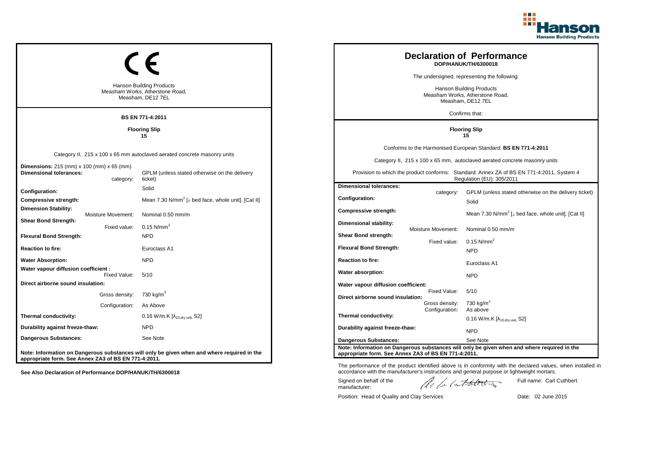

|                                                                                              |                                    |                                                                                                                                      |                                                                          |                                                  | <b>Declaration of Performance</b><br>DOP/HANUK/TH/6300018                                                                                                                                                                                                             |
|----------------------------------------------------------------------------------------------|------------------------------------|--------------------------------------------------------------------------------------------------------------------------------------|--------------------------------------------------------------------------|--------------------------------------------------|-----------------------------------------------------------------------------------------------------------------------------------------------------------------------------------------------------------------------------------------------------------------------|
| <b>Hanson Building Products</b><br>Measham Works, Atherstone Road,<br>Measham, DE12 7EL      |                                    |                                                                                                                                      |                                                                          |                                                  | The undersigned, representing the following:<br><b>Hanson Building Products</b><br>Measham Works, Atherstone Road,<br>Measham, DE12 7EL<br>Confirms that:                                                                                                             |
|                                                                                              |                                    | <b>BS EN 771-4:2011</b><br><b>Flooring Slip</b><br>15                                                                                | <b>Flooring Slip</b><br>15                                               |                                                  |                                                                                                                                                                                                                                                                       |
| Dimensions: 215 (mm) x 100 (mm) x 65 (mm)<br><b>Dimensional tolerances:</b>                  | category:                          | Category II, 215 x 100 x 65 mm autoclaved aerated concrete masonry units<br>GPLM (unless stated otherwise on the delivery<br>ticket) |                                                                          |                                                  | Conforms to the Harmonised European Standard: BS EN 771-4:2011<br>Category II, 215 x 100 x 65 mm, autoclaved aerated concrete masonry units<br>Provision to which the product conforms: Standard: Annex ZA of BS EN 771-4:2011, System 4<br>Regulation (EU): 305/2011 |
| <b>Configuration:</b><br>Compressive strength:                                               |                                    | Solid<br>Mean 7.30 N/mm <sup>2</sup> [ $\perp$ bed face, whole unit]. [Cat II]                                                       | <b>Dimensional tolerances:</b><br>Configuration:                         | category:                                        | GPLM (unless stated otherwise on the delivery ticket)<br>Solid                                                                                                                                                                                                        |
| <b>Dimension Stability:</b><br><b>Shear Bond Strength:</b><br><b>Flexural Bond Strength:</b> | Moisture Movement:<br>Fixed value: | Nominal 0.50 mm/m<br>$0.15$ N/mm <sup>2</sup><br><b>NPD</b>                                                                          | Compressive strength:<br>Dimensional stability:<br>Shear Bond strength:  | <b>Moisture Movement:</b>                        | Mean 7.30 N/mm <sup>2</sup> [ $\perp$ bed face, whole unit]. [Cat II]<br>Nominal 0.50 mm/m                                                                                                                                                                            |
| <b>Reaction to fire:</b>                                                                     |                                    | Euroclass A1                                                                                                                         | <b>Flexural Bond Strength:</b>                                           | Fixed value:                                     | $0.15$ N/mm <sup>2</sup><br><b>NPD</b>                                                                                                                                                                                                                                |
| <b>Water Absorption:</b><br>Water vapour diffusion coefficient :                             | Fixed Value:                       | <b>NPD</b><br>5/10                                                                                                                   | <b>Reaction to fire:</b><br>Water absorption:                            |                                                  | Euroclass A1<br><b>NPD</b>                                                                                                                                                                                                                                            |
| Direct airborne sound insulation:                                                            | Gross density:<br>Configuration:   | 730 kg/m <sup>3</sup><br>As Above                                                                                                    | Water vapour diffusion coefficient:<br>Direct airborne sound insulation: | Fixed Value:<br>Gross density:<br>Configuration: | 5/10<br>730 kg/m <sup>3</sup><br>As above                                                                                                                                                                                                                             |
| Thermal conductivity:                                                                        |                                    | 0.16 W/m.K [λ <sub>10,dry unit,</sub> S2]                                                                                            | Thermal conductivity:                                                    |                                                  | $0.16$ W/m.K [ $\lambda_{10, dry \text{ unit}}$ , S2]                                                                                                                                                                                                                 |
| Durability against freeze-thaw:<br>Dangerous Substances:                                     |                                    | <b>NPD</b><br>See Note                                                                                                               | Durability against freeze-thaw:<br>Dangerous Substances:                 |                                                  | <b>NPD</b><br>See Note                                                                                                                                                                                                                                                |
| appropriate form. See Annex ZA3 of BS EN 771-4:2011.                                         |                                    | Note: Information on Dangerous substances will only be given when and where required in the                                          | appropriate form. See Annex ZA3 of BS EN 771-4:2011.                     |                                                  | Note: Information on Dangerous substances will only be given when and where required in the                                                                                                                                                                           |

ach lathering

Signed on behalf of the manufacturer:

The performance of the product identified above is in conformity with the declared values, when installed in accordance with the manufacturer's instructions and general purpose or lightweight mortars.

Position: Head of Quality and Clay Services Date: 02 June 2015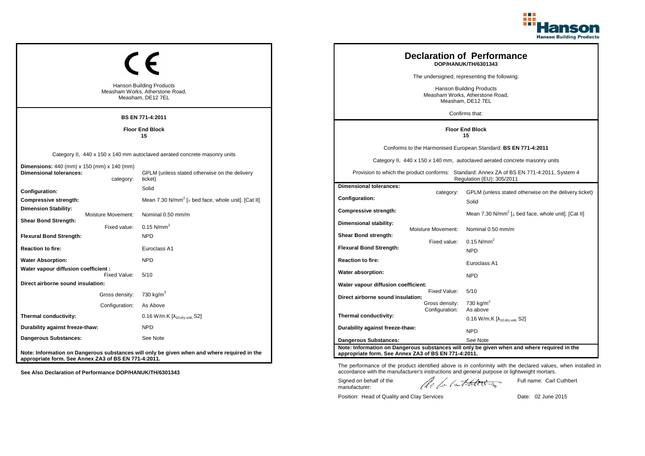

| <b>Hanson Building Products</b><br>Measham Works, Atherstone Road,<br>Measham, DE12 7EL          | <b>Declaration of Performance</b><br>DOP/HANUK/TH/6301343<br>The undersigned, representing the following:<br><b>Hanson Building Products</b><br>Measham Works, Atherstone Road,<br>Measham, DE12 7EL<br>Confirms that: |                                                      |                           |                                                                                                                        |
|--------------------------------------------------------------------------------------------------|------------------------------------------------------------------------------------------------------------------------------------------------------------------------------------------------------------------------|------------------------------------------------------|---------------------------|------------------------------------------------------------------------------------------------------------------------|
|                                                                                                  | <b>BS EN 771-4:2011</b>                                                                                                                                                                                                |                                                      |                           |                                                                                                                        |
|                                                                                                  | <b>Floor End Block</b><br>15                                                                                                                                                                                           |                                                      |                           | <b>Floor End Block</b><br>15                                                                                           |
|                                                                                                  |                                                                                                                                                                                                                        |                                                      |                           | Conforms to the Harmonised European Standard: BS EN 771-4:2011                                                         |
|                                                                                                  | Category II, 440 x 150 x 140 mm autoclaved aerated concrete masonry units                                                                                                                                              |                                                      |                           | Category II, 440 x 150 x 140 mm, autoclaved aerated concrete masonry units                                             |
| <b>Dimensions:</b> 440 (mm) x 150 (mm) x 140 (mm)<br><b>Dimensional tolerances:</b><br>category: | GPLM (unless stated otherwise on the delivery<br>ticket)                                                                                                                                                               |                                                      |                           | Provision to which the product conforms: Standard: Annex ZA of BS EN 771-4:2011, System 4<br>Regulation (EU): 305/2011 |
| Configuration:                                                                                   | Solid                                                                                                                                                                                                                  | <b>Dimensional tolerances:</b>                       |                           |                                                                                                                        |
| Compressive strength:                                                                            | Mean 7.30 N/mm <sup>2</sup> [ $\perp$ bed face, whole unit]. [Cat II]                                                                                                                                                  | <b>Configuration:</b>                                | category:                 | GPLM (unless stated otherwise on the delivery ticket)<br>Solid                                                         |
| <b>Dimension Stability:</b><br>Moisture Movement:                                                | Nominal 0.50 mm/m                                                                                                                                                                                                      | Compressive strength:                                |                           | Mean 7.30 N/mm <sup>2</sup> [ $\perp$ bed face, whole unit]. [Cat II]                                                  |
| <b>Shear Bond Strength:</b><br>Fixed value:                                                      | $0.15$ N/mm <sup>2</sup>                                                                                                                                                                                               | Dimensional stability:                               | <b>Moisture Movement:</b> | Nominal 0.50 mm/m                                                                                                      |
| <b>Flexural Bond Strength:</b>                                                                   | <b>NPD</b>                                                                                                                                                                                                             | Shear Bond strength:                                 |                           |                                                                                                                        |
| <b>Reaction to fire:</b>                                                                         | Euroclass A1                                                                                                                                                                                                           | <b>Flexural Bond Strength:</b>                       | Fixed value:              | $0.15$ N/mm <sup>2</sup><br><b>NPD</b>                                                                                 |
| <b>Water Absorption:</b>                                                                         | <b>NPD</b>                                                                                                                                                                                                             | <b>Reaction to fire:</b>                             |                           |                                                                                                                        |
| Water vapour diffusion coefficient :                                                             |                                                                                                                                                                                                                        | Water absorption:                                    |                           | Euroclass A1                                                                                                           |
| Fixed Value:<br>Direct airborne sound insulation:                                                | 5/10                                                                                                                                                                                                                   |                                                      |                           | <b>NPD</b>                                                                                                             |
|                                                                                                  |                                                                                                                                                                                                                        | Water vapour diffusion coefficient:                  | Fixed Value:              | 5/10                                                                                                                   |
| Gross density: 730 kg/m <sup>3</sup>                                                             |                                                                                                                                                                                                                        | Direct airborne sound insulation:                    | Gross density:            | 730 kg/m <sup>3</sup>                                                                                                  |
| Configuration:                                                                                   | As Above                                                                                                                                                                                                               |                                                      | Configuration:            | As above                                                                                                               |
| Thermal conductivity:                                                                            | 0.16 W/m.K [λ <sub>10,dry unit,</sub> S2]                                                                                                                                                                              | Thermal conductivity:                                |                           | $0.16$ W/m.K [ $\lambda_{10, dry \text{ unit}}$ , S2]                                                                  |
| Durability against freeze-thaw:                                                                  | <b>NPD</b>                                                                                                                                                                                                             | Durability against freeze-thaw:                      |                           | <b>NPD</b>                                                                                                             |
| <b>Dangerous Substances:</b>                                                                     | See Note                                                                                                                                                                                                               | <b>Dangerous Substances:</b>                         |                           | See Note                                                                                                               |
| appropriate form. See Annex ZA3 of BS EN 771-4:2011.                                             | Note: Information on Dangerous substances will only be given when and where required in the                                                                                                                            | appropriate form. See Annex ZA3 of BS EN 771-4:2011. |                           | Note: Information on Dangerous substances will only be given when and where required in the                            |

Position: Head of Quality and Clay Services Date: 02 June 2015

Signed on behalf of the manufacturer:

The performance of the product identified above is in conformity with the declared values, when installed in accordance with the manufacturer's instructions and general purpose or lightweight mortars.

ach lathering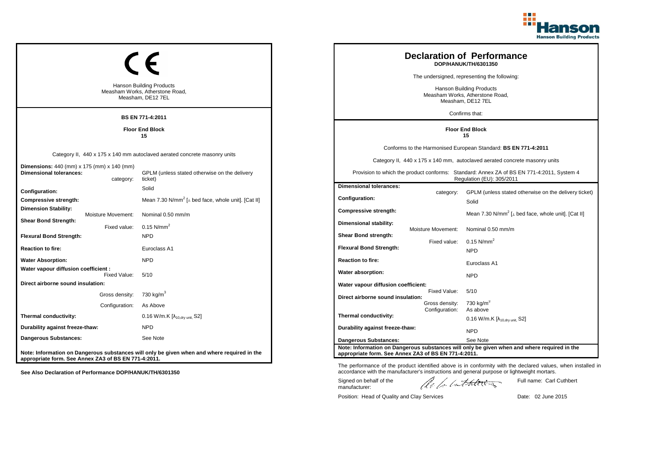

| <b>Hanson Building Products</b><br>Measham Works, Atherstone Road,<br>Measham, DE12 7EL<br><b>BS EN 771-4:2011</b> | <b>Declaration of Performance</b><br>DOP/HANUK/TH/6301350<br>The undersigned, representing the following:<br><b>Hanson Building Products</b><br>Measham Works, Atherstone Road,<br>Measham, DE12 7EL<br>Confirms that: |                                                                                      |                                                  |                                                                                                                                                                                                                                                                        |
|--------------------------------------------------------------------------------------------------------------------|------------------------------------------------------------------------------------------------------------------------------------------------------------------------------------------------------------------------|--------------------------------------------------------------------------------------|--------------------------------------------------|------------------------------------------------------------------------------------------------------------------------------------------------------------------------------------------------------------------------------------------------------------------------|
| <b>Floor End Block</b>                                                                                             |                                                                                                                                                                                                                        |                                                                                      | <b>Floor End Block</b><br>15                     |                                                                                                                                                                                                                                                                        |
| <b>Dimensions:</b> 440 (mm) x 175 (mm) x 140 (mm)<br><b>Dimensional tolerances:</b><br>category:                   | Category II, 440 x 175 x 140 mm autoclaved aerated concrete masonry units<br>GPLM (unless stated otherwise on the delivery<br>ticket)                                                                                  |                                                                                      |                                                  | Conforms to the Harmonised European Standard: BS EN 771-4:2011<br>Category II, 440 x 175 x 140 mm, autoclaved aerated concrete masonry units<br>Provision to which the product conforms: Standard: Annex ZA of BS EN 771-4:2011, System 4<br>Regulation (EU): 305/2011 |
| Configuration:<br>Compressive strength:<br><b>Dimension Stability:</b><br>Moisture Movement:                       | Solid<br>Mean 7.30 N/mm <sup>2</sup> [ $\perp$ bed face, whole unit]. [Cat II]<br>Nominal 0.50 mm/m                                                                                                                    | <b>Dimensional tolerances:</b><br>Configuration:<br>Compressive strength:            | category:                                        | GPLM (unless stated otherwise on the delivery ticket)<br>Solid<br>Mean 7.30 N/mm <sup>2</sup> [ $\perp$ bed face, whole unit]. [Cat II]                                                                                                                                |
| <b>Shear Bond Strength:</b><br>Fixed value:<br><b>Flexural Bond Strength:</b><br><b>Reaction to fire:</b>          | $0.15$ N/mm <sup>2</sup><br><b>NPD</b><br>Euroclass A1                                                                                                                                                                 | Dimensional stability:<br>Shear Bond strength:<br><b>Flexural Bond Strength:</b>     | <b>Moisture Movement:</b><br>Fixed value:        | Nominal 0.50 mm/m<br>$0.15$ N/mm <sup>2</sup><br><b>NPD</b>                                                                                                                                                                                                            |
| <b>Water Absorption:</b><br>Water vapour diffusion coefficient :<br>Fixed Value:                                   | <b>NPD</b><br>5/10                                                                                                                                                                                                     | <b>Reaction to fire:</b><br>Water absorption:                                        |                                                  | Euroclass A1<br><b>NPD</b>                                                                                                                                                                                                                                             |
| Direct airborne sound insulation:<br>Gross density:<br>Configuration:                                              | 730 kg/m <sup>3</sup><br>As Above                                                                                                                                                                                      | Water vapour diffusion coefficient:<br>Direct airborne sound insulation:             | Fixed Value:<br>Gross density:<br>Configuration: | 5/10<br>730 kg/m <sup>3</sup><br>As above                                                                                                                                                                                                                              |
| Thermal conductivity:<br>Durability against freeze-thaw:<br><b>Dangerous Substances:</b>                           | 0.16 W/m.K [λ <sub>10,dry unit,</sub> S2]<br><b>NPD</b><br>See Note                                                                                                                                                    | Thermal conductivity:<br>Durability against freeze-thaw:                             |                                                  | $0.16$ W/m.K [ $\lambda_{10, dry \text{ unit}}$ , S2]<br><b>NPD</b>                                                                                                                                                                                                    |
| appropriate form. See Annex ZA3 of BS EN 771-4:2011.                                                               | Note: Information on Dangerous substances will only be given when and where required in the                                                                                                                            | <b>Dangerous Substances:</b><br>appropriate form. See Annex ZA3 of BS EN 771-4:2011. |                                                  | See Note<br>Note: Information on Dangerous substances will only be given when and where required in the                                                                                                                                                                |

Position: Head of Quality and Clay Services Date: 02 June 2015

Signed on behalf of the manufacturer:

The performance of the product identified above is in conformity with the declared values, when installed in accordance with the manufacturer's instructions and general purpose or lightweight mortars.

ach lathering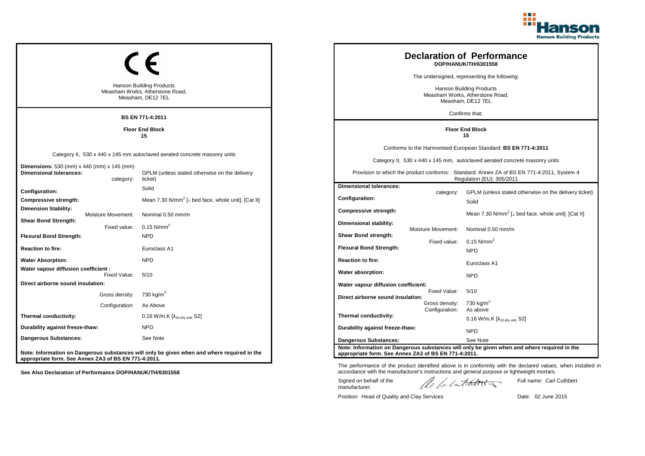

| <b>Hanson Building Products</b><br>Measham Works, Atherstone Road,<br>Measham, DE12 7EL<br><b>BS EN 771-4:2011</b> | <b>Declaration of Performance</b><br>DOP/HANUK/TH/6301558<br>The undersigned, representing the following:<br><b>Hanson Building Products</b><br>Measham Works, Atherstone Road,<br>Measham, DE12 7EL<br>Confirms that: |                                                                                      |                                                  |                                                                                                                                                                                                                                                                        |
|--------------------------------------------------------------------------------------------------------------------|------------------------------------------------------------------------------------------------------------------------------------------------------------------------------------------------------------------------|--------------------------------------------------------------------------------------|--------------------------------------------------|------------------------------------------------------------------------------------------------------------------------------------------------------------------------------------------------------------------------------------------------------------------------|
| <b>Floor End Block</b>                                                                                             |                                                                                                                                                                                                                        |                                                                                      | <b>Floor End Block</b><br>15                     |                                                                                                                                                                                                                                                                        |
| <b>Dimensions:</b> 530 (mm) x 440 (mm) x 145 (mm)<br><b>Dimensional tolerances:</b><br>category:                   | Category II, 530 x 440 x 145 mm autoclaved aerated concrete masonry units<br>GPLM (unless stated otherwise on the delivery<br>ticket)                                                                                  |                                                                                      |                                                  | Conforms to the Harmonised European Standard: BS EN 771-4:2011<br>Category II, 530 x 440 x 145 mm, autoclaved aerated concrete masonry units<br>Provision to which the product conforms: Standard: Annex ZA of BS EN 771-4:2011, System 4<br>Regulation (EU): 305/2011 |
| Configuration:<br>Compressive strength:<br><b>Dimension Stability:</b><br>Moisture Movement:                       | Solid<br>Mean 7.30 N/mm <sup>2</sup> [ $\perp$ bed face, whole unit]. [Cat II]<br>Nominal 0.50 mm/m                                                                                                                    | <b>Dimensional tolerances:</b><br>Configuration:<br>Compressive strength:            | category:                                        | GPLM (unless stated otherwise on the delivery ticket)<br>Solid<br>Mean 7.30 N/mm <sup>2</sup> [ $\perp$ bed face, whole unit]. [Cat II]                                                                                                                                |
| <b>Shear Bond Strength:</b><br>Fixed value:<br><b>Flexural Bond Strength:</b><br><b>Reaction to fire:</b>          | $0.15$ N/mm <sup>2</sup><br><b>NPD</b><br>Euroclass A1                                                                                                                                                                 | Dimensional stability:<br>Shear Bond strength:<br><b>Flexural Bond Strength:</b>     | <b>Moisture Movement:</b><br>Fixed value:        | Nominal 0.50 mm/m<br>$0.15$ N/mm <sup>2</sup><br><b>NPD</b>                                                                                                                                                                                                            |
| <b>Water Absorption:</b><br>Water vapour diffusion coefficient :<br>Fixed Value:                                   | <b>NPD</b><br>5/10                                                                                                                                                                                                     | <b>Reaction to fire:</b><br>Water absorption:                                        |                                                  | Euroclass A1<br><b>NPD</b>                                                                                                                                                                                                                                             |
| Direct airborne sound insulation:<br>Gross density:<br>Configuration:                                              | 730 kg/m <sup>3</sup><br>As Above                                                                                                                                                                                      | Water vapour diffusion coefficient:<br>Direct airborne sound insulation:             | Fixed Value:<br>Gross density:<br>Configuration: | 5/10<br>730 kg/m <sup>3</sup><br>As above                                                                                                                                                                                                                              |
| Thermal conductivity:<br>Durability against freeze-thaw:<br><b>Dangerous Substances:</b>                           | 0.16 W/m.K [λ <sub>10,dry unit,</sub> S2]<br><b>NPD</b><br>See Note                                                                                                                                                    | Thermal conductivity:<br>Durability against freeze-thaw:                             |                                                  | $0.16$ W/m.K [ $\lambda_{10, dry \text{ unit}}$ , S2]<br><b>NPD</b>                                                                                                                                                                                                    |
| appropriate form. See Annex ZA3 of BS EN 771-4:2011.                                                               | Note: Information on Dangerous substances will only be given when and where required in the                                                                                                                            | <b>Dangerous Substances:</b><br>appropriate form. See Annex ZA3 of BS EN 771-4:2011. |                                                  | See Note<br>Note: Information on Dangerous substances will only be given when and where required in the                                                                                                                                                                |

ach lathering Position: Head of Quality and Clay Services Date: 02 June 2015

Signed on behalf of the manufacturer:

The performance of the product identified above is in conformity with the declared values, when installed in accordance with the manufacturer's instructions and general purpose or lightweight mortars.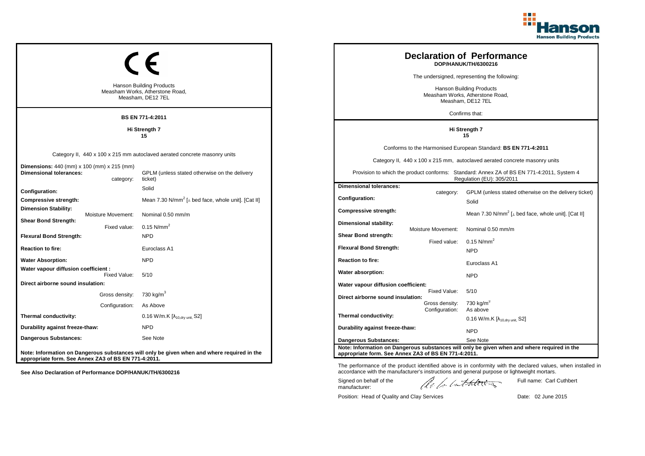

|                                                                                                           | <b>Hanson Building Products</b><br>Measham Works, Atherstone Road,<br>Measham, DE12 7EL<br><b>BS EN 771-4:2011</b>                    |                                                                                      |                                                  | <b>Declaration of Performance</b><br>DOP/HANUK/TH/6300216<br>The undersigned, representing the following:<br>Hanson Building Products<br>Measham Works, Atherstone Road,<br>Measham, DE12 7EL<br>Confirms that:                                                        |
|-----------------------------------------------------------------------------------------------------------|---------------------------------------------------------------------------------------------------------------------------------------|--------------------------------------------------------------------------------------|--------------------------------------------------|------------------------------------------------------------------------------------------------------------------------------------------------------------------------------------------------------------------------------------------------------------------------|
|                                                                                                           | Hi Strength 7<br>15                                                                                                                   | Hi Strength 7<br>15                                                                  |                                                  |                                                                                                                                                                                                                                                                        |
| <b>Dimensions:</b> 440 (mm) x 100 (mm) x 215 (mm)<br><b>Dimensional tolerances:</b><br>category:          | Category II, 440 x 100 x 215 mm autoclaved aerated concrete masonry units<br>GPLM (unless stated otherwise on the delivery<br>ticket) |                                                                                      |                                                  | Conforms to the Harmonised European Standard: BS EN 771-4:2011<br>Category II, 440 x 100 x 215 mm, autoclaved aerated concrete masonry units<br>Provision to which the product conforms: Standard: Annex ZA of BS EN 771-4:2011, System 4<br>Regulation (EU): 305/2011 |
| Configuration:<br><b>Compressive strength:</b><br><b>Dimension Stability:</b><br>Moisture Movement:       | Solid<br>Mean 7.30 N/mm <sup>2</sup> [⊥ bed face, whole unit]. [Cat II]<br>Nominal 0.50 mm/m                                          | <b>Dimensional tolerances:</b><br>Configuration:<br>Compressive strength:            | category:                                        | GPLM (unless stated otherwise on the delivery ticket)<br>Solid<br>Mean 7.30 N/mm <sup>2</sup> [ $\perp$ bed face, whole unit]. [Cat II]                                                                                                                                |
| <b>Shear Bond Strength:</b><br>Fixed value:<br><b>Flexural Bond Strength:</b><br><b>Reaction to fire:</b> | 0.15 $N/mm^2$<br><b>NPD</b><br>Euroclass A1                                                                                           | Dimensional stability:<br>Shear Bond strength:<br><b>Flexural Bond Strength:</b>     | Moisture Movement:<br>Fixed value:               | Nominal 0.50 mm/m<br>0.15 $N/mm^2$<br><b>NPD</b>                                                                                                                                                                                                                       |
| <b>Water Absorption:</b><br>Water vapour diffusion coefficient :<br>Fixed Value:                          | <b>NPD</b><br>5/10                                                                                                                    | <b>Reaction to fire:</b><br>Water absorption:                                        |                                                  | Euroclass A1<br><b>NPD</b>                                                                                                                                                                                                                                             |
| Direct airborne sound insulation:<br>Gross density:<br>Configuration:                                     | 730 kg/m <sup>3</sup><br>As Above                                                                                                     | Water vapour diffusion coefficient:<br>Direct airborne sound insulation:             | Fixed Value:<br>Gross density:<br>Configuration: | 5/10<br>730 kg/m <sup>3</sup><br>As above                                                                                                                                                                                                                              |
| Thermal conductivity:<br>Durability against freeze-thaw:                                                  | $0.16$ W/m.K $[\lambda_{10, dry \text{ unit}}, S2]$<br><b>NPD</b>                                                                     | Thermal conductivity:<br>Durability against freeze-thaw:                             |                                                  | $0.16$ W/m.K [ $\lambda_{10, dry \text{ unit}}$ , S2]<br><b>NPD</b>                                                                                                                                                                                                    |
| Dangerous Substances:<br>appropriate form. See Annex ZA3 of BS EN 771-4:2011.                             | See Note<br>Note: Information on Dangerous substances will only be given when and where required in the                               | <b>Dangerous Substances:</b><br>appropriate form. See Annex ZA3 of BS EN 771-4:2011. |                                                  | See Note<br>Note: Information on Dangerous substances will only be given when and where required in the                                                                                                                                                                |

The performance of the product identified above is in conformity with the declared values, when installed in accordance with the manufacturer's instructions and general purpose or lightweight mortars.

Signed on behalf of the manufacturer:

Full name: Carl Cuthbert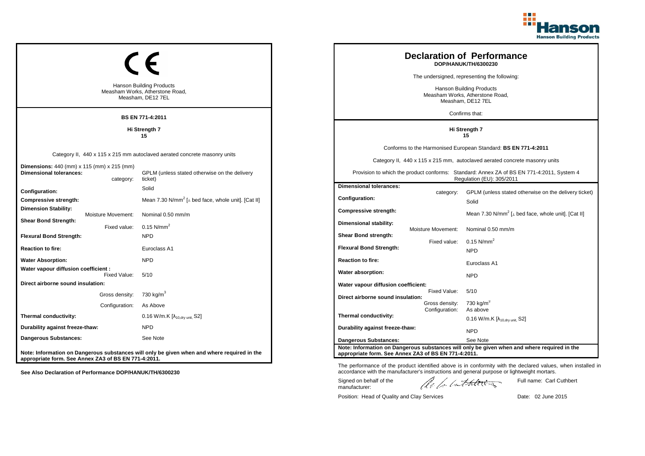

|                                                                                         |                                      |                                                                                             |                                                                                                    |                                  | <b>Declaration of Performance</b><br>DOP/HANUK/TH/6300230                                                              |
|-----------------------------------------------------------------------------------------|--------------------------------------|---------------------------------------------------------------------------------------------|----------------------------------------------------------------------------------------------------|----------------------------------|------------------------------------------------------------------------------------------------------------------------|
|                                                                                         |                                      |                                                                                             |                                                                                                    |                                  | The undersigned, representing the following:                                                                           |
| <b>Hanson Building Products</b><br>Measham Works, Atherstone Road,<br>Measham, DE12 7EL |                                      |                                                                                             | Hanson Building Products<br>Measham Works, Atherstone Road,<br>Measham, DE12 7EL<br>Confirms that: |                                  |                                                                                                                        |
|                                                                                         |                                      | <b>BS EN 771-4:2011</b>                                                                     |                                                                                                    |                                  |                                                                                                                        |
|                                                                                         |                                      | Hi Strength 7<br>15                                                                         |                                                                                                    |                                  | Hi Strength 7<br>15                                                                                                    |
|                                                                                         |                                      |                                                                                             |                                                                                                    |                                  | Conforms to the Harmonised European Standard: BS EN 771-4:2011                                                         |
|                                                                                         |                                      | Category II, 440 x 115 x 215 mm autoclaved aerated concrete masonry units                   |                                                                                                    |                                  | Category II, 440 x 115 x 215 mm, autoclaved aerated concrete masonry units                                             |
| Dimensions: 440 (mm) x 115 (mm) x 215 (mm)<br><b>Dimensional tolerances:</b>            | category:                            | GPLM (unless stated otherwise on the delivery<br>ticket)                                    |                                                                                                    |                                  | Provision to which the product conforms: Standard: Annex ZA of BS EN 771-4:2011, System 4<br>Regulation (EU): 305/2011 |
| Configuration:                                                                          |                                      | Solid                                                                                       | <b>Dimensional tolerances:</b>                                                                     |                                  | GPLM (unless stated otherwise on the delivery ticket)                                                                  |
| Compressive strength:                                                                   |                                      | Mean 7.30 $N/mm^2$ [ $\perp$ bed face, whole unit]. [Cat II]                                | <b>Configuration:</b>                                                                              | category:                        | Solid                                                                                                                  |
| <b>Dimension Stability:</b>                                                             | Moisture Movement:                   | Nominal 0.50 mm/m                                                                           | Compressive strength:                                                                              |                                  | Mean 7.30 N/mm <sup>2</sup> [⊥ bed face, whole unit]. [Cat II]                                                         |
| <b>Shear Bond Strength:</b>                                                             | Fixed value:                         | 0.15 $N/mm^2$                                                                               | Dimensional stability:                                                                             | Moisture Movement:               | Nominal 0.50 mm/m                                                                                                      |
| <b>Flexural Bond Strength:</b>                                                          |                                      | <b>NPD</b>                                                                                  | Shear Bond strength:                                                                               |                                  |                                                                                                                        |
| <b>Reaction to fire:</b>                                                                |                                      | Euroclass A1                                                                                | <b>Flexural Bond Strength:</b>                                                                     | Fixed value:                     | $0.15$ N/mm <sup>2</sup><br><b>NPD</b>                                                                                 |
| <b>Water Absorption:</b>                                                                |                                      | <b>NPD</b>                                                                                  | <b>Reaction to fire:</b>                                                                           |                                  | Euroclass A1                                                                                                           |
| Water vapour diffusion coefficient :                                                    | Fixed Value:                         | 5/10                                                                                        | Water absorption:                                                                                  |                                  | <b>NPD</b>                                                                                                             |
| Direct airborne sound insulation:                                                       |                                      |                                                                                             | Water vapour diffusion coefficient:                                                                |                                  |                                                                                                                        |
|                                                                                         | Gross density: 730 kg/m <sup>3</sup> |                                                                                             | Direct airborne sound insulation:                                                                  | Fixed Value:                     | 5/10                                                                                                                   |
|                                                                                         | Configuration:                       | As Above                                                                                    |                                                                                                    | Gross density:<br>Configuration: | 730 kg/m <sup>3</sup><br>As above                                                                                      |
| Thermal conductivity:                                                                   |                                      | 0.16 W/m.K [λ <sub>10,dry unit,</sub> S2]                                                   | Thermal conductivity:                                                                              |                                  | $0.16$ W/m.K [ $\lambda_{10, dry \text{ unit}}$ , S2]                                                                  |
| Durability against freeze-thaw:                                                         |                                      | <b>NPD</b>                                                                                  | Durability against freeze-thaw:                                                                    |                                  | <b>NPD</b>                                                                                                             |
| Dangerous Substances:                                                                   |                                      | See Note                                                                                    | <b>Dangerous Substances:</b>                                                                       |                                  | See Note                                                                                                               |
| appropriate form. See Annex ZA3 of BS EN 771-4:2011.                                    |                                      | Note: Information on Dangerous substances will only be given when and where required in the | appropriate form. See Annex ZA3 of BS EN 771-4:2011.                                               |                                  | Note: Information on Dangerous substances will only be given when and where required in the                            |

The performance of the product identified above is in conformity with the declared values, when installed in accordance with the manufacturer's instructions and general purpose or lightweight mortars.

Signed on behalf of the manufacturer:

ach lathering

Full name: Carl Cuthbert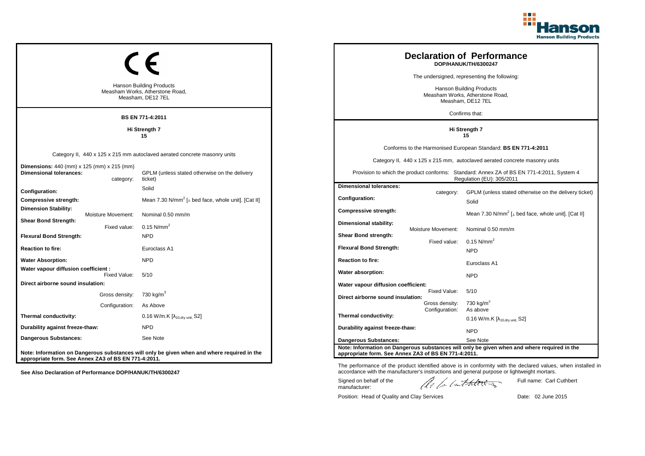

|                                                                                         |                                      |                                                                                             |                                                                                                    |                                  | <b>Declaration of Performance</b><br>DOP/HANUK/TH/6300247                                                              |
|-----------------------------------------------------------------------------------------|--------------------------------------|---------------------------------------------------------------------------------------------|----------------------------------------------------------------------------------------------------|----------------------------------|------------------------------------------------------------------------------------------------------------------------|
|                                                                                         |                                      |                                                                                             |                                                                                                    |                                  | The undersigned, representing the following:                                                                           |
| <b>Hanson Building Products</b><br>Measham Works, Atherstone Road,<br>Measham, DE12 7EL |                                      |                                                                                             | Hanson Building Products<br>Measham Works, Atherstone Road,<br>Measham, DE12 7EL<br>Confirms that: |                                  |                                                                                                                        |
|                                                                                         |                                      | <b>BS EN 771-4:2011</b>                                                                     |                                                                                                    |                                  |                                                                                                                        |
|                                                                                         |                                      | Hi Strength 7<br>15                                                                         |                                                                                                    |                                  | Hi Strength 7<br>15                                                                                                    |
|                                                                                         |                                      |                                                                                             |                                                                                                    |                                  | Conforms to the Harmonised European Standard: BS EN 771-4:2011                                                         |
|                                                                                         |                                      | Category II, 440 x 125 x 215 mm autoclaved aerated concrete masonry units                   |                                                                                                    |                                  | Category II, 440 x 125 x 215 mm, autoclaved aerated concrete masonry units                                             |
| Dimensions: 440 (mm) x 125 (mm) x 215 (mm)<br><b>Dimensional tolerances:</b>            | category:                            | GPLM (unless stated otherwise on the delivery<br>ticket)                                    |                                                                                                    |                                  | Provision to which the product conforms: Standard: Annex ZA of BS EN 771-4:2011, System 4<br>Regulation (EU): 305/2011 |
| Configuration:                                                                          |                                      | Solid                                                                                       | <b>Dimensional tolerances:</b>                                                                     |                                  | GPLM (unless stated otherwise on the delivery ticket)                                                                  |
| Compressive strength:                                                                   |                                      | Mean 7.30 $N/mm^2$ [ $\perp$ bed face, whole unit]. [Cat II]                                | <b>Configuration:</b>                                                                              | category:                        | Solid                                                                                                                  |
| <b>Dimension Stability:</b>                                                             | Moisture Movement:                   | Nominal 0.50 mm/m                                                                           | Compressive strength:                                                                              |                                  | Mean 7.30 N/mm <sup>2</sup> [⊥ bed face, whole unit]. [Cat II]                                                         |
| <b>Shear Bond Strength:</b>                                                             | Fixed value:                         | 0.15 $N/mm^2$                                                                               | Dimensional stability:                                                                             | Moisture Movement:               | Nominal 0.50 mm/m                                                                                                      |
| <b>Flexural Bond Strength:</b>                                                          |                                      | <b>NPD</b>                                                                                  | Shear Bond strength:                                                                               |                                  |                                                                                                                        |
| <b>Reaction to fire:</b>                                                                |                                      | Euroclass A1                                                                                | <b>Flexural Bond Strength:</b>                                                                     | Fixed value:                     | $0.15$ N/mm <sup>2</sup><br><b>NPD</b>                                                                                 |
| <b>Water Absorption:</b>                                                                |                                      | <b>NPD</b>                                                                                  | <b>Reaction to fire:</b>                                                                           |                                  | Euroclass A1                                                                                                           |
| Water vapour diffusion coefficient :                                                    | Fixed Value:                         | 5/10                                                                                        | Water absorption:                                                                                  |                                  | <b>NPD</b>                                                                                                             |
| Direct airborne sound insulation:                                                       |                                      |                                                                                             | Water vapour diffusion coefficient:                                                                |                                  |                                                                                                                        |
|                                                                                         | Gross density: 730 kg/m <sup>3</sup> |                                                                                             | Direct airborne sound insulation:                                                                  | Fixed Value:                     | 5/10                                                                                                                   |
|                                                                                         | Configuration:                       | As Above                                                                                    |                                                                                                    | Gross density:<br>Configuration: | 730 kg/m <sup>3</sup><br>As above                                                                                      |
| Thermal conductivity:                                                                   |                                      | 0.16 W/m.K [λ <sub>10,dry unit,</sub> S2]                                                   | Thermal conductivity:                                                                              |                                  | $0.16$ W/m.K [ $\lambda_{10, dry \text{ unit}}$ , S2]                                                                  |
| Durability against freeze-thaw:                                                         |                                      | <b>NPD</b>                                                                                  | Durability against freeze-thaw:                                                                    |                                  | <b>NPD</b>                                                                                                             |
| Dangerous Substances:                                                                   |                                      | See Note                                                                                    | <b>Dangerous Substances:</b>                                                                       |                                  | See Note                                                                                                               |
| appropriate form. See Annex ZA3 of BS EN 771-4:2011.                                    |                                      | Note: Information on Dangerous substances will only be given when and where required in the | appropriate form. See Annex ZA3 of BS EN 771-4:2011.                                               |                                  | Note: Information on Dangerous substances will only be given when and where required in the                            |

The performance of the product identified above is in conformity with the declared values, when installed in accordance with the manufacturer's instructions and general purpose or lightweight mortars.

Signed on behalf of the manufacturer:

ach lathering

Full name: Carl Cuthbert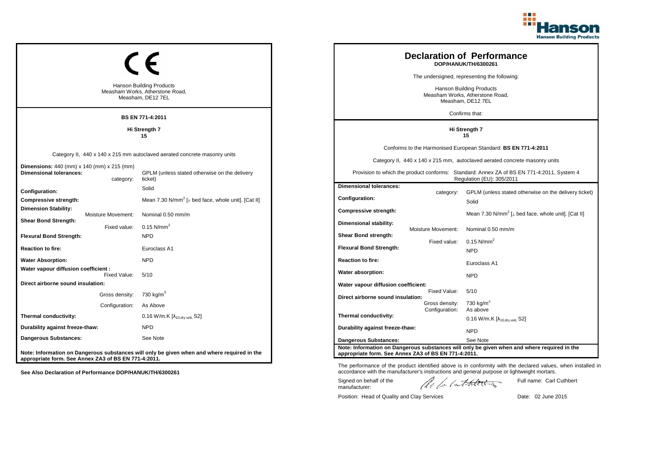

|                                                                                         |                |                                                                                             |                                                                                  |                           | <b>Declaration of Performance</b><br>DOP/HANUK/TH/6300261                                                              |
|-----------------------------------------------------------------------------------------|----------------|---------------------------------------------------------------------------------------------|----------------------------------------------------------------------------------|---------------------------|------------------------------------------------------------------------------------------------------------------------|
|                                                                                         |                |                                                                                             |                                                                                  |                           | The undersigned, representing the following:                                                                           |
| <b>Hanson Building Products</b><br>Measham Works, Atherstone Road,<br>Measham, DE12 7EL |                |                                                                                             | Hanson Building Products<br>Measham Works, Atherstone Road,<br>Measham, DE12 7EL |                           |                                                                                                                        |
|                                                                                         |                | BS EN 771-4:2011                                                                            |                                                                                  |                           | Confirms that:                                                                                                         |
|                                                                                         |                | Hi Strength 7<br>15                                                                         |                                                                                  |                           | Hi Strength 7<br>15                                                                                                    |
|                                                                                         |                |                                                                                             |                                                                                  |                           | Conforms to the Harmonised European Standard: BS EN 771-4:2011                                                         |
|                                                                                         |                | Category II, 440 x 140 x 215 mm autoclaved aerated concrete masonry units                   |                                                                                  |                           | Category II, 440 x 140 x 215 mm, autoclaved aerated concrete masonry units                                             |
| <b>Dimensions:</b> 440 (mm) x 140 (mm) x 215 (mm)<br><b>Dimensional tolerances:</b>     | category:      | GPLM (unless stated otherwise on the delivery<br>ticket)                                    |                                                                                  |                           | Provision to which the product conforms: Standard: Annex ZA of BS EN 771-4:2011, System 4<br>Regulation (EU): 305/2011 |
| Configuration:                                                                          |                | Solid                                                                                       | <b>Dimensional tolerances:</b>                                                   |                           | GPLM (unless stated otherwise on the delivery ticket)                                                                  |
| Compressive strength:                                                                   |                | Mean 7.30 N/mm <sup>2</sup> [ $\perp$ bed face, whole unit]. [Cat II]                       | <b>Configuration:</b>                                                            | category:                 | Solid                                                                                                                  |
| <b>Dimension Stability:</b><br>Moisture Movement:                                       |                | Nominal 0.50 mm/m                                                                           | Compressive strength:                                                            |                           | Mean 7.30 N/mm <sup>2</sup> [ $\perp$ bed face, whole unit]. [Cat II]                                                  |
| <b>Shear Bond Strength:</b>                                                             | Fixed value:   | $0.15$ N/mm <sup>2</sup>                                                                    | Dimensional stability:                                                           | <b>Moisture Movement:</b> | Nominal 0.50 mm/m                                                                                                      |
| <b>Flexural Bond Strength:</b>                                                          |                | <b>NPD</b>                                                                                  | Shear Bond strength:                                                             |                           |                                                                                                                        |
| <b>Reaction to fire:</b>                                                                |                | Euroclass A1                                                                                | <b>Flexural Bond Strength:</b>                                                   | Fixed value:              | 0.15 $N/mm^2$<br><b>NPD</b>                                                                                            |
| <b>Water Absorption:</b>                                                                |                | <b>NPD</b>                                                                                  | <b>Reaction to fire:</b>                                                         |                           | Euroclass A1                                                                                                           |
| Water vapour diffusion coefficient :                                                    | Fixed Value:   | 5/10                                                                                        | Water absorption:                                                                |                           | <b>NPD</b>                                                                                                             |
| Direct airborne sound insulation:                                                       |                |                                                                                             | Water vapour diffusion coefficient:                                              |                           |                                                                                                                        |
|                                                                                         |                | Gross density: 730 kg/m <sup>3</sup>                                                        | Direct airborne sound insulation:                                                | Fixed Value:              | 5/10                                                                                                                   |
|                                                                                         | Configuration: | As Above                                                                                    |                                                                                  | Gross density:            | 730 kg/m <sup>3</sup>                                                                                                  |
| Thermal conductivity:                                                                   |                | 0.16 W/m.K [λ <sub>10,dry unit,</sub> S2]                                                   | Thermal conductivity:                                                            | Configuration:            | As above<br>$0.16$ W/m.K [ $\lambda_{10, dry \text{ unit}}$ , S2]                                                      |
| Durability against freeze-thaw:                                                         |                | <b>NPD</b>                                                                                  | Durability against freeze-thaw:                                                  |                           | <b>NPD</b>                                                                                                             |
| Dangerous Substances:                                                                   |                | See Note                                                                                    | <b>Dangerous Substances:</b>                                                     |                           | See Note                                                                                                               |
| appropriate form. See Annex ZA3 of BS EN 771-4:2011.                                    |                | Note: Information on Dangerous substances will only be given when and where required in the | appropriate form. See Annex ZA3 of BS EN 771-4:2011.                             |                           | Note: Information on Dangerous substances will only be given when and where required in the                            |

The performance of the product identified above is in conformity with the declared values, when installed in accordance with the manufacturer's instructions and general purpose or lightweight mortars.

Signed on behalf of the manufacturer:

ach lathering

Full name: Carl Cuthbert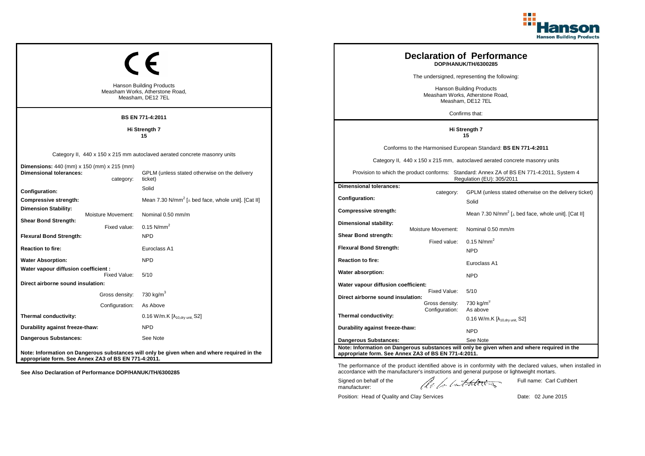

|                                                                                         |                                      |                                                                                             |                                                                                                    |                                  | <b>Declaration of Performance</b><br>DOP/HANUK/TH/6300285                                                              |
|-----------------------------------------------------------------------------------------|--------------------------------------|---------------------------------------------------------------------------------------------|----------------------------------------------------------------------------------------------------|----------------------------------|------------------------------------------------------------------------------------------------------------------------|
|                                                                                         |                                      |                                                                                             |                                                                                                    |                                  | The undersigned, representing the following:                                                                           |
| <b>Hanson Building Products</b><br>Measham Works, Atherstone Road,<br>Measham, DE12 7EL |                                      |                                                                                             | Hanson Building Products<br>Measham Works, Atherstone Road,<br>Measham, DE12 7EL<br>Confirms that: |                                  |                                                                                                                        |
|                                                                                         |                                      | <b>BS EN 771-4:2011</b>                                                                     |                                                                                                    |                                  |                                                                                                                        |
|                                                                                         |                                      | Hi Strength 7<br>15                                                                         |                                                                                                    |                                  | Hi Strength 7<br>15                                                                                                    |
|                                                                                         |                                      |                                                                                             |                                                                                                    |                                  | Conforms to the Harmonised European Standard: BS EN 771-4:2011                                                         |
|                                                                                         |                                      | Category II, 440 x 150 x 215 mm autoclaved aerated concrete masonry units                   |                                                                                                    |                                  | Category II, 440 x 150 x 215 mm, autoclaved aerated concrete masonry units                                             |
| Dimensions: 440 (mm) x 150 (mm) x 215 (mm)<br><b>Dimensional tolerances:</b>            | category:                            | GPLM (unless stated otherwise on the delivery<br>ticket)                                    |                                                                                                    |                                  | Provision to which the product conforms: Standard: Annex ZA of BS EN 771-4:2011, System 4<br>Regulation (EU): 305/2011 |
| Configuration:                                                                          |                                      | Solid                                                                                       | <b>Dimensional tolerances:</b>                                                                     |                                  |                                                                                                                        |
| Compressive strength:                                                                   |                                      | Mean 7.30 $N/mm^2$ [ $\perp$ bed face, whole unit]. [Cat II]                                | <b>Configuration:</b>                                                                              | category:                        | GPLM (unless stated otherwise on the delivery ticket)<br>Solid                                                         |
| <b>Dimension Stability:</b>                                                             | Moisture Movement:                   | Nominal 0.50 mm/m                                                                           | Compressive strength:                                                                              |                                  | Mean 7.30 N/mm <sup>2</sup> [⊥ bed face, whole unit]. [Cat II]                                                         |
| <b>Shear Bond Strength:</b>                                                             | Fixed value:                         | 0.15 $N/mm^2$                                                                               | Dimensional stability:                                                                             | Moisture Movement:               | Nominal 0.50 mm/m                                                                                                      |
| <b>Flexural Bond Strength:</b>                                                          |                                      | <b>NPD</b>                                                                                  | Shear Bond strength:                                                                               |                                  |                                                                                                                        |
| <b>Reaction to fire:</b>                                                                |                                      | Euroclass A1                                                                                | <b>Flexural Bond Strength:</b>                                                                     | Fixed value:                     | $0.15$ N/mm <sup>2</sup><br><b>NPD</b>                                                                                 |
| <b>Water Absorption:</b>                                                                |                                      | <b>NPD</b>                                                                                  | <b>Reaction to fire:</b>                                                                           |                                  | Euroclass A1                                                                                                           |
| Water vapour diffusion coefficient :                                                    | Fixed Value:                         | 5/10                                                                                        | Water absorption:                                                                                  |                                  | <b>NPD</b>                                                                                                             |
| Direct airborne sound insulation:                                                       |                                      |                                                                                             | Water vapour diffusion coefficient:                                                                |                                  |                                                                                                                        |
|                                                                                         | Gross density: 730 kg/m <sup>3</sup> |                                                                                             | Direct airborne sound insulation:                                                                  | Fixed Value:                     | 5/10                                                                                                                   |
|                                                                                         | Configuration:                       | As Above                                                                                    |                                                                                                    | Gross density:<br>Configuration: | 730 kg/m <sup>3</sup><br>As above                                                                                      |
| Thermal conductivity:                                                                   |                                      | 0.16 W/m.K [λ <sub>10,dry unit,</sub> S2]                                                   | Thermal conductivity:                                                                              |                                  | $0.16$ W/m.K [ $\lambda_{10, dry \text{ unit}}$ , S2]                                                                  |
| Durability against freeze-thaw:                                                         |                                      | <b>NPD</b>                                                                                  | Durability against freeze-thaw:                                                                    |                                  | <b>NPD</b>                                                                                                             |
| Dangerous Substances:                                                                   |                                      | See Note                                                                                    | <b>Dangerous Substances:</b>                                                                       |                                  | See Note                                                                                                               |
| appropriate form. See Annex ZA3 of BS EN 771-4:2011.                                    |                                      | Note: Information on Dangerous substances will only be given when and where required in the | appropriate form. See Annex ZA3 of BS EN 771-4:2011.                                               |                                  | Note: Information on Dangerous substances will only be given when and where required in the                            |

The performance of the product identified above is in conformity with the declared values, when installed in accordance with the manufacturer's instructions and general purpose or lightweight mortars.

Signed on behalf of the manufacturer:

ach lathering

Full name: Carl Cuthbert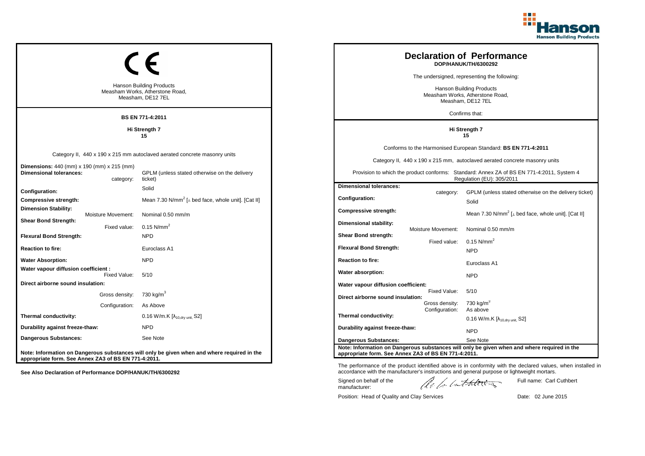

| <b>Hanson Building Products</b><br>Measham Works, Atherstone Road,<br>Measham, DE12 7EL<br><b>BS EN 771-4:2011</b> |                                  |                                                                                                                                       |                                                                                          |                                                  | <b>Declaration of Performance</b><br>DOP/HANUK/TH/6300292<br>The undersigned, representing the following:<br><b>Hanson Building Products</b><br>Measham Works, Atherstone Road,<br>Measham, DE12 7EL<br>Confirms that:                                                 |
|--------------------------------------------------------------------------------------------------------------------|----------------------------------|---------------------------------------------------------------------------------------------------------------------------------------|------------------------------------------------------------------------------------------|--------------------------------------------------|------------------------------------------------------------------------------------------------------------------------------------------------------------------------------------------------------------------------------------------------------------------------|
|                                                                                                                    |                                  | Hi Strength 7<br>15                                                                                                                   | Hi Strength 7<br>15                                                                      |                                                  |                                                                                                                                                                                                                                                                        |
| <b>Dimensions:</b> 440 (mm) x 190 (mm) x 215 (mm)<br><b>Dimensional tolerances:</b>                                | category:                        | Category II, 440 x 190 x 215 mm autoclaved aerated concrete masonry units<br>GPLM (unless stated otherwise on the delivery<br>ticket) |                                                                                          |                                                  | Conforms to the Harmonised European Standard: BS EN 771-4:2011<br>Category II, 440 x 190 x 215 mm, autoclaved aerated concrete masonry units<br>Provision to which the product conforms: Standard: Annex ZA of BS EN 771-4:2011, System 4<br>Regulation (EU): 305/2011 |
| Configuration:<br>Compressive strength:<br><b>Dimension Stability:</b>                                             | Moisture Movement:               | Solid<br>Mean 7.30 N/mm <sup>2</sup> [ $\perp$ bed face, whole unit]. [Cat II]<br>Nominal 0.50 mm/m                                   | <b>Dimensional tolerances:</b><br>Configuration:<br>Compressive strength:                | category:                                        | GPLM (unless stated otherwise on the delivery ticket)<br>Solid<br>Mean 7.30 N/mm <sup>2</sup> [ $\perp$ bed face, whole unit]. [Cat II]                                                                                                                                |
| <b>Shear Bond Strength:</b><br><b>Flexural Bond Strength:</b><br><b>Reaction to fire:</b>                          | Fixed value:                     | 0.15 N/mm <sup>2</sup><br><b>NPD</b><br>Euroclass A1                                                                                  | Dimensional stability:<br>Shear Bond strength:<br><b>Flexural Bond Strength:</b>         | Moisture Movement:<br>Fixed value:               | Nominal 0.50 mm/m<br>$0.15$ N/mm <sup>2</sup><br><b>NPD</b>                                                                                                                                                                                                            |
| <b>Water Absorption:</b><br>Water vapour diffusion coefficient :                                                   | Fixed Value:                     | <b>NPD</b><br>5/10                                                                                                                    | <b>Reaction to fire:</b><br>Water absorption:                                            |                                                  | Euroclass A1<br><b>NPD</b>                                                                                                                                                                                                                                             |
| Direct airborne sound insulation:                                                                                  | Gross density:<br>Configuration: | 730 kg/m <sup>3</sup><br>As Above                                                                                                     | Water vapour diffusion coefficient:<br>Direct airborne sound insulation:                 | Fixed Value:<br>Gross density:<br>Configuration: | 5/10<br>730 kg/m <sup>3</sup><br>As above                                                                                                                                                                                                                              |
| Thermal conductivity:<br>Durability against freeze-thaw:<br>Dangerous Substances:                                  |                                  | 0.16 W/m.K $[\lambda_{10, dry \text{ unit}}, S2]$<br><b>NPD</b><br>See Note                                                           | Thermal conductivity:<br>Durability against freeze-thaw:<br><b>Dangerous Substances:</b> |                                                  | $0.16$ W/m.K [ $\lambda_{10, dry \text{ unit}}$ , S2]<br><b>NPD</b><br>See Note                                                                                                                                                                                        |
| appropriate form. See Annex ZA3 of BS EN 771-4:2011.                                                               |                                  | Note: Information on Dangerous substances will only be given when and where required in the                                           | appropriate form. See Annex ZA3 of BS EN 771-4:2011.                                     |                                                  | Note: Information on Dangerous substances will only be given when and where required in the                                                                                                                                                                            |

The performance of the product identified above is in conformity with the declared values, when installed in accordance with the manufacturer's instructions and general purpose or lightweight mortars.

Signed on behalf of the manufacturer:

ach lathering

Full name: Carl Cuthbert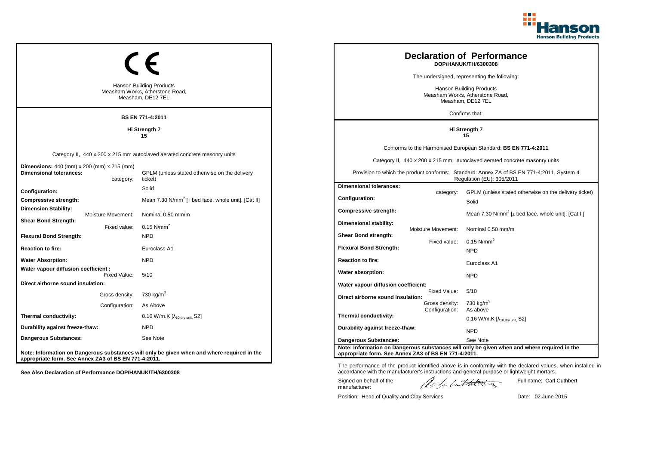

| <b>Hanson Building Products</b><br>Measham Works, Atherstone Road,<br>Measham, DE12 7EL          |                                                                                             |                                                      | <b>Declaration of Performance</b><br>DOP/HANUK/TH/6300308<br>The undersigned, representing the following:<br><b>Hanson Building Products</b><br>Measham Works, Atherstone Road,<br>Measham, DE12 7EL |                                                                                                                        |
|--------------------------------------------------------------------------------------------------|---------------------------------------------------------------------------------------------|------------------------------------------------------|------------------------------------------------------------------------------------------------------------------------------------------------------------------------------------------------------|------------------------------------------------------------------------------------------------------------------------|
|                                                                                                  | <b>BS EN 771-4:2011</b>                                                                     |                                                      |                                                                                                                                                                                                      | Confirms that:                                                                                                         |
|                                                                                                  | Hi Strength 7<br>15                                                                         |                                                      |                                                                                                                                                                                                      | Hi Strength 7<br>15                                                                                                    |
|                                                                                                  |                                                                                             |                                                      |                                                                                                                                                                                                      | Conforms to the Harmonised European Standard: BS EN 771-4:2011                                                         |
|                                                                                                  | Category II, 440 x 200 x 215 mm autoclaved aerated concrete masonry units                   |                                                      |                                                                                                                                                                                                      | Category II, 440 x 200 x 215 mm, autoclaved aerated concrete masonry units                                             |
| <b>Dimensions:</b> 440 (mm) x 200 (mm) x 215 (mm)<br><b>Dimensional tolerances:</b><br>category: | GPLM (unless stated otherwise on the delivery<br>ticket)                                    |                                                      |                                                                                                                                                                                                      | Provision to which the product conforms: Standard: Annex ZA of BS EN 771-4:2011, System 4<br>Regulation (EU): 305/2011 |
| Configuration:                                                                                   | Solid                                                                                       | <b>Dimensional tolerances:</b>                       |                                                                                                                                                                                                      | GPLM (unless stated otherwise on the delivery ticket)                                                                  |
| Compressive strength:                                                                            | Mean 7.30 N/mm <sup>2</sup> [ $\perp$ bed face, whole unit]. [Cat II]                       | Configuration:                                       | category:                                                                                                                                                                                            | Solid                                                                                                                  |
| <b>Dimension Stability:</b><br>Moisture Movement:                                                | Nominal 0.50 mm/m                                                                           | <b>Compressive strength:</b>                         |                                                                                                                                                                                                      | Mean 7.30 N/mm <sup>2</sup> [ $\perp$ bed face, whole unit]. [Cat II]                                                  |
| <b>Shear Bond Strength:</b><br>Fixed value:                                                      | $0.15$ N/mm <sup>2</sup>                                                                    | Dimensional stability:                               | Moisture Movement:                                                                                                                                                                                   | Nominal 0.50 mm/m                                                                                                      |
| <b>Flexural Bond Strength:</b>                                                                   | <b>NPD</b>                                                                                  | <b>Shear Bond strength:</b>                          |                                                                                                                                                                                                      |                                                                                                                        |
| <b>Reaction to fire:</b>                                                                         | Euroclass A1                                                                                | <b>Flexural Bond Strength:</b>                       | Fixed value:                                                                                                                                                                                         | 0.15 $N/mm^2$<br><b>NPD</b>                                                                                            |
| <b>Water Absorption:</b>                                                                         | <b>NPD</b>                                                                                  | <b>Reaction to fire:</b>                             |                                                                                                                                                                                                      | Euroclass A1                                                                                                           |
| Water vapour diffusion coefficient:<br>Fixed Value:                                              | 5/10                                                                                        | Water absorption:                                    |                                                                                                                                                                                                      | <b>NPD</b>                                                                                                             |
| Direct airborne sound insulation:                                                                |                                                                                             | Water vapour diffusion coefficient:                  |                                                                                                                                                                                                      |                                                                                                                        |
| Gross density:                                                                                   | 730 kg/m <sup>3</sup>                                                                       | Direct airborne sound insulation:                    | Fixed Value:                                                                                                                                                                                         | 5/10                                                                                                                   |
| Configuration:                                                                                   | As Above                                                                                    |                                                      | Gross density:<br>Configuration:                                                                                                                                                                     | 730 kg/m <sup>3</sup><br>As above                                                                                      |
| Thermal conductivity:                                                                            | $0.16$ W/m.K $[\lambda_{10, dry \text{ unit}}, S2]$                                         | Thermal conductivity:                                |                                                                                                                                                                                                      | $0.16$ W/m.K [ $\lambda_{10, dry \text{ unit}}$ , S2]                                                                  |
| Durability against freeze-thaw:                                                                  | <b>NPD</b>                                                                                  | Durability against freeze-thaw:                      |                                                                                                                                                                                                      | <b>NPD</b>                                                                                                             |
| Dangerous Substances:                                                                            | See Note                                                                                    | <b>Dangerous Substances:</b>                         |                                                                                                                                                                                                      | See Note                                                                                                               |
| appropriate form. See Annex ZA3 of BS EN 771-4:2011.                                             | Note: Information on Dangerous substances will only be given when and where required in the | appropriate form. See Annex ZA3 of BS EN 771-4:2011. |                                                                                                                                                                                                      | Note: Information on Dangerous substances will only be given when and where required in the                            |

The performance of the product identified above is in conformity with the declared values, when installed in accordance with the manufacturer's instructions and general purpose or lightweight mortars.

Signed on behalf of the manufacturer:

ach lathering

Full name: Carl Cuthbert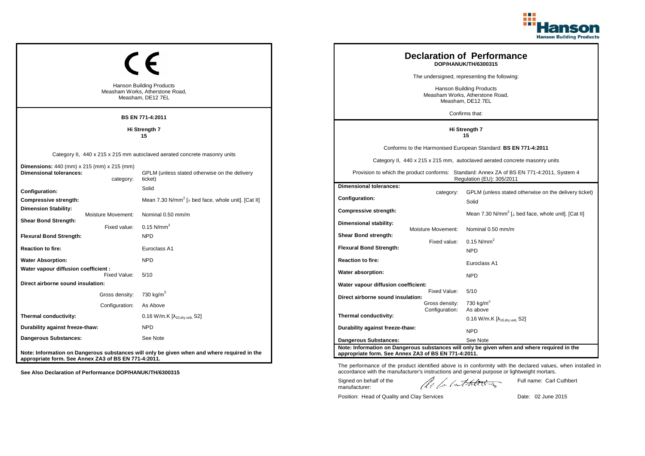

| <b>Hanson Building Products</b><br>Measham Works, Atherstone Road,<br>Measham, DE12 7EL             |                                                                                                                                       | <b>Declaration of Performance</b><br>DOP/HANUK/TH/6300315<br>The undersigned, representing the following:<br><b>Hanson Building Products</b><br>Measham Works, Atherstone Road,<br>Measham, DE12 7EL<br>Confirms that: |                                                  |                                                                                                                                                                                                                                                                        |
|-----------------------------------------------------------------------------------------------------|---------------------------------------------------------------------------------------------------------------------------------------|------------------------------------------------------------------------------------------------------------------------------------------------------------------------------------------------------------------------|--------------------------------------------------|------------------------------------------------------------------------------------------------------------------------------------------------------------------------------------------------------------------------------------------------------------------------|
|                                                                                                     | <b>BS EN 771-4:2011</b>                                                                                                               |                                                                                                                                                                                                                        |                                                  |                                                                                                                                                                                                                                                                        |
|                                                                                                     | Hi Strength 7<br>15                                                                                                                   |                                                                                                                                                                                                                        |                                                  | Hi Strength 7<br>15                                                                                                                                                                                                                                                    |
| <b>Dimensions:</b> 440 (mm) x 215 (mm) x 215 (mm)<br><b>Dimensional tolerances:</b>                 | Category II, 440 x 215 x 215 mm autoclaved aerated concrete masonry units<br>GPLM (unless stated otherwise on the delivery<br>ticket) |                                                                                                                                                                                                                        |                                                  | Conforms to the Harmonised European Standard: BS EN 771-4:2011<br>Category II, 440 x 215 x 215 mm, autoclaved aerated concrete masonry units<br>Provision to which the product conforms: Standard: Annex ZA of BS EN 771-4:2011, System 4<br>Regulation (EU): 305/2011 |
| category:<br>Configuration:<br>Compressive strength:<br><b>Dimension Stability:</b>                 | Solid<br>Mean 7.30 N/mm <sup>2</sup> [ $\perp$ bed face, whole unit]. [Cat II]                                                        | <b>Dimensional tolerances:</b><br>Configuration:                                                                                                                                                                       | category:                                        | GPLM (unless stated otherwise on the delivery ticket)<br>Solid                                                                                                                                                                                                         |
| Moisture Movement:<br><b>Shear Bond Strength:</b><br>Fixed value:<br><b>Flexural Bond Strength:</b> | Nominal 0.50 mm/m<br>$0.15$ N/mm <sup>2</sup><br><b>NPD</b>                                                                           | <b>Compressive strength:</b><br>Dimensional stability:<br><b>Shear Bond strength:</b>                                                                                                                                  | Moisture Movement:                               | Mean 7.30 N/mm <sup>2</sup> [ $\perp$ bed face, whole unit]. [Cat II]<br>Nominal 0.50 mm/m                                                                                                                                                                             |
| <b>Reaction to fire:</b>                                                                            | Euroclass A1                                                                                                                          | <b>Flexural Bond Strength:</b>                                                                                                                                                                                         | Fixed value:                                     | 0.15 $N/mm^2$<br><b>NPD</b>                                                                                                                                                                                                                                            |
| <b>Water Absorption:</b><br>Water vapour diffusion coefficient:                                     | <b>NPD</b>                                                                                                                            | <b>Reaction to fire:</b><br>Water absorption:                                                                                                                                                                          |                                                  | Euroclass A1                                                                                                                                                                                                                                                           |
| Fixed Value:<br>Direct airborne sound insulation:                                                   | 5/10                                                                                                                                  | Water vapour diffusion coefficient:                                                                                                                                                                                    |                                                  | <b>NPD</b>                                                                                                                                                                                                                                                             |
| Gross density:<br>Configuration:                                                                    | 730 kg/m <sup>3</sup><br>As Above                                                                                                     | Direct airborne sound insulation:                                                                                                                                                                                      | Fixed Value:<br>Gross density:<br>Configuration: | 5/10<br>730 kg/m <sup>3</sup><br>As above                                                                                                                                                                                                                              |
| Thermal conductivity:                                                                               | $0.16$ W/m.K $[\lambda_{10, dry \text{ unit}}, S2]$                                                                                   | Thermal conductivity:                                                                                                                                                                                                  |                                                  | $0.16$ W/m.K [ $\lambda_{10, dry \text{ unit}}$ , S2]                                                                                                                                                                                                                  |
| Durability against freeze-thaw:                                                                     | <b>NPD</b>                                                                                                                            | Durability against freeze-thaw:                                                                                                                                                                                        |                                                  | <b>NPD</b>                                                                                                                                                                                                                                                             |
| Dangerous Substances:                                                                               | See Note                                                                                                                              | <b>Dangerous Substances:</b>                                                                                                                                                                                           |                                                  | See Note                                                                                                                                                                                                                                                               |
| appropriate form. See Annex ZA3 of BS EN 771-4:2011.                                                | Note: Information on Dangerous substances will only be given when and where required in the                                           | appropriate form. See Annex ZA3 of BS EN 771-4:2011.                                                                                                                                                                   |                                                  | Note: Information on Dangerous substances will only be given when and where required in the                                                                                                                                                                            |

Position: Head of Quality and Clay Services Date: 02 June 2015

Signed on behalf of the manufacturer:

Full name: Carl Cuthbert

The performance of the product identified above is in conformity with the declared values, when installed in accordance with the manufacturer's instructions and general purpose or lightweight mortars.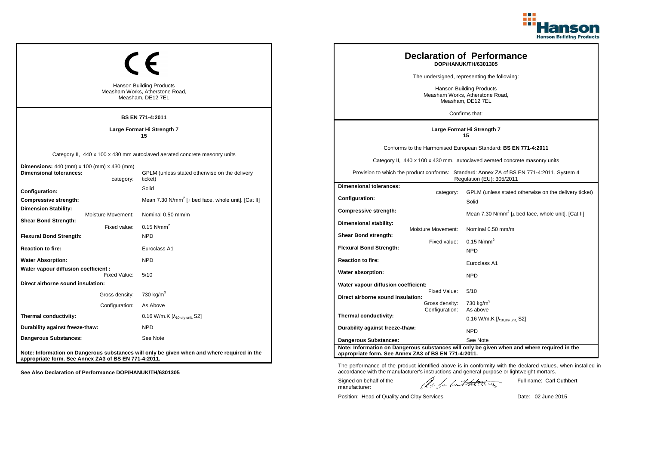

| <b>Hanson Building Products</b><br>Measham Works, Atherstone Road,<br>Measham, DE12 7EL<br><b>BS EN 771-4:2011</b> | <b>Declaration of Performance</b><br>DOP/HANUK/TH/6301305<br>The undersigned, representing the following:<br>Hanson Building Products<br>Measham Works, Atherstone Road,<br>Measham, DE12 7EL<br>Confirms that: |                                                                                      |                                                  |                                                                                                                                                                                                                                                                        |
|--------------------------------------------------------------------------------------------------------------------|-----------------------------------------------------------------------------------------------------------------------------------------------------------------------------------------------------------------|--------------------------------------------------------------------------------------|--------------------------------------------------|------------------------------------------------------------------------------------------------------------------------------------------------------------------------------------------------------------------------------------------------------------------------|
|                                                                                                                    | Large Format Hi Strength 7<br>15                                                                                                                                                                                |                                                                                      |                                                  | Large Format Hi Strength 7<br>15                                                                                                                                                                                                                                       |
| <b>Dimensions:</b> 440 (mm) x 100 (mm) x 430 (mm)<br><b>Dimensional tolerances:</b><br>category:                   | Category II, 440 x 100 x 430 mm autoclaved aerated concrete masonry units<br>GPLM (unless stated otherwise on the delivery<br>ticket)                                                                           |                                                                                      |                                                  | Conforms to the Harmonised European Standard: BS EN 771-4:2011<br>Category II, 440 x 100 x 430 mm, autoclaved aerated concrete masonry units<br>Provision to which the product conforms: Standard: Annex ZA of BS EN 771-4:2011, System 4<br>Regulation (EU): 305/2011 |
| Configuration:<br>Compressive strength:<br><b>Dimension Stability:</b><br>Moisture Movement:                       | Solid<br>Mean 7.30 N/mm <sup>2</sup> [ $\perp$ bed face, whole unit]. [Cat II]<br>Nominal 0.50 mm/m                                                                                                             | <b>Dimensional tolerances:</b><br>Configuration:<br>Compressive strength:            | category:                                        | GPLM (unless stated otherwise on the delivery ticket)<br>Solid<br>Mean 7.30 N/mm <sup>2</sup> [ $\perp$ bed face, whole unit]. [Cat II]                                                                                                                                |
| <b>Shear Bond Strength:</b><br>Fixed value:<br><b>Flexural Bond Strength:</b><br><b>Reaction to fire:</b>          | $0.15$ N/mm <sup>2</sup><br><b>NPD</b><br>Euroclass A1                                                                                                                                                          | Dimensional stability:<br>Shear Bond strength:<br><b>Flexural Bond Strength:</b>     | <b>Moisture Movement:</b><br>Fixed value:        | Nominal 0.50 mm/m<br>$0.15$ N/mm <sup>2</sup><br><b>NPD</b>                                                                                                                                                                                                            |
| <b>Water Absorption:</b><br>Water vapour diffusion coefficient :<br>Fixed Value:                                   | <b>NPD</b><br>5/10                                                                                                                                                                                              | <b>Reaction to fire:</b><br>Water absorption:                                        |                                                  | Euroclass A1<br><b>NPD</b>                                                                                                                                                                                                                                             |
| Direct airborne sound insulation:<br>Gross density:<br>Configuration:                                              | 730 kg/m <sup>3</sup><br>As Above                                                                                                                                                                               | Water vapour diffusion coefficient:<br>Direct airborne sound insulation:             | Fixed Value:<br>Gross density:<br>Configuration: | 5/10<br>730 kg/m <sup>3</sup><br>As above                                                                                                                                                                                                                              |
| Thermal conductivity:<br>Durability against freeze-thaw:                                                           | 0.16 W/m.K $[\lambda_{10, dry \text{ unit}}, S2]$<br><b>NPD</b>                                                                                                                                                 | Thermal conductivity:<br>Durability against freeze-thaw:                             |                                                  | 0.16 W/m.K $[\lambda_{10.0}$ <sub>W unit.</sub> S2]<br><b>NPD</b>                                                                                                                                                                                                      |
| <b>Dangerous Substances:</b><br>appropriate form. See Annex ZA3 of BS EN 771-4:2011.                               | See Note<br>Note: Information on Dangerous substances will only be given when and where required in the                                                                                                         | <b>Dangerous Substances:</b><br>appropriate form. See Annex ZA3 of BS EN 771-4:2011. |                                                  | See Note<br>Note: Information on Dangerous substances will only be given when and where required in the                                                                                                                                                                |

Signed on behalf of the manufacturer:

Position: Head of Quality and Clay Services Date: 02 June 2015

Full name: Carl Cuthbert

The performance of the product identified above is in conformity with the declared values, when installed in accordance with the manufacturer's instructions and general purpose or lightweight mortars.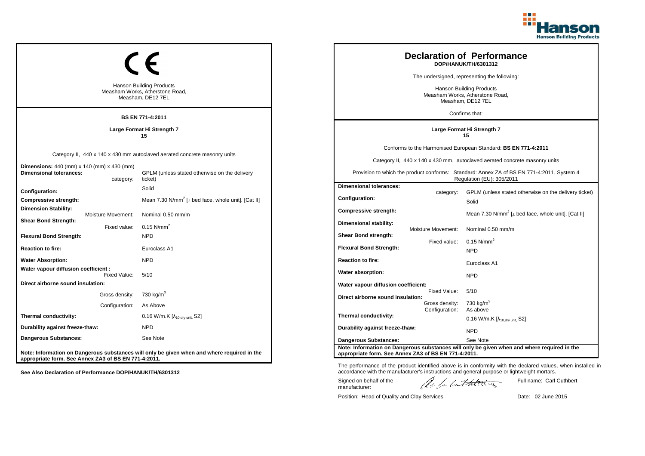

| <b>Hanson Building Products</b><br>Measham Works, Atherstone Road,<br>Measham, DE12 7EL          | <b>Declaration of Performance</b><br>DOP/HANUK/TH/6301312<br>The undersigned, representing the following:<br>Hanson Building Products<br>Measham Works, Atherstone Road,<br>Measham, DE12 7EL<br>Confirms that: |                                                                                  |                                           |                                                                                                                                                                                                                                                                        |
|--------------------------------------------------------------------------------------------------|-----------------------------------------------------------------------------------------------------------------------------------------------------------------------------------------------------------------|----------------------------------------------------------------------------------|-------------------------------------------|------------------------------------------------------------------------------------------------------------------------------------------------------------------------------------------------------------------------------------------------------------------------|
|                                                                                                  | <b>BS EN 771-4:2011</b><br>Large Format Hi Strength 7<br>15                                                                                                                                                     | Large Format Hi Strength 7<br>15                                                 |                                           |                                                                                                                                                                                                                                                                        |
| <b>Dimensions:</b> 440 (mm) x 140 (mm) x 430 (mm)<br><b>Dimensional tolerances:</b><br>category: | Category II, 440 x 140 x 430 mm autoclaved aerated concrete masonry units<br>GPLM (unless stated otherwise on the delivery<br>ticket)                                                                           |                                                                                  |                                           | Conforms to the Harmonised European Standard: BS EN 771-4:2011<br>Category II, 440 x 140 x 430 mm, autoclaved aerated concrete masonry units<br>Provision to which the product conforms: Standard: Annex ZA of BS EN 771-4:2011, System 4<br>Regulation (EU): 305/2011 |
| Configuration:<br>Compressive strength:<br><b>Dimension Stability:</b><br>Moisture Movement:     | Solid<br>Mean 7.30 N/mm <sup>2</sup> [ $\perp$ bed face, whole unit]. [Cat II]                                                                                                                                  | <b>Dimensional tolerances:</b><br><b>Configuration:</b><br>Compressive strength: | category:                                 | GPLM (unless stated otherwise on the delivery ticket)<br>Solid<br>Mean 7.30 N/mm <sup>2</sup> [⊥ bed face, whole unit]. [Cat II]                                                                                                                                       |
| <b>Shear Bond Strength:</b><br>Fixed value:<br><b>Flexural Bond Strength:</b>                    | Nominal 0.50 mm/m<br>$0.15$ N/mm <sup>2</sup><br><b>NPD</b>                                                                                                                                                     | Dimensional stability:<br>Shear Bond strength:<br><b>Flexural Bond Strength:</b> | <b>Moisture Movement:</b><br>Fixed value: | Nominal 0.50 mm/m<br>$0.15$ N/mm <sup>2</sup>                                                                                                                                                                                                                          |
| <b>Reaction to fire:</b><br><b>Water Absorption:</b><br>Water vapour diffusion coefficient :     | Euroclass A1<br><b>NPD</b>                                                                                                                                                                                      | <b>Reaction to fire:</b>                                                         |                                           | <b>NPD</b><br>Euroclass A1                                                                                                                                                                                                                                             |
| Fixed Value:<br>Direct airborne sound insulation:                                                | 5/10                                                                                                                                                                                                            | Water absorption:<br>Water vapour diffusion coefficient:                         | Fixed Value:                              | <b>NPD</b><br>5/10                                                                                                                                                                                                                                                     |
| Gross density: 730 kg/m <sup>3</sup><br>Configuration:                                           | As Above                                                                                                                                                                                                        | Direct airborne sound insulation:                                                | Gross density:<br>Configuration:          | 730 kg/m $3$<br>As above                                                                                                                                                                                                                                               |
| Thermal conductivity:<br>Durability against freeze-thaw:                                         | 0.16 W/m.K [λ <sub>10,dry unit,</sub> S2]<br><b>NPD</b>                                                                                                                                                         | Thermal conductivity:<br>Durability against freeze-thaw:                         |                                           | 0.16 W/m.K $[\lambda_{10.0}$ <sub>W unit.</sub> S2]                                                                                                                                                                                                                    |
| <b>Dangerous Substances:</b>                                                                     | See Note                                                                                                                                                                                                        | Dangerous Substances:                                                            |                                           | <b>NPD</b><br>See Note<br>Note: Information on Dangerous substances will only be given when and where required in the                                                                                                                                                  |
| appropriate form. See Annex ZA3 of BS EN 771-4:2011.                                             | Note: Information on Dangerous substances will only be given when and where required in the                                                                                                                     | appropriate form. See Annex ZA3 of BS EN 771-4:2011.                             |                                           |                                                                                                                                                                                                                                                                        |

The performance of the product identified above is in conformity with the declared values, when installed in accordance with the manufacturer's instructions and general purpose or lightweight mortars.

Signed on behalf of the manufacturer:

ach lathering

Full name: Carl Cuthbert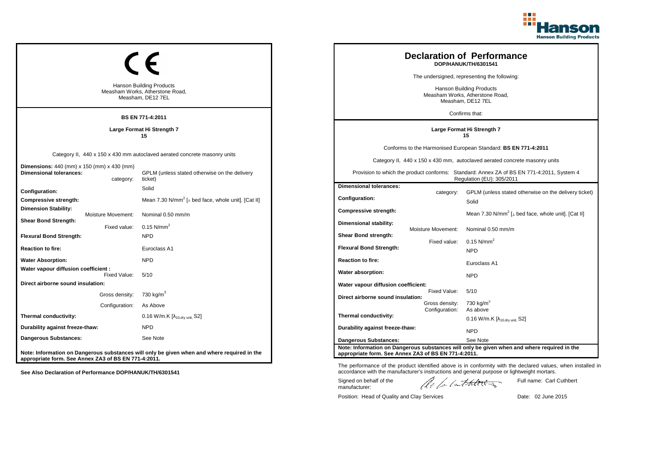

| <b>Hanson Building Products</b><br>Measham Works, Atherstone Road,<br>Measham, DE12 7EL<br><b>BS EN 771-4:2011</b> | <b>Declaration of Performance</b><br>DOP/HANUK/TH/6301541<br>The undersigned, representing the following:<br>Hanson Building Products<br>Measham Works, Atherstone Road,<br>Measham, DE12 7EL<br>Confirms that: |                                                                                      |                                           |                                                                                                                                                                                                                                                                        |
|--------------------------------------------------------------------------------------------------------------------|-----------------------------------------------------------------------------------------------------------------------------------------------------------------------------------------------------------------|--------------------------------------------------------------------------------------|-------------------------------------------|------------------------------------------------------------------------------------------------------------------------------------------------------------------------------------------------------------------------------------------------------------------------|
|                                                                                                                    | Large Format Hi Strength 7<br>15                                                                                                                                                                                | Large Format Hi Strength 7<br>15                                                     |                                           |                                                                                                                                                                                                                                                                        |
| <b>Dimensions:</b> 440 (mm) x 150 (mm) x 430 (mm)<br><b>Dimensional tolerances:</b><br>category:                   | Category II, 440 x 150 x 430 mm autoclaved aerated concrete masonry units<br>GPLM (unless stated otherwise on the delivery<br>ticket)                                                                           |                                                                                      |                                           | Conforms to the Harmonised European Standard: BS EN 771-4:2011<br>Category II, 440 x 150 x 430 mm, autoclaved aerated concrete masonry units<br>Provision to which the product conforms: Standard: Annex ZA of BS EN 771-4:2011, System 4<br>Regulation (EU): 305/2011 |
| Configuration:<br>Compressive strength:<br><b>Dimension Stability:</b><br>Moisture Movement:                       | Solid<br>Mean 7.30 N/mm <sup>2</sup> [ $\perp$ bed face, whole unit]. [Cat II]<br>Nominal 0.50 mm/m                                                                                                             | <b>Dimensional tolerances:</b><br>Configuration:<br><b>Compressive strength:</b>     | category:                                 | GPLM (unless stated otherwise on the delivery ticket)<br>Solid<br>Mean 7.30 N/mm <sup>2</sup> [ $\perp$ bed face, whole unit]. [Cat II]                                                                                                                                |
| <b>Shear Bond Strength:</b><br>Fixed value:<br><b>Flexural Bond Strength:</b><br><b>Reaction to fire:</b>          | $0.15$ N/mm <sup>2</sup><br><b>NPD</b><br>Euroclass A1                                                                                                                                                          | Dimensional stability:<br>Shear Bond strength:<br><b>Flexural Bond Strength:</b>     | <b>Moisture Movement:</b><br>Fixed value: | Nominal 0.50 mm/m<br>$0.15$ N/mm <sup>2</sup>                                                                                                                                                                                                                          |
| <b>Water Absorption:</b><br>Water vapour diffusion coefficient :                                                   | <b>NPD</b>                                                                                                                                                                                                      | <b>Reaction to fire:</b><br>Water absorption:                                        |                                           | <b>NPD</b><br>Euroclass A1                                                                                                                                                                                                                                             |
| Fixed Value:<br>Direct airborne sound insulation:<br>Gross density:<br>Configuration:                              | 5/10<br>730 kg/m <sup>3</sup><br>As Above                                                                                                                                                                       | Water vapour diffusion coefficient:<br>Direct airborne sound insulation:             | Fixed Value:<br>Gross density:            | <b>NPD</b><br>5/10<br>730 kg/m $3$                                                                                                                                                                                                                                     |
| Thermal conductivity:<br>Durability against freeze-thaw:                                                           | 0.16 W/m.K $[\lambda_{10, dry \text{ unit}}, S2]$<br><b>NPD</b>                                                                                                                                                 | Thermal conductivity:<br>Durability against freeze-thaw:                             | Configuration:                            | As above<br>0.16 W/m.K $[\lambda_{10.0}$ <sub>W unit.</sub> S2]<br><b>NPD</b>                                                                                                                                                                                          |
| <b>Dangerous Substances:</b><br>appropriate form. See Annex ZA3 of BS EN 771-4:2011.                               | See Note<br>Note: Information on Dangerous substances will only be given when and where required in the                                                                                                         | <b>Dangerous Substances:</b><br>appropriate form. See Annex ZA3 of BS EN 771-4:2011. |                                           | See Note<br>Note: Information on Dangerous substances will only be given when and where required in the                                                                                                                                                                |

Signed on behalf of the manufacturer:

Position: Head of Quality and Clay Services Date: 02 June 2015

Full name: Carl Cuthbert

The performance of the product identified above is in conformity with the declared values, when installed in accordance with the manufacturer's instructions and general purpose or lightweight mortars.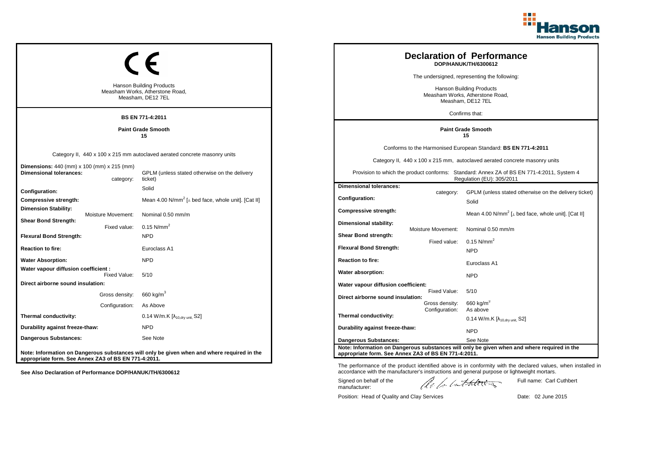

| <b>Hanson Building Products</b><br>Measham Works, Atherstone Road,<br>Measham, DE12 7EL<br><b>BS EN 771-4:2011</b> | <b>Declaration of Performance</b><br>DOP/HANUK/TH/6300612<br>The undersigned, representing the following:<br><b>Hanson Building Products</b><br>Measham Works, Atherstone Road,<br>Measham, DE12 7EL<br>Confirms that: |                                                                                  |                                                  |                                                                                                                                                                                                                                                                        |
|--------------------------------------------------------------------------------------------------------------------|------------------------------------------------------------------------------------------------------------------------------------------------------------------------------------------------------------------------|----------------------------------------------------------------------------------|--------------------------------------------------|------------------------------------------------------------------------------------------------------------------------------------------------------------------------------------------------------------------------------------------------------------------------|
|                                                                                                                    | <b>Paint Grade Smooth</b><br>15                                                                                                                                                                                        |                                                                                  |                                                  | <b>Paint Grade Smooth</b><br>15                                                                                                                                                                                                                                        |
| <b>Dimensions:</b> 440 (mm) x 100 (mm) x 215 (mm)<br><b>Dimensional tolerances:</b><br>category:                   | Category II, 440 x 100 x 215 mm autoclaved aerated concrete masonry units<br>GPLM (unless stated otherwise on the delivery<br>ticket)                                                                                  |                                                                                  |                                                  | Conforms to the Harmonised European Standard: BS EN 771-4:2011<br>Category II, 440 x 100 x 215 mm, autoclaved aerated concrete masonry units<br>Provision to which the product conforms: Standard: Annex ZA of BS EN 771-4:2011, System 4<br>Regulation (EU): 305/2011 |
| Configuration:<br>Compressive strength:<br><b>Dimension Stability:</b><br>Moisture Movement:                       | Solid<br>Mean 4.00 N/mm <sup>2</sup> [ $\perp$ bed face, whole unit]. [Cat II]<br>Nominal 0.50 mm/m                                                                                                                    | <b>Dimensional tolerances:</b><br>Configuration:<br><b>Compressive strength:</b> | category:                                        | GPLM (unless stated otherwise on the delivery ticket)<br>Solid<br>Mean 4.00 N/mm <sup>2</sup> [⊥ bed face, whole unit]. [Cat II]                                                                                                                                       |
| <b>Shear Bond Strength:</b><br>Fixed value:<br><b>Flexural Bond Strength:</b><br><b>Reaction to fire:</b>          | $0.15$ N/mm <sup>2</sup><br><b>NPD</b><br>Euroclass A1                                                                                                                                                                 | Dimensional stability:<br>Shear Bond strength:<br><b>Flexural Bond Strength:</b> | <b>Moisture Movement:</b><br>Fixed value:        | Nominal 0.50 mm/m<br>$0.15$ N/mm <sup>2</sup><br><b>NPD</b>                                                                                                                                                                                                            |
| <b>Water Absorption:</b><br>Water vapour diffusion coefficient :<br>Fixed Value:                                   | <b>NPD</b><br>5/10                                                                                                                                                                                                     | <b>Reaction to fire:</b><br>Water absorption:                                    |                                                  | Euroclass A1<br><b>NPD</b>                                                                                                                                                                                                                                             |
| Direct airborne sound insulation:<br>Gross density:<br>Configuration:                                              | 660 kg/m $^3$<br>As Above                                                                                                                                                                                              | Water vapour diffusion coefficient:<br>Direct airborne sound insulation:         | Fixed Value:<br>Gross density:<br>Configuration: | 5/10<br>660 kg/m <sup>3</sup><br>As above                                                                                                                                                                                                                              |
| Thermal conductivity:<br>Durability against freeze-thaw:<br><b>Dangerous Substances:</b>                           | 0.14 W/m.K $[\lambda_{10.0}$ <sub>W unit.</sub> S2]<br><b>NPD</b><br>See Note                                                                                                                                          | Thermal conductivity:<br>Durability against freeze-thaw:                         |                                                  | 0.14 W/m.K $[\lambda_{10, dry \text{ unit}}, S2]$<br><b>NPD</b>                                                                                                                                                                                                        |
| appropriate form. See Annex ZA3 of BS EN 771-4:2011.                                                               | Note: Information on Dangerous substances will only be given when and where required in the                                                                                                                            | Dangerous Substances:<br>appropriate form. See Annex ZA3 of BS EN 771-4:2011.    |                                                  | See Note<br>Note: Information on Dangerous substances will only be given when and where required in the                                                                                                                                                                |

Position: Head of Quality and Clay Services Date: 02 June 2015

Signed on behalf of the manufacturer:

Full name: Carl Cuthbert

The performance of the product identified above is in conformity with the declared values, when installed in accordance with the manufacturer's instructions and general purpose or lightweight mortars.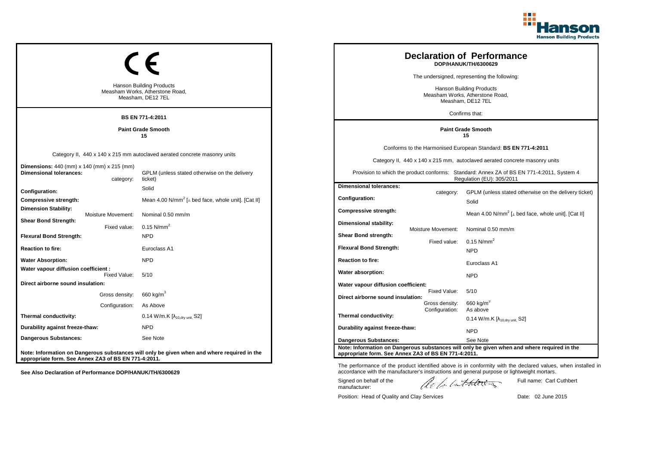

| <b>Hanson Building Products</b><br>Measham Works, Atherstone Road,<br>Measham, DE12 7EL<br><b>BS EN 771-4:2011</b> |                                | <b>Declaration of Performance</b><br>DOP/HANUK/TH/6300629<br>The undersigned, representing the following:<br>Hanson Building Products<br>Measham Works, Atherstone Road,<br>Measham, DE12 7EL<br>Confirms that: |                                                                                  |                                           |                                                                                                                                                                                                                                                                        |
|--------------------------------------------------------------------------------------------------------------------|--------------------------------|-----------------------------------------------------------------------------------------------------------------------------------------------------------------------------------------------------------------|----------------------------------------------------------------------------------|-------------------------------------------|------------------------------------------------------------------------------------------------------------------------------------------------------------------------------------------------------------------------------------------------------------------------|
|                                                                                                                    |                                | <b>Paint Grade Smooth</b><br>15                                                                                                                                                                                 | <b>Paint Grade Smooth</b><br>15                                                  |                                           |                                                                                                                                                                                                                                                                        |
| <b>Dimensions:</b> 440 (mm) x 140 (mm) x 215 (mm)<br><b>Dimensional tolerances:</b>                                | category:                      | Category II, 440 x 140 x 215 mm autoclaved aerated concrete masonry units<br>GPLM (unless stated otherwise on the delivery<br>ticket)                                                                           |                                                                                  |                                           | Conforms to the Harmonised European Standard: BS EN 771-4:2011<br>Category II, 440 x 140 x 215 mm, autoclaved aerated concrete masonry units<br>Provision to which the product conforms: Standard: Annex ZA of BS EN 771-4:2011, System 4<br>Regulation (EU): 305/2011 |
| Configuration:<br>Compressive strength:<br><b>Dimension Stability:</b>                                             |                                | Solid<br>Mean 4.00 N/mm <sup>2</sup> [⊥ bed face, whole unit]. [Cat II]                                                                                                                                         | <b>Dimensional tolerances:</b><br>Configuration:<br><b>Compressive strength:</b> | category:                                 | GPLM (unless stated otherwise on the delivery ticket)<br>Solid<br>Mean 4.00 N/mm <sup>2</sup> [ $\perp$ bed face, whole unit]. [Cat II]                                                                                                                                |
| Moisture Movement:<br><b>Shear Bond Strength:</b><br><b>Flexural Bond Strength:</b>                                | Fixed value:                   | Nominal 0.50 mm/m<br>0.15 $N/mm^2$<br><b>NPD</b>                                                                                                                                                                | Dimensional stability:<br>Shear Bond strength:<br><b>Flexural Bond Strength:</b> | <b>Moisture Movement:</b><br>Fixed value: | Nominal 0.50 mm/m<br>$0.15$ N/mm <sup>2</sup>                                                                                                                                                                                                                          |
| <b>Reaction to fire:</b><br><b>Water Absorption:</b><br>Water vapour diffusion coefficient :                       |                                | Euroclass A1<br><b>NPD</b>                                                                                                                                                                                      | <b>Reaction to fire:</b><br>Water absorption:                                    |                                           | <b>NPD</b><br>Euroclass A1                                                                                                                                                                                                                                             |
| Direct airborne sound insulation:                                                                                  | Fixed Value:<br>Gross density: | 5/10<br>660 kg/m <sup>3</sup>                                                                                                                                                                                   | Water vapour diffusion coefficient:<br>Direct airborne sound insulation:         | Fixed Value:<br>Gross density:            | <b>NPD</b><br>5/10<br>$660$ kg/m <sup>3</sup>                                                                                                                                                                                                                          |
| Thermal conductivity:<br>Durability against freeze-thaw:                                                           | Configuration:                 | As Above<br>$0.14$ W/m.K $[\lambda_{10, dry \text{ unit}}, S2]$<br><b>NPD</b>                                                                                                                                   | Thermal conductivity:<br>Durability against freeze-thaw:                         | Configuration:                            | As above<br>$0.14$ W/m.K [ $\lambda_{10, dry \text{ unit}}$ , S2]<br><b>NPD</b>                                                                                                                                                                                        |
| Dangerous Substances:<br>appropriate form. See Annex ZA3 of BS EN 771-4:2011.                                      |                                | See Note<br>Note: Information on Dangerous substances will only be given when and where required in the                                                                                                         | Dangerous Substances:<br>appropriate form. See Annex ZA3 of BS EN 771-4:2011.    |                                           | See Note<br>Note: Information on Dangerous substances will only be given when and where required in the                                                                                                                                                                |

Position: Head of Quality and Clay Services Date: 02 June 2015

Signed on behalf of the manufacturer:

Full name: Carl Cuthbert

The performance of the product identified above is in conformity with the declared values, when installed in accordance with the manufacturer's instructions and general purpose or lightweight mortars.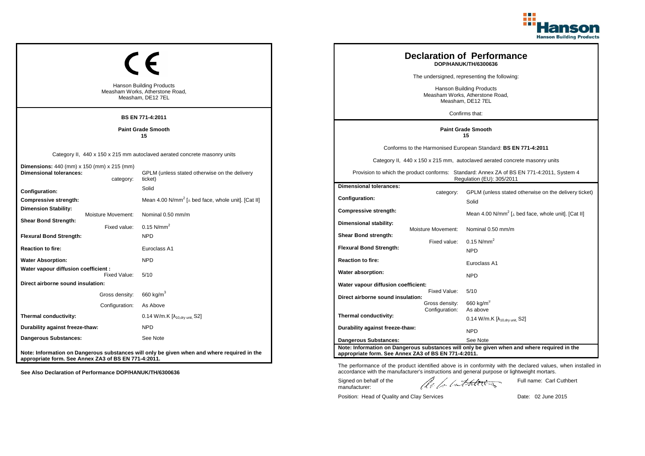

| <b>Hanson Building Products</b><br>Measham Works, Atherstone Road,<br>Measham, DE12 7EL<br><b>BS EN 771-4:2011</b>              |                                                                                                                                       | <b>Declaration of Performance</b><br>DOP/HANUK/TH/6300636<br>The undersigned, representing the following:<br>Hanson Building Products<br>Measham Works, Atherstone Road,<br>Measham, DE12 7EL<br>Confirms that: |                                           |                                                                                                                                                                                                                                                                        |
|---------------------------------------------------------------------------------------------------------------------------------|---------------------------------------------------------------------------------------------------------------------------------------|-----------------------------------------------------------------------------------------------------------------------------------------------------------------------------------------------------------------|-------------------------------------------|------------------------------------------------------------------------------------------------------------------------------------------------------------------------------------------------------------------------------------------------------------------------|
|                                                                                                                                 | <b>Paint Grade Smooth</b><br>15                                                                                                       | <b>Paint Grade Smooth</b><br>15                                                                                                                                                                                 |                                           |                                                                                                                                                                                                                                                                        |
| <b>Dimensions:</b> 440 (mm) x 150 (mm) x 215 (mm)<br><b>Dimensional tolerances:</b><br>category:                                | Category II, 440 x 150 x 215 mm autoclaved aerated concrete masonry units<br>GPLM (unless stated otherwise on the delivery<br>ticket) |                                                                                                                                                                                                                 |                                           | Conforms to the Harmonised European Standard: BS EN 771-4:2011<br>Category II, 440 x 150 x 215 mm, autoclaved aerated concrete masonry units<br>Provision to which the product conforms: Standard: Annex ZA of BS EN 771-4:2011, System 4<br>Regulation (EU): 305/2011 |
| Configuration:<br>Compressive strength:<br><b>Dimension Stability:</b>                                                          | Solid<br>Mean 4.00 N/mm <sup>2</sup> [ $\perp$ bed face, whole unit]. [Cat II]                                                        | <b>Dimensional tolerances:</b><br>Configuration:<br><b>Compressive strength:</b>                                                                                                                                | category:                                 | GPLM (unless stated otherwise on the delivery ticket)<br>Solid<br>Mean 4.00 N/mm <sup>2</sup> [ $\perp$ bed face, whole unit]. [Cat II]                                                                                                                                |
| Moisture Movement:<br><b>Shear Bond Strength:</b><br>Fixed value:<br><b>Flexural Bond Strength:</b><br><b>Reaction to fire:</b> | Nominal 0.50 mm/m<br>0.15 $N/mm^2$<br><b>NPD</b><br>Euroclass A1                                                                      | Dimensional stability:<br>Shear Bond strength:<br><b>Flexural Bond Strength:</b>                                                                                                                                | <b>Moisture Movement:</b><br>Fixed value: | Nominal 0.50 mm/m<br>$0.15$ N/mm <sup>2</sup>                                                                                                                                                                                                                          |
| <b>Water Absorption:</b><br>Water vapour diffusion coefficient :                                                                | <b>NPD</b>                                                                                                                            | <b>Reaction to fire:</b><br>Water absorption:                                                                                                                                                                   |                                           | <b>NPD</b><br>Euroclass A1                                                                                                                                                                                                                                             |
| Fixed Value:<br>Direct airborne sound insulation:<br>Gross density:<br>Configuration:                                           | 5/10<br>660 kg/m <sup>3</sup><br>As Above                                                                                             | Water vapour diffusion coefficient:<br>Direct airborne sound insulation:                                                                                                                                        | Fixed Value:<br>Gross density:            | <b>NPD</b><br>5/10<br>$660$ kg/m <sup>3</sup>                                                                                                                                                                                                                          |
| Thermal conductivity:<br>Durability against freeze-thaw:<br>Dangerous Substances:                                               | 0.14 W/m.K $[\lambda_{10.0}$ <sub>W unit.</sub> S2]<br><b>NPD</b><br>See Note                                                         | Thermal conductivity:<br>Durability against freeze-thaw:                                                                                                                                                        | Configuration:                            | As above<br>$0.14$ W/m.K [ $\lambda_{10, dry \text{ unit}}$ , S2]<br><b>NPD</b>                                                                                                                                                                                        |
| appropriate form. See Annex ZA3 of BS EN 771-4:2011.                                                                            | Note: Information on Dangerous substances will only be given when and where required in the                                           | Dangerous Substances:<br>appropriate form. See Annex ZA3 of BS EN 771-4:2011.                                                                                                                                   |                                           | See Note<br>Note: Information on Dangerous substances will only be given when and where required in the                                                                                                                                                                |

Position: Head of Quality and Clay Services Date: 02 June 2015

Signed on behalf of the manufacturer:

Full name: Carl Cuthbert

The performance of the product identified above is in conformity with the declared values, when installed in accordance with the manufacturer's instructions and general purpose or lightweight mortars.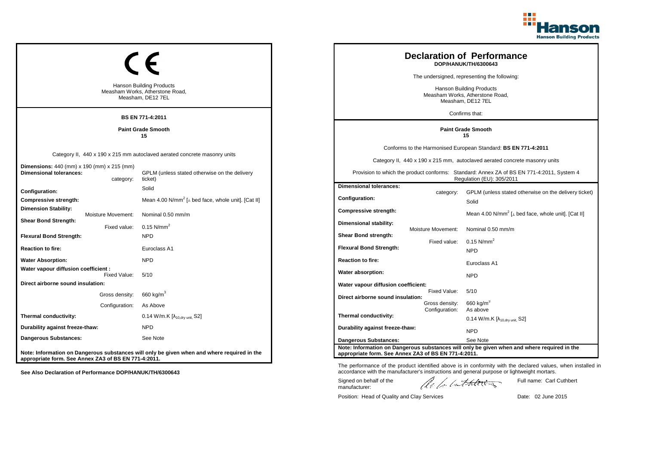

| <b>Hanson Building Products</b><br>Measham Works, Atherstone Road,<br>Measham, DE12 7EL<br><b>BS EN 771-4:2011</b> | <b>Declaration of Performance</b><br>DOP/HANUK/TH/6300643<br>The undersigned, representing the following:<br><b>Hanson Building Products</b><br>Measham Works, Atherstone Road,<br>Measham, DE12 7EL<br>Confirms that: |                                                                                  |                                                  |                                                                                                                                                                                                                                                                        |
|--------------------------------------------------------------------------------------------------------------------|------------------------------------------------------------------------------------------------------------------------------------------------------------------------------------------------------------------------|----------------------------------------------------------------------------------|--------------------------------------------------|------------------------------------------------------------------------------------------------------------------------------------------------------------------------------------------------------------------------------------------------------------------------|
|                                                                                                                    | <b>Paint Grade Smooth</b><br>15                                                                                                                                                                                        | <b>Paint Grade Smooth</b><br>15                                                  |                                                  |                                                                                                                                                                                                                                                                        |
| <b>Dimensions:</b> 440 (mm) x 190 (mm) x 215 (mm)<br><b>Dimensional tolerances:</b><br>category:                   | Category II, 440 x 190 x 215 mm autoclaved aerated concrete masonry units<br>GPLM (unless stated otherwise on the delivery<br>ticket)                                                                                  |                                                                                  |                                                  | Conforms to the Harmonised European Standard: BS EN 771-4:2011<br>Category II, 440 x 190 x 215 mm, autoclaved aerated concrete masonry units<br>Provision to which the product conforms: Standard: Annex ZA of BS EN 771-4:2011, System 4<br>Regulation (EU): 305/2011 |
| Configuration:<br>Compressive strength:<br><b>Dimension Stability:</b><br>Moisture Movement:                       | Solid<br>Mean 4.00 N/mm <sup>2</sup> [ $\perp$ bed face, whole unit]. [Cat II]<br>Nominal 0.50 mm/m                                                                                                                    | <b>Dimensional tolerances:</b><br>Configuration:<br>Compressive strength:        | category:                                        | GPLM (unless stated otherwise on the delivery ticket)<br>Solid<br>Mean 4.00 N/mm <sup>2</sup> [ $\perp$ bed face, whole unit]. [Cat II]                                                                                                                                |
| <b>Shear Bond Strength:</b><br>Fixed value:<br><b>Flexural Bond Strength:</b><br><b>Reaction to fire:</b>          | $0.15$ N/mm <sup>2</sup><br><b>NPD</b><br>Euroclass A1                                                                                                                                                                 | Dimensional stability:<br>Shear Bond strength:<br><b>Flexural Bond Strength:</b> | <b>Moisture Movement:</b><br>Fixed value:        | Nominal 0.50 mm/m<br>$0.15$ N/mm <sup>2</sup><br><b>NPD</b>                                                                                                                                                                                                            |
| <b>Water Absorption:</b><br>Water vapour diffusion coefficient :<br>Fixed Value:                                   | <b>NPD</b><br>5/10                                                                                                                                                                                                     | <b>Reaction to fire:</b><br>Water absorption:                                    |                                                  | Euroclass A1<br><b>NPD</b>                                                                                                                                                                                                                                             |
| Direct airborne sound insulation:<br>Gross density:<br>Configuration:                                              | 660 kg/m $^3$<br>As Above                                                                                                                                                                                              | Water vapour diffusion coefficient:<br>Direct airborne sound insulation:         | Fixed Value:<br>Gross density:<br>Configuration: | 5/10<br>660 kg/m <sup>3</sup><br>As above                                                                                                                                                                                                                              |
| Thermal conductivity:<br>Durability against freeze-thaw:<br><b>Dangerous Substances:</b>                           | 0.14 W/m.K [ $\lambda$ <sub>10.drv unit.</sub> S2]<br><b>NPD</b><br>See Note                                                                                                                                           | Thermal conductivity:<br>Durability against freeze-thaw:                         |                                                  | $0.14$ W/m.K [ $\lambda_{10, dry \text{ unit}}$ , S2]<br><b>NPD</b>                                                                                                                                                                                                    |
| appropriate form. See Annex ZA3 of BS EN 771-4:2011.                                                               | Note: Information on Dangerous substances will only be given when and where required in the                                                                                                                            | Dangerous Substances:<br>appropriate form. See Annex ZA3 of BS EN 771-4:2011.    |                                                  | See Note<br>Note: Information on Dangerous substances will only be given when and where required in the                                                                                                                                                                |

Position: Head of Quality and Clay Services Date: 02 June 2015

Signed on behalf of the manufacturer:

The performance of the product identified above is in conformity with the declared values, when installed in accordance with the manufacturer's instructions and general purpose or lightweight mortars.

ach lathering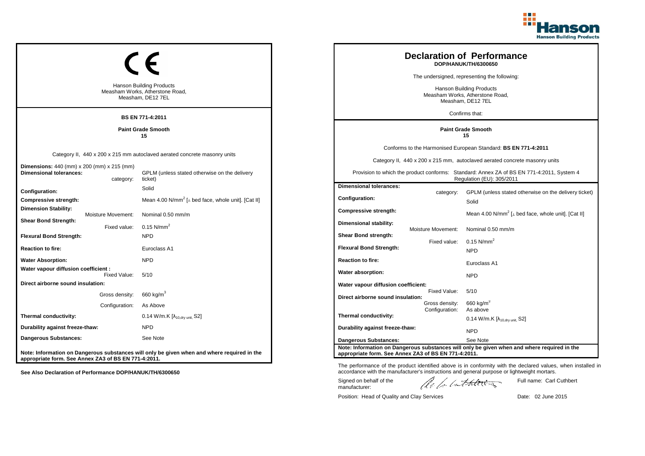

| <b>Hanson Building Products</b><br>Measham Works, Atherstone Road,<br>Measham, DE12 7EL<br><b>BS EN 771-4:2011</b> | <b>Declaration of Performance</b><br>DOP/HANUK/TH/6300650<br>The undersigned, representing the following:<br><b>Hanson Building Products</b><br>Measham Works, Atherstone Road,<br>Measham, DE12 7EL<br>Confirms that: |                                                                                  |                                                  |                                                                                                                                                                                                                                                                        |
|--------------------------------------------------------------------------------------------------------------------|------------------------------------------------------------------------------------------------------------------------------------------------------------------------------------------------------------------------|----------------------------------------------------------------------------------|--------------------------------------------------|------------------------------------------------------------------------------------------------------------------------------------------------------------------------------------------------------------------------------------------------------------------------|
|                                                                                                                    | <b>Paint Grade Smooth</b><br>15                                                                                                                                                                                        |                                                                                  |                                                  | <b>Paint Grade Smooth</b><br>15                                                                                                                                                                                                                                        |
| <b>Dimensions:</b> 440 (mm) x 200 (mm) x 215 (mm)<br><b>Dimensional tolerances:</b><br>category:                   | Category II, 440 x 200 x 215 mm autoclaved aerated concrete masonry units<br>GPLM (unless stated otherwise on the delivery<br>ticket)                                                                                  |                                                                                  |                                                  | Conforms to the Harmonised European Standard: BS EN 771-4:2011<br>Category II, 440 x 200 x 215 mm, autoclaved aerated concrete masonry units<br>Provision to which the product conforms: Standard: Annex ZA of BS EN 771-4:2011, System 4<br>Regulation (EU): 305/2011 |
| Configuration:<br>Compressive strength:<br><b>Dimension Stability:</b><br>Moisture Movement:                       | Solid<br>Mean 4.00 N/mm <sup>2</sup> [ $\perp$ bed face, whole unit]. [Cat II]<br>Nominal 0.50 mm/m                                                                                                                    | <b>Dimensional tolerances:</b><br>Configuration:<br><b>Compressive strength:</b> | category:                                        | GPLM (unless stated otherwise on the delivery ticket)<br>Solid<br>Mean 4.00 N/mm <sup>2</sup> [⊥ bed face, whole unit]. [Cat II]                                                                                                                                       |
| <b>Shear Bond Strength:</b><br>Fixed value:<br><b>Flexural Bond Strength:</b><br><b>Reaction to fire:</b>          | $0.15$ N/mm <sup>2</sup><br><b>NPD</b><br>Euroclass A1                                                                                                                                                                 | Dimensional stability:<br>Shear Bond strength:<br><b>Flexural Bond Strength:</b> | <b>Moisture Movement:</b><br>Fixed value:        | Nominal 0.50 mm/m<br>$0.15$ N/mm <sup>2</sup><br><b>NPD</b>                                                                                                                                                                                                            |
| <b>Water Absorption:</b><br>Water vapour diffusion coefficient :<br>Fixed Value:                                   | <b>NPD</b><br>5/10                                                                                                                                                                                                     | <b>Reaction to fire:</b><br>Water absorption:                                    |                                                  | Euroclass A1<br><b>NPD</b>                                                                                                                                                                                                                                             |
| Direct airborne sound insulation:<br>Gross density:<br>Configuration:                                              | 660 kg/m $^3$<br>As Above                                                                                                                                                                                              | Water vapour diffusion coefficient:<br>Direct airborne sound insulation:         | Fixed Value:<br>Gross density:<br>Configuration: | 5/10<br>660 kg/m <sup>3</sup><br>As above                                                                                                                                                                                                                              |
| Thermal conductivity:<br>Durability against freeze-thaw:<br><b>Dangerous Substances:</b>                           | 0.14 W/m.K $[\lambda_{10.0}$ <sub>W unit.</sub> S2]<br><b>NPD</b><br>See Note                                                                                                                                          | Thermal conductivity:<br>Durability against freeze-thaw:                         |                                                  | 0.14 W/m.K $[\lambda_{10, dry \text{ unit}}, S2]$<br><b>NPD</b>                                                                                                                                                                                                        |
| appropriate form. See Annex ZA3 of BS EN 771-4:2011.                                                               | Note: Information on Dangerous substances will only be given when and where required in the                                                                                                                            | Dangerous Substances:<br>appropriate form. See Annex ZA3 of BS EN 771-4:2011.    |                                                  | See Note<br>Note: Information on Dangerous substances will only be given when and where required in the                                                                                                                                                                |

Position: Head of Quality and Clay Services Date: 02 June 2015

Signed on behalf of the manufacturer:

The performance of the product identified above is in conformity with the declared values, when installed in accordance with the manufacturer's instructions and general purpose or lightweight mortars.

ach lathering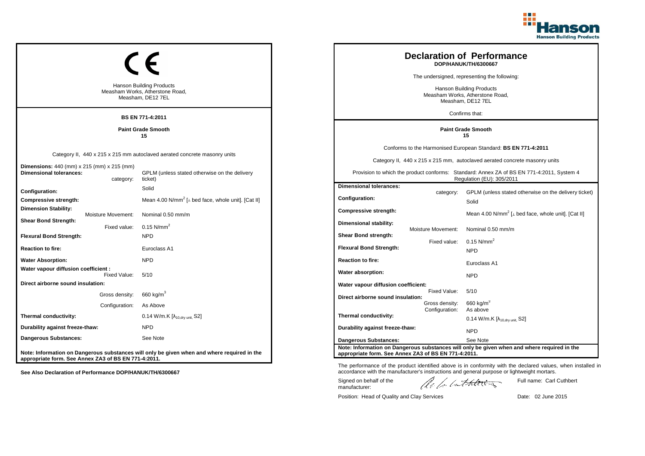

| <b>Hanson Building Products</b><br>Measham Works, Atherstone Road,<br>Measham, DE12 7EL<br><b>BS EN 771-4:2011</b> | <b>Declaration of Performance</b><br>DOP/HANUK/TH/6300667<br>The undersigned, representing the following:<br><b>Hanson Building Products</b><br>Measham Works, Atherstone Road,<br>Measham, DE12 7EL<br>Confirms that: |                                                                                  |                                                  |                                                                                                                                                                                                                                                                        |
|--------------------------------------------------------------------------------------------------------------------|------------------------------------------------------------------------------------------------------------------------------------------------------------------------------------------------------------------------|----------------------------------------------------------------------------------|--------------------------------------------------|------------------------------------------------------------------------------------------------------------------------------------------------------------------------------------------------------------------------------------------------------------------------|
|                                                                                                                    | <b>Paint Grade Smooth</b><br>15                                                                                                                                                                                        | <b>Paint Grade Smooth</b><br>15                                                  |                                                  |                                                                                                                                                                                                                                                                        |
| Dimensions: 440 (mm) x 215 (mm) x 215 (mm)<br><b>Dimensional tolerances:</b><br>category:                          | Category II, 440 x 215 x 215 mm autoclaved aerated concrete masonry units<br>GPLM (unless stated otherwise on the delivery<br>ticket)                                                                                  |                                                                                  |                                                  | Conforms to the Harmonised European Standard: BS EN 771-4:2011<br>Category II, 440 x 215 x 215 mm, autoclaved aerated concrete masonry units<br>Provision to which the product conforms: Standard: Annex ZA of BS EN 771-4:2011, System 4<br>Regulation (EU): 305/2011 |
| Configuration:<br>Compressive strength:<br><b>Dimension Stability:</b><br>Moisture Movement:                       | Solid<br>Mean 4.00 N/mm <sup>2</sup> [ $\perp$ bed face, whole unit]. [Cat II]<br>Nominal 0.50 mm/m                                                                                                                    | <b>Dimensional tolerances:</b><br>Configuration:<br><b>Compressive strength:</b> | category:                                        | GPLM (unless stated otherwise on the delivery ticket)<br>Solid<br>Mean 4.00 N/mm <sup>2</sup> [⊥ bed face, whole unit]. [Cat II]                                                                                                                                       |
| <b>Shear Bond Strength:</b><br>Fixed value:<br><b>Flexural Bond Strength:</b><br><b>Reaction to fire:</b>          | $0.15$ N/mm <sup>2</sup><br><b>NPD</b><br>Euroclass A1                                                                                                                                                                 | Dimensional stability:<br>Shear Bond strength:<br><b>Flexural Bond Strength:</b> | <b>Moisture Movement:</b><br>Fixed value:        | Nominal 0.50 mm/m<br>$0.15$ N/mm <sup>2</sup><br><b>NPD</b>                                                                                                                                                                                                            |
| <b>Water Absorption:</b><br>Water vapour diffusion coefficient :<br>Fixed Value:                                   | <b>NPD</b><br>5/10                                                                                                                                                                                                     | <b>Reaction to fire:</b><br>Water absorption:                                    |                                                  | Euroclass A1<br><b>NPD</b>                                                                                                                                                                                                                                             |
| Direct airborne sound insulation:<br>Gross density:<br>Configuration:                                              | 660 kg/m $^3$<br>As Above                                                                                                                                                                                              | Water vapour diffusion coefficient:<br>Direct airborne sound insulation:         | Fixed Value:<br>Gross density:<br>Configuration: | 5/10<br>660 kg/m <sup>3</sup><br>As above                                                                                                                                                                                                                              |
| Thermal conductivity:<br>Durability against freeze-thaw:<br><b>Dangerous Substances:</b>                           | 0.14 W/m.K $[\lambda_{10.0}$ <sub>W unit.</sub> S2]<br><b>NPD</b><br>See Note                                                                                                                                          | Thermal conductivity:<br>Durability against freeze-thaw:                         |                                                  | 0.14 W/m.K $[\lambda_{10, dry \text{ unit}}, S2]$<br><b>NPD</b>                                                                                                                                                                                                        |
| appropriate form. See Annex ZA3 of BS EN 771-4:2011.                                                               | Note: Information on Dangerous substances will only be given when and where required in the                                                                                                                            | Dangerous Substances:<br>appropriate form. See Annex ZA3 of BS EN 771-4:2011.    |                                                  | See Note<br>Note: Information on Dangerous substances will only be given when and where required in the                                                                                                                                                                |

Position: Head of Quality and Clay Services Date: 02 June 2015

Signed on behalf of the manufacturer:

Full name: Carl Cuthbert

The performance of the product identified above is in conformity with the declared values, when installed in accordance with the manufacturer's instructions and general purpose or lightweight mortars.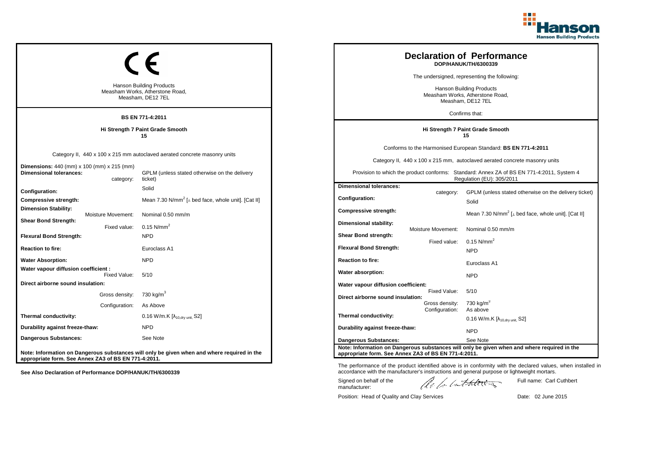

| <b>Hanson Building Products</b><br>Measham Works, Atherstone Road,<br>Measham, DE12 7EL<br>BS EN 771-4:2011                 | <b>Declaration of Performance</b><br>DOP/HANUK/TH/6300339<br>The undersigned, representing the following:<br><b>Hanson Building Products</b><br>Measham Works, Atherstone Road,<br>Measham, DE12 7EL<br>Confirms that: |                                                                                  |                                                  |                                                                                                                                                                                                                                                                        |
|-----------------------------------------------------------------------------------------------------------------------------|------------------------------------------------------------------------------------------------------------------------------------------------------------------------------------------------------------------------|----------------------------------------------------------------------------------|--------------------------------------------------|------------------------------------------------------------------------------------------------------------------------------------------------------------------------------------------------------------------------------------------------------------------------|
|                                                                                                                             | Hi Strength 7 Paint Grade Smooth<br>15                                                                                                                                                                                 | Hi Strength 7 Paint Grade Smooth<br>15                                           |                                                  |                                                                                                                                                                                                                                                                        |
| <b>Dimensions:</b> 440 (mm) x 100 (mm) x 215 (mm)<br><b>Dimensional tolerances:</b><br>category:                            | Category II, 440 x 100 x 215 mm autoclaved aerated concrete masonry units<br>GPLM (unless stated otherwise on the delivery<br>ticket)                                                                                  |                                                                                  |                                                  | Conforms to the Harmonised European Standard: BS EN 771-4:2011<br>Category II, 440 x 100 x 215 mm, autoclaved aerated concrete masonry units<br>Provision to which the product conforms: Standard: Annex ZA of BS EN 771-4:2011, System 4<br>Regulation (EU): 305/2011 |
| Configuration:<br>Compressive strength:<br><b>Dimension Stability:</b><br>Moisture Movement:<br><b>Shear Bond Strength:</b> | Solid<br>Mean 7.30 N/mm <sup>2</sup> [ $\perp$ bed face, whole unit]. [Cat II]<br>Nominal 0.50 mm/m                                                                                                                    | <b>Dimensional tolerances:</b><br>Configuration:<br>Compressive strength:        | category:                                        | GPLM (unless stated otherwise on the delivery ticket)<br>Solid<br>Mean 7.30 N/mm <sup>2</sup> [ $\perp$ bed face, whole unit]. [Cat II]                                                                                                                                |
| Fixed value:<br><b>Flexural Bond Strength:</b><br><b>Reaction to fire:</b>                                                  | $0.15$ N/mm <sup>2</sup><br><b>NPD</b><br>Euroclass A1                                                                                                                                                                 | Dimensional stability:<br>Shear Bond strength:<br><b>Flexural Bond Strength:</b> | <b>Moisture Movement:</b><br>Fixed value:        | Nominal 0.50 mm/m<br>$0.15$ N/mm <sup>2</sup><br><b>NPD</b>                                                                                                                                                                                                            |
| <b>Water Absorption:</b><br>Water vapour diffusion coefficient :<br>Fixed Value:                                            | <b>NPD</b><br>5/10                                                                                                                                                                                                     | <b>Reaction to fire:</b><br>Water absorption:                                    |                                                  | Euroclass A1<br><b>NPD</b>                                                                                                                                                                                                                                             |
| Direct airborne sound insulation:<br>Gross density:<br>Configuration:                                                       | 730 kg/m <sup>3</sup><br>As Above                                                                                                                                                                                      | Water vapour diffusion coefficient:<br>Direct airborne sound insulation:         | Fixed Value:<br>Gross density:<br>Configuration: | 5/10<br>730 kg/m <sup>3</sup><br>As above                                                                                                                                                                                                                              |
| Thermal conductivity:<br>Durability against freeze-thaw:                                                                    | 0.16 W/m.K $[\lambda_{10.0}$ <sub>W unit.</sub> S2]<br><b>NPD</b>                                                                                                                                                      | Thermal conductivity:<br>Durability against freeze-thaw:                         |                                                  | 0.16 W/m.K $[\lambda_{10, dry \text{ unit}}, S2]$<br><b>NPD</b>                                                                                                                                                                                                        |
| <b>Dangerous Substances:</b><br>appropriate form. See Annex ZA3 of BS EN 771-4:2011.                                        | See Note<br>Note: Information on Dangerous substances will only be given when and where required in the                                                                                                                | Dangerous Substances:<br>appropriate form. See Annex ZA3 of BS EN 771-4:2011.    |                                                  | See Note<br>Note: Information on Dangerous substances will only be given when and where required in the                                                                                                                                                                |

Position: Head of Quality and Clay Services Date: 02 June 2015

Signed on behalf of the manufacturer:

Full name: Carl Cuthbert

The performance of the product identified above is in conformity with the declared values, when installed in accordance with the manufacturer's instructions and general purpose or lightweight mortars.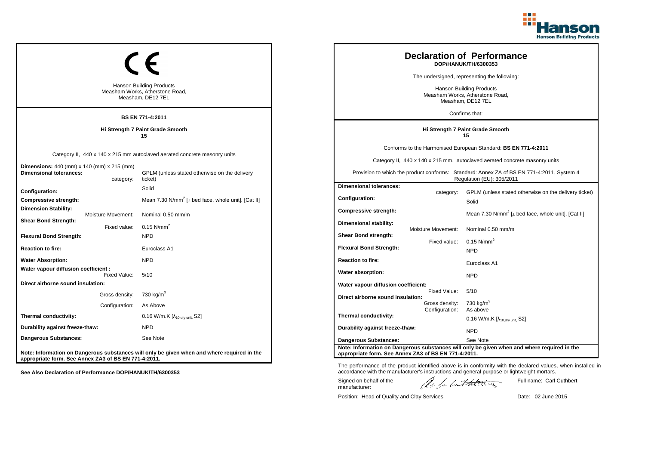

| <b>Hanson Building Products</b><br>Measham Works, Atherstone Road,<br>Measham, DE12 7EL<br>BS EN 771-4:2011 | <b>Declaration of Performance</b><br>DOP/HANUK/TH/6300353<br>The undersigned, representing the following:<br><b>Hanson Building Products</b><br>Measham Works, Atherstone Road,<br>Measham, DE12 7EL<br>Confirms that: |                                                                                  |                                                  |                                                                                                                                                                                                                                                                        |
|-------------------------------------------------------------------------------------------------------------|------------------------------------------------------------------------------------------------------------------------------------------------------------------------------------------------------------------------|----------------------------------------------------------------------------------|--------------------------------------------------|------------------------------------------------------------------------------------------------------------------------------------------------------------------------------------------------------------------------------------------------------------------------|
|                                                                                                             | Hi Strength 7 Paint Grade Smooth<br>15                                                                                                                                                                                 | Hi Strength 7 Paint Grade Smooth<br>15                                           |                                                  |                                                                                                                                                                                                                                                                        |
| <b>Dimensions:</b> 440 (mm) x 140 (mm) x 215 (mm)<br><b>Dimensional tolerances:</b><br>category:            | Category II, 440 x 140 x 215 mm autoclaved aerated concrete masonry units<br>GPLM (unless stated otherwise on the delivery<br>ticket)                                                                                  |                                                                                  |                                                  | Conforms to the Harmonised European Standard: BS EN 771-4:2011<br>Category II, 440 x 140 x 215 mm, autoclaved aerated concrete masonry units<br>Provision to which the product conforms: Standard: Annex ZA of BS EN 771-4:2011, System 4<br>Regulation (EU): 305/2011 |
| Configuration:<br>Compressive strength:<br><b>Dimension Stability:</b><br>Moisture Movement:                | Solid<br>Mean 7.30 N/mm <sup>2</sup> [ $\perp$ bed face, whole unit]. [Cat II]<br>Nominal 0.50 mm/m                                                                                                                    | <b>Dimensional tolerances:</b><br>Configuration:<br>Compressive strength:        | category:                                        | GPLM (unless stated otherwise on the delivery ticket)<br>Solid<br>Mean 7.30 N/mm <sup>2</sup> [ $\perp$ bed face, whole unit]. [Cat II]                                                                                                                                |
| <b>Shear Bond Strength:</b><br>Fixed value:<br><b>Flexural Bond Strength:</b><br><b>Reaction to fire:</b>   | $0.15$ N/mm <sup>2</sup><br><b>NPD</b><br>Euroclass A1                                                                                                                                                                 | Dimensional stability:<br>Shear Bond strength:<br><b>Flexural Bond Strength:</b> | <b>Moisture Movement:</b><br>Fixed value:        | Nominal 0.50 mm/m<br>$0.15$ N/mm <sup>2</sup><br><b>NPD</b>                                                                                                                                                                                                            |
| <b>Water Absorption:</b><br>Water vapour diffusion coefficient :<br>Fixed Value:                            | <b>NPD</b><br>5/10                                                                                                                                                                                                     | <b>Reaction to fire:</b><br>Water absorption:                                    |                                                  | Euroclass A1<br><b>NPD</b>                                                                                                                                                                                                                                             |
| Direct airborne sound insulation:<br>Gross density:<br>Configuration:                                       | 730 kg/m <sup>3</sup><br>As Above                                                                                                                                                                                      | Water vapour diffusion coefficient:<br>Direct airborne sound insulation:         | Fixed Value:<br>Gross density:<br>Configuration: | 5/10<br>730 kg/m <sup>3</sup><br>As above                                                                                                                                                                                                                              |
| Thermal conductivity:<br>Durability against freeze-thaw:                                                    | 0.16 W/m.K $[\lambda_{10.0}$ <sub>W unit.</sub> S2]<br><b>NPD</b>                                                                                                                                                      | Thermal conductivity:<br>Durability against freeze-thaw:                         |                                                  | 0.16 W/m.K $[\lambda_{10, dry \text{ unit}}, S2]$<br><b>NPD</b>                                                                                                                                                                                                        |
| <b>Dangerous Substances:</b><br>appropriate form. See Annex ZA3 of BS EN 771-4:2011.                        | See Note<br>Note: Information on Dangerous substances will only be given when and where required in the                                                                                                                | Dangerous Substances:<br>appropriate form. See Annex ZA3 of BS EN 771-4:2011.    |                                                  | See Note<br>Note: Information on Dangerous substances will only be given when and where required in the                                                                                                                                                                |

Position: Head of Quality and Clay Services Date: 02 June 2015

Signed on behalf of the manufacturer:

Full name: Carl Cuthbert

The performance of the product identified above is in conformity with the declared values, when installed in accordance with the manufacturer's instructions and general purpose or lightweight mortars.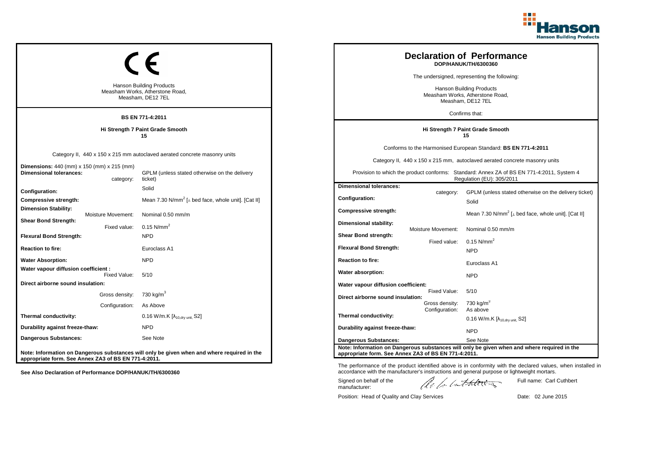

| Hanson Building Products<br>Measham Works, Atherstone Road,<br>Measham, DE12 7EL<br><b>BS EN 771-4:2011</b> |                                                                                                                                       |                                                                                         | <b>Declaration of Performance</b><br>DOP/HANUK/TH/6300360<br>The undersigned, representing the following:<br><b>Hanson Building Products</b><br>Measham Works, Atherstone Road,<br>Measham, DE12 7EL<br>Confirms that: |                                                                                                                                                                                                                                                                        |
|-------------------------------------------------------------------------------------------------------------|---------------------------------------------------------------------------------------------------------------------------------------|-----------------------------------------------------------------------------------------|------------------------------------------------------------------------------------------------------------------------------------------------------------------------------------------------------------------------|------------------------------------------------------------------------------------------------------------------------------------------------------------------------------------------------------------------------------------------------------------------------|
|                                                                                                             | Hi Strength 7 Paint Grade Smooth<br>15                                                                                                |                                                                                         |                                                                                                                                                                                                                        | Hi Strength 7 Paint Grade Smooth<br>15                                                                                                                                                                                                                                 |
| <b>Dimensions:</b> 440 (mm) x 150 (mm) x 215 (mm)<br><b>Dimensional tolerances:</b><br>category:            | Category II, 440 x 150 x 215 mm autoclaved aerated concrete masonry units<br>GPLM (unless stated otherwise on the delivery<br>ticket) |                                                                                         |                                                                                                                                                                                                                        | Conforms to the Harmonised European Standard: BS EN 771-4:2011<br>Category II, 440 x 150 x 215 mm, autoclaved aerated concrete masonry units<br>Provision to which the product conforms: Standard: Annex ZA of BS EN 771-4:2011, System 4<br>Regulation (EU): 305/2011 |
| Configuration:<br>Compressive strength:<br><b>Dimension Stability:</b><br>Moisture Movement:                | Solid<br>Mean 7.30 N/mm <sup>2</sup> [ $\perp$ bed face, whole unit]. [Cat II]<br>Nominal 0.50 mm/m                                   | <b>Dimensional tolerances:</b><br><b>Configuration:</b><br><b>Compressive strength:</b> | category:                                                                                                                                                                                                              | GPLM (unless stated otherwise on the delivery ticket)<br>Solid<br>Mean 7.30 N/mm <sup>2</sup> [ $\perp$ bed face, whole unit]. [Cat II]                                                                                                                                |
| <b>Shear Bond Strength:</b><br>Fixed value:<br><b>Flexural Bond Strength:</b><br><b>Reaction to fire:</b>   | $0.15$ N/mm <sup>2</sup><br><b>NPD</b><br>Euroclass A1                                                                                | Dimensional stability:<br>Shear Bond strength:<br><b>Flexural Bond Strength:</b>        | <b>Moisture Movement:</b><br>Fixed value:                                                                                                                                                                              | Nominal 0.50 mm/m<br>$0.15$ N/mm <sup>2</sup><br><b>NPD</b>                                                                                                                                                                                                            |
| <b>Water Absorption:</b><br>Water vapour diffusion coefficient :                                            | <b>NPD</b>                                                                                                                            | <b>Reaction to fire:</b><br>Water absorption:                                           |                                                                                                                                                                                                                        | Euroclass A1                                                                                                                                                                                                                                                           |
| Fixed Value:<br>Direct airborne sound insulation:<br>Gross density:                                         | 5/10<br>730 kg/m $^3$                                                                                                                 | Water vapour diffusion coefficient:<br>Direct airborne sound insulation:                | Fixed Value:                                                                                                                                                                                                           | <b>NPD</b><br>5/10                                                                                                                                                                                                                                                     |
| Configuration:<br>Thermal conductivity:                                                                     | As Above<br>$0.16$ W/m.K $[\lambda_{10, dry \text{ unit}}, S2]$                                                                       | Thermal conductivity:                                                                   | Gross density:<br>Configuration:                                                                                                                                                                                       | 730 kg/m <sup>3</sup><br>As above<br>0.16 W/m.K $[\lambda_{10, dry \text{ unit}}, S2]$                                                                                                                                                                                 |
| Durability against freeze-thaw:<br>Dangerous Substances:                                                    | <b>NPD</b><br>See Note                                                                                                                | Durability against freeze-thaw:<br><b>Dangerous Substances:</b>                         |                                                                                                                                                                                                                        | <b>NPD</b><br>See Note                                                                                                                                                                                                                                                 |
| appropriate form. See Annex ZA3 of BS EN 771-4:2011.                                                        | Note: Information on Dangerous substances will only be given when and where required in the                                           | appropriate form. See Annex ZA3 of BS EN 771-4:2011.                                    |                                                                                                                                                                                                                        | Note: Information on Dangerous substances will only be given when and where required in the                                                                                                                                                                            |

Position: Head of Quality and Clay Services Date: 02 June 2015

Signed on behalf of the manufacturer:

Full name: Carl Cuthbert

The performance of the product identified above is in conformity with the declared values, when installed in accordance with the manufacturer's instructions and general purpose or lightweight mortars.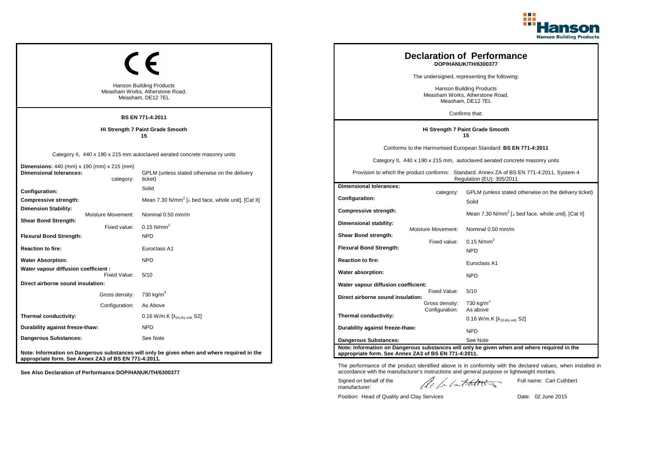

| <b>Hanson Building Products</b><br>Measham Works, Atherstone Road,<br>Measham, DE12 7EL<br><b>BS EN 771-4:2011</b> |                                                                                                                                       |                                                                                                                                                                                                 |                                                                                  | <b>Declaration of Performance</b><br>DOP/HANUK/TH/6300377<br>The undersigned, representing the following:<br>Hanson Building Products<br>Measham Works, Atherstone Road,<br>Measham, DE12 7EL<br>Confirms that: |                                                                                                                                                                                                                                                                        |
|--------------------------------------------------------------------------------------------------------------------|---------------------------------------------------------------------------------------------------------------------------------------|-------------------------------------------------------------------------------------------------------------------------------------------------------------------------------------------------|----------------------------------------------------------------------------------|-----------------------------------------------------------------------------------------------------------------------------------------------------------------------------------------------------------------|------------------------------------------------------------------------------------------------------------------------------------------------------------------------------------------------------------------------------------------------------------------------|
|                                                                                                                    | Hi Strength 7 Paint Grade Smooth<br>15                                                                                                |                                                                                                                                                                                                 |                                                                                  |                                                                                                                                                                                                                 | Hi Strength 7 Paint Grade Smooth<br>15                                                                                                                                                                                                                                 |
| <b>Dimensions:</b> 440 (mm) x 190 (mm) x 215 (mm)<br><b>Dimensional tolerances:</b><br>category:                   | Category II, 440 x 190 x 215 mm autoclaved aerated concrete masonry units<br>GPLM (unless stated otherwise on the delivery<br>ticket) |                                                                                                                                                                                                 |                                                                                  |                                                                                                                                                                                                                 | Conforms to the Harmonised European Standard: BS EN 771-4:2011<br>Category II, 440 x 190 x 215 mm, autoclaved aerated concrete masonry units<br>Provision to which the product conforms: Standard: Annex ZA of BS EN 771-4:2011, System 4<br>Regulation (EU): 305/2011 |
| Configuration:<br>Compressive strength:<br><b>Dimension Stability:</b><br>Moisture Movement:                       | Solid<br>Mean 7.30 N/mm <sup>2</sup> [ $\perp$ bed face, whole unit]. [Cat II]<br>Nominal 0.50 mm/m                                   |                                                                                                                                                                                                 | <b>Dimensional tolerances:</b><br>Configuration:<br><b>Compressive strength:</b> | category:                                                                                                                                                                                                       | GPLM (unless stated otherwise on the delivery ticket)<br>Solid<br>Mean 7.30 N/mm <sup>2</sup> [ $\perp$ bed face, whole unit]. [Cat II]                                                                                                                                |
| <b>Shear Bond Strength:</b><br>Fixed value:<br><b>Flexural Bond Strength:</b><br><b>Reaction to fire:</b>          | $0.15$ N/mm <sup>2</sup><br><b>NPD</b><br>Euroclass A1                                                                                |                                                                                                                                                                                                 | Dimensional stability:<br>Shear Bond strength:<br><b>Flexural Bond Strength:</b> | Moisture Movement:<br>Fixed value:                                                                                                                                                                              | Nominal 0.50 mm/m<br>$0.15$ N/mm <sup>2</sup><br><b>NPD</b>                                                                                                                                                                                                            |
| <b>Water Absorption:</b><br>Water vapour diffusion coefficient :<br>Fixed Value:                                   | <b>NPD</b><br>5/10                                                                                                                    |                                                                                                                                                                                                 | <b>Reaction to fire:</b><br>Water absorption:                                    |                                                                                                                                                                                                                 | Euroclass A1<br><b>NPD</b>                                                                                                                                                                                                                                             |
| Direct airborne sound insulation:<br>Gross density:<br>Configuration:                                              | 730 kg/m <sup>3</sup><br>As Above                                                                                                     |                                                                                                                                                                                                 | Water vapour diffusion coefficient:<br>Direct airborne sound insulation:         | Fixed Value:<br>Gross density:<br>Configuration:                                                                                                                                                                | 5/10<br>730 kg/m <sup>3</sup><br>As above                                                                                                                                                                                                                              |
| Thermal conductivity:<br>Durability against freeze-thaw:                                                           | $0.16$ W/m.K $[\lambda_{10, dry \text{ unit}}, S2]$<br><b>NPD</b>                                                                     |                                                                                                                                                                                                 | Thermal conductivity:<br>Durability against freeze-thaw:                         |                                                                                                                                                                                                                 | 0.16 W/m.K $[\lambda_{10, dry \text{ unit}}, S2]$<br><b>NPD</b>                                                                                                                                                                                                        |
| <b>Dangerous Substances:</b><br>appropriate form. See Annex ZA3 of BS EN 771-4:2011.                               | See Note<br>Note: Information on Dangerous substances will only be given when and where required in the                               | <b>Dangerous Substances:</b><br>See Note<br>Note: Information on Dangerous substances will only be given when and where required in the<br>appropriate form. See Annex ZA3 of BS EN 771-4:2011. |                                                                                  |                                                                                                                                                                                                                 |                                                                                                                                                                                                                                                                        |

Position: Head of Quality and Clay Services Date: 02 June 2015

Signed on behalf of the manufacturer:

Full name: Carl Cuthbert

The performance of the product identified above is in conformity with the declared values, when installed in accordance with the manufacturer's instructions and general purpose or lightweight mortars.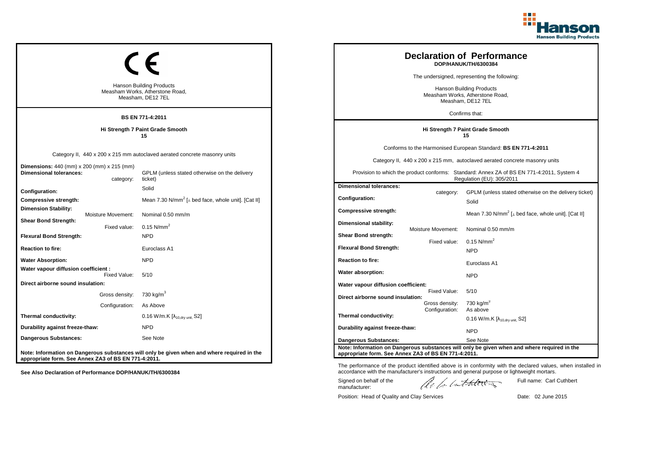

| <b>Hanson Building Products</b><br>Measham Works, Atherstone Road,<br>Measham, DE12 7EL<br><b>BS EN 771-4:2011</b> |                                                                                                                                       |                                                                                      | <b>Declaration of Performance</b><br>DOP/HANUK/TH/6300384<br>The undersigned, representing the following:<br><b>Hanson Building Products</b><br>Measham Works, Atherstone Road,<br>Measham, DE12 7EL<br>Confirms that: |                                                                                                                                                                                                                                                                        |
|--------------------------------------------------------------------------------------------------------------------|---------------------------------------------------------------------------------------------------------------------------------------|--------------------------------------------------------------------------------------|------------------------------------------------------------------------------------------------------------------------------------------------------------------------------------------------------------------------|------------------------------------------------------------------------------------------------------------------------------------------------------------------------------------------------------------------------------------------------------------------------|
|                                                                                                                    | Hi Strength 7 Paint Grade Smooth<br>15                                                                                                |                                                                                      |                                                                                                                                                                                                                        | Hi Strength 7 Paint Grade Smooth<br>15                                                                                                                                                                                                                                 |
| <b>Dimensions:</b> 440 (mm) x 200 (mm) x 215 (mm)<br><b>Dimensional tolerances:</b><br>category:                   | Category II, 440 x 200 x 215 mm autoclaved aerated concrete masonry units<br>GPLM (unless stated otherwise on the delivery<br>ticket) |                                                                                      |                                                                                                                                                                                                                        | Conforms to the Harmonised European Standard: BS EN 771-4:2011<br>Category II, 440 x 200 x 215 mm, autoclaved aerated concrete masonry units<br>Provision to which the product conforms: Standard: Annex ZA of BS EN 771-4:2011, System 4<br>Regulation (EU): 305/2011 |
| Configuration:<br>Compressive strength:<br><b>Dimension Stability:</b><br><b>Moisture Movement:</b>                | Solid<br>Mean 7.30 N/mm <sup>2</sup> [⊥ bed face, whole unit]. [Cat II]<br>Nominal 0.50 mm/m                                          | <b>Dimensional tolerances:</b><br>Configuration:<br><b>Compressive strength:</b>     | category:                                                                                                                                                                                                              | GPLM (unless stated otherwise on the delivery ticket)<br>Solid<br>Mean 7.30 N/mm <sup>2</sup> [ $\perp$ bed face, whole unit]. [Cat II]                                                                                                                                |
| <b>Shear Bond Strength:</b><br>Fixed value:<br><b>Flexural Bond Strength:</b><br><b>Reaction to fire:</b>          | $0.15$ N/mm <sup>2</sup><br><b>NPD</b><br>Euroclass A1                                                                                | Dimensional stability:<br>Shear Bond strength:<br><b>Flexural Bond Strength:</b>     | <b>Moisture Movement:</b><br>Fixed value:                                                                                                                                                                              | Nominal 0.50 mm/m<br>$0.15$ N/mm <sup>2</sup><br><b>NPD</b>                                                                                                                                                                                                            |
| <b>Water Absorption:</b><br>Water vapour diffusion coefficient :<br>Fixed Value:                                   | <b>NPD</b><br>5/10                                                                                                                    | <b>Reaction to fire:</b><br>Water absorption:                                        |                                                                                                                                                                                                                        | Euroclass A1<br><b>NPD</b>                                                                                                                                                                                                                                             |
| Direct airborne sound insulation:<br>Gross density:<br>Configuration:                                              | 730 kg/m <sup>3</sup><br>As Above                                                                                                     | Water vapour diffusion coefficient:<br>Direct airborne sound insulation:             | Fixed Value:<br>Gross density:<br>Configuration:                                                                                                                                                                       | 5/10<br>730 kg/m $3$<br>As above                                                                                                                                                                                                                                       |
| Thermal conductivity:<br>Durability against freeze-thaw:<br>Dangerous Substances:                                  | 0.16 W/m.K $[\lambda_{10, dry \text{ unit}}, S2]$<br><b>NPD</b><br>See Note                                                           | Thermal conductivity:<br>Durability against freeze-thaw:                             |                                                                                                                                                                                                                        | $0.16$ W/m.K [ $\lambda_{10, dry \text{ unit}}$ , S2]<br><b>NPD</b>                                                                                                                                                                                                    |
| appropriate form. See Annex ZA3 of BS EN 771-4:2011.                                                               | Note: Information on Dangerous substances will only be given when and where required in the                                           | <b>Dangerous Substances:</b><br>appropriate form. See Annex ZA3 of BS EN 771-4:2011. |                                                                                                                                                                                                                        | See Note<br>Note: Information on Dangerous substances will only be given when and where required in the                                                                                                                                                                |

Position: Head of Quality and Clay Services Date: 02 June 2015

Signed on behalf of the manufacturer:

Full name: Carl Cuthbert

The performance of the product identified above is in conformity with the declared values, when installed in accordance with the manufacturer's instructions and general purpose or lightweight mortars.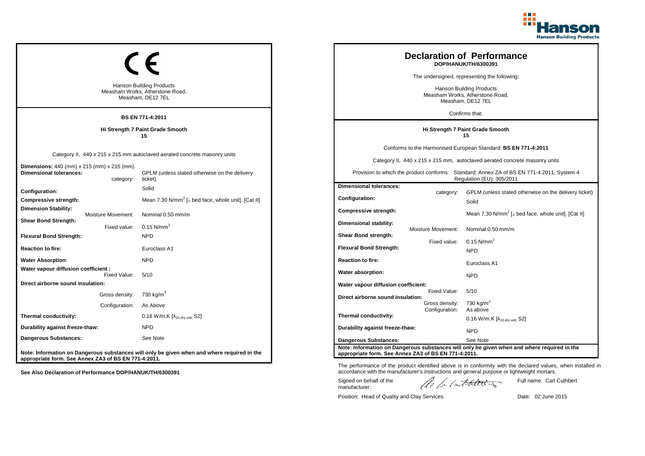

| <b>Hanson Building Products</b><br>Measham Works, Atherstone Road,<br>Measham, DE12 7EL<br><b>BS EN 771-4:2011</b> |                                                                                                                                       |                                                                                                                                                                                          |                                                                                  | <b>Declaration of Performance</b><br>DOP/HANUK/TH/6300391<br>The undersigned, representing the following:<br><b>Hanson Building Products</b><br>Measham Works, Atherstone Road,<br>Measham, DE12 7EL<br>Confirms that: |                                                                                                                                                                                                                                                                        |
|--------------------------------------------------------------------------------------------------------------------|---------------------------------------------------------------------------------------------------------------------------------------|------------------------------------------------------------------------------------------------------------------------------------------------------------------------------------------|----------------------------------------------------------------------------------|------------------------------------------------------------------------------------------------------------------------------------------------------------------------------------------------------------------------|------------------------------------------------------------------------------------------------------------------------------------------------------------------------------------------------------------------------------------------------------------------------|
|                                                                                                                    | Hi Strength 7 Paint Grade Smooth<br>15                                                                                                |                                                                                                                                                                                          |                                                                                  |                                                                                                                                                                                                                        | Hi Strength 7 Paint Grade Smooth<br>15                                                                                                                                                                                                                                 |
| Dimensions: 440 (mm) x 215 (mm) x 215 (mm)<br><b>Dimensional tolerances:</b><br>category:                          | Category II, 440 x 215 x 215 mm autoclaved aerated concrete masonry units<br>GPLM (unless stated otherwise on the delivery<br>ticket) |                                                                                                                                                                                          |                                                                                  |                                                                                                                                                                                                                        | Conforms to the Harmonised European Standard: BS EN 771-4:2011<br>Category II, 440 x 215 x 215 mm, autoclaved aerated concrete masonry units<br>Provision to which the product conforms: Standard: Annex ZA of BS EN 771-4:2011, System 4<br>Regulation (EU): 305/2011 |
| Configuration:<br>Compressive strength:<br><b>Dimension Stability:</b><br><b>Moisture Movement:</b>                | Solid<br>Mean 7.30 N/mm <sup>2</sup> [ $\perp$ bed face, whole unit]. [Cat II]<br>Nominal 0.50 mm/m                                   |                                                                                                                                                                                          | <b>Dimensional tolerances:</b><br>Configuration:<br><b>Compressive strength:</b> | category:                                                                                                                                                                                                              | GPLM (unless stated otherwise on the delivery ticket)<br>Solid<br>Mean 7.30 N/mm <sup>2</sup> [ $\perp$ bed face, whole unit]. [Cat II]                                                                                                                                |
| <b>Shear Bond Strength:</b><br>Fixed value:<br><b>Flexural Bond Strength:</b><br><b>Reaction to fire:</b>          | $0.15$ N/mm <sup>2</sup><br><b>NPD</b><br>Euroclass A1                                                                                |                                                                                                                                                                                          | Dimensional stability:<br>Shear Bond strength:<br><b>Flexural Bond Strength:</b> | Moisture Movement:<br>Fixed value:                                                                                                                                                                                     | Nominal 0.50 mm/m<br>$0.15$ N/mm <sup>2</sup><br><b>NPD</b>                                                                                                                                                                                                            |
| <b>Water Absorption:</b><br>Water vapour diffusion coefficient :                                                   | <b>NPD</b>                                                                                                                            |                                                                                                                                                                                          | <b>Reaction to fire:</b><br>Water absorption:                                    |                                                                                                                                                                                                                        | Euroclass A1                                                                                                                                                                                                                                                           |
| Fixed Value:<br>Direct airborne sound insulation:<br>Gross density:<br>Configuration:                              | 5/10<br>730 kg/m <sup>3</sup><br>As Above                                                                                             |                                                                                                                                                                                          | Water vapour diffusion coefficient:<br>Direct airborne sound insulation:         | Fixed Value:<br>Gross density:                                                                                                                                                                                         | <b>NPD</b><br>5/10<br>730 kg/m $3$                                                                                                                                                                                                                                     |
| Thermal conductivity:<br>Durability against freeze-thaw:<br>Dangerous Substances:                                  | 0.16 W/m.K [λ <sub>10,dry unit,</sub> S2]<br><b>NPD</b><br>See Note                                                                   |                                                                                                                                                                                          | Thermal conductivity:<br>Durability against freeze-thaw:                         | Configuration:                                                                                                                                                                                                         | As above<br>$0.16$ W/m.K [ $\lambda_{10, dry \text{ unit}}$ , S2]<br><b>NPD</b>                                                                                                                                                                                        |
| appropriate form. See Annex ZA3 of BS EN 771-4:2011.                                                               | Note: Information on Dangerous substances will only be given when and where required in the                                           | Dangerous Substances:<br>See Note<br>Note: Information on Dangerous substances will only be given when and where required in the<br>appropriate form. See Annex ZA3 of BS EN 771-4:2011. |                                                                                  |                                                                                                                                                                                                                        |                                                                                                                                                                                                                                                                        |

Position: Head of Quality and Clay Services Date: 02 June 2015

Signed on behalf of the manufacturer:

Full name: Carl Cuthbert

The performance of the product identified above is in conformity with the declared values, when installed in accordance with the manufacturer's instructions and general purpose or lightweight mortars.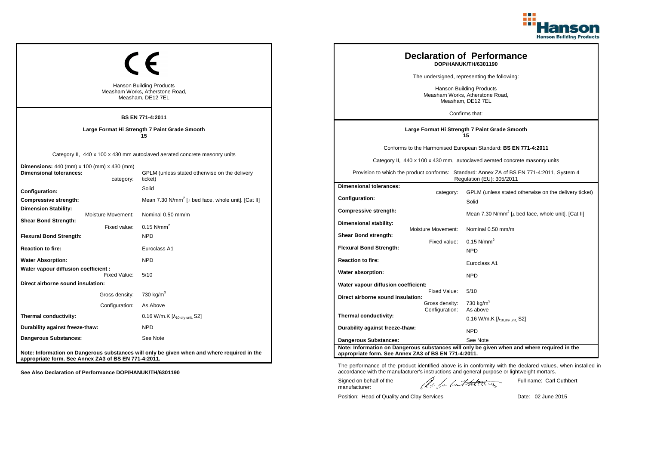

| <b>Hanson Building Products</b><br>Measham Works, Atherstone Road,<br>Measham, DE12 7EL<br><b>BS EN 771-4:2011</b>                                                                       |                                  |                                                                                                                                       | <b>Declaration of Performance</b><br>DOP/HANUK/TH/6301190<br>The undersigned, representing the following:<br><b>Hanson Building Products</b><br>Measham Works, Atherstone Road,<br>Measham, DE12 7EL<br>Confirms that: |                                    |                                                                                                                                                                                                                                                                        |
|------------------------------------------------------------------------------------------------------------------------------------------------------------------------------------------|----------------------------------|---------------------------------------------------------------------------------------------------------------------------------------|------------------------------------------------------------------------------------------------------------------------------------------------------------------------------------------------------------------------|------------------------------------|------------------------------------------------------------------------------------------------------------------------------------------------------------------------------------------------------------------------------------------------------------------------|
|                                                                                                                                                                                          |                                  | Large Format Hi Strength 7 Paint Grade Smooth<br>15                                                                                   |                                                                                                                                                                                                                        |                                    | Large Format Hi Strength 7 Paint Grade Smooth<br>15                                                                                                                                                                                                                    |
| <b>Dimensions:</b> 440 (mm) x 100 (mm) x 430 (mm)<br><b>Dimensional tolerances:</b>                                                                                                      | category:                        | Category II, 440 x 100 x 430 mm autoclaved aerated concrete masonry units<br>GPLM (unless stated otherwise on the delivery<br>ticket) |                                                                                                                                                                                                                        |                                    | Conforms to the Harmonised European Standard: BS EN 771-4:2011<br>Category II, 440 x 100 x 430 mm, autoclaved aerated concrete masonry units<br>Provision to which the product conforms: Standard: Annex ZA of BS EN 771-4:2011, System 4<br>Regulation (EU): 305/2011 |
| Configuration:<br>Compressive strength:<br><b>Dimension Stability:</b>                                                                                                                   | Moisture Movement:               | Solid<br>Mean 7.30 N/mm <sup>2</sup> [⊥ bed face, whole unit]. [Cat II]<br>Nominal 0.50 mm/m                                          | <b>Dimensional tolerances:</b><br><b>Configuration:</b><br>Compressive strength:                                                                                                                                       | category:                          | GPLM (unless stated otherwise on the delivery ticket)<br>Solid<br>Mean 7.30 N/mm <sup>2</sup> [ $\perp$ bed face, whole unit]. [Cat II]                                                                                                                                |
| <b>Shear Bond Strength:</b><br><b>Flexural Bond Strength:</b><br><b>Reaction to fire:</b>                                                                                                | Fixed value:                     | $0.15$ N/mm <sup>2</sup><br><b>NPD</b><br>Euroclass A1                                                                                | Dimensional stability:<br>Shear Bond strength:<br><b>Flexural Bond Strength:</b>                                                                                                                                       | Moisture Movement:<br>Fixed value: | Nominal 0.50 mm/m<br>$0.15$ N/mm <sup>2</sup><br><b>NPD</b>                                                                                                                                                                                                            |
| <b>Water Absorption:</b><br>Water vapour diffusion coefficient :                                                                                                                         | Fixed Value:                     | <b>NPD</b><br>5/10                                                                                                                    | <b>Reaction to fire:</b><br>Water absorption:                                                                                                                                                                          |                                    | Euroclass A1<br><b>NPD</b>                                                                                                                                                                                                                                             |
| Direct airborne sound insulation:                                                                                                                                                        | Gross density:<br>Configuration: | 730 kg/m <sup>3</sup><br>As Above                                                                                                     | Water vapour diffusion coefficient:<br>Direct airborne sound insulation:                                                                                                                                               | Fixed Value:<br>Gross density:     | 5/10<br>730 kg/m <sup>3</sup>                                                                                                                                                                                                                                          |
| Thermal conductivity:<br>Durability against freeze-thaw:                                                                                                                                 |                                  | 0.16 W/m.K $[\lambda_{10, dry \text{ unit}}, S2]$<br><b>NPD</b>                                                                       | Thermal conductivity:<br>Durability against freeze-thaw:                                                                                                                                                               | Configuration:                     | As above<br>$0.16$ W/m.K $[\lambda_{10, dry \text{ unit}}, S2]$<br><b>NPD</b>                                                                                                                                                                                          |
| Dangerous Substances:<br>See Note<br>Note: Information on Dangerous substances will only be given when and where required in the<br>appropriate form. See Annex ZA3 of BS EN 771-4:2011. |                                  |                                                                                                                                       | <b>Dangerous Substances:</b><br>appropriate form. See Annex ZA3 of BS EN 771-4:2011.                                                                                                                                   |                                    | See Note<br>Note: Information on Dangerous substances will only be given when and where required in the                                                                                                                                                                |

The performance of the product identified above is in conformity with the declared values, when installed in accordance with the manufacturer's instructions and general purpose or lightweight mortars.

Signed on behalf of the manufacturer:

Full name: Carl Cuthbert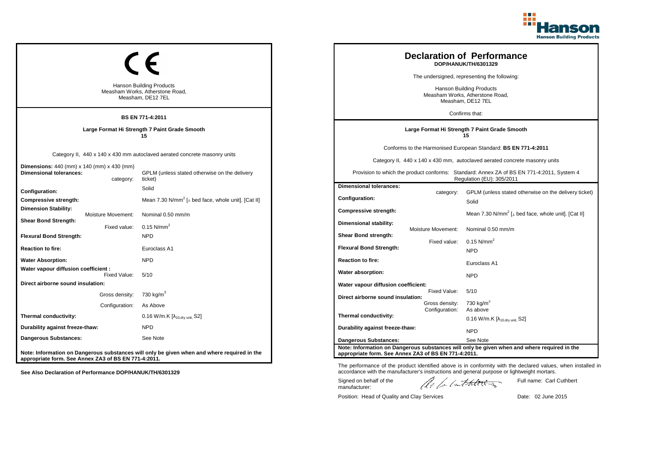

|                                                                                         |                    |                                                                                             |                                                                                         |                                                                                                                        | <b>Declaration of Performance</b><br>DOP/HANUK/TH/6301329                                   |
|-----------------------------------------------------------------------------------------|--------------------|---------------------------------------------------------------------------------------------|-----------------------------------------------------------------------------------------|------------------------------------------------------------------------------------------------------------------------|---------------------------------------------------------------------------------------------|
|                                                                                         |                    |                                                                                             |                                                                                         |                                                                                                                        | The undersigned, representing the following:                                                |
| <b>Hanson Building Products</b><br>Measham Works, Atherstone Road,<br>Measham, DE12 7EL |                    |                                                                                             | <b>Hanson Building Products</b><br>Measham Works, Atherstone Road,<br>Measham, DE12 7EL |                                                                                                                        |                                                                                             |
|                                                                                         |                    | <b>BS EN 771-4:2011</b>                                                                     |                                                                                         |                                                                                                                        | Confirms that:                                                                              |
|                                                                                         |                    | Large Format Hi Strength 7 Paint Grade Smooth<br>15                                         |                                                                                         |                                                                                                                        | Large Format Hi Strength 7 Paint Grade Smooth<br>15                                         |
|                                                                                         |                    |                                                                                             |                                                                                         |                                                                                                                        | Conforms to the Harmonised European Standard: BS EN 771-4:2011                              |
|                                                                                         |                    | Category II, 440 x 140 x 430 mm autoclaved aerated concrete masonry units                   |                                                                                         |                                                                                                                        | Category II, 440 x 140 x 430 mm, autoclaved aerated concrete masonry units                  |
| <b>Dimensions:</b> 440 (mm) x 140 (mm) x 430 (mm)<br><b>Dimensional tolerances:</b>     | category:          | GPLM (unless stated otherwise on the delivery<br>ticket)                                    |                                                                                         | Provision to which the product conforms: Standard: Annex ZA of BS EN 771-4:2011, System 4<br>Regulation (EU): 305/2011 |                                                                                             |
| Configuration:                                                                          |                    | Solid                                                                                       | <b>Dimensional tolerances:</b>                                                          |                                                                                                                        |                                                                                             |
| <b>Compressive strength:</b>                                                            |                    | Mean 7.30 N/mm <sup>2</sup> [ $\perp$ bed face, whole unit]. [Cat II]                       | <b>Configuration:</b>                                                                   | category:                                                                                                              | GPLM (unless stated otherwise on the delivery tic<br>Solid                                  |
| <b>Dimension Stability:</b>                                                             | Moisture Movement: | Nominal 0.50 mm/m                                                                           | Compressive strength:                                                                   |                                                                                                                        | Mean 7.30 N/mm <sup>2</sup> [ $\perp$ bed face, whole unit]. [Cat II]                       |
| <b>Shear Bond Strength:</b>                                                             | Fixed value:       | 0.15 $N/mm^2$                                                                               | Dimensional stability:                                                                  |                                                                                                                        |                                                                                             |
| <b>Flexural Bond Strength:</b>                                                          |                    | <b>NPD</b>                                                                                  | Shear Bond strength:                                                                    | Moisture Movement:                                                                                                     | Nominal 0.50 mm/m                                                                           |
| <b>Reaction to fire:</b>                                                                |                    | Euroclass A1                                                                                | <b>Flexural Bond Strength:</b>                                                          | Fixed value:                                                                                                           | $0.15$ N/mm <sup>2</sup>                                                                    |
| <b>Water Absorption:</b>                                                                |                    | <b>NPD</b>                                                                                  | <b>Reaction to fire:</b>                                                                |                                                                                                                        | <b>NPD</b>                                                                                  |
| Water vapour diffusion coefficient :                                                    |                    |                                                                                             |                                                                                         |                                                                                                                        | Euroclass A1                                                                                |
|                                                                                         | Fixed Value:       | 5/10                                                                                        | Water absorption:                                                                       |                                                                                                                        | <b>NPD</b>                                                                                  |
| Direct airborne sound insulation:                                                       |                    |                                                                                             | Water vapour diffusion coefficient:                                                     | Fixed Value:                                                                                                           | 5/10                                                                                        |
|                                                                                         | Gross density:     | 730 kg/m <sup>3</sup>                                                                       | Direct airborne sound insulation:                                                       |                                                                                                                        |                                                                                             |
|                                                                                         | Configuration:     | As Above                                                                                    |                                                                                         | Gross density:<br>Configuration:                                                                                       | 730 kg/m <sup>3</sup><br>As above                                                           |
| Thermal conductivity:                                                                   |                    | 0.16 W/m.K [λ <sub>10,dry unit,</sub> S2]                                                   | Thermal conductivity:                                                                   |                                                                                                                        | 0.16 W/m.K $[\lambda_{10, dry \, unit}$ , S2]                                               |
| Durability against freeze-thaw:                                                         |                    | <b>NPD</b>                                                                                  | Durability against freeze-thaw:                                                         |                                                                                                                        | <b>NPD</b>                                                                                  |
| Dangerous Substances:                                                                   |                    | See Note                                                                                    | <b>Dangerous Substances:</b>                                                            |                                                                                                                        | See Note                                                                                    |
| appropriate form. See Annex ZA3 of BS EN 771-4:2011.                                    |                    | Note: Information on Dangerous substances will only be given when and where required in the | appropriate form. See Annex ZA3 of BS EN 771-4:2011.                                    |                                                                                                                        | Note: Information on Dangerous substances will only be given when and where required in the |

| category:<br>Configuration:                          | GPLM (unless stated otherwise on the delivery ticket)                                       |
|------------------------------------------------------|---------------------------------------------------------------------------------------------|
|                                                      | Solid                                                                                       |
| Compressive strength:                                | Mean 7.30 N/mm <sup>2</sup> [ $\perp$ bed face, whole unit]. [Cat II]                       |
| Dimensional stability:                               |                                                                                             |
| Moisture Movement:<br>Shear Bond strength:           | Nominal 0.50 mm/m                                                                           |
| Fixed value:                                         | $0.15$ N/mm <sup>2</sup>                                                                    |
| <b>Flexural Bond Strength:</b>                       | <b>NPD</b>                                                                                  |
| <b>Reaction to fire:</b>                             | Euroclass A1                                                                                |
| Water absorption:                                    | <b>NPD</b>                                                                                  |
| Water vapour diffusion coefficient:                  |                                                                                             |
| Fixed Value:<br>Direct airborne sound insulation:    | 5/10                                                                                        |
| Gross density:<br>Configuration:                     | 730 kg/ $m^3$<br>As above                                                                   |
| Thermal conductivity:                                | 0.16 W/m.K $[\lambda_{10.0}$ <sub>tv unit.</sub> S2]                                        |
| Durability against freeze-thaw:                      | <b>NPD</b>                                                                                  |
| <b>Dangerous Substances:</b>                         | See Note                                                                                    |
| appropriate form. See Annex ZA3 of BS EN 771-4:2011. | Note: Information on Dangerous substances will only be given when and where required in the |

The performance of the product identified above is in conformity with the declared values, when installed in accordance with the manufacturer's instructions and general purpose or lightweight mortars.

Signed on behalf of the manufacturer:

ach lathering

Full name: Carl Cuthbert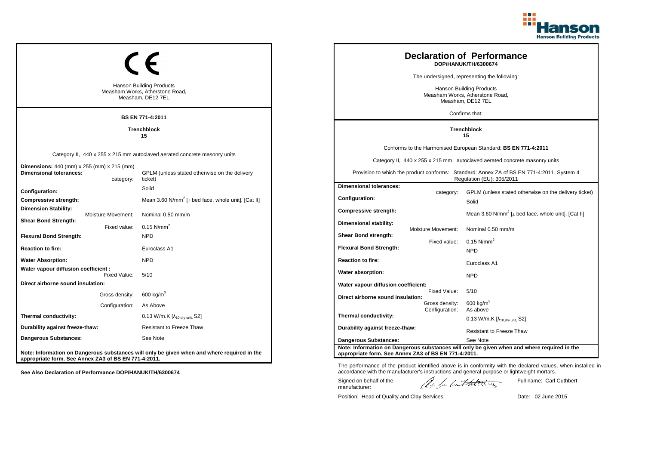

|                                                                                         |                    |                                                                                             |                                                                                                                        |                                  | <b>Declaration of Performance</b><br>DOP/HANUK/TH/6300674                                   |
|-----------------------------------------------------------------------------------------|--------------------|---------------------------------------------------------------------------------------------|------------------------------------------------------------------------------------------------------------------------|----------------------------------|---------------------------------------------------------------------------------------------|
|                                                                                         |                    |                                                                                             |                                                                                                                        |                                  | The undersigned, representing the following:                                                |
| <b>Hanson Building Products</b><br>Measham Works, Atherstone Road,<br>Measham, DE12 7EL |                    |                                                                                             | <b>Hanson Building Products</b><br>Measham Works, Atherstone Road,<br>Measham, DE12 7EL                                |                                  |                                                                                             |
|                                                                                         |                    | <b>BS EN 771-4:2011</b>                                                                     |                                                                                                                        |                                  | Confirms that:                                                                              |
|                                                                                         |                    | <b>Trenchblock</b><br>15                                                                    |                                                                                                                        |                                  | <b>Trenchblock</b><br>15                                                                    |
|                                                                                         |                    |                                                                                             |                                                                                                                        |                                  | Conforms to the Harmonised European Standard: BS EN 771-4:2011                              |
|                                                                                         |                    | Category II, 440 x 255 x 215 mm autoclaved aerated concrete masonry units                   |                                                                                                                        |                                  | Category II, 440 x 255 x 215 mm, autoclaved aerated concrete masonry units                  |
| Dimensions: 440 (mm) x 255 (mm) x 215 (mm)<br>Dimensional tolerances:                   | category:          | GPLM (unless stated otherwise on the delivery<br>ticket)                                    | Provision to which the product conforms: Standard: Annex ZA of BS EN 771-4:2011, System 4<br>Regulation (EU): 305/2011 |                                  |                                                                                             |
| <b>Configuration:</b>                                                                   |                    | Solid                                                                                       | <b>Dimensional tolerances:</b>                                                                                         | category:                        | GPLM (unless stated otherwise on the delivery ticket)                                       |
| Compressive strength:                                                                   |                    | Mean 3.60 N/mm <sup>2</sup> [ $\perp$ bed face, whole unit]. [Cat II]                       | Configuration:                                                                                                         |                                  | Solid                                                                                       |
| Dimension Stability:                                                                    | Moisture Movement: | Nominal 0.50 mm/m                                                                           | <b>Compressive strength:</b>                                                                                           |                                  | Mean 3.60 N/mm <sup>2</sup> [ $\perp$ bed face, whole unit]. [Cat II]                       |
| <b>Shear Bond Strength:</b>                                                             | Fixed value:       | $0.15$ N/mm <sup>2</sup>                                                                    | Dimensional stability:                                                                                                 | Moisture Movement:               | Nominal 0.50 mm/m                                                                           |
| <b>Flexural Bond Strength:</b>                                                          |                    | <b>NPD</b>                                                                                  | Shear Bond strength:                                                                                                   |                                  |                                                                                             |
| Reaction to fire:                                                                       |                    | Euroclass A1                                                                                | <b>Flexural Bond Strength:</b>                                                                                         | Fixed value:                     | 0.15 $N/mm^2$<br><b>NPD</b>                                                                 |
| <b>Water Absorption:</b>                                                                |                    | <b>NPD</b>                                                                                  | <b>Reaction to fire:</b>                                                                                               |                                  | Euroclass A1                                                                                |
| Water vapour diffusion coefficient :                                                    | Fixed Value:       | 5/10                                                                                        | Water absorption:                                                                                                      |                                  | <b>NPD</b>                                                                                  |
| Direct airborne sound insulation:                                                       |                    |                                                                                             | Water vapour diffusion coefficient:                                                                                    |                                  |                                                                                             |
|                                                                                         | Gross density:     | 600 kg/m <sup>3</sup>                                                                       | Direct airborne sound insulation:                                                                                      | Fixed Value:                     | 5/10                                                                                        |
|                                                                                         | Configuration:     | As Above                                                                                    |                                                                                                                        | Gross density:<br>Configuration: | $600$ kg/m <sup>3</sup><br>As above                                                         |
| Thermal conductivity:                                                                   |                    | 0.13 W/m.K [λ <sub>10,dry unit,</sub> S2]                                                   | Thermal conductivity:                                                                                                  |                                  | 0.13 W/m.K $[\lambda_{10.0}$ <sub>W unit.</sub> S2]                                         |
| Durability against freeze-thaw:                                                         |                    | <b>Resistant to Freeze Thaw</b>                                                             | Durability against freeze-thaw:                                                                                        |                                  | <b>Resistant to Freeze Thaw</b>                                                             |
| Dangerous Substances:                                                                   |                    | See Note                                                                                    | <b>Dangerous Substances:</b>                                                                                           |                                  | See Note                                                                                    |
| appropriate form. See Annex ZA3 of BS EN 771-4:2011.                                    |                    | Note: Information on Dangerous substances will only be given when and where required in the | appropriate form. See Annex ZA3 of BS EN 771-4:2011.                                                                   |                                  | Note: Information on Dangerous substances will only be given when and where required in the |

The performance of the product identified above is in conformity with the declared values, when installed in accordance with the manufacturer's instructions and general purpose or lightweight mortars.

Signed on behalf of the manufacturer:

Full name: Carl Cuthbert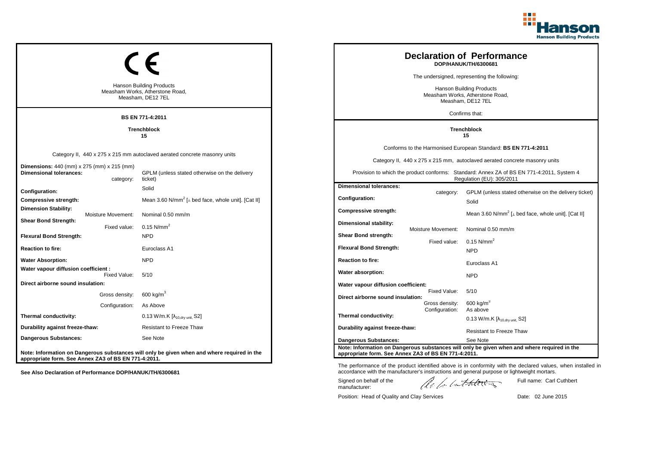

ticket)

|                                                                                         |                           |                                                                                             |                                                                                                                        |                                  | <b>Declaration of Performance</b><br>DOP/HANUK/TH/6300681                                          |
|-----------------------------------------------------------------------------------------|---------------------------|---------------------------------------------------------------------------------------------|------------------------------------------------------------------------------------------------------------------------|----------------------------------|----------------------------------------------------------------------------------------------------|
|                                                                                         |                           |                                                                                             |                                                                                                                        |                                  | The undersigned, representing the following:                                                       |
| <b>Hanson Building Products</b><br>Measham Works, Atherstone Road,<br>Measham, DE12 7EL |                           |                                                                                             |                                                                                                                        |                                  | Hanson Building Products<br>Measham Works, Atherstone Road,<br>Measham, DE12 7EL<br>Confirms that: |
|                                                                                         |                           | <b>BS EN 771-4:2011</b>                                                                     |                                                                                                                        |                                  |                                                                                                    |
|                                                                                         |                           | <b>Trenchblock</b><br>15                                                                    |                                                                                                                        |                                  | <b>Trenchblock</b><br>15                                                                           |
|                                                                                         |                           |                                                                                             |                                                                                                                        |                                  | Conforms to the Harmonised European Standard: BS EN 771-4:2011                                     |
|                                                                                         |                           | Category II, 440 x 275 x 215 mm autoclaved aerated concrete masonry units                   |                                                                                                                        |                                  | Category II, 440 x 275 x 215 mm, autoclaved aerated concrete masonry units                         |
| <b>Dimensions:</b> 440 (mm) x 275 (mm) x 215 (mm)<br><b>Dimensional tolerances:</b>     | category:                 | GPLM (unless stated otherwise on the delivery<br>ticket)                                    | Provision to which the product conforms: Standard: Annex ZA of BS EN 771-4:2011, System 4<br>Regulation (EU): 305/2011 |                                  |                                                                                                    |
| Configuration:                                                                          |                           | Solid                                                                                       | <b>Dimensional tolerances:</b>                                                                                         |                                  | GPLM (unless stated otherwise on the delivery tick                                                 |
| Compressive strength:                                                                   |                           | Mean 3.60 N/mm <sup>2</sup> [ $\perp$ bed face, whole unit]. [Cat II]                       | Configuration:                                                                                                         | category:                        | Solid                                                                                              |
| <b>Dimension Stability:</b>                                                             | <b>Moisture Movement:</b> | Nominal 0.50 mm/m                                                                           | <b>Compressive strength:</b>                                                                                           |                                  | Mean 3.60 N/mm <sup>2</sup> [ $\perp$ bed face, whole unit]. [Cat II]                              |
| <b>Shear Bond Strength:</b>                                                             | Fixed value:              | $0.15$ N/mm <sup>2</sup>                                                                    | Dimensional stability:                                                                                                 | Moisture Movement:               | Nominal 0.50 mm/m                                                                                  |
| <b>Flexural Bond Strength:</b>                                                          |                           | <b>NPD</b>                                                                                  | Shear Bond strength:                                                                                                   |                                  |                                                                                                    |
| <b>Reaction to fire:</b>                                                                |                           | Euroclass A1                                                                                | <b>Flexural Bond Strength:</b>                                                                                         | Fixed value:                     | 0.15 N/mm <sup>2</sup><br><b>NPD</b>                                                               |
| <b>Water Absorption:</b>                                                                |                           | <b>NPD</b>                                                                                  | <b>Reaction to fire:</b>                                                                                               |                                  |                                                                                                    |
| Water vapour diffusion coefficient :                                                    |                           |                                                                                             |                                                                                                                        |                                  | Euroclass A1                                                                                       |
|                                                                                         | Fixed Value:              | 5/10                                                                                        | Water absorption:                                                                                                      |                                  | <b>NPD</b>                                                                                         |
| Direct airborne sound insulation:                                                       |                           |                                                                                             | Water vapour diffusion coefficient:                                                                                    | Fixed Value:                     | 5/10                                                                                               |
|                                                                                         | Gross density:            | 600 kg/m $3$                                                                                | Direct airborne sound insulation:                                                                                      |                                  |                                                                                                    |
|                                                                                         | Configuration:            | As Above                                                                                    |                                                                                                                        | Gross density:<br>Configuration: | 600 kg/m <sup>3</sup><br>As above                                                                  |
| Thermal conductivity:                                                                   |                           | $0.13$ W/m.K [ $\lambda_{10, dry \text{ unit}}$ , S2]                                       | Thermal conductivity:                                                                                                  |                                  | 0.13 W/m.K $[\lambda_{10, dry \, unit}$ , S2]                                                      |
| Durability against freeze-thaw:                                                         |                           | <b>Resistant to Freeze Thaw</b>                                                             | Durability against freeze-thaw:                                                                                        |                                  | <b>Resistant to Freeze Thaw</b>                                                                    |
| Dangerous Substances:                                                                   |                           | See Note                                                                                    | <b>Dangerous Substances:</b>                                                                                           |                                  | See Note                                                                                           |
| appropriate form. See Annex ZA3 of BS EN 771-4:2011.                                    |                           | Note: Information on Dangerous substances will only be given when and where required in the | appropriate form. See Annex ZA3 of BS EN 771-4:2011.                                                                   |                                  | Note: Information on Dangerous substances will only be given when and where required in the        |

**See Also Declaration of Performance DOP/HANUK/TH/6300681**

The performance of the product identified above is in conformity with the declared values, when installed in accordance with the manufacturer's instructions and general purpose or lightweight mortars.

Signed on behalf of the manufacturer:

Full name: Carl Cuthbert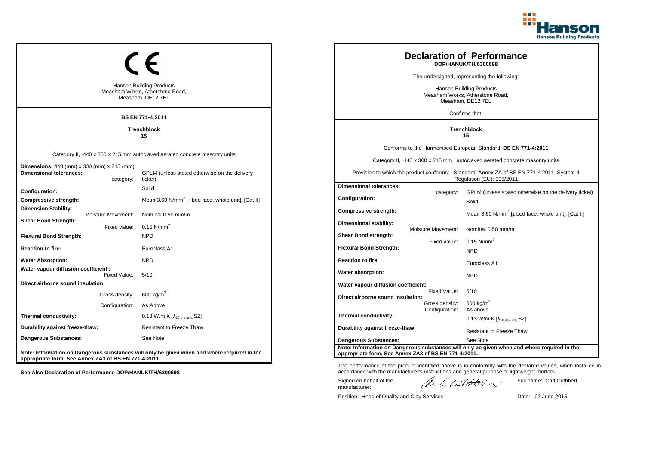

|                                                                                         |                    |                                                                                             |                                                                                                                        |                                  | <b>Declaration of Performance</b><br>DOP/HANUK/TH/6300698                                   |
|-----------------------------------------------------------------------------------------|--------------------|---------------------------------------------------------------------------------------------|------------------------------------------------------------------------------------------------------------------------|----------------------------------|---------------------------------------------------------------------------------------------|
|                                                                                         |                    |                                                                                             | The undersigned, representing the following:                                                                           |                                  |                                                                                             |
| <b>Hanson Building Products</b><br>Measham Works, Atherstone Road,<br>Measham, DE12 7EL |                    |                                                                                             | Hanson Building Products<br>Measham Works, Atherstone Road,<br>Measham, DE12 7EL                                       |                                  |                                                                                             |
|                                                                                         |                    | <b>BS EN 771-4:2011</b>                                                                     |                                                                                                                        |                                  | Confirms that:                                                                              |
|                                                                                         |                    | <b>Trenchblock</b><br>15                                                                    |                                                                                                                        |                                  | <b>Trenchblock</b><br>15                                                                    |
|                                                                                         |                    |                                                                                             |                                                                                                                        |                                  | Conforms to the Harmonised European Standard: BS EN 771-4:2011                              |
|                                                                                         |                    | Category II, 440 x 300 x 215 mm autoclaved aerated concrete masonry units                   |                                                                                                                        |                                  | Category II, 440 x 300 x 215 mm, autoclaved aerated concrete masonry units                  |
| Dimensions: 440 (mm) x 300 (mm) x 215 (mm)<br><b>Dimensional tolerances:</b>            | category:          | GPLM (unless stated otherwise on the delivery<br>ticket)                                    | Provision to which the product conforms: Standard: Annex ZA of BS EN 771-4:2011, System 4<br>Regulation (EU): 305/2011 |                                  |                                                                                             |
| <b>Configuration:</b>                                                                   |                    | Solid                                                                                       | <b>Dimensional tolerances:</b>                                                                                         | category:                        | GPLM (unless stated otherwise on the delivery ticket)                                       |
| Compressive strength:                                                                   |                    | Mean 3.60 N/mm <sup>2</sup> [ $\perp$ bed face, whole unit]. [Cat II]                       | Configuration:                                                                                                         |                                  | Solid                                                                                       |
| Dimension Stability:                                                                    | Moisture Movement: | Nominal 0.50 mm/m                                                                           | <b>Compressive strength:</b>                                                                                           |                                  | Mean 3.60 N/mm <sup>2</sup> [ $\perp$ bed face, whole unit]. [Cat II]                       |
| <b>Shear Bond Strength:</b>                                                             | Fixed value:       | $0.15$ N/mm <sup>2</sup>                                                                    | Dimensional stability:                                                                                                 |                                  | Nominal 0.50 mm/m                                                                           |
| Flexural Bond Strength:                                                                 |                    | <b>NPD</b>                                                                                  | Shear Bond strength:                                                                                                   | Moisture Movement:               |                                                                                             |
| Reaction to fire:                                                                       |                    | Euroclass A1                                                                                | <b>Flexural Bond Strength:</b>                                                                                         | Fixed value:                     | 0.15 $N/mm^2$<br><b>NPD</b>                                                                 |
| <b>Water Absorption:</b>                                                                |                    | <b>NPD</b>                                                                                  | <b>Reaction to fire:</b>                                                                                               |                                  | Euroclass A1                                                                                |
| Water vapour diffusion coefficient :                                                    | Fixed Value:       | 5/10                                                                                        | Water absorption:                                                                                                      |                                  | <b>NPD</b>                                                                                  |
| Direct airborne sound insulation:                                                       |                    |                                                                                             | Water vapour diffusion coefficient:                                                                                    |                                  |                                                                                             |
|                                                                                         | Gross density:     | $600 \text{ kg/m}^3$                                                                        | Direct airborne sound insulation:                                                                                      | Fixed Value:                     | 5/10                                                                                        |
|                                                                                         | Configuration:     | As Above                                                                                    |                                                                                                                        | Gross density:<br>Configuration: | 600 kg/m <sup>3</sup><br>As above                                                           |
| Thermal conductivity:                                                                   |                    | 0.13 W/m.K [λ <sub>10,dry unit,</sub> S2]                                                   | Thermal conductivity:                                                                                                  |                                  | 0.13 W/m.K $[\lambda_{10, dry \text{ unit}}, S2]$                                           |
| Durability against freeze-thaw:                                                         |                    | Resistant to Freeze Thaw                                                                    | Durability against freeze-thaw:                                                                                        |                                  | <b>Resistant to Freeze Thaw</b>                                                             |
| Dangerous Substances:                                                                   |                    | See Note                                                                                    | Dangerous Substances:                                                                                                  |                                  | See Note                                                                                    |
| appropriate form. See Annex ZA3 of BS EN 771-4:2011.                                    |                    | Note: Information on Dangerous substances will only be given when and where required in the | appropriate form. See Annex ZA3 of BS EN 771-4:2011.                                                                   |                                  | Note: Information on Dangerous substances will only be given when and where required in the |

The performance of the product identified above is in conformity with the declared values, when installed in accordance with the manufacturer's instructions and general purpose or lightweight mortars.

Signed on behalf of the manufacturer:

Full name: Carl Cuthbert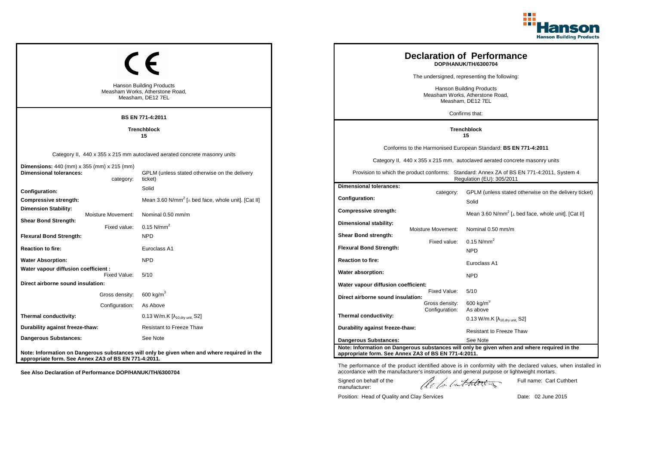

|                                                                                     |                    |                                                                                             |                                                                                                                        |                    | <b>Declaration of Performance</b><br>DOP/HANUK/TH/6300704                                   |
|-------------------------------------------------------------------------------------|--------------------|---------------------------------------------------------------------------------------------|------------------------------------------------------------------------------------------------------------------------|--------------------|---------------------------------------------------------------------------------------------|
|                                                                                     |                    |                                                                                             |                                                                                                                        |                    | The undersigned, representing the following:                                                |
|                                                                                     |                    | <b>Hanson Building Products</b><br>Measham Works, Atherstone Road,<br>Measham, DE12 7EL     | <b>Hanson Building Products</b><br>Measham Works, Atherstone Road,<br>Measham, DE12 7EL                                |                    |                                                                                             |
|                                                                                     |                    | BS EN 771-4:2011                                                                            |                                                                                                                        |                    | Confirms that:                                                                              |
|                                                                                     |                    | <b>Trenchblock</b><br>15                                                                    |                                                                                                                        |                    | <b>Trenchblock</b><br>15                                                                    |
|                                                                                     |                    |                                                                                             |                                                                                                                        |                    | Conforms to the Harmonised European Standard: BS EN 771-4:2011                              |
|                                                                                     |                    | Category II, 440 x 355 x 215 mm autoclaved aerated concrete masonry units                   |                                                                                                                        |                    | Category II, 440 x 355 x 215 mm, autoclaved aerated concrete masonry units                  |
| <b>Dimensions:</b> 440 (mm) x 355 (mm) x 215 (mm)<br><b>Dimensional tolerances:</b> | category:          | GPLM (unless stated otherwise on the delivery<br>ticket)                                    | Provision to which the product conforms: Standard: Annex ZA of BS EN 771-4:2011, System 4<br>Regulation (EU): 305/2011 |                    |                                                                                             |
| Configuration:                                                                      |                    | Solid                                                                                       | <b>Dimensional tolerances:</b>                                                                                         | category:          | GPLM (unless stated otherwise on the delivery ticket)                                       |
| Compressive strength:                                                               |                    | Mean 3.60 N/mm <sup>2</sup> [ $\perp$ bed face, whole unit]. [Cat II]                       | Configuration:                                                                                                         |                    | Solid                                                                                       |
| <b>Dimension Stability:</b>                                                         | Moisture Movement: | Nominal 0.50 mm/m                                                                           | Compressive strength:                                                                                                  |                    | Mean 3.60 N/mm <sup>2</sup> [ $\perp$ bed face, whole unit]. [Cat II]                       |
| <b>Shear Bond Strength:</b>                                                         | Fixed value:       | 0.15 $N/mm^2$                                                                               | Dimensional stability:                                                                                                 | Moisture Movement: | Nominal 0.50 mm/m                                                                           |
| <b>Flexural Bond Strength:</b>                                                      |                    | <b>NPD</b>                                                                                  | Shear Bond strength:                                                                                                   |                    |                                                                                             |
| <b>Reaction to fire:</b>                                                            |                    | Euroclass A1                                                                                | <b>Flexural Bond Strength:</b>                                                                                         | Fixed value:       | 0.15 $N/mm^2$<br><b>NPD</b>                                                                 |
| <b>Water Absorption:</b>                                                            |                    | <b>NPD</b>                                                                                  | <b>Reaction to fire:</b>                                                                                               |                    |                                                                                             |
| Water vapour diffusion coefficient :                                                |                    |                                                                                             | Water absorption:                                                                                                      |                    | Euroclass A1                                                                                |
| Direct airborne sound insulation:                                                   | Fixed Value:       | 5/10                                                                                        | Water vapour diffusion coefficient:                                                                                    |                    | <b>NPD</b>                                                                                  |
|                                                                                     | Gross density:     | 600 kg/m <sup>3</sup>                                                                       |                                                                                                                        | Fixed Value:       | 5/10                                                                                        |
|                                                                                     | Configuration:     | As Above                                                                                    | Direct airborne sound insulation:                                                                                      | Gross density:     | $600$ kg/m <sup>3</sup>                                                                     |
| Thermal conductivity:                                                               |                    | 0.13 W/m.K [λ <sub>10,dry unit,</sub> S2]                                                   | Thermal conductivity:                                                                                                  | Configuration:     | As above                                                                                    |
| Durability against freeze-thaw:                                                     |                    | <b>Resistant to Freeze Thaw</b>                                                             | Durability against freeze-thaw:                                                                                        |                    | 0.13 W/m.K $[\lambda_{10.0}$ <sub>W unit.</sub> S2]                                         |
| Dangerous Substances:                                                               |                    | See Note                                                                                    |                                                                                                                        |                    | <b>Resistant to Freeze Thaw</b><br>See Note                                                 |
| appropriate form. See Annex ZA3 of BS EN 771-4:2011.                                |                    | Note: Information on Dangerous substances will only be given when and where required in the | <b>Dangerous Substances:</b><br>appropriate form. See Annex ZA3 of BS EN 771-4:2011.                                   |                    | Note: Information on Dangerous substances will only be given when and where required in the |

The performance of the product identified above is in conformity with the declared values, when installed in accordance with the manufacturer's instructions and general purpose or lightweight mortars.

Signed on behalf of the manufacturer:

Full name: Carl Cuthbert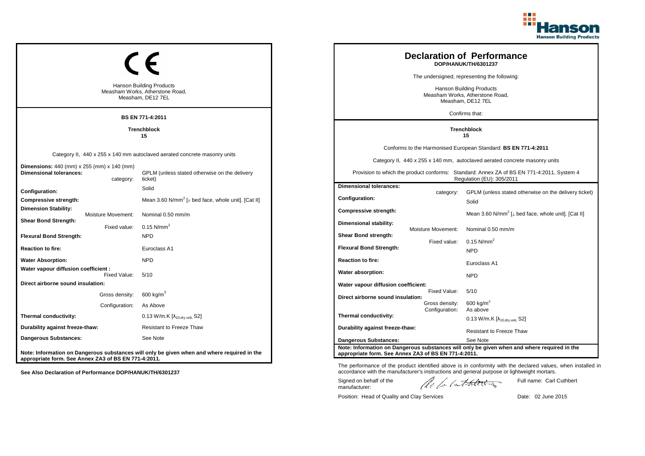

|                                                                                         |                    |                                                                                             |                                                                                                                        |                                  | <b>Declaration of Performance</b><br>DOP/HANUK/TH/6301237                                   |
|-----------------------------------------------------------------------------------------|--------------------|---------------------------------------------------------------------------------------------|------------------------------------------------------------------------------------------------------------------------|----------------------------------|---------------------------------------------------------------------------------------------|
|                                                                                         |                    |                                                                                             |                                                                                                                        |                                  | The undersigned, representing the following:                                                |
| <b>Hanson Building Products</b><br>Measham Works, Atherstone Road,<br>Measham, DE12 7EL |                    |                                                                                             | <b>Hanson Building Products</b><br>Measham Works, Atherstone Road,<br>Measham, DE12 7EL                                |                                  |                                                                                             |
|                                                                                         |                    | <b>BS EN 771-4:2011</b>                                                                     |                                                                                                                        |                                  | Confirms that:                                                                              |
|                                                                                         |                    | <b>Trenchblock</b><br>15                                                                    |                                                                                                                        |                                  | <b>Trenchblock</b><br>15                                                                    |
|                                                                                         |                    |                                                                                             |                                                                                                                        |                                  | Conforms to the Harmonised European Standard: BS EN 771-4:2011                              |
|                                                                                         |                    | Category II, 440 x 255 x 140 mm autoclaved aerated concrete masonry units                   |                                                                                                                        |                                  | Category II, 440 x 255 x 140 mm, autoclaved aerated concrete masonry units                  |
| Dimensions: 440 (mm) x 255 (mm) x 140 (mm)<br>Dimensional tolerances:                   | category:          | GPLM (unless stated otherwise on the delivery<br>ticket)                                    | Provision to which the product conforms: Standard: Annex ZA of BS EN 771-4:2011, System 4<br>Regulation (EU): 305/2011 |                                  |                                                                                             |
| <b>Configuration:</b>                                                                   |                    | Solid                                                                                       | <b>Dimensional tolerances:</b>                                                                                         | category:                        | GPLM (unless stated otherwise on the delivery ticket)                                       |
| Compressive strength:                                                                   |                    | Mean 3.60 N/mm <sup>2</sup> [ $\perp$ bed face, whole unit]. [Cat II]                       | Configuration:                                                                                                         |                                  | Solid                                                                                       |
| Dimension Stability:                                                                    | Moisture Movement: | Nominal 0.50 mm/m                                                                           | <b>Compressive strength:</b>                                                                                           |                                  | Mean 3.60 N/mm <sup>2</sup> [ $\perp$ bed face, whole unit]. [Cat II]                       |
| <b>Shear Bond Strength:</b>                                                             | Fixed value:       | $0.15$ N/mm <sup>2</sup>                                                                    | Dimensional stability:                                                                                                 | Moisture Movement:               | Nominal 0.50 mm/m                                                                           |
| <b>Flexural Bond Strength:</b>                                                          |                    | <b>NPD</b>                                                                                  | Shear Bond strength:                                                                                                   |                                  |                                                                                             |
| Reaction to fire:                                                                       |                    | Euroclass A1                                                                                | <b>Flexural Bond Strength:</b>                                                                                         | Fixed value:                     | 0.15 $N/mm^2$<br><b>NPD</b>                                                                 |
| <b>Water Absorption:</b>                                                                |                    | <b>NPD</b>                                                                                  | <b>Reaction to fire:</b>                                                                                               |                                  | Euroclass A1                                                                                |
| Water vapour diffusion coefficient :                                                    | Fixed Value:       | 5/10                                                                                        | Water absorption:                                                                                                      |                                  | <b>NPD</b>                                                                                  |
| Direct airborne sound insulation:                                                       |                    |                                                                                             | Water vapour diffusion coefficient:                                                                                    |                                  |                                                                                             |
|                                                                                         | Gross density:     | 600 kg/m <sup>3</sup>                                                                       | Direct airborne sound insulation:                                                                                      | Fixed Value:                     | 5/10                                                                                        |
|                                                                                         | Configuration:     | As Above                                                                                    |                                                                                                                        | Gross density:<br>Configuration: | $600$ kg/m <sup>3</sup><br>As above                                                         |
| Thermal conductivity:                                                                   |                    | 0.13 W/m.K [λ <sub>10,dry unit,</sub> S2]                                                   | Thermal conductivity:                                                                                                  |                                  | 0.13 W/m.K $[\lambda_{10.0}$ <sub>W unit.</sub> S2]                                         |
| Durability against freeze-thaw:                                                         |                    | <b>Resistant to Freeze Thaw</b>                                                             | Durability against freeze-thaw:                                                                                        |                                  | <b>Resistant to Freeze Thaw</b>                                                             |
| Dangerous Substances:                                                                   |                    | See Note                                                                                    | <b>Dangerous Substances:</b>                                                                                           |                                  | See Note                                                                                    |
| appropriate form. See Annex ZA3 of BS EN 771-4:2011.                                    |                    | Note: Information on Dangerous substances will only be given when and where required in the | appropriate form. See Annex ZA3 of BS EN 771-4:2011.                                                                   |                                  | Note: Information on Dangerous substances will only be given when and where required in the |

Signed on behalf of the manufacturer: Full name: Carl Cuthbert

The performance of the product identified above is in conformity with the declared values, when installed in accordance with the manufacturer's instructions and general purpose or lightweight mortars.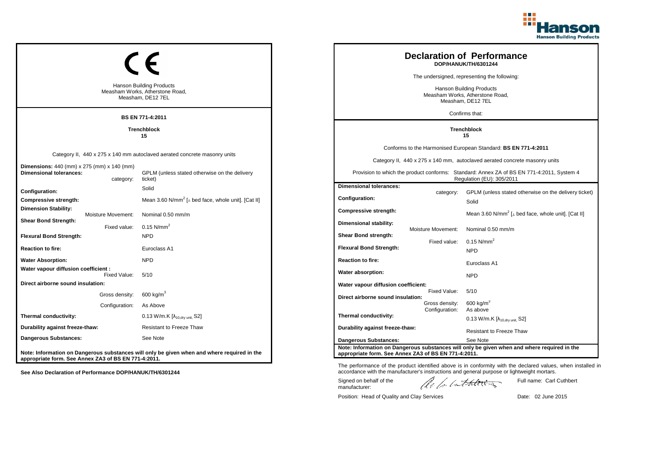

| <b>Hanson Building Products</b><br>Measham Works, Atherstone Road,<br>Measham, DE12 7EL |                    |                                                                                             |                                                                                                           |                                                                                                                        |                    | <b>Declaration of Performance</b><br>DOP/HANUK/TH/6301244                                               |
|-----------------------------------------------------------------------------------------|--------------------|---------------------------------------------------------------------------------------------|-----------------------------------------------------------------------------------------------------------|------------------------------------------------------------------------------------------------------------------------|--------------------|---------------------------------------------------------------------------------------------------------|
|                                                                                         |                    |                                                                                             |                                                                                                           | The undersigned, representing the following:                                                                           |                    |                                                                                                         |
|                                                                                         |                    |                                                                                             | <b>Hanson Building Products</b><br>Measham Works, Atherstone Road,<br>Measham, DE12 7EL<br>Confirms that: |                                                                                                                        |                    |                                                                                                         |
| BS EN 771-4:2011                                                                        |                    |                                                                                             |                                                                                                           |                                                                                                                        |                    |                                                                                                         |
| <b>Trenchblock</b><br>15                                                                |                    |                                                                                             |                                                                                                           | <b>Trenchblock</b><br>15                                                                                               |                    |                                                                                                         |
| Category II, 440 x 275 x 140 mm autoclaved aerated concrete masonry units               |                    |                                                                                             |                                                                                                           | Conforms to the Harmonised European Standard: BS EN 771-4:2011                                                         |                    |                                                                                                         |
|                                                                                         |                    |                                                                                             |                                                                                                           | Category II, 440 x 275 x 140 mm, autoclaved aerated concrete masonry units                                             |                    |                                                                                                         |
| <b>Dimensions:</b> 440 (mm) x 275 (mm) x 140 (mm)<br><b>Dimensional tolerances:</b>     | category:          | GPLM (unless stated otherwise on the delivery<br>ticket)                                    |                                                                                                           | Provision to which the product conforms: Standard: Annex ZA of BS EN 771-4:2011, System 4<br>Regulation (EU): 305/2011 |                    |                                                                                                         |
| Configuration:                                                                          |                    | Solid                                                                                       |                                                                                                           | <b>Dimensional tolerances:</b>                                                                                         | category:          | GPLM (unless stated otherwise on the delivery ticket)                                                   |
| Compressive strength:                                                                   |                    | Mean 3.60 N/mm <sup>2</sup> [ $\perp$ bed face, whole unit]. [Cat II]                       |                                                                                                           | Configuration:                                                                                                         |                    | Solid                                                                                                   |
| <b>Dimension Stability:</b>                                                             | Moisture Movement: | Nominal 0.50 mm/m                                                                           |                                                                                                           | Compressive strength:                                                                                                  |                    | Mean 3.60 N/mm <sup>2</sup> [ $\perp$ bed face, whole unit]. [Cat II]                                   |
| <b>Shear Bond Strength:</b>                                                             | Fixed value:       | 0.15 $N/mm^2$                                                                               |                                                                                                           | Dimensional stability:                                                                                                 | Moisture Movement: | Nominal 0.50 mm/m                                                                                       |
| <b>Flexural Bond Strength:</b>                                                          |                    | <b>NPD</b>                                                                                  |                                                                                                           | Shear Bond strength:                                                                                                   |                    |                                                                                                         |
| <b>Reaction to fire:</b>                                                                |                    | Euroclass A1                                                                                |                                                                                                           | <b>Flexural Bond Strength:</b>                                                                                         | Fixed value:       | 0.15 $N/mm^2$<br><b>NPD</b>                                                                             |
| <b>Water Absorption:</b>                                                                |                    | <b>NPD</b>                                                                                  |                                                                                                           | <b>Reaction to fire:</b>                                                                                               |                    |                                                                                                         |
| Water vapour diffusion coefficient :                                                    |                    |                                                                                             |                                                                                                           | Water absorption:                                                                                                      |                    | Euroclass A1                                                                                            |
| Direct airborne sound insulation:                                                       | Fixed Value:       | 5/10                                                                                        |                                                                                                           |                                                                                                                        |                    | <b>NPD</b>                                                                                              |
|                                                                                         | Gross density:     | 600 kg/m <sup>3</sup>                                                                       |                                                                                                           | Water vapour diffusion coefficient:                                                                                    | Fixed Value:       | 5/10                                                                                                    |
|                                                                                         | Configuration:     | As Above                                                                                    |                                                                                                           | Direct airborne sound insulation:                                                                                      | Gross density:     | $600$ kg/m <sup>3</sup>                                                                                 |
| Thermal conductivity:                                                                   |                    | 0.13 W/m.K [λ <sub>10,dry unit,</sub> S2]                                                   |                                                                                                           | Thermal conductivity:                                                                                                  | Configuration:     | As above                                                                                                |
| Durability against freeze-thaw:                                                         |                    | <b>Resistant to Freeze Thaw</b>                                                             |                                                                                                           | Durability against freeze-thaw:                                                                                        |                    | 0.13 W/m.K $[\lambda_{10.0}$ <sub>W unit.</sub> S2]                                                     |
| Dangerous Substances:                                                                   |                    | See Note                                                                                    |                                                                                                           |                                                                                                                        |                    | <b>Resistant to Freeze Thaw</b>                                                                         |
|                                                                                         |                    |                                                                                             |                                                                                                           | <b>Dangerous Substances:</b>                                                                                           |                    | See Note<br>Note: Information on Dangerous substances will only be given when and where required in the |
| appropriate form. See Annex ZA3 of BS EN 771-4:2011.                                    |                    | Note: Information on Dangerous substances will only be given when and where required in the |                                                                                                           | appropriate form. See Annex ZA3 of BS EN 771-4:2011.                                                                   |                    |                                                                                                         |

The performance of the product identified above is in conformity with the declared values, when installed in accordance with the manufacturer's instructions and general purpose or lightweight mortars.

Signed on behalf of the manufacturer:

Position: Head of Quality and Clay Services Date: 02 June 2015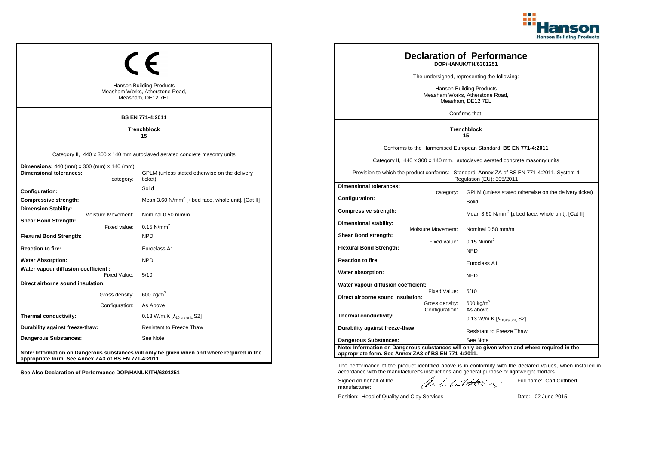

|                                                                                         |                          |                                                                                             |  |                                                                                                           |                    | <b>Declaration of Performance</b><br>DOP/HANUK/TH/6301251                                                              |
|-----------------------------------------------------------------------------------------|--------------------------|---------------------------------------------------------------------------------------------|--|-----------------------------------------------------------------------------------------------------------|--------------------|------------------------------------------------------------------------------------------------------------------------|
|                                                                                         |                          |                                                                                             |  |                                                                                                           |                    | The undersigned, representing the following:                                                                           |
| <b>Hanson Building Products</b><br>Measham Works, Atherstone Road,<br>Measham, DE12 7EL |                          |                                                                                             |  | <b>Hanson Building Products</b><br>Measham Works, Atherstone Road,<br>Measham, DE12 7EL<br>Confirms that: |                    |                                                                                                                        |
|                                                                                         |                          | BS EN 771-4:2011                                                                            |  |                                                                                                           |                    |                                                                                                                        |
|                                                                                         | <b>Trenchblock</b><br>15 |                                                                                             |  |                                                                                                           |                    | <b>Trenchblock</b><br>15                                                                                               |
|                                                                                         |                          |                                                                                             |  |                                                                                                           |                    | Conforms to the Harmonised European Standard: BS EN 771-4:2011                                                         |
| Category II, 440 x 300 x 140 mm autoclaved aerated concrete masonry units               |                          |                                                                                             |  |                                                                                                           |                    | Category II, 440 x 300 x 140 mm, autoclaved aerated concrete masonry units                                             |
| <b>Dimensions:</b> 440 (mm) x 300 (mm) x 140 (mm)<br><b>Dimensional tolerances:</b>     | category:                | GPLM (unless stated otherwise on the delivery<br>ticket)                                    |  |                                                                                                           |                    | Provision to which the product conforms: Standard: Annex ZA of BS EN 771-4:2011, System 4<br>Regulation (EU): 305/2011 |
| Configuration:                                                                          |                          | Solid                                                                                       |  | <b>Dimensional tolerances:</b>                                                                            | category:          | GPLM (unless stated otherwise on the delivery ticket)                                                                  |
| Compressive strength:                                                                   |                          | Mean 3.60 N/mm <sup>2</sup> [ $\perp$ bed face, whole unit]. [Cat II]                       |  | Configuration:                                                                                            |                    | Solid                                                                                                                  |
| <b>Dimension Stability:</b>                                                             | Moisture Movement:       | Nominal 0.50 mm/m                                                                           |  | Compressive strength:                                                                                     |                    | Mean 3.60 N/mm <sup>2</sup> [ $\perp$ bed face, whole unit]. [Cat II]                                                  |
| <b>Shear Bond Strength:</b>                                                             | Fixed value:             | 0.15 $N/mm^2$                                                                               |  | Dimensional stability:                                                                                    | Moisture Movement: | Nominal 0.50 mm/m                                                                                                      |
| <b>Flexural Bond Strength:</b>                                                          |                          | <b>NPD</b>                                                                                  |  | Shear Bond strength:                                                                                      |                    |                                                                                                                        |
| <b>Reaction to fire:</b>                                                                |                          | Euroclass A1                                                                                |  | <b>Flexural Bond Strength:</b>                                                                            | Fixed value:       | 0.15 $N/mm^2$<br><b>NPD</b>                                                                                            |
| <b>Water Absorption:</b>                                                                |                          | <b>NPD</b>                                                                                  |  | <b>Reaction to fire:</b>                                                                                  |                    |                                                                                                                        |
| Water vapour diffusion coefficient :                                                    |                          |                                                                                             |  | Water absorption:                                                                                         |                    | Euroclass A1                                                                                                           |
| Direct airborne sound insulation:                                                       | Fixed Value:             | 5/10                                                                                        |  | Water vapour diffusion coefficient:                                                                       |                    | <b>NPD</b>                                                                                                             |
|                                                                                         | Gross density:           | 600 kg/m <sup>3</sup>                                                                       |  |                                                                                                           | Fixed Value:       | 5/10                                                                                                                   |
|                                                                                         | Configuration:           | As Above                                                                                    |  | Direct airborne sound insulation:                                                                         | Gross density:     | $600$ kg/m <sup>3</sup>                                                                                                |
| Thermal conductivity:                                                                   |                          | 0.13 W/m.K [λ <sub>10,dry unit,</sub> S2]                                                   |  | Thermal conductivity:                                                                                     | Configuration:     | As above                                                                                                               |
| Durability against freeze-thaw:                                                         |                          | <b>Resistant to Freeze Thaw</b>                                                             |  | Durability against freeze-thaw:                                                                           |                    | 0.13 W/m.K $[\lambda_{10.0}$ <sub>W unit.</sub> S2]                                                                    |
| Dangerous Substances:                                                                   |                          | See Note                                                                                    |  |                                                                                                           |                    | <b>Resistant to Freeze Thaw</b>                                                                                        |
| appropriate form. See Annex ZA3 of BS EN 771-4:2011.                                    |                          | Note: Information on Dangerous substances will only be given when and where required in the |  | <b>Dangerous Substances:</b><br>appropriate form. See Annex ZA3 of BS EN 771-4:2011.                      |                    | See Note<br>Note: Information on Dangerous substances will only be given when and where required in the                |

The performance of the product identified above is in conformity with the declared values, when installed in accordance with the manufacturer's instructions and general purpose or lightweight mortars.

Signed on behalf of the manufacturer:

Full name: Carl Cuthbert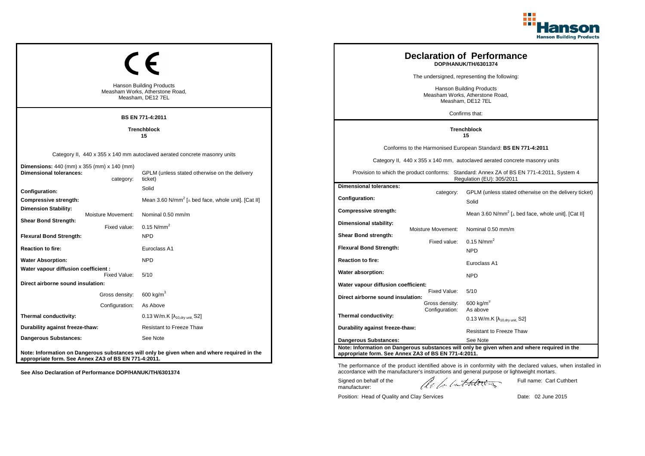

|                                                                                         |                    |                                                                                             |                                                                                         |                    | <b>Declaration of Performance</b><br>DOP/HANUK/TH/6301374                                                              |
|-----------------------------------------------------------------------------------------|--------------------|---------------------------------------------------------------------------------------------|-----------------------------------------------------------------------------------------|--------------------|------------------------------------------------------------------------------------------------------------------------|
|                                                                                         |                    |                                                                                             |                                                                                         |                    | The undersigned, representing the following:                                                                           |
| <b>Hanson Building Products</b><br>Measham Works, Atherstone Road,<br>Measham, DE12 7EL |                    |                                                                                             | <b>Hanson Building Products</b><br>Measham Works, Atherstone Road,<br>Measham, DE12 7EL |                    |                                                                                                                        |
|                                                                                         |                    | <b>BS EN 771-4:2011</b>                                                                     |                                                                                         |                    | Confirms that:                                                                                                         |
| <b>Trenchblock</b><br>15                                                                |                    |                                                                                             |                                                                                         |                    | <b>Trenchblock</b><br>15                                                                                               |
|                                                                                         |                    |                                                                                             |                                                                                         |                    | Conforms to the Harmonised European Standard: BS EN 771-4:2011                                                         |
|                                                                                         |                    | Category II, 440 x 355 x 140 mm autoclaved aerated concrete masonry units                   |                                                                                         |                    | Category II, 440 x 355 x 140 mm, autoclaved aerated concrete masonry units                                             |
| Dimensions: 440 (mm) x 355 (mm) x 140 (mm)<br>Dimensional tolerances:                   | category:          | GPLM (unless stated otherwise on the delivery<br>ticket)                                    |                                                                                         |                    | Provision to which the product conforms: Standard: Annex ZA of BS EN 771-4:2011, System 4<br>Regulation (EU): 305/2011 |
| <b>Configuration:</b>                                                                   |                    | Solid                                                                                       | <b>Dimensional tolerances:</b>                                                          | category:          | GPLM (unless stated otherwise on the delivery ticket)                                                                  |
| Compressive strength:                                                                   |                    | Mean 3.60 N/mm <sup>2</sup> [ $\perp$ bed face, whole unit]. [Cat II]                       | Configuration:                                                                          |                    | Solid                                                                                                                  |
| Dimension Stability:                                                                    | Moisture Movement: | Nominal 0.50 mm/m                                                                           | <b>Compressive strength:</b>                                                            |                    | Mean 3.60 N/mm <sup>2</sup> [ $\perp$ bed face, whole unit]. [Cat II]                                                  |
| <b>Shear Bond Strength:</b>                                                             | Fixed value:       | $0.15$ N/mm <sup>2</sup>                                                                    | Dimensional stability:                                                                  | Moisture Movement: | Nominal 0.50 mm/m                                                                                                      |
| <b>Flexural Bond Strength:</b>                                                          |                    | <b>NPD</b>                                                                                  | Shear Bond strength:                                                                    |                    |                                                                                                                        |
| Reaction to fire:                                                                       |                    | Euroclass A1                                                                                | <b>Flexural Bond Strength:</b>                                                          | Fixed value:       | 0.15 $N/mm^2$<br><b>NPD</b>                                                                                            |
| <b>Water Absorption:</b>                                                                |                    | <b>NPD</b>                                                                                  | <b>Reaction to fire:</b>                                                                |                    | Euroclass A1                                                                                                           |
| Water vapour diffusion coefficient :                                                    | Fixed Value:       | 5/10                                                                                        | Water absorption:                                                                       |                    | <b>NPD</b>                                                                                                             |
| Direct airborne sound insulation:                                                       |                    |                                                                                             | Water vapour diffusion coefficient:                                                     |                    |                                                                                                                        |
|                                                                                         | Gross density:     | 600 kg/m <sup>3</sup>                                                                       | Direct airborne sound insulation:                                                       | Fixed Value:       | 5/10                                                                                                                   |
|                                                                                         | Configuration:     | As Above                                                                                    |                                                                                         | Gross density:     | $600$ kg/m <sup>3</sup>                                                                                                |
| Thermal conductivity:                                                                   |                    | 0.13 W/m.K [λ <sub>10,dry unit,</sub> S2]                                                   | Thermal conductivity:                                                                   | Configuration:     | As above<br>0.13 W/m.K $[\lambda_{10.0}$ <sub>W unit.</sub> S2]                                                        |
| Durability against freeze-thaw:                                                         |                    | <b>Resistant to Freeze Thaw</b>                                                             | Durability against freeze-thaw:                                                         |                    | <b>Resistant to Freeze Thaw</b>                                                                                        |
| Dangerous Substances:                                                                   |                    | See Note                                                                                    | <b>Dangerous Substances:</b>                                                            |                    | See Note                                                                                                               |
| appropriate form. See Annex ZA3 of BS EN 771-4:2011.                                    |                    | Note: Information on Dangerous substances will only be given when and where required in the | appropriate form. See Annex ZA3 of BS EN 771-4:2011.                                    |                    | Note: Information on Dangerous substances will only be given when and where required in the                            |

Position: Head of Quality and Clay Services Date: 02 June 2015

Signed on behalf of the manufacturer:

The performance of the product identified above is in conformity with the declared values, when installed in accordance with the manufacturer's instructions and general purpose or lightweight mortars.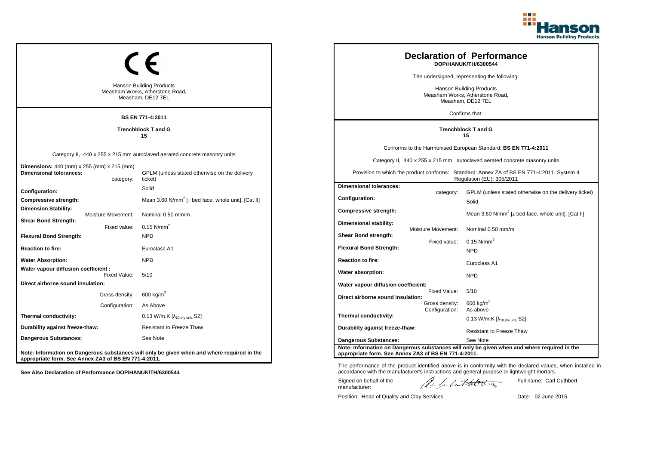

|                                                                                     |                    | <b>Hanson Building Products</b><br>Measham Works, Atherstone Road,                          |                                                      |                                  | <b>Declaration of Performance</b><br>DOP/HANUK/TH/6300544<br>The undersigned, representing the following:<br><b>Hanson Building Products</b><br>Measham Works, Atherstone Road, |
|-------------------------------------------------------------------------------------|--------------------|---------------------------------------------------------------------------------------------|------------------------------------------------------|----------------------------------|---------------------------------------------------------------------------------------------------------------------------------------------------------------------------------|
|                                                                                     |                    | Measham, DE12 7EL                                                                           |                                                      |                                  | Measham, DE12 7EL                                                                                                                                                               |
|                                                                                     |                    | <b>BS EN 771-4:2011</b>                                                                     |                                                      |                                  | Confirms that:                                                                                                                                                                  |
| <b>Trenchblock T and G</b><br>15                                                    |                    |                                                                                             |                                                      |                                  | <b>Trenchblock T and G</b><br>15                                                                                                                                                |
|                                                                                     |                    |                                                                                             |                                                      |                                  | Conforms to the Harmonised European Standard: BS EN 771-4:2011                                                                                                                  |
| Category II, 440 x 255 x 215 mm autoclaved aerated concrete masonry units           |                    |                                                                                             |                                                      |                                  | Category II, 440 x 255 x 215 mm, autoclaved aerated concrete masonry units                                                                                                      |
| <b>Dimensions:</b> 440 (mm) x 255 (mm) x 215 (mm)<br><b>Dimensional tolerances:</b> | category:          | GPLM (unless stated otherwise on the delivery<br>ticket)                                    |                                                      |                                  | Provision to which the product conforms: Standard: Annex ZA of BS EN 771-4:2011, System 4<br>Regulation (EU): 305/2011                                                          |
| Configuration:                                                                      |                    | Solid                                                                                       | <b>Dimensional tolerances:</b>                       |                                  |                                                                                                                                                                                 |
| Compressive strength:                                                               |                    | Mean 3.60 N/mm <sup>2</sup> [ $\perp$ bed face, whole unit]. [Cat II]                       | Configuration:                                       | category:                        | GPLM (unless stated otherwise on the delivery ticket)<br>Solid                                                                                                                  |
| <b>Dimension Stability:</b>                                                         | Moisture Movement: | Nominal 0.50 mm/m                                                                           | <b>Compressive strength:</b>                         |                                  | Mean 3.60 N/mm <sup>2</sup> [ $\perp$ bed face, whole unit]. [Cat II]                                                                                                           |
| <b>Shear Bond Strength:</b>                                                         | Fixed value:       | $0.15$ N/mm <sup>2</sup>                                                                    | Dimensional stability:                               | Moisture Movement:               | Nominal 0.50 mm/m                                                                                                                                                               |
| <b>Flexural Bond Strength:</b>                                                      |                    | <b>NPD</b>                                                                                  | <b>Shear Bond strength:</b>                          |                                  |                                                                                                                                                                                 |
| <b>Reaction to fire:</b>                                                            |                    | Euroclass A1                                                                                | <b>Flexural Bond Strength:</b>                       | Fixed value:                     | $0.15$ N/mm <sup>2</sup><br><b>NPD</b>                                                                                                                                          |
| <b>Water Absorption:</b>                                                            |                    | <b>NPD</b>                                                                                  | <b>Reaction to fire:</b>                             |                                  | Euroclass A1                                                                                                                                                                    |
| Water vapour diffusion coefficient :                                                | Fixed Value:       | 5/10                                                                                        | Water absorption:                                    |                                  | <b>NPD</b>                                                                                                                                                                      |
| Direct airborne sound insulation:                                                   |                    |                                                                                             | Water vapour diffusion coefficient:                  |                                  |                                                                                                                                                                                 |
|                                                                                     | Gross density:     | 600 kg/m <sup>3</sup>                                                                       | Direct airborne sound insulation:                    | Fixed Value:                     | 5/10                                                                                                                                                                            |
|                                                                                     | Configuration:     | As Above                                                                                    |                                                      | Gross density:<br>Configuration: | $600 \text{ kg/m}^3$<br>As above                                                                                                                                                |
| Thermal conductivity:                                                               |                    | 0.13 W/m.K $[\lambda_{10, dry \text{ unit}}, S2]$                                           | Thermal conductivity:                                |                                  | 0.13 W/m.K $[\lambda_{10, dry \text{ unit}}]$ S2]                                                                                                                               |
| Durability against freeze-thaw:                                                     |                    | <b>Resistant to Freeze Thaw</b>                                                             | Durability against freeze-thaw:                      |                                  | <b>Resistant to Freeze Thaw</b>                                                                                                                                                 |
| <b>Dangerous Substances:</b>                                                        |                    | See Note                                                                                    | <b>Dangerous Substances:</b>                         |                                  | See Note                                                                                                                                                                        |
| appropriate form. See Annex ZA3 of BS EN 771-4:2011.                                |                    | Note: Information on Dangerous substances will only be given when and where required in the | appropriate form. See Annex ZA3 of BS EN 771-4:2011. |                                  | Note: Information on Dangerous substances will only be given when and where required in the                                                                                     |

Position: Head of Quality and Clay Services Date: 02 June 2015

Signed on behalf of the manufacturer:

Full name: Carl Cuthbert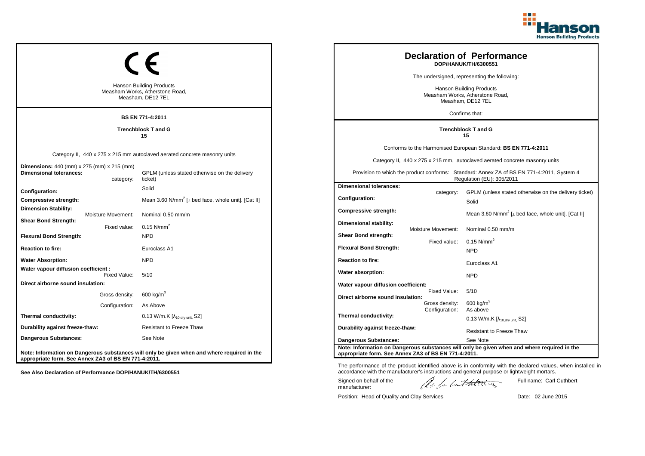

|                                                                                     |                    | <b>Hanson Building Products</b>                                                             |                                                                                         |                                  | <b>Declaration of Performance</b><br>DOP/HANUK/TH/6300551<br>The undersigned, representing the following:              |
|-------------------------------------------------------------------------------------|--------------------|---------------------------------------------------------------------------------------------|-----------------------------------------------------------------------------------------|----------------------------------|------------------------------------------------------------------------------------------------------------------------|
| Measham Works, Atherstone Road,<br>Measham, DE12 7EL                                |                    |                                                                                             | <b>Hanson Building Products</b><br>Measham Works, Atherstone Road,<br>Measham, DE12 7EL |                                  |                                                                                                                        |
|                                                                                     |                    | <b>BS EN 771-4:2011</b>                                                                     |                                                                                         |                                  | Confirms that:                                                                                                         |
| <b>Trenchblock T and G</b><br>15                                                    |                    |                                                                                             |                                                                                         |                                  | <b>Trenchblock T and G</b><br>15                                                                                       |
| Category II, 440 x 275 x 215 mm autoclaved aerated concrete masonry units           |                    |                                                                                             |                                                                                         |                                  | Conforms to the Harmonised European Standard: BS EN 771-4:2011                                                         |
|                                                                                     |                    |                                                                                             | Category II, 440 x 275 x 215 mm, autoclaved aerated concrete masonry units              |                                  |                                                                                                                        |
| <b>Dimensions:</b> 440 (mm) x 275 (mm) x 215 (mm)<br><b>Dimensional tolerances:</b> | category:          | GPLM (unless stated otherwise on the delivery<br>ticket)                                    |                                                                                         |                                  | Provision to which the product conforms: Standard: Annex ZA of BS EN 771-4:2011, System 4<br>Regulation (EU): 305/2011 |
| <b>Configuration:</b>                                                               |                    | Solid                                                                                       | <b>Dimensional tolerances:</b>                                                          | category:                        | GPLM (unless stated otherwise on the delivery ticket)                                                                  |
| Compressive strength:                                                               |                    | Mean 3.60 N/mm <sup>2</sup> [ $\perp$ bed face, whole unit]. [Cat II]                       | Configuration:                                                                          |                                  | Solid                                                                                                                  |
| <b>Dimension Stability:</b>                                                         | Moisture Movement: | Nominal 0.50 mm/m                                                                           | <b>Compressive strength:</b>                                                            |                                  | Mean 3.60 N/mm <sup>2</sup> [ $\perp$ bed face, whole unit]. [Cat II]                                                  |
| <b>Shear Bond Strength:</b>                                                         | Fixed value:       | 0.15 $N/mm^2$                                                                               | Dimensional stability:                                                                  | Moisture Movement:               | Nominal 0.50 mm/m                                                                                                      |
| <b>Flexural Bond Strength:</b>                                                      |                    | <b>NPD</b>                                                                                  | <b>Shear Bond strength:</b>                                                             | Fixed value:                     | $0.15$ N/mm <sup>2</sup>                                                                                               |
| <b>Reaction to fire:</b>                                                            |                    | Euroclass A1                                                                                | <b>Flexural Bond Strength:</b>                                                          |                                  | <b>NPD</b>                                                                                                             |
| <b>Water Absorption:</b>                                                            |                    | <b>NPD</b>                                                                                  | <b>Reaction to fire:</b>                                                                |                                  | Euroclass A1                                                                                                           |
| Water vapour diffusion coefficient :                                                | Fixed Value:       | 5/10                                                                                        | Water absorption:                                                                       |                                  | <b>NPD</b>                                                                                                             |
| Direct airborne sound insulation:                                                   |                    |                                                                                             | Water vapour diffusion coefficient:                                                     |                                  |                                                                                                                        |
|                                                                                     | Gross density:     | 600 kg/ $m3$                                                                                | Direct airborne sound insulation:                                                       | Fixed Value:                     | 5/10                                                                                                                   |
|                                                                                     | Configuration:     | As Above                                                                                    |                                                                                         | Gross density:<br>Configuration: | $600 \text{ kg/m}^3$<br>As above                                                                                       |
| Thermal conductivity:                                                               |                    | 0.13 W/m.K $[\lambda_{10, dry \text{ unit}}, S2]$                                           | Thermal conductivity:                                                                   |                                  | 0.13 W/m.K $[\lambda_{10, dry \text{ unit}}]$ S2]                                                                      |
| Durability against freeze-thaw:                                                     |                    | <b>Resistant to Freeze Thaw</b>                                                             | Durability against freeze-thaw:                                                         |                                  | <b>Resistant to Freeze Thaw</b>                                                                                        |
| Dangerous Substances:                                                               |                    | See Note                                                                                    | <b>Dangerous Substances:</b>                                                            |                                  | See Note                                                                                                               |
| appropriate form. See Annex ZA3 of BS EN 771-4:2011.                                |                    | Note: Information on Dangerous substances will only be given when and where required in the | appropriate form. See Annex ZA3 of BS EN 771-4:2011.                                    |                                  | Note: Information on Dangerous substances will only be given when and where required in the                            |

Position: Head of Quality and Clay Services Date: 02 June 2015

Signed on behalf of the manufacturer:

The performance of the product identified above is in conformity with the declared values, when installed in accordance with the manufacturer's instructions and general purpose or lightweight mortars.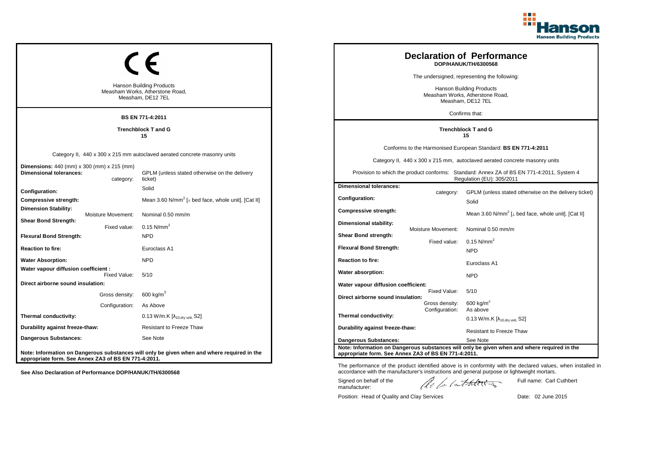

|                                                                                         |                    |                                                                                             |                                                      |                                  | <b>Declaration of Performance</b><br>DOP/HANUK/TH/6300568<br>The undersigned, representing the following:              |
|-----------------------------------------------------------------------------------------|--------------------|---------------------------------------------------------------------------------------------|------------------------------------------------------|----------------------------------|------------------------------------------------------------------------------------------------------------------------|
| <b>Hanson Building Products</b><br>Measham Works, Atherstone Road,<br>Measham, DE12 7EL |                    |                                                                                             |                                                      |                                  | <b>Hanson Building Products</b><br>Measham Works, Atherstone Road,<br>Measham, DE12 7EL                                |
|                                                                                         |                    | <b>BS EN 771-4:2011</b>                                                                     |                                                      |                                  | Confirms that:                                                                                                         |
| <b>Trenchblock T and G</b><br>15                                                        |                    |                                                                                             |                                                      |                                  | <b>Trenchblock T and G</b><br>15                                                                                       |
|                                                                                         |                    |                                                                                             |                                                      |                                  | Conforms to the Harmonised European Standard: BS EN 771-4:2011                                                         |
| Category II, 440 x 300 x 215 mm autoclaved aerated concrete masonry units               |                    |                                                                                             |                                                      |                                  | Category II, 440 x 300 x 215 mm, autoclaved aerated concrete masonry units                                             |
| <b>Dimensions:</b> 440 (mm) x 300 (mm) x 215 (mm)<br><b>Dimensional tolerances:</b>     | category:          | GPLM (unless stated otherwise on the delivery<br>ticket)                                    |                                                      |                                  | Provision to which the product conforms: Standard: Annex ZA of BS EN 771-4:2011, System 4<br>Regulation (EU): 305/2011 |
| Configuration:                                                                          |                    | Solid                                                                                       | <b>Dimensional tolerances:</b>                       | category:                        | GPLM (unless stated otherwise on the delivery ticket)                                                                  |
| Compressive strength:                                                                   |                    | Mean 3.60 N/mm <sup>2</sup> [ $\perp$ bed face, whole unit]. [Cat II]                       | Configuration:                                       |                                  | Solid                                                                                                                  |
| Dimension Stability:                                                                    | Moisture Movement: | Nominal 0.50 mm/m                                                                           | Compressive strength:                                |                                  | Mean 3.60 N/mm <sup>2</sup> [ $\perp$ bed face, whole unit]. [Cat II]                                                  |
| <b>Shear Bond Strength:</b>                                                             | Fixed value:       | 0.15 $N/mm^2$                                                                               | <b>Dimensional stability:</b>                        | Moisture Movement:               | Nominal 0.50 mm/m                                                                                                      |
| <b>Flexural Bond Strength:</b>                                                          |                    | <b>NPD</b>                                                                                  | Shear Bond strength:                                 | Fixed value:                     | $0.15$ N/mm <sup>2</sup>                                                                                               |
| <b>Reaction to fire:</b>                                                                |                    | Euroclass A1                                                                                | <b>Flexural Bond Strength:</b>                       |                                  | <b>NPD</b>                                                                                                             |
| <b>Water Absorption:</b>                                                                |                    | <b>NPD</b>                                                                                  | <b>Reaction to fire:</b>                             |                                  | Euroclass A1                                                                                                           |
| Water vapour diffusion coefficient :                                                    | Fixed Value:       | 5/10                                                                                        | Water absorption:                                    |                                  | <b>NPD</b>                                                                                                             |
| Direct airborne sound insulation:                                                       |                    |                                                                                             | Water vapour diffusion coefficient:                  |                                  |                                                                                                                        |
|                                                                                         | Gross density:     | 600 kg/m $^3$                                                                               | Direct airborne sound insulation:                    | Fixed Value:                     | 5/10                                                                                                                   |
|                                                                                         | Configuration:     | As Above                                                                                    |                                                      | Gross density:<br>Configuration: | $600 \text{ kg/m}^3$<br>As above                                                                                       |
| Thermal conductivity:                                                                   |                    | 0.13 W/m.K [λ <sub>10,dry unit,</sub> S2]                                                   | Thermal conductivity:                                |                                  | 0.13 W/m.K $[\lambda_{10, dry \text{ unit}}]$ S2]                                                                      |
| Durability against freeze-thaw:                                                         |                    | <b>Resistant to Freeze Thaw</b>                                                             | Durability against freeze-thaw:                      |                                  | <b>Resistant to Freeze Thaw</b>                                                                                        |
| Dangerous Substances:                                                                   |                    | See Note                                                                                    | <b>Dangerous Substances:</b>                         |                                  | See Note                                                                                                               |
| appropriate form. See Annex ZA3 of BS EN 771-4:2011.                                    |                    | Note: Information on Dangerous substances will only be given when and where required in the | appropriate form. See Annex ZA3 of BS EN 771-4:2011. |                                  | Note: Information on Dangerous substances will only be given when and where required in the                            |

Position: Head of Quality and Clay Services Date: 02 June 2015

Signed on behalf of the manufacturer:

Full name: Carl Cuthbert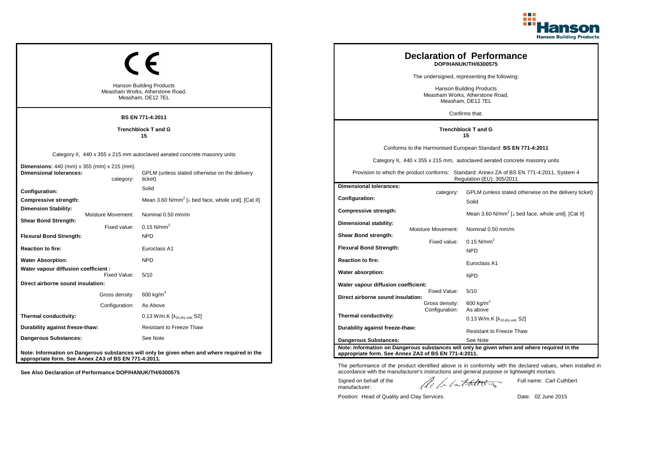

|                                                                                              |                                    | <b>Hanson Building Products</b><br>Measham Works, Atherstone Road,<br>Measham, DE12 7EL                                               |                                                                                 |                                    | <b>Declaration of Performance</b><br>DOP/HANUK/TH/6300575<br>The undersigned, representing the following:<br><b>Hanson Building Products</b><br>Measham Works, Atherstone Road,<br>Measham, DE12 7EL                                                                   |
|----------------------------------------------------------------------------------------------|------------------------------------|---------------------------------------------------------------------------------------------------------------------------------------|---------------------------------------------------------------------------------|------------------------------------|------------------------------------------------------------------------------------------------------------------------------------------------------------------------------------------------------------------------------------------------------------------------|
|                                                                                              |                                    | <b>BS EN 771-4:2011</b>                                                                                                               |                                                                                 |                                    | Confirms that:                                                                                                                                                                                                                                                         |
| <b>Trenchblock T and G</b><br>15                                                             |                                    |                                                                                                                                       |                                                                                 |                                    | <b>Trenchblock T and G</b><br>15                                                                                                                                                                                                                                       |
| <b>Dimensions:</b> 440 (mm) x 355 (mm) x 215 (mm)<br><b>Dimensional tolerances:</b>          | category:                          | Category II, 440 x 355 x 215 mm autoclaved aerated concrete masonry units<br>GPLM (unless stated otherwise on the delivery<br>ticket) |                                                                                 |                                    | Conforms to the Harmonised European Standard: BS EN 771-4:2011<br>Category II, 440 x 355 x 215 mm, autoclaved aerated concrete masonry units<br>Provision to which the product conforms: Standard: Annex ZA of BS EN 771-4:2011, System 4<br>Regulation (EU): 305/2011 |
| Configuration:<br>Compressive strength:<br>Dimension Stability:                              |                                    | Solid<br>Mean 3.60 N/mm <sup>2</sup> [ $\perp$ bed face, whole unit]. [Cat II]                                                        | <b>Dimensional tolerances:</b><br>Configuration:<br>Compressive strength:       | category:                          | GPLM (unless stated otherwise on the delivery ticket)<br>Solid<br>Mean 3.60 N/mm <sup>2</sup> [ $\perp$ bed face, whole unit]. [Cat II]                                                                                                                                |
| <b>Shear Bond Strength:</b><br><b>Flexural Bond Strength:</b>                                | Moisture Movement:<br>Fixed value: | Nominal 0.50 mm/m<br>0.15 $N/mm^2$<br><b>NPD</b>                                                                                      | <b>Dimensional stability:</b><br>Shear Bond strength:                           | Moisture Movement:<br>Fixed value: | Nominal 0.50 mm/m<br>$0.15$ N/mm <sup>2</sup>                                                                                                                                                                                                                          |
| <b>Reaction to fire:</b><br><b>Water Absorption:</b><br>Water vapour diffusion coefficient : | Fixed Value:                       | Euroclass A1<br><b>NPD</b><br>5/10                                                                                                    | <b>Flexural Bond Strength:</b><br><b>Reaction to fire:</b><br>Water absorption: |                                    | <b>NPD</b><br>Euroclass A1                                                                                                                                                                                                                                             |
| Direct airborne sound insulation:                                                            | Gross density:                     | 600 kg/m <sup>3</sup>                                                                                                                 | Water vapour diffusion coefficient:<br>Direct airborne sound insulation:        | Fixed Value:                       | <b>NPD</b><br>5/10                                                                                                                                                                                                                                                     |
| Thermal conductivity:                                                                        | Configuration:                     | As Above<br>0.13 W/m.K $[\lambda_{10, dry \text{ unit}}, S2]$                                                                         | Thermal conductivity:                                                           | Gross density:<br>Configuration:   | $600 \text{ kg/m}^3$<br>As above<br>0.13 W/m.K $[\lambda_{10.0}$ <sub>W unit.</sub> S2]                                                                                                                                                                                |
| Durability against freeze-thaw:<br><b>Dangerous Substances:</b>                              |                                    | <b>Resistant to Freeze Thaw</b><br>See Note                                                                                           | Durability against freeze-thaw:<br><b>Dangerous Substances:</b>                 |                                    | <b>Resistant to Freeze Thaw</b><br>See Note<br>Note: Information on Dangerous substances will only be given when and where required in the                                                                                                                             |
| appropriate form. See Annex ZA3 of BS EN 771-4:2011.                                         |                                    | Note: Information on Dangerous substances will only be given when and where required in the                                           | appropriate form. See Annex ZA3 of BS EN 771-4:2011.                            |                                    |                                                                                                                                                                                                                                                                        |

Position: Head of Quality and Clay Services Date: 02 June 2015

Signed on behalf of the manufacturer:

Full name: Carl Cuthbert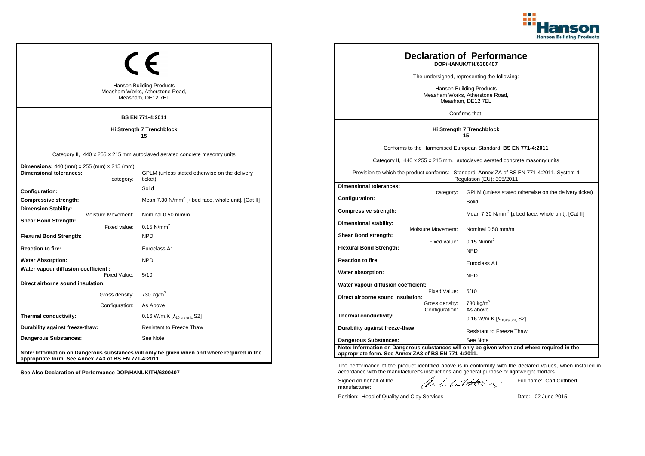

|                                                                                           |                                  | <b>Hanson Building Products</b><br>Measham Works, Atherstone Road,<br>Measham, DE12 7EL                                               |                                                                                      |                                    | <b>Declaration of Performance</b><br>DOP/HANUK/TH/6300407<br>The undersigned, representing the following:<br><b>Hanson Building Products</b><br>Measham Works, Atherstone Road,<br>Measham, DE12 7EL<br>Confirms that:                                                 |
|-------------------------------------------------------------------------------------------|----------------------------------|---------------------------------------------------------------------------------------------------------------------------------------|--------------------------------------------------------------------------------------|------------------------------------|------------------------------------------------------------------------------------------------------------------------------------------------------------------------------------------------------------------------------------------------------------------------|
| <b>BS EN 771-4:2011</b><br>Hi Strength 7 Trenchblock<br>15                                |                                  |                                                                                                                                       | Hi Strength 7 Trenchblock<br>15                                                      |                                    |                                                                                                                                                                                                                                                                        |
| <b>Dimensions:</b> 440 (mm) x 255 (mm) x 215 (mm)<br><b>Dimensional tolerances:</b>       | category:                        | Category II, 440 x 255 x 215 mm autoclaved aerated concrete masonry units<br>GPLM (unless stated otherwise on the delivery<br>ticket) |                                                                                      |                                    | Conforms to the Harmonised European Standard: BS EN 771-4:2011<br>Category II, 440 x 255 x 215 mm, autoclaved aerated concrete masonry units<br>Provision to which the product conforms: Standard: Annex ZA of BS EN 771-4:2011, System 4<br>Regulation (EU): 305/2011 |
| <b>Configuration:</b><br>Compressive strength:<br><b>Dimension Stability:</b>             | Moisture Movement:               | Solid<br>Mean 7.30 N/mm <sup>2</sup> [ $\perp$ bed face, whole unit]. [Cat II]<br>Nominal 0.50 mm/m                                   | <b>Dimensional tolerances:</b><br>Configuration:<br><b>Compressive strength:</b>     | category:                          | GPLM (unless stated otherwise on the delivery ticket)<br>Solid<br>Mean 7.30 N/mm <sup>2</sup> [ $\perp$ bed face, whole unit]. [Cat II]                                                                                                                                |
| <b>Shear Bond Strength:</b><br><b>Flexural Bond Strength:</b><br><b>Reaction to fire:</b> | Fixed value:                     | 0.15 $N/mm^2$<br><b>NPD</b><br>Euroclass A1                                                                                           | Dimensional stability:<br>Shear Bond strength:<br><b>Flexural Bond Strength:</b>     | Moisture Movement:<br>Fixed value: | Nominal 0.50 mm/m<br>$0.15$ N/mm <sup>2</sup><br><b>NPD</b>                                                                                                                                                                                                            |
| <b>Water Absorption:</b><br>Water vapour diffusion coefficient :                          | Fixed Value:                     | <b>NPD</b><br>5/10                                                                                                                    | <b>Reaction to fire:</b><br>Water absorption:                                        |                                    | Euroclass A1<br><b>NPD</b>                                                                                                                                                                                                                                             |
| Direct airborne sound insulation:                                                         | Gross density:<br>Configuration: | 730 kg/m <sup>3</sup><br>As Above                                                                                                     | Water vapour diffusion coefficient:<br>Direct airborne sound insulation:             | Fixed Value:<br>Gross density:     | 5/10<br>730 kg/m <sup>3</sup>                                                                                                                                                                                                                                          |
| Thermal conductivity:<br>Durability against freeze-thaw:<br><b>Dangerous Substances:</b>  |                                  | 0.16 W/m.K $[\lambda_{10, dry \text{ unit}}, S2]$<br><b>Resistant to Freeze Thaw</b><br>See Note                                      | Thermal conductivity:<br>Durability against freeze-thaw:                             | Configuration:                     | As above<br>0.16 W/m.K $[\lambda_{10, dry \text{ unit}}]$ S2]<br><b>Resistant to Freeze Thaw</b>                                                                                                                                                                       |
| appropriate form. See Annex ZA3 of BS EN 771-4:2011.                                      |                                  | Note: Information on Dangerous substances will only be given when and where required in the                                           | <b>Dangerous Substances:</b><br>appropriate form. See Annex ZA3 of BS EN 771-4:2011. |                                    | See Note<br>Note: Information on Dangerous substances will only be given when and where required in the                                                                                                                                                                |

Position: Head of Quality and Clay Services Date: 02 June 2015

Signed on behalf of the manufacturer:

Full name: Carl Cuthbert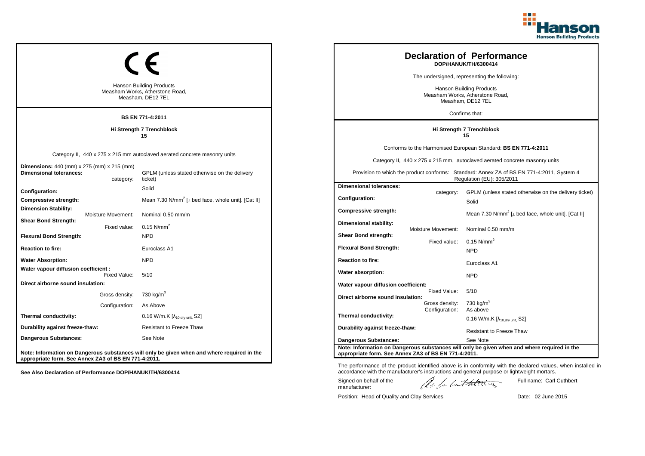

|                                                                                     |                                    | <b>Hanson Building Products</b><br>Measham Works, Atherstone Road,<br>Measham, DE12 7EL                                               |                                                                                       |                                | <b>Declaration of Performance</b><br>DOP/HANUK/TH/6300414<br>The undersigned, representing the following:<br><b>Hanson Building Products</b><br>Measham Works, Atherstone Road,<br>Measham, DE12 7EL                                                                   |
|-------------------------------------------------------------------------------------|------------------------------------|---------------------------------------------------------------------------------------------------------------------------------------|---------------------------------------------------------------------------------------|--------------------------------|------------------------------------------------------------------------------------------------------------------------------------------------------------------------------------------------------------------------------------------------------------------------|
|                                                                                     |                                    | <b>BS EN 771-4:2011</b>                                                                                                               |                                                                                       |                                | Confirms that:                                                                                                                                                                                                                                                         |
| Hi Strength 7 Trenchblock<br>15                                                     |                                    |                                                                                                                                       |                                                                                       |                                | Hi Strength 7 Trenchblock<br>15                                                                                                                                                                                                                                        |
| <b>Dimensions:</b> 440 (mm) x 275 (mm) x 215 (mm)<br><b>Dimensional tolerances:</b> | category:                          | Category II, 440 x 275 x 215 mm autoclaved aerated concrete masonry units<br>GPLM (unless stated otherwise on the delivery<br>ticket) |                                                                                       |                                | Conforms to the Harmonised European Standard: BS EN 771-4:2011<br>Category II, 440 x 275 x 215 mm, autoclaved aerated concrete masonry units<br>Provision to which the product conforms: Standard: Annex ZA of BS EN 771-4:2011, System 4<br>Regulation (EU): 305/2011 |
| Configuration:<br>Compressive strength:<br><b>Dimension Stability:</b>              |                                    | Solid<br>Mean 7.30 N/mm <sup>2</sup> [ $\perp$ bed face, whole unit]. [Cat II]                                                        | <b>Dimensional tolerances:</b><br>Configuration:                                      | category:                      | GPLM (unless stated otherwise on the delivery ticket)<br>Solid                                                                                                                                                                                                         |
| <b>Shear Bond Strength:</b><br><b>Flexural Bond Strength:</b>                       | Moisture Movement:<br>Fixed value: | Nominal 0.50 mm/m<br>0.15 $N/mm^2$<br><b>NPD</b>                                                                                      | <b>Compressive strength:</b><br>Dimensional stability:<br><b>Shear Bond strength:</b> | Moisture Movement:             | Mean 7.30 N/mm <sup>2</sup> [ $\perp$ bed face, whole unit]. [Cat II]<br>Nominal 0.50 mm/m                                                                                                                                                                             |
| <b>Reaction to fire:</b>                                                            |                                    | Euroclass A1                                                                                                                          | <b>Flexural Bond Strength:</b>                                                        | Fixed value:                   | $0.15$ N/mm <sup>2</sup><br><b>NPD</b>                                                                                                                                                                                                                                 |
| <b>Water Absorption:</b><br>Water vapour diffusion coefficient :                    |                                    | <b>NPD</b>                                                                                                                            | <b>Reaction to fire:</b><br>Water absorption:                                         |                                | Euroclass A1                                                                                                                                                                                                                                                           |
| Direct airborne sound insulation:                                                   | Fixed Value:                       | 5/10                                                                                                                                  | Water vapour diffusion coefficient:                                                   |                                | <b>NPD</b>                                                                                                                                                                                                                                                             |
|                                                                                     | Gross density:<br>Configuration:   | 730 kg/m <sup>3</sup><br>As Above                                                                                                     | Direct airborne sound insulation:                                                     | Fixed Value:<br>Gross density: | 5/10<br>730 kg/m $3$<br>As above                                                                                                                                                                                                                                       |
| Thermal conductivity:                                                               |                                    | $0.16$ W/m.K $[\lambda_{10, dry \text{ unit}}, S2]$                                                                                   | Thermal conductivity:                                                                 | Configuration:                 | 0.16 W/m.K $[\lambda_{10, dry \text{ unit}}]$ S2]                                                                                                                                                                                                                      |
| Durability against freeze-thaw:                                                     |                                    | <b>Resistant to Freeze Thaw</b>                                                                                                       | Durability against freeze-thaw:                                                       |                                | <b>Resistant to Freeze Thaw</b>                                                                                                                                                                                                                                        |
| <b>Dangerous Substances:</b>                                                        |                                    | See Note                                                                                                                              | <b>Dangerous Substances:</b>                                                          |                                | See Note                                                                                                                                                                                                                                                               |
| appropriate form. See Annex ZA3 of BS EN 771-4:2011.                                |                                    | Note: Information on Dangerous substances will only be given when and where required in the                                           | appropriate form. See Annex ZA3 of BS EN 771-4:2011.                                  |                                | Note: Information on Dangerous substances will only be given when and where required in the                                                                                                                                                                            |

The performance of the product identified above is in conformity with the declared values, when installed in accordance with the manufacturer's instructions and general purpose or lightweight mortars. Full name: Carl Cuthbert

Signed on behalf of the manufacturer: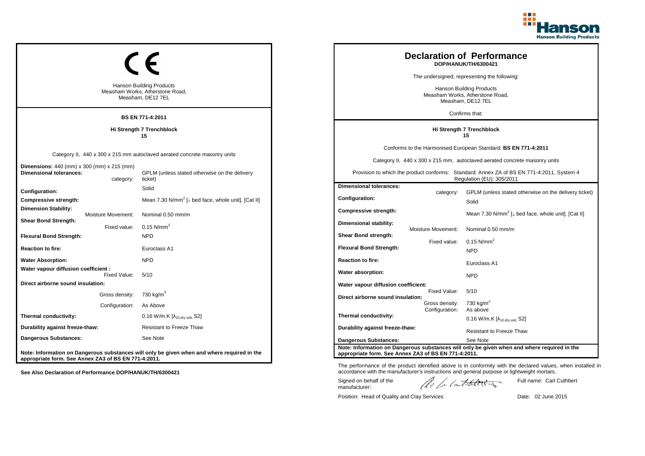

|                                                                                     |                                    | <b>Hanson Building Products</b><br>Measham Works, Atherstone Road,<br>Measham, DE12 7EL                                               |                                                                                       |                                | <b>Declaration of Performance</b><br>DOP/HANUK/TH/6300421<br>The undersigned, representing the following:<br><b>Hanson Building Products</b><br>Measham Works, Atherstone Road,<br>Measham, DE12 7EL<br>Confirms that:                                                 |
|-------------------------------------------------------------------------------------|------------------------------------|---------------------------------------------------------------------------------------------------------------------------------------|---------------------------------------------------------------------------------------|--------------------------------|------------------------------------------------------------------------------------------------------------------------------------------------------------------------------------------------------------------------------------------------------------------------|
|                                                                                     |                                    | <b>BS EN 771-4:2011</b>                                                                                                               |                                                                                       |                                |                                                                                                                                                                                                                                                                        |
| Hi Strength 7 Trenchblock<br>15                                                     |                                    |                                                                                                                                       |                                                                                       |                                | Hi Strength 7 Trenchblock<br>15                                                                                                                                                                                                                                        |
| <b>Dimensions:</b> 440 (mm) x 300 (mm) x 215 (mm)<br><b>Dimensional tolerances:</b> | category:                          | Category II, 440 x 300 x 215 mm autoclaved aerated concrete masonry units<br>GPLM (unless stated otherwise on the delivery<br>ticket) |                                                                                       |                                | Conforms to the Harmonised European Standard: BS EN 771-4:2011<br>Category II, 440 x 300 x 215 mm, autoclaved aerated concrete masonry units<br>Provision to which the product conforms: Standard: Annex ZA of BS EN 771-4:2011, System 4<br>Regulation (EU): 305/2011 |
| Configuration:<br>Compressive strength:<br><b>Dimension Stability:</b>              |                                    | Solid<br>Mean 7.30 N/mm <sup>2</sup> [ $\perp$ bed face, whole unit]. [Cat II]                                                        | <b>Dimensional tolerances:</b><br>Configuration:                                      | category:                      | GPLM (unless stated otherwise on the delivery ticket)<br>Solid                                                                                                                                                                                                         |
| <b>Shear Bond Strength:</b><br><b>Flexural Bond Strength:</b>                       | Moisture Movement:<br>Fixed value: | Nominal 0.50 mm/m<br>0.15 $N/mm^2$<br><b>NPD</b>                                                                                      | <b>Compressive strength:</b><br>Dimensional stability:<br><b>Shear Bond strength:</b> | Moisture Movement:             | Mean 7.30 N/mm <sup>2</sup> [ $\perp$ bed face, whole unit]. [Cat II]<br>Nominal 0.50 mm/m                                                                                                                                                                             |
| <b>Reaction to fire:</b>                                                            |                                    | Euroclass A1                                                                                                                          | <b>Flexural Bond Strength:</b>                                                        | Fixed value:                   | $0.15$ N/mm <sup>2</sup><br><b>NPD</b>                                                                                                                                                                                                                                 |
| <b>Water Absorption:</b><br>Water vapour diffusion coefficient :                    |                                    | <b>NPD</b>                                                                                                                            | <b>Reaction to fire:</b><br>Water absorption:                                         |                                | Euroclass A1                                                                                                                                                                                                                                                           |
| Direct airborne sound insulation:                                                   | Fixed Value:                       | 5/10                                                                                                                                  | Water vapour diffusion coefficient:                                                   |                                | <b>NPD</b>                                                                                                                                                                                                                                                             |
|                                                                                     | Gross density:<br>Configuration:   | 730 kg/m <sup>3</sup><br>As Above                                                                                                     | Direct airborne sound insulation:                                                     | Fixed Value:<br>Gross density: | 5/10<br>730 kg/m $3$                                                                                                                                                                                                                                                   |
| Thermal conductivity:                                                               |                                    | $0.16$ W/m.K $[\lambda_{10, dry \text{ unit}}, S2]$                                                                                   | Thermal conductivity:                                                                 | Configuration:                 | As above<br>0.16 W/m.K $[\lambda_{10, dry \text{ unit}}]$ S2]                                                                                                                                                                                                          |
| Durability against freeze-thaw:                                                     |                                    | <b>Resistant to Freeze Thaw</b>                                                                                                       | Durability against freeze-thaw:                                                       |                                | <b>Resistant to Freeze Thaw</b>                                                                                                                                                                                                                                        |
| <b>Dangerous Substances:</b>                                                        |                                    | See Note                                                                                                                              | <b>Dangerous Substances:</b>                                                          |                                | See Note                                                                                                                                                                                                                                                               |
| appropriate form. See Annex ZA3 of BS EN 771-4:2011.                                |                                    | Note: Information on Dangerous substances will only be given when and where required in the                                           | appropriate form. See Annex ZA3 of BS EN 771-4:2011.                                  |                                | Note: Information on Dangerous substances will only be given when and where required in the                                                                                                                                                                            |

Position: Head of Quality and Clay Services Date: 02 June 2015

Signed on behalf of the manufacturer:

Full name: Carl Cuthbert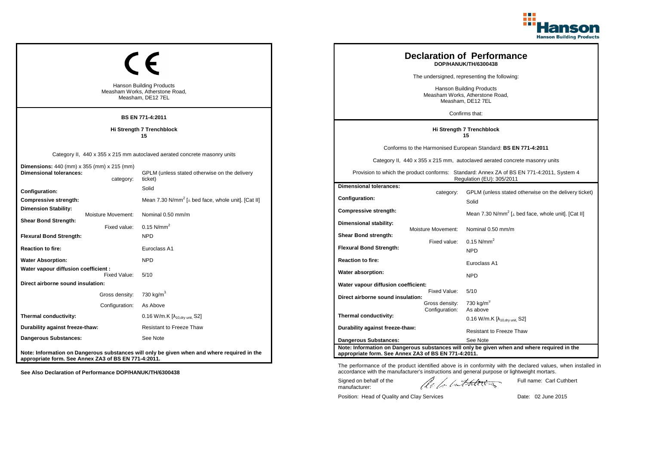

|                                                                                              |                                    | <b>Hanson Building Products</b><br>Measham Works, Atherstone Road,<br>Measham, DE12 7EL                                               |                                                                                       |                                | <b>Declaration of Performance</b><br>DOP/HANUK/TH/6300438<br>The undersigned, representing the following:<br><b>Hanson Building Products</b><br>Measham Works, Atherstone Road,<br>Measham, DE12 7EL                                                                   |
|----------------------------------------------------------------------------------------------|------------------------------------|---------------------------------------------------------------------------------------------------------------------------------------|---------------------------------------------------------------------------------------|--------------------------------|------------------------------------------------------------------------------------------------------------------------------------------------------------------------------------------------------------------------------------------------------------------------|
|                                                                                              |                                    | <b>BS EN 771-4:2011</b>                                                                                                               |                                                                                       |                                | Confirms that:                                                                                                                                                                                                                                                         |
| Hi Strength 7 Trenchblock<br>15                                                              |                                    |                                                                                                                                       |                                                                                       |                                | Hi Strength 7 Trenchblock<br>15                                                                                                                                                                                                                                        |
| <b>Dimensions:</b> 440 (mm) x 355 (mm) x 215 (mm)<br><b>Dimensional tolerances:</b>          | category:                          | Category II, 440 x 355 x 215 mm autoclaved aerated concrete masonry units<br>GPLM (unless stated otherwise on the delivery<br>ticket) |                                                                                       |                                | Conforms to the Harmonised European Standard: BS EN 771-4:2011<br>Category II, 440 x 355 x 215 mm, autoclaved aerated concrete masonry units<br>Provision to which the product conforms: Standard: Annex ZA of BS EN 771-4:2011, System 4<br>Regulation (EU): 305/2011 |
| Configuration:<br>Compressive strength:                                                      |                                    | Solid<br>Mean 7.30 N/mm <sup>2</sup> [ $\perp$ bed face, whole unit]. [Cat II]                                                        | <b>Dimensional tolerances:</b><br>Configuration:                                      | category:                      | GPLM (unless stated otherwise on the delivery ticket)<br>Solid                                                                                                                                                                                                         |
| <b>Dimension Stability:</b><br><b>Shear Bond Strength:</b><br><b>Flexural Bond Strength:</b> | Moisture Movement:<br>Fixed value: | Nominal 0.50 mm/m<br>0.15 $N/mm^2$<br><b>NPD</b>                                                                                      | <b>Compressive strength:</b><br>Dimensional stability:<br><b>Shear Bond strength:</b> | Moisture Movement:             | Mean 7.30 N/mm <sup>2</sup> [ $\perp$ bed face, whole unit]. [Cat II]<br>Nominal 0.50 mm/m                                                                                                                                                                             |
| <b>Reaction to fire:</b>                                                                     |                                    | Euroclass A1                                                                                                                          | <b>Flexural Bond Strength:</b>                                                        | Fixed value:                   | $0.15$ N/mm <sup>2</sup><br><b>NPD</b>                                                                                                                                                                                                                                 |
| <b>Water Absorption:</b><br>Water vapour diffusion coefficient :                             |                                    | <b>NPD</b>                                                                                                                            | <b>Reaction to fire:</b><br>Water absorption:                                         |                                | Euroclass A1                                                                                                                                                                                                                                                           |
| Direct airborne sound insulation:                                                            | Fixed Value:                       | 5/10                                                                                                                                  | Water vapour diffusion coefficient:                                                   |                                | <b>NPD</b>                                                                                                                                                                                                                                                             |
|                                                                                              | Gross density:<br>Configuration:   | 730 kg/m <sup>3</sup><br>As Above                                                                                                     | Direct airborne sound insulation:                                                     | Fixed Value:<br>Gross density: | 5/10<br>730 kg/m $3$                                                                                                                                                                                                                                                   |
| Thermal conductivity:                                                                        |                                    | $0.16$ W/m.K $[\lambda_{10, dry \text{ unit}}, S2]$                                                                                   | Thermal conductivity:                                                                 | Configuration:                 | As above<br>0.16 W/m.K $[\lambda_{10, dry \text{ unit}}]$ S2]                                                                                                                                                                                                          |
| Durability against freeze-thaw:                                                              |                                    | <b>Resistant to Freeze Thaw</b>                                                                                                       | Durability against freeze-thaw:                                                       |                                | <b>Resistant to Freeze Thaw</b>                                                                                                                                                                                                                                        |
| <b>Dangerous Substances:</b>                                                                 |                                    | See Note                                                                                                                              | <b>Dangerous Substances:</b>                                                          |                                | See Note                                                                                                                                                                                                                                                               |
| appropriate form. See Annex ZA3 of BS EN 771-4:2011.                                         |                                    | Note: Information on Dangerous substances will only be given when and where required in the                                           | appropriate form. See Annex ZA3 of BS EN 771-4:2011.                                  |                                | Note: Information on Dangerous substances will only be given when and where required in the                                                                                                                                                                            |

Position: Head of Quality and Clay Services Date: 02 June 2015

Signed on behalf of the manufacturer:

Full name: Carl Cuthbert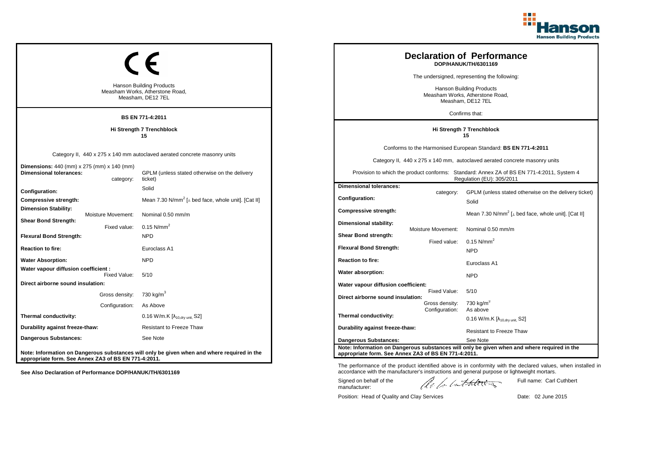

|                                                                                              |                                    | <b>Hanson Building Products</b><br>Measham Works, Atherstone Road,<br>Measham, DE12 7EL<br><b>BS EN 771-4:2011</b>                    |                                                                           |                                                  | <b>Declaration of Performance</b><br>DOP/HANUK/TH/6301169<br>The undersigned, representing the following:<br><b>Hanson Building Products</b><br>Measham Works, Atherstone Road,<br>Measham, DE12 7EL<br>Confirms that:                                                 |
|----------------------------------------------------------------------------------------------|------------------------------------|---------------------------------------------------------------------------------------------------------------------------------------|---------------------------------------------------------------------------|--------------------------------------------------|------------------------------------------------------------------------------------------------------------------------------------------------------------------------------------------------------------------------------------------------------------------------|
| Hi Strength 7 Trenchblock<br>15                                                              |                                    |                                                                                                                                       | Hi Strength 7 Trenchblock<br>15                                           |                                                  |                                                                                                                                                                                                                                                                        |
| <b>Dimensions:</b> 440 (mm) x 275 (mm) x 140 (mm)<br><b>Dimensional tolerances:</b>          | category:                          | Category II, 440 x 275 x 140 mm autoclaved aerated concrete masonry units<br>GPLM (unless stated otherwise on the delivery<br>ticket) |                                                                           |                                                  | Conforms to the Harmonised European Standard: BS EN 771-4:2011<br>Category II, 440 x 275 x 140 mm, autoclaved aerated concrete masonry units<br>Provision to which the product conforms: Standard: Annex ZA of BS EN 771-4:2011, System 4<br>Regulation (EU): 305/2011 |
| Configuration:<br>Compressive strength:<br><b>Dimension Stability:</b>                       |                                    | Solid<br>Mean 7.30 N/mm <sup>2</sup> [ $\perp$ bed face, whole unit]. [Cat II]                                                        | <b>Dimensional tolerances:</b><br>Configuration:<br>Compressive strength: | category:                                        | GPLM (unless stated otherwise on the delivery ticket)<br>Solid<br>Mean 7.30 N/mm <sup>2</sup> [ $\perp$ bed face, whole unit]. [Cat II]                                                                                                                                |
| <b>Shear Bond Strength:</b><br><b>Flexural Bond Strength:</b>                                | Moisture Movement:<br>Fixed value: | Nominal 0.50 mm/m<br>$0.15$ N/mm <sup>2</sup><br><b>NPD</b>                                                                           | Dimensional stability:<br><b>Shear Bond strength:</b>                     | <b>Moisture Movement:</b><br>Fixed value:        | Nominal 0.50 mm/m<br>$0.15$ N/mm <sup>2</sup>                                                                                                                                                                                                                          |
| <b>Reaction to fire:</b><br><b>Water Absorption:</b><br>Water vapour diffusion coefficient : |                                    | Euroclass A1<br><b>NPD</b>                                                                                                            | <b>Flexural Bond Strength:</b><br><b>Reaction to fire:</b>                |                                                  | <b>NPD</b><br>Euroclass A1                                                                                                                                                                                                                                             |
| Direct airborne sound insulation:                                                            | Fixed Value:                       | 5/10                                                                                                                                  | Water absorption:<br>Water vapour diffusion coefficient:                  |                                                  | <b>NPD</b>                                                                                                                                                                                                                                                             |
|                                                                                              | Gross density:<br>Configuration:   | 730 kg/m <sup>3</sup><br>As Above                                                                                                     | Direct airborne sound insulation:                                         | Fixed Value:<br>Gross density:<br>Configuration: | 5/10<br>730 kg/m $3$<br>As above                                                                                                                                                                                                                                       |
| Thermal conductivity:<br>Durability against freeze-thaw:                                     |                                    | 0.16 W/m.K $[\lambda_{10, dry \text{ unit}}, S2]$<br><b>Resistant to Freeze Thaw</b>                                                  | Thermal conductivity:<br>Durability against freeze-thaw:                  |                                                  | 0.16 W/m.K $[\lambda_{10, dry \text{ unit}}, S2]$                                                                                                                                                                                                                      |
| <b>Dangerous Substances:</b>                                                                 |                                    | See Note                                                                                                                              | <b>Dangerous Substances:</b>                                              |                                                  | <b>Resistant to Freeze Thaw</b><br>See Note                                                                                                                                                                                                                            |
| appropriate form. See Annex ZA3 of BS EN 771-4:2011.                                         |                                    | Note: Information on Dangerous substances will only be given when and where required in the                                           | appropriate form. See Annex ZA3 of BS EN 771-4:2011.                      |                                                  | Note: Information on Dangerous substances will only be given when and where required in the                                                                                                                                                                            |

Position: Head of Quality and Clay Services Date: 02 June 2015

Signed on behalf of the manufacturer:

Full name: Carl Cuthbert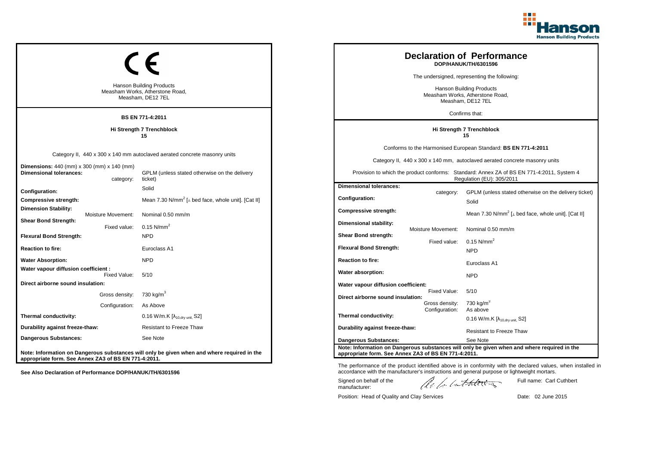

|                                                                                     |                                    | <b>Hanson Building Products</b><br>Measham Works, Atherstone Road,<br>Measham, DE12 7EL                                               |                                                                                       |                                | <b>Declaration of Performance</b><br>DOP/HANUK/TH/6301596<br>The undersigned, representing the following:<br><b>Hanson Building Products</b><br>Measham Works, Atherstone Road,<br>Measham, DE12 7EL<br>Confirms that:                                                 |
|-------------------------------------------------------------------------------------|------------------------------------|---------------------------------------------------------------------------------------------------------------------------------------|---------------------------------------------------------------------------------------|--------------------------------|------------------------------------------------------------------------------------------------------------------------------------------------------------------------------------------------------------------------------------------------------------------------|
|                                                                                     |                                    | <b>BS EN 771-4:2011</b>                                                                                                               |                                                                                       |                                |                                                                                                                                                                                                                                                                        |
| Hi Strength 7 Trenchblock<br>15                                                     |                                    |                                                                                                                                       |                                                                                       |                                | Hi Strength 7 Trenchblock<br>15                                                                                                                                                                                                                                        |
| <b>Dimensions:</b> 440 (mm) x 300 (mm) x 140 (mm)<br><b>Dimensional tolerances:</b> | category:                          | Category II, 440 x 300 x 140 mm autoclaved aerated concrete masonry units<br>GPLM (unless stated otherwise on the delivery<br>ticket) |                                                                                       |                                | Conforms to the Harmonised European Standard: BS EN 771-4:2011<br>Category II, 440 x 300 x 140 mm, autoclaved aerated concrete masonry units<br>Provision to which the product conforms: Standard: Annex ZA of BS EN 771-4:2011, System 4<br>Regulation (EU): 305/2011 |
| Configuration:<br>Compressive strength:<br><b>Dimension Stability:</b>              |                                    | Solid<br>Mean 7.30 N/mm <sup>2</sup> [ $\perp$ bed face, whole unit]. [Cat II]                                                        | <b>Dimensional tolerances:</b><br>Configuration:                                      | category:                      | GPLM (unless stated otherwise on the delivery ticket)<br>Solid                                                                                                                                                                                                         |
| <b>Shear Bond Strength:</b><br><b>Flexural Bond Strength:</b>                       | Moisture Movement:<br>Fixed value: | Nominal 0.50 mm/m<br>0.15 $N/mm^2$<br><b>NPD</b>                                                                                      | <b>Compressive strength:</b><br>Dimensional stability:<br><b>Shear Bond strength:</b> | Moisture Movement:             | Mean 7.30 N/mm <sup>2</sup> [ $\perp$ bed face, whole unit]. [Cat II]<br>Nominal 0.50 mm/m                                                                                                                                                                             |
| <b>Reaction to fire:</b>                                                            |                                    | Euroclass A1                                                                                                                          | <b>Flexural Bond Strength:</b>                                                        | Fixed value:                   | $0.15$ N/mm <sup>2</sup><br><b>NPD</b>                                                                                                                                                                                                                                 |
| <b>Water Absorption:</b><br>Water vapour diffusion coefficient :                    |                                    | <b>NPD</b>                                                                                                                            | <b>Reaction to fire:</b><br>Water absorption:                                         |                                | Euroclass A1                                                                                                                                                                                                                                                           |
| Direct airborne sound insulation:                                                   | Fixed Value:                       | 5/10                                                                                                                                  | Water vapour diffusion coefficient:                                                   |                                | <b>NPD</b>                                                                                                                                                                                                                                                             |
|                                                                                     | Gross density:<br>Configuration:   | 730 kg/m <sup>3</sup><br>As Above                                                                                                     | Direct airborne sound insulation:                                                     | Fixed Value:<br>Gross density: | 5/10<br>730 kg/m $3$                                                                                                                                                                                                                                                   |
| Thermal conductivity:                                                               |                                    | $0.16$ W/m.K $[\lambda_{10, dry \text{ unit}}, S2]$                                                                                   | Thermal conductivity:                                                                 | Configuration:                 | As above<br>0.16 W/m.K $[\lambda_{10, dry \text{ unit}}]$ S2]                                                                                                                                                                                                          |
| Durability against freeze-thaw:                                                     |                                    | <b>Resistant to Freeze Thaw</b>                                                                                                       | Durability against freeze-thaw:                                                       |                                | <b>Resistant to Freeze Thaw</b>                                                                                                                                                                                                                                        |
| <b>Dangerous Substances:</b>                                                        |                                    | See Note                                                                                                                              | <b>Dangerous Substances:</b>                                                          |                                | See Note                                                                                                                                                                                                                                                               |
| appropriate form. See Annex ZA3 of BS EN 771-4:2011.                                |                                    | Note: Information on Dangerous substances will only be given when and where required in the                                           | appropriate form. See Annex ZA3 of BS EN 771-4:2011.                                  |                                | Note: Information on Dangerous substances will only be given when and where required in the                                                                                                                                                                            |

Position: Head of Quality and Clay Services Date: 02 June 2015

Signed on behalf of the manufacturer:

Full name: Carl Cuthbert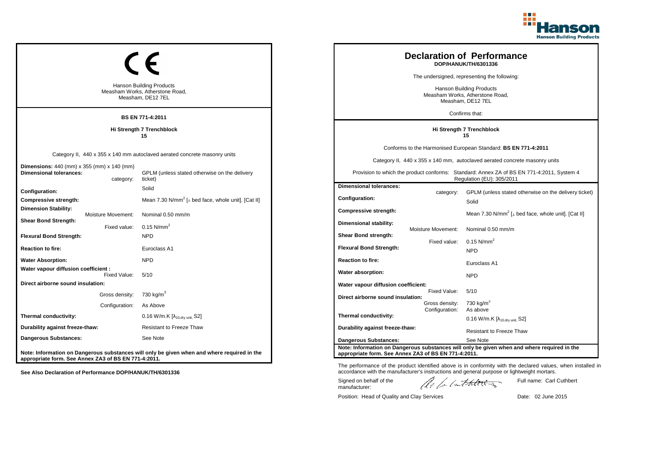

| <b>Hanson Building Products</b><br>Measham Works, Atherstone Road,<br>Measham, DE12 7EL<br><b>BS EN 771-4:2011</b> |                                |                                                                                                                                       |                                                                                         |                                           | <b>Declaration of Performance</b><br>DOP/HANUK/TH/6301336<br>The undersigned, representing the following:<br><b>Hanson Building Products</b><br>Measham Works, Atherstone Road,<br>Measham, DE12 7EL<br>Confirms that:                                                 |
|--------------------------------------------------------------------------------------------------------------------|--------------------------------|---------------------------------------------------------------------------------------------------------------------------------------|-----------------------------------------------------------------------------------------|-------------------------------------------|------------------------------------------------------------------------------------------------------------------------------------------------------------------------------------------------------------------------------------------------------------------------|
| Hi Strength 7 Trenchblock<br>15                                                                                    |                                | Hi Strength 7 Trenchblock<br>15                                                                                                       |                                                                                         |                                           |                                                                                                                                                                                                                                                                        |
| Dimensions: 440 (mm) x 355 (mm) x 140 (mm)<br><b>Dimensional tolerances:</b>                                       | category:                      | Category II, 440 x 355 x 140 mm autoclaved aerated concrete masonry units<br>GPLM (unless stated otherwise on the delivery<br>ticket) |                                                                                         |                                           | Conforms to the Harmonised European Standard: BS EN 771-4:2011<br>Category II, 440 x 355 x 140 mm, autoclaved aerated concrete masonry units<br>Provision to which the product conforms: Standard: Annex ZA of BS EN 771-4:2011, System 4<br>Regulation (EU): 305/2011 |
| Configuration:<br>Compressive strength:<br><b>Dimension Stability:</b>                                             | Moisture Movement:             | Solid<br>Mean 7.30 N/mm <sup>2</sup> [ $\perp$ bed face, whole unit]. [Cat II]<br>Nominal 0.50 mm/m                                   | <b>Dimensional tolerances:</b><br>Configuration:<br>Compressive strength:               | category:                                 | GPLM (unless stated otherwise on the delivery ticket)<br>Solid<br>Mean 7.30 N/mm <sup>2</sup> [ $\perp$ bed face, whole unit]. [Cat II]                                                                                                                                |
| <b>Shear Bond Strength:</b><br><b>Flexural Bond Strength:</b><br><b>Reaction to fire:</b>                          | Fixed value:                   | $0.15$ N/mm <sup>2</sup><br><b>NPD</b><br>Euroclass A1                                                                                | Dimensional stability:<br><b>Shear Bond strength:</b><br><b>Flexural Bond Strength:</b> | <b>Moisture Movement:</b><br>Fixed value: | Nominal 0.50 mm/m<br>$0.15$ N/mm <sup>2</sup>                                                                                                                                                                                                                          |
| <b>Water Absorption:</b><br>Water vapour diffusion coefficient :                                                   |                                | <b>NPD</b>                                                                                                                            | <b>Reaction to fire:</b><br>Water absorption:                                           |                                           | <b>NPD</b><br>Euroclass A1                                                                                                                                                                                                                                             |
| Direct airborne sound insulation:                                                                                  | Fixed Value:<br>Gross density: | 5/10<br>730 kg/m <sup>3</sup><br>As Above                                                                                             | Water vapour diffusion coefficient:<br>Direct airborne sound insulation:                | Fixed Value:<br>Gross density:            | <b>NPD</b><br>5/10<br>730 kg/m $3$                                                                                                                                                                                                                                     |
| Thermal conductivity:<br>Durability against freeze-thaw:                                                           | Configuration:                 | 0.16 W/m.K $[\lambda_{10, dry \text{ unit}}, S2]$<br><b>Resistant to Freeze Thaw</b>                                                  | Thermal conductivity:<br>Durability against freeze-thaw:                                | Configuration:                            | As above<br>0.16 W/m.K $[\lambda_{10, dry \text{ unit}}, S2]$<br><b>Resistant to Freeze Thaw</b>                                                                                                                                                                       |
| <b>Dangerous Substances:</b><br>appropriate form. See Annex ZA3 of BS EN 771-4:2011.                               |                                | See Note<br>Note: Information on Dangerous substances will only be given when and where required in the                               | <b>Dangerous Substances:</b><br>appropriate form. See Annex ZA3 of BS EN 771-4:2011.    |                                           | See Note<br>Note: Information on Dangerous substances will only be given when and where required in the                                                                                                                                                                |

Position: Head of Quality and Clay Services Date: 02 June 2015

Signed on behalf of the manufacturer:

Full name: Carl Cuthbert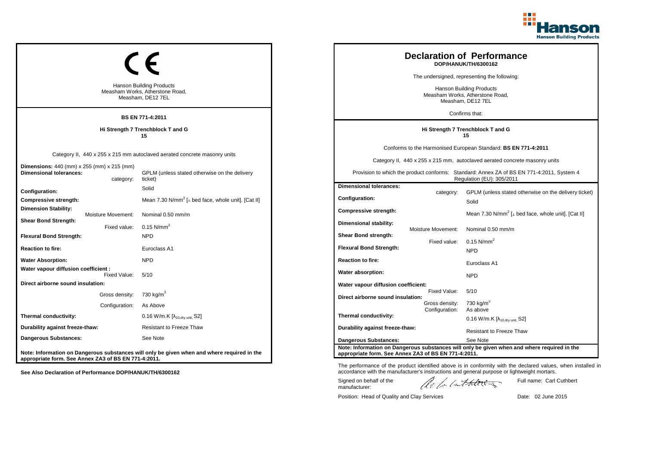

| <b>Hanson Building Products</b><br>Measham Works, Atherstone Road,<br>Measham, DE12 7EL<br><b>BS EN 771-4:2011</b> |                                  |                                                                                                                                       |                                                                                         | <b>Declaration of Performance</b><br>DOP/HANUK/TH/6300162<br>The undersigned, representing the following:<br><b>Hanson Building Products</b><br>Measham Works, Atherstone Road,<br>Measham, DE12 7EL<br>Confirms that: |                                                                                                                                                                                                                                                                        |
|--------------------------------------------------------------------------------------------------------------------|----------------------------------|---------------------------------------------------------------------------------------------------------------------------------------|-----------------------------------------------------------------------------------------|------------------------------------------------------------------------------------------------------------------------------------------------------------------------------------------------------------------------|------------------------------------------------------------------------------------------------------------------------------------------------------------------------------------------------------------------------------------------------------------------------|
| Hi Strength 7 Trenchblock T and G<br>15                                                                            |                                  |                                                                                                                                       | Hi Strength 7 Trenchblock T and G<br>15                                                 |                                                                                                                                                                                                                        |                                                                                                                                                                                                                                                                        |
| Dimensions: 440 (mm) x 255 (mm) x 215 (mm)<br><b>Dimensional tolerances:</b>                                       | category:                        | Category II, 440 x 255 x 215 mm autoclaved aerated concrete masonry units<br>GPLM (unless stated otherwise on the delivery<br>ticket) |                                                                                         |                                                                                                                                                                                                                        | Conforms to the Harmonised European Standard: BS EN 771-4:2011<br>Category II, 440 x 255 x 215 mm, autoclaved aerated concrete masonry units<br>Provision to which the product conforms: Standard: Annex ZA of BS EN 771-4:2011, System 4<br>Regulation (EU): 305/2011 |
| Configuration:<br>Compressive strength:<br><b>Dimension Stability:</b>                                             | Moisture Movement:               | Solid<br>Mean 7.30 N/mm <sup>2</sup> [ $\perp$ bed face, whole unit]. [Cat II]<br>Nominal 0.50 mm/m                                   | <b>Dimensional tolerances:</b><br>Configuration:<br><b>Compressive strength:</b>        | category:                                                                                                                                                                                                              | GPLM (unless stated otherwise on the delivery ticket)<br>Solid<br>Mean 7.30 N/mm <sup>2</sup> [ $\perp$ bed face, whole unit]. [Cat II]                                                                                                                                |
| <b>Shear Bond Strength:</b><br><b>Flexural Bond Strength:</b><br><b>Reaction to fire:</b>                          | Fixed value:                     | 0.15 $N/mm^2$<br><b>NPD</b><br>Euroclass A1                                                                                           | Dimensional stability:<br><b>Shear Bond strength:</b><br><b>Flexural Bond Strength:</b> | <b>Moisture Movement:</b><br>Fixed value:                                                                                                                                                                              | Nominal 0.50 mm/m<br>$0.15$ N/mm <sup>2</sup><br><b>NPD</b>                                                                                                                                                                                                            |
| <b>Water Absorption:</b><br>Water vapour diffusion coefficient :                                                   | Fixed Value:                     | <b>NPD</b><br>5/10                                                                                                                    | <b>Reaction to fire:</b><br>Water absorption:                                           |                                                                                                                                                                                                                        | Euroclass A1<br><b>NPD</b>                                                                                                                                                                                                                                             |
| Direct airborne sound insulation:                                                                                  | Gross density:<br>Configuration: | 730 kg/m <sup>3</sup><br>As Above                                                                                                     | Water vapour diffusion coefficient:<br>Direct airborne sound insulation:                | Fixed Value:<br>Gross density:                                                                                                                                                                                         | 5/10<br>730 kg/m <sup>3</sup>                                                                                                                                                                                                                                          |
| Thermal conductivity:<br>Durability against freeze-thaw:                                                           |                                  | 0.16 W/m.K $[\lambda_{10, dry \text{ unit}}, S2]$<br><b>Resistant to Freeze Thaw</b>                                                  | Thermal conductivity:<br>Durability against freeze-thaw:                                | Configuration:                                                                                                                                                                                                         | As above<br>$0.16$ W/m.K [ $\lambda_{10, dry \text{ unit}}$ , S2]<br><b>Resistant to Freeze Thaw</b>                                                                                                                                                                   |
| Dangerous Substances:<br>appropriate form. See Annex ZA3 of BS EN 771-4:2011.                                      |                                  | See Note<br>Note: Information on Dangerous substances will only be given when and where required in the                               | <b>Dangerous Substances:</b><br>appropriate form. See Annex ZA3 of BS EN 771-4:2011.    |                                                                                                                                                                                                                        | See Note<br>Note: Information on Dangerous substances will only be given when and where required in the                                                                                                                                                                |

Position: Head of Quality and Clay Services Date: 02 June 2015

Signed on behalf of the manufacturer:

Full name: Carl Cuthbert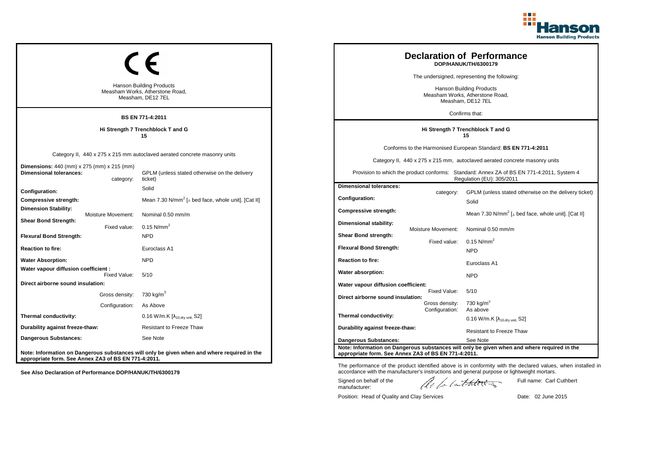

| <b>Hanson Building Products</b><br>Measham Works, Atherstone Road,<br>Measham, DE12 7EL<br><b>BS EN 771-4:2011</b> |                                  |                                                                                                                                       |                                                                                      | <b>Declaration of Performance</b><br>DOP/HANUK/TH/6300179<br>The undersigned, representing the following:<br>Hanson Building Products<br>Measham Works, Atherstone Road,<br>Measham, DE12 7EL<br>Confirms that: |                                                                                                                                                                                                                                                                        |
|--------------------------------------------------------------------------------------------------------------------|----------------------------------|---------------------------------------------------------------------------------------------------------------------------------------|--------------------------------------------------------------------------------------|-----------------------------------------------------------------------------------------------------------------------------------------------------------------------------------------------------------------|------------------------------------------------------------------------------------------------------------------------------------------------------------------------------------------------------------------------------------------------------------------------|
| Hi Strength 7 Trenchblock T and G<br>15                                                                            |                                  |                                                                                                                                       |                                                                                      | Hi Strength 7 Trenchblock T and G<br>15                                                                                                                                                                         |                                                                                                                                                                                                                                                                        |
| <b>Dimensions:</b> 440 (mm) x 275 (mm) x 215 (mm)<br><b>Dimensional tolerances:</b>                                | category:                        | Category II, 440 x 275 x 215 mm autoclaved aerated concrete masonry units<br>GPLM (unless stated otherwise on the delivery<br>ticket) |                                                                                      |                                                                                                                                                                                                                 | Conforms to the Harmonised European Standard: BS EN 771-4:2011<br>Category II, 440 x 275 x 215 mm, autoclaved aerated concrete masonry units<br>Provision to which the product conforms: Standard: Annex ZA of BS EN 771-4:2011, System 4<br>Regulation (EU): 305/2011 |
| Configuration:<br>Compressive strength:<br>Dimension Stability:                                                    | Moisture Movement:               | Solid<br>Mean 7.30 N/mm <sup>2</sup> [ $\perp$ bed face, whole unit]. [Cat II]<br>Nominal 0.50 mm/m                                   | <b>Dimensional tolerances:</b><br>Configuration:<br>Compressive strength:            | category:                                                                                                                                                                                                       | GPLM (unless stated otherwise on the delivery ticket)<br>Solid<br>Mean 7.30 N/mm <sup>2</sup> [ $\perp$ bed face, whole unit]. [Cat II]                                                                                                                                |
| <b>Shear Bond Strength:</b><br><b>Flexural Bond Strength:</b><br><b>Reaction to fire:</b>                          | Fixed value:                     | 0.15 $N/mm^2$<br><b>NPD</b><br>Euroclass A1                                                                                           | Dimensional stability:<br>Shear Bond strength:<br><b>Flexural Bond Strength:</b>     | Moisture Movement:<br>Fixed value:                                                                                                                                                                              | Nominal 0.50 mm/m<br>$0.15$ N/mm <sup>2</sup><br><b>NPD</b>                                                                                                                                                                                                            |
| <b>Water Absorption:</b><br>Water vapour diffusion coefficient :                                                   | Fixed Value:                     | <b>NPD</b><br>5/10                                                                                                                    | <b>Reaction to fire:</b><br>Water absorption:                                        |                                                                                                                                                                                                                 | Euroclass A1<br><b>NPD</b>                                                                                                                                                                                                                                             |
| Direct airborne sound insulation:                                                                                  | Gross density:<br>Configuration: | 730 kg/m <sup>3</sup><br>As Above                                                                                                     | Water vapour diffusion coefficient:<br>Direct airborne sound insulation:             | Fixed Value:<br>Gross density:                                                                                                                                                                                  | 5/10<br>730 kg/m <sup>3</sup>                                                                                                                                                                                                                                          |
| Thermal conductivity:<br>Durability against freeze-thaw:<br>Dangerous Substances:                                  |                                  | 0.16 W/m.K [λ <sub>10,dry unit,</sub> S2]<br>Resistant to Freeze Thaw<br>See Note                                                     | Thermal conductivity:<br>Durability against freeze-thaw:                             | Configuration:                                                                                                                                                                                                  | As above<br>$0.16$ W/m.K [ $\lambda_{10, dry \text{ unit}}$ , S2]<br><b>Resistant to Freeze Thaw</b>                                                                                                                                                                   |
| appropriate form. See Annex ZA3 of BS EN 771-4:2011.                                                               |                                  | Note: Information on Dangerous substances will only be given when and where required in the                                           | <b>Dangerous Substances:</b><br>appropriate form. See Annex ZA3 of BS EN 771-4:2011. |                                                                                                                                                                                                                 | See Note<br>Note: Information on Dangerous substances will only be given when and where required in the                                                                                                                                                                |

Position: Head of Quality and Clay Services Date: 02 June 2015

Signed on behalf of the manufacturer:

Full name: Carl Cuthbert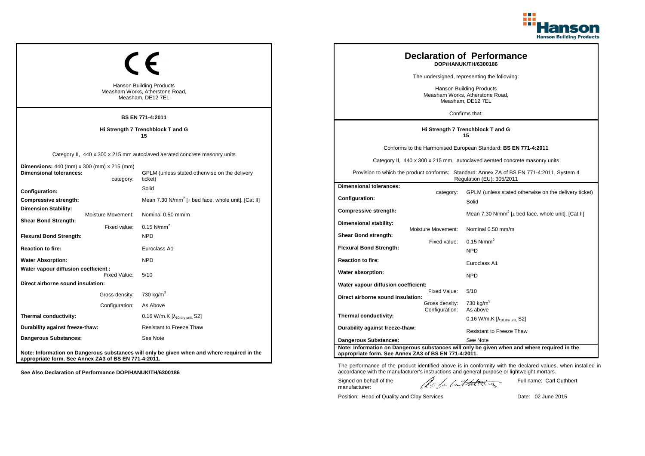

| <b>Hanson Building Products</b><br>Measham Works, Atherstone Road,<br>Measham, DE12 7EL<br><b>BS EN 771-4:2011</b> |                                  |                                                                                                                                       |                                                                                      | <b>Declaration of Performance</b><br>DOP/HANUK/TH/6300186<br>The undersigned, representing the following:<br>Hanson Building Products<br>Measham Works, Atherstone Road,<br>Measham, DE12 7EL<br>Confirms that: |                                                                                                                                                                                                                                                                        |
|--------------------------------------------------------------------------------------------------------------------|----------------------------------|---------------------------------------------------------------------------------------------------------------------------------------|--------------------------------------------------------------------------------------|-----------------------------------------------------------------------------------------------------------------------------------------------------------------------------------------------------------------|------------------------------------------------------------------------------------------------------------------------------------------------------------------------------------------------------------------------------------------------------------------------|
| Hi Strength 7 Trenchblock T and G<br>15                                                                            |                                  |                                                                                                                                       |                                                                                      | Hi Strength 7 Trenchblock T and G<br>15                                                                                                                                                                         |                                                                                                                                                                                                                                                                        |
| <b>Dimensions:</b> 440 (mm) x 300 (mm) x 215 (mm)<br><b>Dimensional tolerances:</b>                                | category:                        | Category II, 440 x 300 x 215 mm autoclaved aerated concrete masonry units<br>GPLM (unless stated otherwise on the delivery<br>ticket) |                                                                                      |                                                                                                                                                                                                                 | Conforms to the Harmonised European Standard: BS EN 771-4:2011<br>Category II, 440 x 300 x 215 mm, autoclaved aerated concrete masonry units<br>Provision to which the product conforms: Standard: Annex ZA of BS EN 771-4:2011, System 4<br>Regulation (EU): 305/2011 |
| Configuration:<br>Compressive strength:<br>Dimension Stability:                                                    | Moisture Movement:               | Solid<br>Mean 7.30 N/mm <sup>2</sup> [ $\perp$ bed face, whole unit]. [Cat II]<br>Nominal 0.50 mm/m                                   | <b>Dimensional tolerances:</b><br>Configuration:<br>Compressive strength:            | category:                                                                                                                                                                                                       | GPLM (unless stated otherwise on the delivery ticket)<br>Solid<br>Mean 7.30 N/mm <sup>2</sup> [ $\perp$ bed face, whole unit]. [Cat II]                                                                                                                                |
| <b>Shear Bond Strength:</b><br><b>Flexural Bond Strength:</b><br><b>Reaction to fire:</b>                          | Fixed value:                     | 0.15 $N/mm^2$<br><b>NPD</b><br>Euroclass A1                                                                                           | Dimensional stability:<br>Shear Bond strength:<br><b>Flexural Bond Strength:</b>     | Moisture Movement:<br>Fixed value:                                                                                                                                                                              | Nominal 0.50 mm/m<br>$0.15$ N/mm <sup>2</sup>                                                                                                                                                                                                                          |
| <b>Water Absorption:</b><br>Water vapour diffusion coefficient :                                                   | Fixed Value:                     | <b>NPD</b><br>5/10                                                                                                                    | <b>Reaction to fire:</b><br>Water absorption:                                        |                                                                                                                                                                                                                 | <b>NPD</b><br>Euroclass A1<br><b>NPD</b>                                                                                                                                                                                                                               |
| Direct airborne sound insulation:                                                                                  | Gross density:<br>Configuration: | 730 kg/m <sup>3</sup><br>As Above                                                                                                     | Water vapour diffusion coefficient:<br>Direct airborne sound insulation:             | Fixed Value:<br>Gross density:                                                                                                                                                                                  | 5/10<br>730 kg/m <sup>3</sup>                                                                                                                                                                                                                                          |
| Thermal conductivity:<br>Durability against freeze-thaw:<br>Dangerous Substances:                                  |                                  | 0.16 W/m.K [λ <sub>10,dry unit,</sub> S2]<br>Resistant to Freeze Thaw<br>See Note                                                     | Thermal conductivity:<br>Durability against freeze-thaw:                             | Configuration:                                                                                                                                                                                                  | As above<br>$0.16$ W/m.K [ $\lambda_{10, dry \text{ unit}}$ , S2]<br><b>Resistant to Freeze Thaw</b>                                                                                                                                                                   |
| appropriate form. See Annex ZA3 of BS EN 771-4:2011.                                                               |                                  | Note: Information on Dangerous substances will only be given when and where required in the                                           | <b>Dangerous Substances:</b><br>appropriate form. See Annex ZA3 of BS EN 771-4:2011. |                                                                                                                                                                                                                 | See Note<br>Note: Information on Dangerous substances will only be given when and where required in the                                                                                                                                                                |

Position: Head of Quality and Clay Services Date: 02 June 2015

Signed on behalf of the manufacturer:

Full name: Carl Cuthbert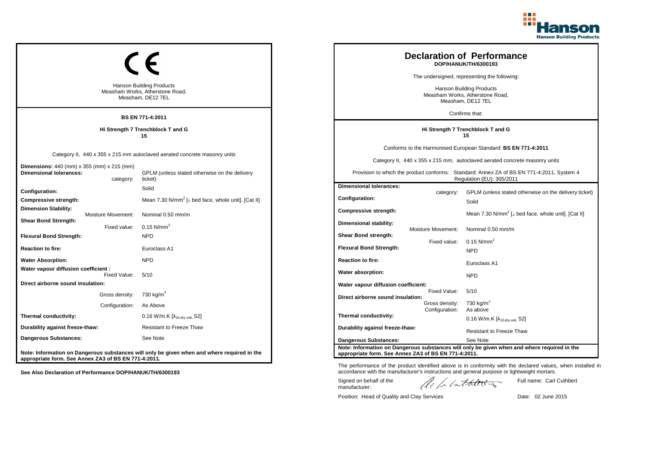

| <b>Hanson Building Products</b><br>Measham Works, Atherstone Road,<br>Measham, DE12 7EL<br><b>BS EN 771-4:2011</b> |                                  |                                                                                                                                       |                                                                                      | <b>Declaration of Performance</b><br>DOP/HANUK/TH/6300193<br>The undersigned, representing the following:<br>Hanson Building Products<br>Measham Works, Atherstone Road,<br>Measham, DE12 7EL<br>Confirms that: |                                                                                                                                                                                                                                                                        |
|--------------------------------------------------------------------------------------------------------------------|----------------------------------|---------------------------------------------------------------------------------------------------------------------------------------|--------------------------------------------------------------------------------------|-----------------------------------------------------------------------------------------------------------------------------------------------------------------------------------------------------------------|------------------------------------------------------------------------------------------------------------------------------------------------------------------------------------------------------------------------------------------------------------------------|
| Hi Strength 7 Trenchblock T and G<br>15                                                                            |                                  |                                                                                                                                       |                                                                                      | Hi Strength 7 Trenchblock T and G<br>15                                                                                                                                                                         |                                                                                                                                                                                                                                                                        |
| <b>Dimensions:</b> 440 (mm) x 355 (mm) x 215 (mm)<br><b>Dimensional tolerances:</b>                                | category:                        | Category II, 440 x 355 x 215 mm autoclaved aerated concrete masonry units<br>GPLM (unless stated otherwise on the delivery<br>ticket) |                                                                                      |                                                                                                                                                                                                                 | Conforms to the Harmonised European Standard: BS EN 771-4:2011<br>Category II, 440 x 355 x 215 mm, autoclaved aerated concrete masonry units<br>Provision to which the product conforms: Standard: Annex ZA of BS EN 771-4:2011, System 4<br>Regulation (EU): 305/2011 |
| Configuration:<br>Compressive strength:<br>Dimension Stability:                                                    | Moisture Movement:               | Solid<br>Mean 7.30 N/mm <sup>2</sup> [ $\perp$ bed face, whole unit]. [Cat II]<br>Nominal 0.50 mm/m                                   | <b>Dimensional tolerances:</b><br>Configuration:<br>Compressive strength:            | category:                                                                                                                                                                                                       | GPLM (unless stated otherwise on the delivery ticket)<br>Solid<br>Mean 7.30 N/mm <sup>2</sup> [ $\perp$ bed face, whole unit]. [Cat II]                                                                                                                                |
| <b>Shear Bond Strength:</b><br><b>Flexural Bond Strength:</b><br><b>Reaction to fire:</b>                          | Fixed value:                     | 0.15 $N/mm^2$<br><b>NPD</b><br>Euroclass A1                                                                                           | Dimensional stability:<br>Shear Bond strength:<br><b>Flexural Bond Strength:</b>     | Moisture Movement:<br>Fixed value:                                                                                                                                                                              | Nominal 0.50 mm/m<br>$0.15$ N/mm <sup>2</sup>                                                                                                                                                                                                                          |
| <b>Water Absorption:</b><br>Water vapour diffusion coefficient :                                                   | Fixed Value:                     | <b>NPD</b><br>5/10                                                                                                                    | <b>Reaction to fire:</b><br>Water absorption:                                        |                                                                                                                                                                                                                 | <b>NPD</b><br>Euroclass A1<br><b>NPD</b>                                                                                                                                                                                                                               |
| Direct airborne sound insulation:                                                                                  | Gross density:<br>Configuration: | 730 kg/m <sup>3</sup><br>As Above                                                                                                     | Water vapour diffusion coefficient:<br>Direct airborne sound insulation:             | Fixed Value:<br>Gross density:                                                                                                                                                                                  | 5/10<br>730 kg/m <sup>3</sup>                                                                                                                                                                                                                                          |
| Thermal conductivity:<br>Durability against freeze-thaw:                                                           |                                  | 0.16 W/m.K [λ <sub>10,dry unit,</sub> S2]<br>Resistant to Freeze Thaw                                                                 | Thermal conductivity:<br>Durability against freeze-thaw:                             | Configuration:                                                                                                                                                                                                  | As above<br>$0.16$ W/m.K [ $\lambda_{10, dry \text{ unit}}$ , S2]<br><b>Resistant to Freeze Thaw</b>                                                                                                                                                                   |
| Dangerous Substances:<br>appropriate form. See Annex ZA3 of BS EN 771-4:2011.                                      |                                  | See Note<br>Note: Information on Dangerous substances will only be given when and where required in the                               | <b>Dangerous Substances:</b><br>appropriate form. See Annex ZA3 of BS EN 771-4:2011. |                                                                                                                                                                                                                 | See Note<br>Note: Information on Dangerous substances will only be given when and where required in the                                                                                                                                                                |

Position: Head of Quality and Clay Services Date: 02 June 2015

Signed on behalf of the manufacturer:

Full name: Carl Cuthbert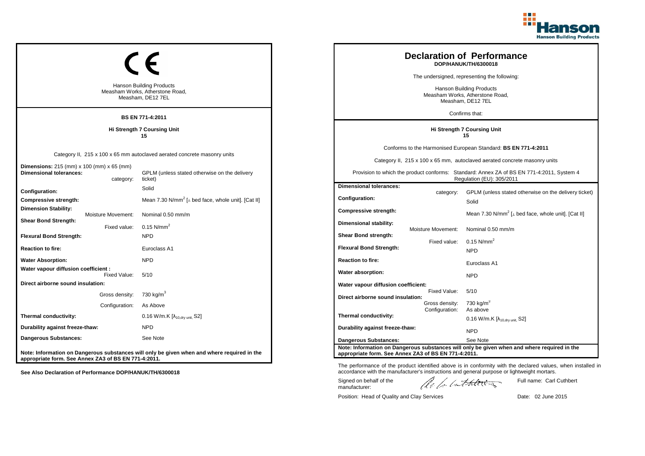

| <b>Hanson Building Products</b><br>Measham Works, Atherstone Road,<br>Measham, DE12 7EL<br><b>BS EN 771-4:2011</b> |                                    |                                                                                                                                      |  |                                                                           |                                | <b>Declaration of Performance</b><br>DOP/HANUK/TH/6300018<br>The undersigned, representing the following:<br><b>Hanson Building Products</b><br>Measham Works, Atherstone Road,<br>Measham, DE12 7EL<br>Confirms that:                                                |
|--------------------------------------------------------------------------------------------------------------------|------------------------------------|--------------------------------------------------------------------------------------------------------------------------------------|--|---------------------------------------------------------------------------|--------------------------------|-----------------------------------------------------------------------------------------------------------------------------------------------------------------------------------------------------------------------------------------------------------------------|
|                                                                                                                    | Hi Strength 7 Coursing Unit<br>15  |                                                                                                                                      |  |                                                                           |                                | Hi Strength 7 Coursing Unit<br>15                                                                                                                                                                                                                                     |
| <b>Dimensions:</b> 215 (mm) x 100 (mm) x 65 (mm)<br><b>Dimensional tolerances:</b>                                 | category:                          | Category II, 215 x 100 x 65 mm autoclaved aerated concrete masonry units<br>GPLM (unless stated otherwise on the delivery<br>ticket) |  |                                                                           |                                | Conforms to the Harmonised European Standard: BS EN 771-4:2011<br>Category II, 215 x 100 x 65 mm, autoclaved aerated concrete masonry units<br>Provision to which the product conforms: Standard: Annex ZA of BS EN 771-4:2011, System 4<br>Regulation (EU): 305/2011 |
| Configuration:<br><b>Compressive strength:</b><br><b>Dimension Stability:</b>                                      |                                    | Solid<br>Mean 7.30 N/mm <sup>2</sup> [⊥ bed face, whole unit]. [Cat II]                                                              |  | <b>Dimensional tolerances:</b><br>Configuration:<br>Compressive strength: | category:                      | GPLM (unless stated otherwise on the delivery ticket)<br>Solid                                                                                                                                                                                                        |
| <b>Shear Bond Strength:</b><br><b>Flexural Bond Strength:</b>                                                      | Moisture Movement:<br>Fixed value: | Nominal 0.50 mm/m<br>$0.15$ N/mm <sup>2</sup><br><b>NPD</b>                                                                          |  | Dimensional stability:<br>Shear Bond strength:                            | <b>Moisture Movement:</b>      | Mean 7.30 N/mm <sup>2</sup> [ $\perp$ bed face, whole unit]. [Cat II]<br>Nominal 0.50 mm/m                                                                                                                                                                            |
| <b>Reaction to fire:</b>                                                                                           |                                    | Euroclass A1                                                                                                                         |  | <b>Flexural Bond Strength:</b>                                            | Fixed value:                   | $0.15$ N/mm <sup>2</sup><br><b>NPD</b>                                                                                                                                                                                                                                |
| <b>Water Absorption:</b><br>Water vapour diffusion coefficient :                                                   | Fixed Value:                       | <b>NPD</b><br>5/10                                                                                                                   |  | <b>Reaction to fire:</b><br>Water absorption:                             |                                | Euroclass A1<br><b>NPD</b>                                                                                                                                                                                                                                            |
| Direct airborne sound insulation:                                                                                  | Gross density:<br>Configuration:   | 730 kg/m <sup>3</sup><br>As Above                                                                                                    |  | Water vapour diffusion coefficient:<br>Direct airborne sound insulation:  | Fixed Value:<br>Gross density: | 5/10<br>730 kg/m $^{\circ}$                                                                                                                                                                                                                                           |
| Thermal conductivity:                                                                                              |                                    | 0.16 W/m.K $[\lambda_{10.0}$ <sub>W unit.</sub> S2]                                                                                  |  | Thermal conductivity:                                                     | Configuration:                 | As above<br>$0.16$ W/m.K [ $\lambda_{10, dry \text{ unit}}$ , S2]                                                                                                                                                                                                     |
| Durability against freeze-thaw:<br>Dangerous Substances:                                                           |                                    | <b>NPD</b><br>See Note                                                                                                               |  | Durability against freeze-thaw:<br>Dangerous Substances:                  |                                | <b>NPD</b><br>See Note                                                                                                                                                                                                                                                |
| appropriate form. See Annex ZA3 of BS EN 771-4:2011.                                                               |                                    | Note: Information on Dangerous substances will only be given when and where required in the                                          |  | appropriate form. See Annex ZA3 of BS EN 771-4:2011.                      |                                | Note: Information on Dangerous substances will only be given when and where required in the                                                                                                                                                                           |

Position: Head of Quality and Clay Services Date: 02 June 2015

Signed on behalf of the manufacturer:

Full name: Carl Cuthbert

The performance of the product identified above is in conformity with the declared values, when installed in accordance with the manufacturer's instructions and general purpose or lightweight mortars.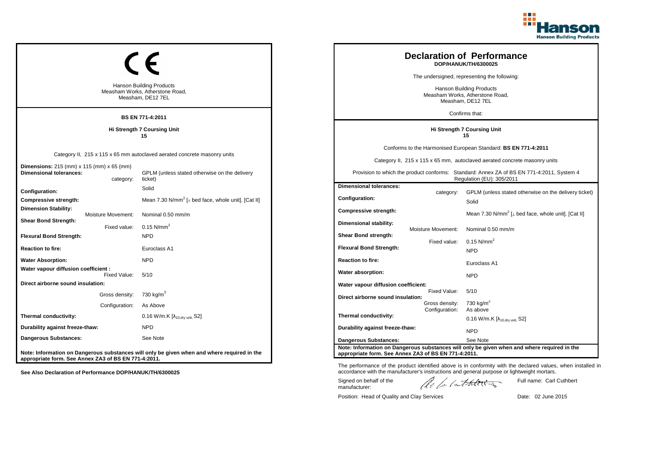

| <b>Hanson Building Products</b><br>Measham Works, Atherstone Road,<br>Measham, DE12 7EL<br><b>BS EN 771-4:2011</b> |                                                                                                                                      |                                                                                  | <b>Declaration of Performance</b><br>DOP/HANUK/TH/6300025<br>The undersigned, representing the following:<br><b>Hanson Building Products</b><br>Measham Works, Atherstone Road,<br>Measham, DE12 7EL<br>Confirms that: |                                                                                                                                                                                                                                                                       |
|--------------------------------------------------------------------------------------------------------------------|--------------------------------------------------------------------------------------------------------------------------------------|----------------------------------------------------------------------------------|------------------------------------------------------------------------------------------------------------------------------------------------------------------------------------------------------------------------|-----------------------------------------------------------------------------------------------------------------------------------------------------------------------------------------------------------------------------------------------------------------------|
|                                                                                                                    | Hi Strength 7 Coursing Unit<br>15                                                                                                    | Hi Strength 7 Coursing Unit<br>15                                                |                                                                                                                                                                                                                        |                                                                                                                                                                                                                                                                       |
| <b>Dimensions:</b> 215 (mm) x 115 (mm) x 65 (mm)<br><b>Dimensional tolerances:</b><br>category:                    | Category II, 215 x 115 x 65 mm autoclaved aerated concrete masonry units<br>GPLM (unless stated otherwise on the delivery<br>ticket) |                                                                                  |                                                                                                                                                                                                                        | Conforms to the Harmonised European Standard: BS EN 771-4:2011<br>Category II, 215 x 115 x 65 mm, autoclaved aerated concrete masonry units<br>Provision to which the product conforms: Standard: Annex ZA of BS EN 771-4:2011, System 4<br>Regulation (EU): 305/2011 |
| Configuration:<br>Compressive strength:<br><b>Dimension Stability:</b>                                             | Solid<br>Mean 7.30 N/mm <sup>2</sup> [ $\perp$ bed face, whole unit]. [Cat II]<br>Nominal 0.50 mm/m                                  | <b>Dimensional tolerances:</b><br><b>Configuration:</b><br>Compressive strength: | category:                                                                                                                                                                                                              | GPLM (unless stated otherwise on the delivery ticket)<br>Solid<br>Mean 7.30 N/mm <sup>2</sup> [ $\perp$ bed face, whole unit]. [Cat II]                                                                                                                               |
| Moisture Movement:<br><b>Shear Bond Strength:</b><br>Fixed value:<br><b>Flexural Bond Strength:</b>                | 0.15 N/mm <sup>2</sup><br><b>NPD</b>                                                                                                 | Dimensional stability:<br>Shear Bond strength:                                   | Moisture Movement:<br>Fixed value:                                                                                                                                                                                     | Nominal 0.50 mm/m<br>$0.15$ N/mm <sup>2</sup>                                                                                                                                                                                                                         |
| <b>Reaction to fire:</b><br><b>Water Absorption:</b>                                                               | Euroclass A1<br><b>NPD</b>                                                                                                           | <b>Flexural Bond Strength:</b><br><b>Reaction to fire:</b>                       |                                                                                                                                                                                                                        | <b>NPD</b><br>Euroclass A1                                                                                                                                                                                                                                            |
| Water vapour diffusion coefficient :<br>Fixed Value:<br>Direct airborne sound insulation:                          | 5/10                                                                                                                                 | Water absorption:<br>Water vapour diffusion coefficient:                         |                                                                                                                                                                                                                        | <b>NPD</b>                                                                                                                                                                                                                                                            |
| Gross density:<br>Configuration:                                                                                   | 730 kg/m $^3$<br>As Above                                                                                                            | Direct airborne sound insulation:                                                | Fixed Value:<br>Gross density:<br>Configuration:                                                                                                                                                                       | 5/10<br>730 kg/m $3$<br>As above                                                                                                                                                                                                                                      |
| Thermal conductivity:                                                                                              | $0.16$ W/m.K [ $\lambda_{10, dry}$ unit, S2]                                                                                         | Thermal conductivity:                                                            |                                                                                                                                                                                                                        | 0.16 W/m.K $[\lambda_{10, dry \text{ unit}}, S2]$                                                                                                                                                                                                                     |
| Durability against freeze-thaw:<br>Dangerous Substances:                                                           | NPD<br>See Note                                                                                                                      | Durability against freeze-thaw:<br><b>Dangerous Substances:</b>                  |                                                                                                                                                                                                                        | NPD<br>See Note                                                                                                                                                                                                                                                       |
| appropriate form. See Annex ZA3 of BS EN 771-4:2011.                                                               | Note: Information on Dangerous substances will only be given when and where required in the                                          | appropriate form. See Annex ZA3 of BS EN 771-4:2011.                             |                                                                                                                                                                                                                        | Note: Information on Dangerous substances will only be given when and where required in the                                                                                                                                                                           |

Position: Head of Quality and Clay Services Date: 02 June 2015

Signed on behalf of the manufacturer:

Full name: Carl Cuthbert

The performance of the product identified above is in conformity with the declared values, when installed in accordance with the manufacturer's instructions and general purpose or lightweight mortars.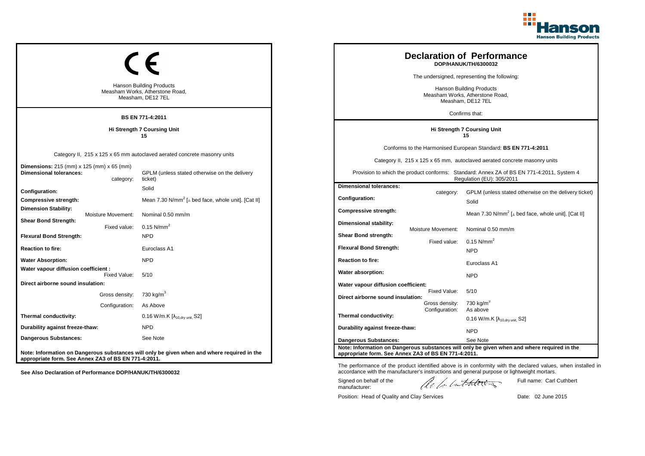

| <b>Hanson Building Products</b><br>Measham Works, Atherstone Road,<br>Measham, DE12 7EL<br><b>BS EN 771-4:2011</b> |                                                                                                                                      |                                                                                      | <b>Declaration of Performance</b><br>DOP/HANUK/TH/6300032<br>The undersigned, representing the following:<br><b>Hanson Building Products</b><br>Measham Works, Atherstone Road,<br>Measham, DE12 7EL<br>Confirms that: |                                                                                                                                                                                                                                                                       |
|--------------------------------------------------------------------------------------------------------------------|--------------------------------------------------------------------------------------------------------------------------------------|--------------------------------------------------------------------------------------|------------------------------------------------------------------------------------------------------------------------------------------------------------------------------------------------------------------------|-----------------------------------------------------------------------------------------------------------------------------------------------------------------------------------------------------------------------------------------------------------------------|
|                                                                                                                    | Hi Strength 7 Coursing Unit<br>15                                                                                                    | Hi Strength 7 Coursing Unit<br>15                                                    |                                                                                                                                                                                                                        |                                                                                                                                                                                                                                                                       |
| <b>Dimensions:</b> 215 (mm) x 125 (mm) x 65 (mm)<br><b>Dimensional tolerances:</b><br>category:                    | Category II, 215 x 125 x 65 mm autoclaved aerated concrete masonry units<br>GPLM (unless stated otherwise on the delivery<br>ticket) |                                                                                      |                                                                                                                                                                                                                        | Conforms to the Harmonised European Standard: BS EN 771-4:2011<br>Category II, 215 x 125 x 65 mm, autoclaved aerated concrete masonry units<br>Provision to which the product conforms: Standard: Annex ZA of BS EN 771-4:2011, System 4<br>Regulation (EU): 305/2011 |
| Configuration:<br><b>Compressive strength:</b><br><b>Dimension Stability:</b><br>Moisture Movement:                | Solid<br>Mean 7.30 N/mm <sup>2</sup> [ $\perp$ bed face, whole unit]. [Cat II]<br>Nominal 0.50 mm/m                                  | <b>Dimensional tolerances:</b><br><b>Configuration:</b><br>Compressive strength:     | category:                                                                                                                                                                                                              | GPLM (unless stated otherwise on the delivery ticket)<br>Solid<br>Mean 7.30 N/mm <sup>2</sup> [ $\perp$ bed face, whole unit]. [Cat II]                                                                                                                               |
| <b>Shear Bond Strength:</b><br>Fixed value:<br><b>Flexural Bond Strength:</b><br><b>Reaction to fire:</b>          | 0.15 $N/mm^2$<br><b>NPD</b><br>Euroclass A1                                                                                          | Dimensional stability:<br>Shear Bond strength:<br><b>Flexural Bond Strength:</b>     | Moisture Movement:<br>Fixed value:                                                                                                                                                                                     | Nominal 0.50 mm/m<br>$0.15$ N/mm <sup>2</sup><br><b>NPD</b>                                                                                                                                                                                                           |
| <b>Water Absorption:</b><br>Water vapour diffusion coefficient :                                                   | <b>NPD</b>                                                                                                                           | <b>Reaction to fire:</b><br>Water absorption:                                        |                                                                                                                                                                                                                        | Euroclass A1                                                                                                                                                                                                                                                          |
| Fixed Value:<br>Direct airborne sound insulation:<br>Gross density:                                                | 5/10<br>730 kg/m <sup>3</sup>                                                                                                        | Water vapour diffusion coefficient:<br>Direct airborne sound insulation:             | Fixed Value:<br>Gross density:                                                                                                                                                                                         | <b>NPD</b><br>5/10<br>$730 \text{ kg/m}^3$                                                                                                                                                                                                                            |
| Configuration:<br>Thermal conductivity:<br>Durability against freeze-thaw:                                         | As Above<br>$0.16$ W/m.K $[\lambda_{10, dry \text{ unit}}, S2]$<br>NPD                                                               | Thermal conductivity:<br>Durability against freeze-thaw:                             | Configuration:                                                                                                                                                                                                         | As above<br>$0.16$ W/m.K [ $\lambda_{10, dry \text{ unit}}$ , S2]<br><b>NPD</b>                                                                                                                                                                                       |
| Dangerous Substances:<br>appropriate form. See Annex ZA3 of BS EN 771-4:2011.                                      | See Note<br>Note: Information on Dangerous substances will only be given when and where required in the                              | <b>Dangerous Substances:</b><br>appropriate form. See Annex ZA3 of BS EN 771-4:2011. |                                                                                                                                                                                                                        | See Note<br>Note: Information on Dangerous substances will only be given when and where required in the                                                                                                                                                               |

Position: Head of Quality and Clay Services Date: 02 June 2015

Signed on behalf of the manufacturer:

Full name: Carl Cuthbert

The performance of the product identified above is in conformity with the declared values, when installed in accordance with the manufacturer's instructions and general purpose or lightweight mortars.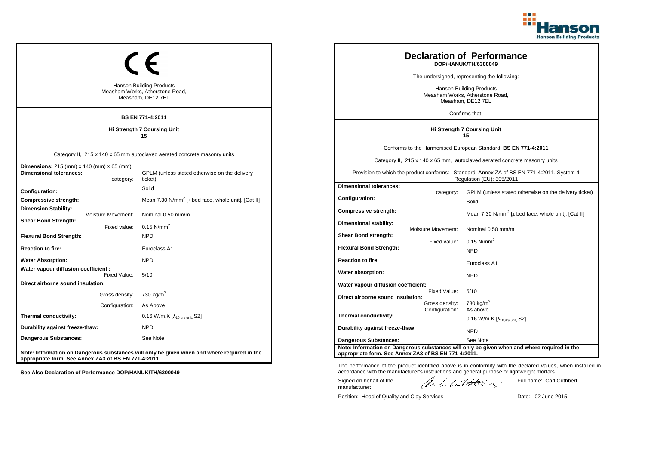

| <b>Hanson Building Products</b><br>Measham Works, Atherstone Road,<br>Measham, DE12 7EL<br><b>BS EN 771-4:2011</b> |                                                                                                                                      |                                                                                  | <b>Declaration of Performance</b><br>DOP/HANUK/TH/6300049<br>The undersigned, representing the following:<br><b>Hanson Building Products</b><br>Measham Works, Atherstone Road,<br>Measham, DE12 7EL<br>Confirms that: |                                                                                                                                                                                                                                                                       |
|--------------------------------------------------------------------------------------------------------------------|--------------------------------------------------------------------------------------------------------------------------------------|----------------------------------------------------------------------------------|------------------------------------------------------------------------------------------------------------------------------------------------------------------------------------------------------------------------|-----------------------------------------------------------------------------------------------------------------------------------------------------------------------------------------------------------------------------------------------------------------------|
|                                                                                                                    | Hi Strength 7 Coursing Unit<br>15                                                                                                    | Hi Strength 7 Coursing Unit<br>15                                                |                                                                                                                                                                                                                        |                                                                                                                                                                                                                                                                       |
| <b>Dimensions:</b> 215 (mm) x 140 (mm) x 65 (mm)<br><b>Dimensional tolerances:</b><br>category:                    | Category II, 215 x 140 x 65 mm autoclaved aerated concrete masonry units<br>GPLM (unless stated otherwise on the delivery<br>ticket) |                                                                                  |                                                                                                                                                                                                                        | Conforms to the Harmonised European Standard: BS EN 771-4:2011<br>Category II, 215 x 140 x 65 mm, autoclaved aerated concrete masonry units<br>Provision to which the product conforms: Standard: Annex ZA of BS EN 771-4:2011, System 4<br>Regulation (EU): 305/2011 |
| Configuration:<br><b>Compressive strength:</b><br><b>Dimension Stability:</b><br>Moisture Movement:                | Solid<br>Mean 7.30 N/mm <sup>2</sup> [ $\perp$ bed face, whole unit]. [Cat II]<br>Nominal 0.50 mm/m                                  | <b>Dimensional tolerances:</b><br><b>Configuration:</b><br>Compressive strength: | category:                                                                                                                                                                                                              | GPLM (unless stated otherwise on the delivery ticket)<br>Solid<br>Mean 7.30 N/mm <sup>2</sup> [ $\perp$ bed face, whole unit]. [Cat II]                                                                                                                               |
| <b>Shear Bond Strength:</b><br>Fixed value:<br><b>Flexural Bond Strength:</b>                                      | 0.15 $N/mm^2$<br><b>NPD</b>                                                                                                          | Dimensional stability:<br>Shear Bond strength:<br><b>Flexural Bond Strength:</b> | Moisture Movement:<br>Fixed value:                                                                                                                                                                                     | Nominal 0.50 mm/m<br>$0.15$ N/mm <sup>2</sup>                                                                                                                                                                                                                         |
| <b>Reaction to fire:</b><br><b>Water Absorption:</b>                                                               | Euroclass A1<br><b>NPD</b>                                                                                                           | <b>Reaction to fire:</b>                                                         |                                                                                                                                                                                                                        | <b>NPD</b><br>Euroclass A1                                                                                                                                                                                                                                            |
| Water vapour diffusion coefficient :<br>Fixed Value:<br>Direct airborne sound insulation:                          | 5/10                                                                                                                                 | Water absorption:<br>Water vapour diffusion coefficient:                         |                                                                                                                                                                                                                        | <b>NPD</b>                                                                                                                                                                                                                                                            |
| Gross density:<br>Configuration:                                                                                   | 730 kg/m <sup>3</sup><br>As Above                                                                                                    | Direct airborne sound insulation:                                                | Fixed Value:<br>Gross density:                                                                                                                                                                                         | 5/10<br>$730 \text{ kg/m}^3$                                                                                                                                                                                                                                          |
| Thermal conductivity:                                                                                              | $0.16$ W/m.K $[\lambda_{10, dry \text{ unit}}, S2]$                                                                                  | Thermal conductivity:                                                            | Configuration:                                                                                                                                                                                                         | As above<br>$0.16$ W/m.K [ $\lambda_{10, dry \text{ unit}}$ , S2]                                                                                                                                                                                                     |
| Durability against freeze-thaw:<br>Dangerous Substances:                                                           | NPD<br>See Note                                                                                                                      | Durability against freeze-thaw:<br><b>Dangerous Substances:</b>                  |                                                                                                                                                                                                                        | <b>NPD</b><br>See Note                                                                                                                                                                                                                                                |
| appropriate form. See Annex ZA3 of BS EN 771-4:2011.                                                               | Note: Information on Dangerous substances will only be given when and where required in the                                          | appropriate form. See Annex ZA3 of BS EN 771-4:2011.                             |                                                                                                                                                                                                                        | Note: Information on Dangerous substances will only be given when and where required in the                                                                                                                                                                           |

Position: Head of Quality and Clay Services Date: 02 June 2015

Signed on behalf of the manufacturer:

The performance of the product identified above is in conformity with the declared values, when installed in accordance with the manufacturer's instructions and general purpose or lightweight mortars.

ach lathering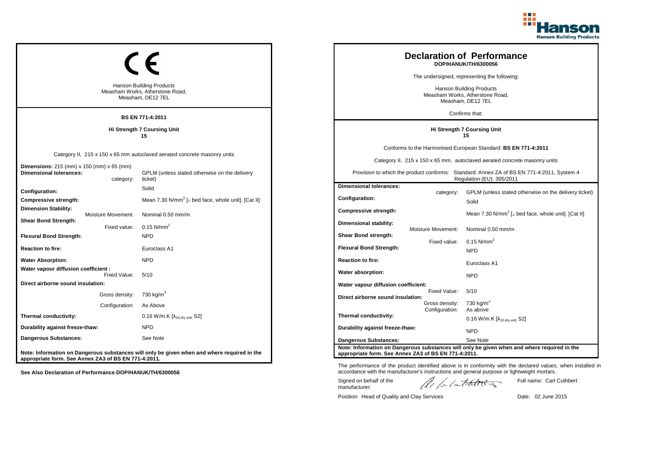

| <b>Hanson Building Products</b><br>Measham Works, Atherstone Road,<br>Measham, DE12 7EL<br><b>BS EN 771-4:2011</b> |                                                                                                                                      |                                                                                  | <b>Declaration of Performance</b><br>DOP/HANUK/TH/6300056<br>The undersigned, representing the following:<br><b>Hanson Building Products</b><br>Measham Works, Atherstone Road,<br>Measham, DE12 7EL<br>Confirms that: |                                                                                                                                                                                                                                                                       |
|--------------------------------------------------------------------------------------------------------------------|--------------------------------------------------------------------------------------------------------------------------------------|----------------------------------------------------------------------------------|------------------------------------------------------------------------------------------------------------------------------------------------------------------------------------------------------------------------|-----------------------------------------------------------------------------------------------------------------------------------------------------------------------------------------------------------------------------------------------------------------------|
|                                                                                                                    | Hi Strength 7 Coursing Unit<br>15                                                                                                    | Hi Strength 7 Coursing Unit<br>15                                                |                                                                                                                                                                                                                        |                                                                                                                                                                                                                                                                       |
| <b>Dimensions:</b> 215 (mm) x 150 (mm) x 65 (mm)<br><b>Dimensional tolerances:</b><br>category:                    | Category II, 215 x 150 x 65 mm autoclaved aerated concrete masonry units<br>GPLM (unless stated otherwise on the delivery<br>ticket) |                                                                                  |                                                                                                                                                                                                                        | Conforms to the Harmonised European Standard: BS EN 771-4:2011<br>Category II, 215 x 150 x 65 mm, autoclaved aerated concrete masonry units<br>Provision to which the product conforms: Standard: Annex ZA of BS EN 771-4:2011, System 4<br>Regulation (EU): 305/2011 |
| Configuration:<br><b>Compressive strength:</b><br><b>Dimension Stability:</b><br>Moisture Movement:                | Solid<br>Mean 7.30 N/mm <sup>2</sup> [ $\perp$ bed face, whole unit]. [Cat II]<br>Nominal 0.50 mm/m                                  | <b>Dimensional tolerances:</b><br><b>Configuration:</b><br>Compressive strength: | category:                                                                                                                                                                                                              | GPLM (unless stated otherwise on the delivery ticket)<br>Solid<br>Mean 7.30 N/mm <sup>2</sup> [ $\perp$ bed face, whole unit]. [Cat II]                                                                                                                               |
| <b>Shear Bond Strength:</b><br>Fixed value:<br><b>Flexural Bond Strength:</b><br><b>Reaction to fire:</b>          | 0.15 $N/mm^2$<br><b>NPD</b><br>Euroclass A1                                                                                          | Dimensional stability:<br>Shear Bond strength:<br><b>Flexural Bond Strength:</b> | Moisture Movement:<br>Fixed value:                                                                                                                                                                                     | Nominal 0.50 mm/m<br>$0.15$ N/mm <sup>2</sup><br><b>NPD</b>                                                                                                                                                                                                           |
| <b>Water Absorption:</b><br>Water vapour diffusion coefficient :                                                   | <b>NPD</b>                                                                                                                           | <b>Reaction to fire:</b>                                                         |                                                                                                                                                                                                                        | Euroclass A1                                                                                                                                                                                                                                                          |
| Fixed Value:<br>Direct airborne sound insulation:                                                                  | 5/10                                                                                                                                 | Water absorption:<br>Water vapour diffusion coefficient:                         | Fixed Value:                                                                                                                                                                                                           | <b>NPD</b><br>5/10                                                                                                                                                                                                                                                    |
| Gross density:<br>Configuration:                                                                                   | 730 kg/m <sup>3</sup><br>As Above                                                                                                    | Direct airborne sound insulation:                                                | Gross density:<br>Configuration:                                                                                                                                                                                       | $730 \text{ kg/m}^3$<br>As above                                                                                                                                                                                                                                      |
| Thermal conductivity:<br>Durability against freeze-thaw:                                                           | $0.16$ W/m.K $[\lambda_{10, dry \text{ unit}}, S2]$<br>NPD                                                                           | Thermal conductivity:<br>Durability against freeze-thaw:                         |                                                                                                                                                                                                                        | $0.16$ W/m.K [ $\lambda_{10, dry \text{ unit}}$ , S2]                                                                                                                                                                                                                 |
| Dangerous Substances:                                                                                              | See Note                                                                                                                             | <b>Dangerous Substances:</b>                                                     |                                                                                                                                                                                                                        | <b>NPD</b><br>See Note                                                                                                                                                                                                                                                |
| appropriate form. See Annex ZA3 of BS EN 771-4:2011.                                                               | Note: Information on Dangerous substances will only be given when and where required in the                                          | appropriate form. See Annex ZA3 of BS EN 771-4:2011.                             |                                                                                                                                                                                                                        | Note: Information on Dangerous substances will only be given when and where required in the                                                                                                                                                                           |

Position: Head of Quality and Clay Services Date: 02 June 2015

Signed on behalf of the manufacturer:

Full name: Carl Cuthbert

The performance of the product identified above is in conformity with the declared values, when installed in accordance with the manufacturer's instructions and general purpose or lightweight mortars.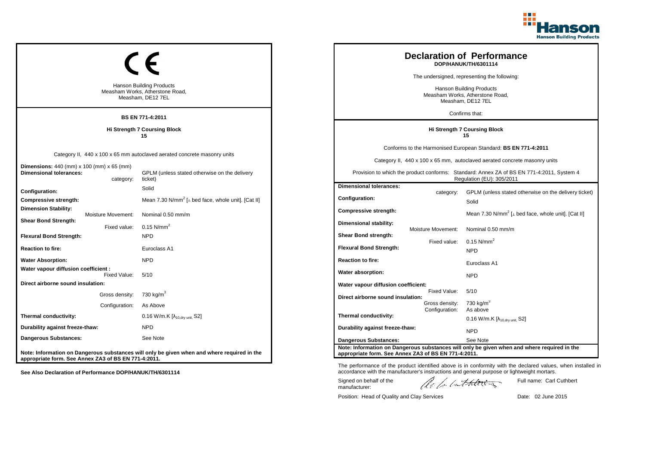

|                                                                                           |                                  | <b>Hanson Building Products</b><br>Measham Works, Atherstone Road,<br>Measham, DE12 7EL<br><b>BS EN 771-4:2011</b>                   |                                                                                                |                                                  | <b>Declaration of Performance</b><br>DOP/HANUK/TH/6301114<br>The undersigned, representing the following:<br>Hanson Building Products<br>Measham Works, Atherstone Road,<br>Measham, DE12 7EL<br>Confirms that:                                                       |
|-------------------------------------------------------------------------------------------|----------------------------------|--------------------------------------------------------------------------------------------------------------------------------------|------------------------------------------------------------------------------------------------|--------------------------------------------------|-----------------------------------------------------------------------------------------------------------------------------------------------------------------------------------------------------------------------------------------------------------------------|
|                                                                                           |                                  | <b>Hi Strength 7 Coursing Block</b><br>15                                                                                            |                                                                                                |                                                  | <b>Hi Strength 7 Coursing Block</b><br>15                                                                                                                                                                                                                             |
| <b>Dimensions:</b> 440 (mm) x 100 (mm) x 65 (mm)<br><b>Dimensional tolerances:</b>        | category:                        | Category II, 440 x 100 x 65 mm autoclaved aerated concrete masonry units<br>GPLM (unless stated otherwise on the delivery<br>ticket) |                                                                                                |                                                  | Conforms to the Harmonised European Standard: BS EN 771-4:2011<br>Category II, 440 x 100 x 65 mm, autoclaved aerated concrete masonry units<br>Provision to which the product conforms: Standard: Annex ZA of BS EN 771-4:2011, System 4<br>Regulation (EU): 305/2011 |
| Configuration:<br>Compressive strength:<br><b>Dimension Stability:</b>                    | Moisture Movement:               | Solid<br>Mean 7.30 N/mm <sup>2</sup> [ $\perp$ bed face, whole unit]. [Cat II]<br>Nominal 0.50 mm/m                                  | <b>Dimensional tolerances:</b><br>Configuration:<br><b>Compressive strength:</b>               | category:                                        | GPLM (unless stated otherwise on the delivery ticket)<br>Solid<br>Mean 7.30 N/mm <sup>2</sup> [⊥ bed face, whole unit]. [Cat II]                                                                                                                                      |
| <b>Shear Bond Strength:</b><br><b>Flexural Bond Strength:</b><br><b>Reaction to fire:</b> | Fixed value:                     | 0.15 $N/mm^2$<br><b>NPD</b><br>Euroclass A1                                                                                          | <b>Dimensional stability:</b><br><b>Shear Bond strength:</b><br><b>Flexural Bond Strength:</b> | Moisture Movement:<br>Fixed value:               | Nominal 0.50 mm/m<br>$0.15$ N/mm <sup>2</sup><br><b>NPD</b>                                                                                                                                                                                                           |
| <b>Water Absorption:</b><br>Water vapour diffusion coefficient :                          |                                  | <b>NPD</b>                                                                                                                           | <b>Reaction to fire:</b>                                                                       |                                                  | Euroclass A1                                                                                                                                                                                                                                                          |
| Direct airborne sound insulation:                                                         | Fixed Value:                     | 5/10                                                                                                                                 | Water absorption:<br>Water vapour diffusion coefficient:                                       |                                                  | <b>NPD</b>                                                                                                                                                                                                                                                            |
|                                                                                           | Gross density:<br>Configuration: | 730 kg/m <sup>3</sup><br>As Above                                                                                                    | Direct airborne sound insulation:                                                              | Fixed Value:<br>Gross density:<br>Configuration: | 5/10<br>730 kg/m $3$<br>As above                                                                                                                                                                                                                                      |
| Thermal conductivity:                                                                     |                                  | 0.16 W/m.K $[\lambda_{10.0}$ <sub>W unit.</sub> S2]                                                                                  | Thermal conductivity:                                                                          |                                                  | 0.16 W/m.K $[\lambda_{10, dry \text{ unit}}]$ S2]                                                                                                                                                                                                                     |
| Durability against freeze-thaw:<br><b>Dangerous Substances:</b>                           |                                  | <b>NPD</b><br>See Note                                                                                                               | Durability against freeze-thaw:<br><b>Dangerous Substances:</b>                                |                                                  | <b>NPD</b><br>See Note                                                                                                                                                                                                                                                |
| appropriate form. See Annex ZA3 of BS EN 771-4:2011.                                      |                                  | Note: Information on Dangerous substances will only be given when and where required in the                                          | appropriate form. See Annex ZA3 of BS EN 771-4:2011.                                           |                                                  | Note: Information on Dangerous substances will only be given when and where required in the                                                                                                                                                                           |

Position: Head of Quality and Clay Services Date: 02 June 2015

Signed on behalf of the manufacturer:

Full name: Carl Cuthbert

The performance of the product identified above is in conformity with the declared values, when installed in accordance with the manufacturer's instructions and general purpose or lightweight mortars.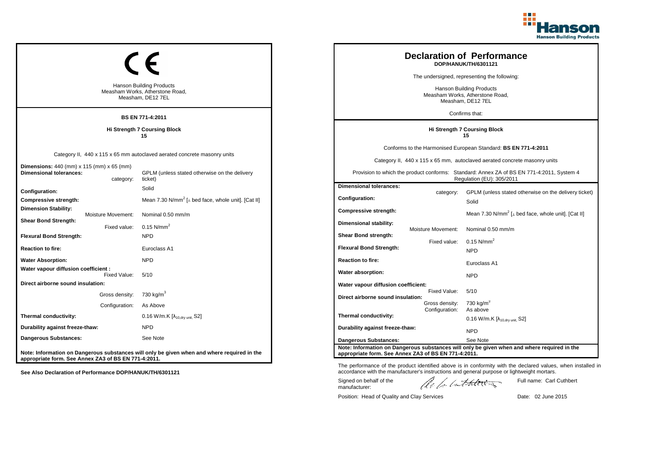

| <b>Hanson Building Products</b><br>Measham Works, Atherstone Road,<br>Measham, DE12 7EL<br>BS EN 771-4:2011 |                                                                                                                                      |                                                                                      |                                                  | <b>Declaration of Performance</b><br>DOP/HANUK/TH/6301121<br>The undersigned, representing the following:<br>Hanson Building Products<br>Measham Works, Atherstone Road,<br>Measham, DE12 7EL<br>Confirms that:                                                       |
|-------------------------------------------------------------------------------------------------------------|--------------------------------------------------------------------------------------------------------------------------------------|--------------------------------------------------------------------------------------|--------------------------------------------------|-----------------------------------------------------------------------------------------------------------------------------------------------------------------------------------------------------------------------------------------------------------------------|
|                                                                                                             | <b>Hi Strength 7 Coursing Block</b><br>15                                                                                            |                                                                                      |                                                  | <b>Hi Strength 7 Coursing Block</b><br>15                                                                                                                                                                                                                             |
| <b>Dimensions:</b> 440 (mm) x 115 (mm) x 65 (mm)<br><b>Dimensional tolerances:</b><br>category:             | Category II, 440 x 115 x 65 mm autoclaved aerated concrete masonry units<br>GPLM (unless stated otherwise on the delivery<br>ticket) |                                                                                      |                                                  | Conforms to the Harmonised European Standard: BS EN 771-4:2011<br>Category II, 440 x 115 x 65 mm, autoclaved aerated concrete masonry units<br>Provision to which the product conforms: Standard: Annex ZA of BS EN 771-4:2011, System 4<br>Regulation (EU): 305/2011 |
| Configuration:<br>Compressive strength:<br><b>Dimension Stability:</b><br><b>Moisture Movement:</b>         | Solid<br>Mean 7.30 N/mm <sup>2</sup> [ $\perp$ bed face, whole unit]. [Cat II]<br>Nominal 0.50 mm/m                                  | <b>Dimensional tolerances:</b><br>Configuration:<br><b>Compressive strength:</b>     | category:                                        | GPLM (unless stated otherwise on the delivery ticket)<br>Solid<br>Mean 7.30 N/mm <sup>2</sup> [ $\perp$ bed face, whole unit]. [Cat II]                                                                                                                               |
| <b>Shear Bond Strength:</b><br>Fixed value:<br><b>Flexural Bond Strength:</b><br><b>Reaction to fire:</b>   | 0.15 $N/mm^2$<br><b>NPD</b><br>Euroclass A1                                                                                          | Dimensional stability:<br>Shear Bond strength:<br><b>Flexural Bond Strength:</b>     | Moisture Movement:<br>Fixed value:               | Nominal 0.50 mm/m<br>$0.15$ N/mm <sup>2</sup><br><b>NPD</b>                                                                                                                                                                                                           |
| <b>Water Absorption:</b>                                                                                    | <b>NPD</b>                                                                                                                           | <b>Reaction to fire:</b>                                                             |                                                  | Euroclass A1                                                                                                                                                                                                                                                          |
| Water vapour diffusion coefficient :<br>Fixed Value:                                                        | 5/10                                                                                                                                 | Water absorption:                                                                    |                                                  | <b>NPD</b>                                                                                                                                                                                                                                                            |
| Direct airborne sound insulation:<br>Gross density:<br>Configuration:                                       | 730 kg/m <sup>3</sup><br>As Above                                                                                                    | Water vapour diffusion coefficient:<br>Direct airborne sound insulation:             | Fixed Value:<br>Gross density:<br>Configuration: | 5/10<br>730 kg/m <sup>3</sup><br>As above                                                                                                                                                                                                                             |
| Thermal conductivity:                                                                                       | 0.16 W/m.K [λ <sub>10,dry unit,</sub> S2]                                                                                            | Thermal conductivity:                                                                |                                                  | 0.16 W/m.K $[\lambda_{10, dry \text{ unit}}]$ S2]                                                                                                                                                                                                                     |
| Durability against freeze-thaw:                                                                             | <b>NPD</b>                                                                                                                           | Durability against freeze-thaw:                                                      |                                                  | <b>NPD</b>                                                                                                                                                                                                                                                            |
| <b>Dangerous Substances:</b><br>appropriate form. See Annex ZA3 of BS EN 771-4:2011.                        | See Note<br>Note: Information on Dangerous substances will only be given when and where required in the                              | <b>Dangerous Substances:</b><br>appropriate form. See Annex ZA3 of BS EN 771-4:2011. |                                                  | See Note<br>Note: Information on Dangerous substances will only be given when and where required in the                                                                                                                                                               |

Position: Head of Quality and Clay Services Date: 02 June 2015

Signed on behalf of the manufacturer:

Full name: Carl Cuthbert

The performance of the product identified above is in conformity with the declared values, when installed in accordance with the manufacturer's instructions and general purpose or lightweight mortars.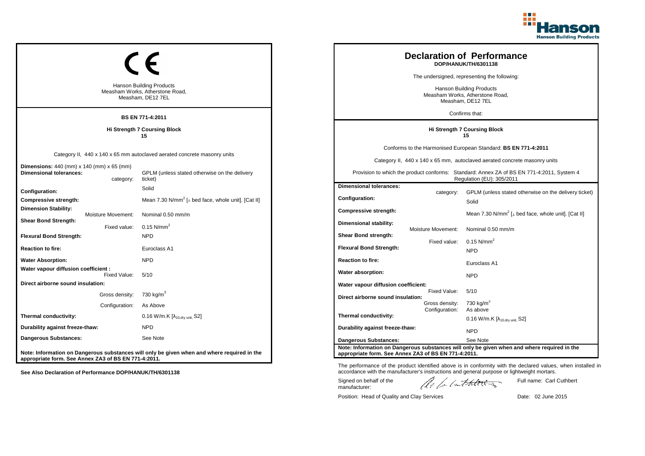

| <b>Hanson Building Products</b><br>Measham Works, Atherstone Road,<br>Measham, DE12 7EL<br><b>BS EN 771-4:2011</b> |                                    |                                                                                                                                      |                                                                                         | <b>Declaration of Performance</b><br>DOP/HANUK/TH/6301138<br>The undersigned, representing the following:<br>Hanson Building Products<br>Measham Works, Atherstone Road,<br>Measham, DE12 7EL<br>Confirms that: |                                                                                                                                                                                                                                                                       |
|--------------------------------------------------------------------------------------------------------------------|------------------------------------|--------------------------------------------------------------------------------------------------------------------------------------|-----------------------------------------------------------------------------------------|-----------------------------------------------------------------------------------------------------------------------------------------------------------------------------------------------------------------|-----------------------------------------------------------------------------------------------------------------------------------------------------------------------------------------------------------------------------------------------------------------------|
|                                                                                                                    |                                    | <b>Hi Strength 7 Coursing Block</b><br>15                                                                                            |                                                                                         |                                                                                                                                                                                                                 | <b>Hi Strength 7 Coursing Block</b><br>15                                                                                                                                                                                                                             |
| <b>Dimensions:</b> 440 (mm) x 140 (mm) x 65 (mm)<br><b>Dimensional tolerances:</b>                                 | category:                          | Category II, 440 x 140 x 65 mm autoclaved aerated concrete masonry units<br>GPLM (unless stated otherwise on the delivery<br>ticket) |                                                                                         |                                                                                                                                                                                                                 | Conforms to the Harmonised European Standard: BS EN 771-4:2011<br>Category II, 440 x 140 x 65 mm, autoclaved aerated concrete masonry units<br>Provision to which the product conforms: Standard: Annex ZA of BS EN 771-4:2011, System 4<br>Regulation (EU): 305/2011 |
| Configuration:<br>Compressive strength:<br><b>Dimension Stability:</b>                                             |                                    | Solid<br>Mean 7.30 N/mm <sup>2</sup> [ $\perp$ bed face, whole unit]. [Cat II]<br>Nominal 0.50 mm/m                                  | <b>Dimensional tolerances:</b><br><b>Configuration:</b><br>Compressive strength:        | category:                                                                                                                                                                                                       | GPLM (unless stated otherwise on the delivery ticket)<br>Solid<br>Mean 7.30 N/mm <sup>2</sup> [ $\perp$ bed face, whole unit]. [Cat II]                                                                                                                               |
| <b>Shear Bond Strength:</b><br><b>Flexural Bond Strength:</b><br><b>Reaction to fire:</b>                          | Moisture Movement:<br>Fixed value: | 0.15 $N/mm^2$<br><b>NPD</b><br>Euroclass A1                                                                                          | <b>Dimensional stability:</b><br>Shear Bond strength:<br><b>Flexural Bond Strength:</b> | <b>Moisture Movement:</b><br>Fixed value:                                                                                                                                                                       | Nominal 0.50 mm/m<br>$0.15$ N/mm <sup>2</sup>                                                                                                                                                                                                                         |
| <b>Water Absorption:</b>                                                                                           |                                    | <b>NPD</b>                                                                                                                           | <b>Reaction to fire:</b>                                                                |                                                                                                                                                                                                                 | <b>NPD</b><br>Euroclass A1                                                                                                                                                                                                                                            |
| Water vapour diffusion coefficient :<br>Direct airborne sound insulation:                                          | Fixed Value:                       | 5/10                                                                                                                                 | Water absorption:<br>Water vapour diffusion coefficient:                                |                                                                                                                                                                                                                 | <b>NPD</b>                                                                                                                                                                                                                                                            |
|                                                                                                                    | Gross density:<br>Configuration:   | 730 kg/m <sup>3</sup><br>As Above                                                                                                    | Direct airborne sound insulation:                                                       | Fixed Value:<br>Gross density:<br>Configuration:                                                                                                                                                                | 5/10<br>730 kg/m $^{\circ}$<br>As above                                                                                                                                                                                                                               |
| Thermal conductivity:                                                                                              |                                    | 0.16 W/m.K $[\lambda_{10.0}$ <sub>tv unit.</sub> S2]                                                                                 | Thermal conductivity:                                                                   |                                                                                                                                                                                                                 | 0.16 W/m.K $[\lambda_{10, dry \text{ unit}}, S2]$                                                                                                                                                                                                                     |
| Durability against freeze-thaw:<br><b>Dangerous Substances:</b>                                                    |                                    | <b>NPD</b><br>See Note                                                                                                               | Durability against freeze-thaw:<br><b>Dangerous Substances:</b>                         |                                                                                                                                                                                                                 | <b>NPD</b><br>See Note                                                                                                                                                                                                                                                |
| appropriate form. See Annex ZA3 of BS EN 771-4:2011.                                                               |                                    | Note: Information on Dangerous substances will only be given when and where required in the                                          | appropriate form. See Annex ZA3 of BS EN 771-4:2011.                                    |                                                                                                                                                                                                                 | Note: Information on Dangerous substances will only be given when and where required in the                                                                                                                                                                           |

Position: Head of Quality and Clay Services Date: 02 June 2015

Signed on behalf of the manufacturer:

The performance of the product identified above is in conformity with the declared values, when installed in accordance with the manufacturer's instructions and general purpose or lightweight mortars.

ach lathering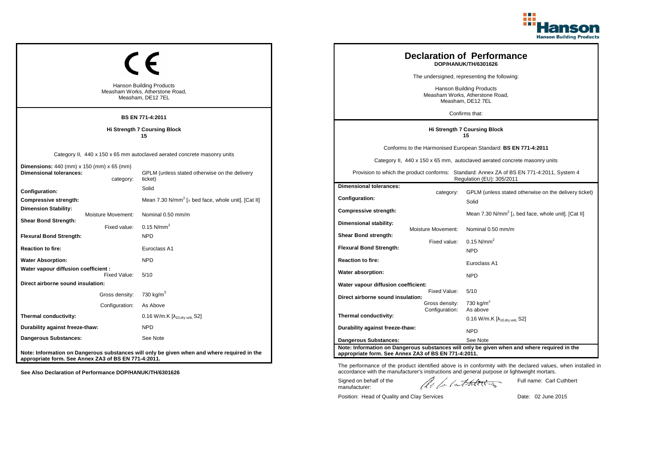

| <b>Hanson Building Products</b><br>Measham Works, Atherstone Road,<br>Measham, DE12 7EL<br><b>BS EN 771-4:2011</b> |                                                                                                                                      |                                                                                         |                                                  | <b>Declaration of Performance</b><br>DOP/HANUK/TH/6301626<br>The undersigned, representing the following:<br>Hanson Building Products<br>Measham Works, Atherstone Road,<br>Measham, DE12 7EL<br>Confirms that:                                                       |
|--------------------------------------------------------------------------------------------------------------------|--------------------------------------------------------------------------------------------------------------------------------------|-----------------------------------------------------------------------------------------|--------------------------------------------------|-----------------------------------------------------------------------------------------------------------------------------------------------------------------------------------------------------------------------------------------------------------------------|
|                                                                                                                    | <b>Hi Strength 7 Coursing Block</b><br>15                                                                                            |                                                                                         |                                                  | Hi Strength 7 Coursing Block<br>15                                                                                                                                                                                                                                    |
| <b>Dimensions:</b> $440$ (mm) x $150$ (mm) x $65$ (mm)<br><b>Dimensional tolerances:</b><br>category:              | Category II, 440 x 150 x 65 mm autoclaved aerated concrete masonry units<br>GPLM (unless stated otherwise on the delivery<br>ticket) |                                                                                         |                                                  | Conforms to the Harmonised European Standard: BS EN 771-4:2011<br>Category II, 440 x 150 x 65 mm, autoclaved aerated concrete masonry units<br>Provision to which the product conforms: Standard: Annex ZA of BS EN 771-4:2011, System 4<br>Regulation (EU): 305/2011 |
| Configuration:<br>Compressive strength:<br><b>Dimension Stability:</b><br>Moisture Movement:                       | Solid<br>Mean 7.30 N/mm <sup>2</sup> [ $\perp$ bed face, whole unit]. [Cat II]<br>Nominal 0.50 mm/m                                  | <b>Dimensional tolerances:</b><br><b>Configuration:</b><br>Compressive strength:        | category:                                        | GPLM (unless stated otherwise on the delivery ticket)<br>Solid<br>Mean 7.30 N/mm <sup>2</sup> [ $\perp$ bed face, whole unit]. [Cat II]                                                                                                                               |
| <b>Shear Bond Strength:</b><br>Fixed value:<br><b>Flexural Bond Strength:</b><br><b>Reaction to fire:</b>          | 0.15 $N/mm^2$<br><b>NPD</b><br>Euroclass A1                                                                                          | <b>Dimensional stability:</b><br>Shear Bond strength:<br><b>Flexural Bond Strength:</b> | Moisture Movement:<br>Fixed value:               | Nominal 0.50 mm/m<br>$0.15$ N/mm <sup>2</sup><br><b>NPD</b>                                                                                                                                                                                                           |
| <b>Water Absorption:</b><br>Water vapour diffusion coefficient :<br>Fixed Value:                                   | <b>NPD</b><br>5/10                                                                                                                   | <b>Reaction to fire:</b><br>Water absorption:                                           |                                                  | Euroclass A1<br><b>NPD</b>                                                                                                                                                                                                                                            |
| Direct airborne sound insulation:<br>Gross density:<br>Configuration:                                              | 730 kg/m <sup>3</sup><br>As Above                                                                                                    | Water vapour diffusion coefficient:<br>Direct airborne sound insulation:                | Fixed Value:<br>Gross density:<br>Configuration: | 5/10<br>730 kg/m $3$<br>As above                                                                                                                                                                                                                                      |
| Thermal conductivity:<br>Durability against freeze-thaw:                                                           | 0.16 W/m.K $[\lambda_{10, dry \text{ unit}}, S2]$<br><b>NPD</b>                                                                      | Thermal conductivity:<br>Durability against freeze-thaw:                                |                                                  | 0.16 W/m.K $[\lambda_{10, dry \text{ unit}}]$ S2]<br><b>NPD</b>                                                                                                                                                                                                       |
| <b>Dangerous Substances:</b><br>appropriate form. See Annex ZA3 of BS EN 771-4:2011.                               | See Note<br>Note: Information on Dangerous substances will only be given when and where required in the                              | <b>Dangerous Substances:</b><br>appropriate form. See Annex ZA3 of BS EN 771-4:2011.    |                                                  | See Note<br>Note: Information on Dangerous substances will only be given when and where required in the                                                                                                                                                               |

Position: Head of Quality and Clay Services Date: 02 June 2015

Signed on behalf of the manufacturer:

Full name: Carl Cuthbert

The performance of the product identified above is in conformity with the declared values, when installed in accordance with the manufacturer's instructions and general purpose or lightweight mortars.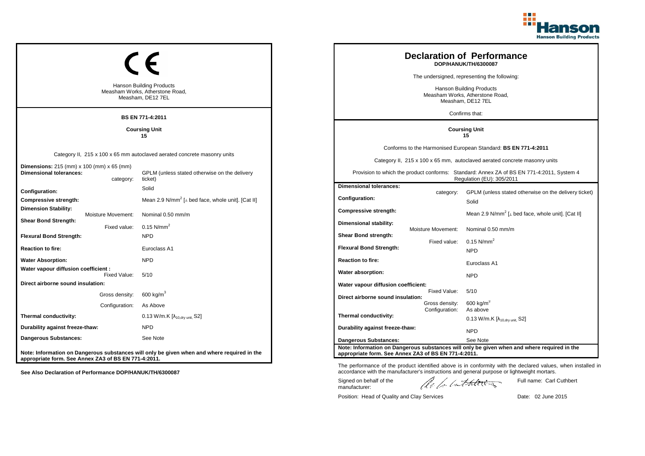

|                                                                                         |                           |                                                                                                    |                                                      |                    | <b>Declaration of Performance</b><br>DOP/HANUK/TH/6300087                                                              |  |
|-----------------------------------------------------------------------------------------|---------------------------|----------------------------------------------------------------------------------------------------|------------------------------------------------------|--------------------|------------------------------------------------------------------------------------------------------------------------|--|
|                                                                                         |                           |                                                                                                    | The undersigned, representing the following:         |                    |                                                                                                                        |  |
| <b>Hanson Building Products</b><br>Measham Works, Atherstone Road,<br>Measham, DE12 7EL |                           | Hanson Building Products<br>Measham Works, Atherstone Road,<br>Measham, DE12 7EL<br>Confirms that: |                                                      |                    |                                                                                                                        |  |
|                                                                                         |                           | <b>BS EN 771-4:2011</b>                                                                            |                                                      |                    |                                                                                                                        |  |
|                                                                                         |                           | <b>Coursing Unit</b><br>15                                                                         |                                                      |                    | <b>Coursing Unit</b><br>15                                                                                             |  |
|                                                                                         |                           |                                                                                                    |                                                      |                    | Conforms to the Harmonised European Standard: BS EN 771-4:2011                                                         |  |
|                                                                                         |                           | Category II, 215 x 100 x 65 mm autoclaved aerated concrete masonry units                           |                                                      |                    | Category II, 215 x 100 x 65 mm, autoclaved aerated concrete masonry units                                              |  |
| <b>Dimensions:</b> 215 (mm) x 100 (mm) x 65 (mm)<br><b>Dimensional tolerances:</b>      | category:                 | GPLM (unless stated otherwise on the delivery<br>ticket)                                           |                                                      |                    | Provision to which the product conforms: Standard: Annex ZA of BS EN 771-4:2011, System 4<br>Regulation (EU): 305/2011 |  |
| Configuration:                                                                          |                           | Solid                                                                                              | <b>Dimensional tolerances:</b>                       |                    |                                                                                                                        |  |
| Compressive strength:                                                                   |                           | Mean 2.9 N/mm <sup>2</sup> [ $\perp$ bed face, whole unit]. [Cat II]                               | Configuration:                                       | category:          | GPLM (unless stated otherwise on the delivery ticket)<br>Solid                                                         |  |
| <b>Dimension Stability:</b>                                                             | <b>Moisture Movement:</b> | Nominal 0.50 mm/m                                                                                  | <b>Compressive strength:</b>                         |                    | Mean 2.9 N/mm <sup>2</sup> [ $\perp$ bed face, whole unit]. [Cat II]                                                   |  |
| <b>Shear Bond Strength:</b>                                                             | Fixed value:              | 0.15 $N/mm^2$                                                                                      | Dimensional stability:                               | Moisture Movement: | Nominal 0.50 mm/m                                                                                                      |  |
| <b>Flexural Bond Strength:</b>                                                          |                           | <b>NPD</b>                                                                                         | Shear Bond strength:                                 |                    |                                                                                                                        |  |
| <b>Reaction to fire:</b>                                                                |                           | Euroclass A1                                                                                       | <b>Flexural Bond Strength:</b>                       | Fixed value:       | $0.15$ N/mm <sup>2</sup><br><b>NPD</b>                                                                                 |  |
| <b>Water Absorption:</b>                                                                |                           | <b>NPD</b>                                                                                         | <b>Reaction to fire:</b>                             |                    | Euroclass A1                                                                                                           |  |
| Water vapour diffusion coefficient :                                                    |                           |                                                                                                    | Water absorption:                                    |                    |                                                                                                                        |  |
| Direct airborne sound insulation:                                                       | Fixed Value:              | 5/10                                                                                               | Water vapour diffusion coefficient:                  |                    | <b>NPD</b>                                                                                                             |  |
|                                                                                         | Gross density:            | $600 \text{ kg/m}^3$                                                                               |                                                      | Fixed Value:       | 5/10                                                                                                                   |  |
|                                                                                         | Configuration:            | As Above                                                                                           | Direct airborne sound insulation:                    | Gross density:     | $600 \text{ kg/m}^3$                                                                                                   |  |
| Thermal conductivity:                                                                   |                           | 0.13 W/m.K $[\lambda_{10, dry \text{ unit}}, S2]$                                                  | Thermal conductivity:                                | Configuration:     | As above                                                                                                               |  |
| Durability against freeze-thaw:                                                         |                           | <b>NPD</b>                                                                                         |                                                      |                    | 0.13 W/m.K $[\lambda_{10, dry \, unit}$ , S2]                                                                          |  |
| Dangerous Substances:                                                                   |                           |                                                                                                    | Durability against freeze-thaw:                      |                    | <b>NPD</b>                                                                                                             |  |
|                                                                                         |                           | See Note                                                                                           | <b>Dangerous Substances:</b>                         |                    | See Note                                                                                                               |  |
| appropriate form. See Annex ZA3 of BS EN 771-4:2011.                                    |                           | Note: Information on Dangerous substances will only be given when and where required in the        | appropriate form. See Annex ZA3 of BS EN 771-4:2011. |                    | Note: Information on Dangerous substances will only be given when and where required in the                            |  |

The performance of the product identified above is in conformity with the declared values, when installed in accordance with the manufacturer's instructions and general purpose or lightweight mortars.

Signed on behalf of the manufacturer:

ach lathering

Full name: Carl Cuthbert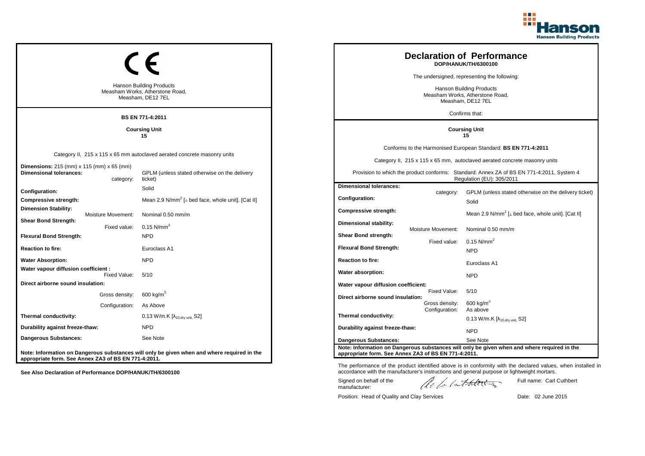

| <b>Hanson Building Products</b><br>Measham Works, Atherstone Road,<br>Measham, DE12 7EL<br><b>BS EN 771-4:2011</b> |                                  | <b>Declaration of Performance</b><br>DOP/HANUK/TH/6300100<br>The undersigned, representing the following:<br><b>Hanson Building Products</b><br>Measham Works, Atherstone Road,<br>Measham, DE12 7EL<br>Confirms that: |                                                                                      |                                                  |                                                                                                                                                                                                                                                                       |
|--------------------------------------------------------------------------------------------------------------------|----------------------------------|------------------------------------------------------------------------------------------------------------------------------------------------------------------------------------------------------------------------|--------------------------------------------------------------------------------------|--------------------------------------------------|-----------------------------------------------------------------------------------------------------------------------------------------------------------------------------------------------------------------------------------------------------------------------|
| <b>Coursing Unit</b><br>15                                                                                         |                                  |                                                                                                                                                                                                                        |                                                                                      | <b>Coursing Unit</b><br>15                       |                                                                                                                                                                                                                                                                       |
| Dimensions: 215 (mm) x 115 (mm) x 65 (mm)<br><b>Dimensional tolerances:</b>                                        | category:                        | Category II, 215 x 115 x 65 mm autoclaved aerated concrete masonry units<br>GPLM (unless stated otherwise on the delivery<br>ticket)                                                                                   |                                                                                      |                                                  | Conforms to the Harmonised European Standard: BS EN 771-4:2011<br>Category II, 215 x 115 x 65 mm, autoclaved aerated concrete masonry units<br>Provision to which the product conforms: Standard: Annex ZA of BS EN 771-4:2011, System 4<br>Regulation (EU): 305/2011 |
| Configuration:<br>Compressive strength:<br><b>Dimension Stability:</b>                                             | Moisture Movement:               | Solid<br>Mean 2.9 N/mm <sup>2</sup> [ $\perp$ bed face, whole unit]. [Cat II]<br>Nominal 0.50 mm/m                                                                                                                     | <b>Dimensional tolerances:</b><br>Configuration:<br><b>Compressive strength:</b>     | category:                                        | GPLM (unless stated otherwise on the delivery ticket)<br>Solid<br>Mean 2.9 N/mm <sup>2</sup> [ $\perp$ bed face, whole unit]. [Cat II]                                                                                                                                |
| <b>Shear Bond Strength:</b><br><b>Flexural Bond Strength:</b><br><b>Reaction to fire:</b>                          | Fixed value:                     | 0.15 $N/mm^2$<br><b>NPD</b><br>Euroclass A1                                                                                                                                                                            | Dimensional stability:<br>Shear Bond strength:<br><b>Flexural Bond Strength:</b>     | <b>Moisture Movement:</b><br>Fixed value:        | Nominal 0.50 mm/m<br>$0.15$ N/mm <sup>2</sup><br><b>NPD</b>                                                                                                                                                                                                           |
| <b>Water Absorption:</b><br>Water vapour diffusion coefficient :                                                   | Fixed Value:                     | <b>NPD</b><br>5/10                                                                                                                                                                                                     | <b>Reaction to fire:</b><br>Water absorption:                                        |                                                  | Euroclass A1<br><b>NPD</b>                                                                                                                                                                                                                                            |
| Direct airborne sound insulation:                                                                                  | Gross density:<br>Configuration: | $600 \text{ kg/m}^3$<br>As Above                                                                                                                                                                                       | Water vapour diffusion coefficient:<br>Direct airborne sound insulation:             | Fixed Value:<br>Gross density:<br>Configuration: | 5/10<br>$600 \text{ kg/m}^3$<br>As above                                                                                                                                                                                                                              |
| Thermal conductivity:<br>Durability against freeze-thaw:                                                           |                                  | 0.13 W/m.K [λ <sub>10,dry unit,</sub> S2]<br><b>NPD</b>                                                                                                                                                                | Thermal conductivity:<br>Durability against freeze-thaw:                             |                                                  | 0.13 W/m.K $[\lambda_{10.0}$ <sub>W unit.</sub> S2]<br><b>NPD</b>                                                                                                                                                                                                     |
| Dangerous Substances:<br>appropriate form. See Annex ZA3 of BS EN 771-4:2011.                                      |                                  | See Note<br>Note: Information on Dangerous substances will only be given when and where required in the                                                                                                                | <b>Dangerous Substances:</b><br>appropriate form. See Annex ZA3 of BS EN 771-4:2011. |                                                  | See Note<br>Note: Information on Dangerous substances will only be given when and where required in the                                                                                                                                                               |

The performance of the product identified above is in conformity with the declared values, when installed in accordance with the manufacturer's instructions and general purpose or lightweight mortars.

Signed on behalf of the manufacturer:

ach lathering

Full name: Carl Cuthbert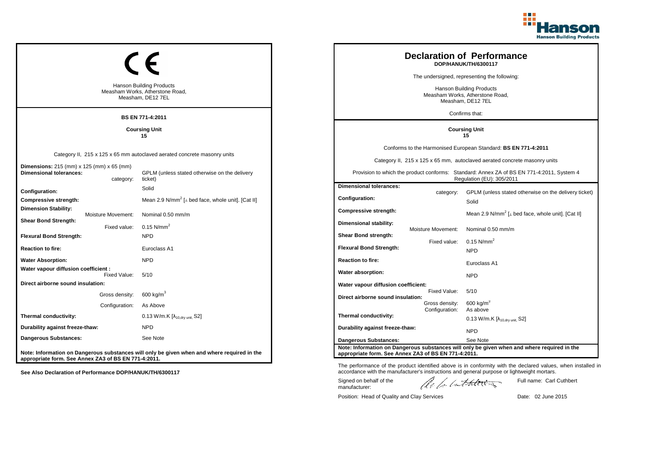

ticket)

|                                                                                         |                    |                                                                                             |                                                                                         |                                                      |                                  | <b>Declaration of Performance</b><br>DOP/HANUK/TH/6300117                                                              |
|-----------------------------------------------------------------------------------------|--------------------|---------------------------------------------------------------------------------------------|-----------------------------------------------------------------------------------------|------------------------------------------------------|----------------------------------|------------------------------------------------------------------------------------------------------------------------|
|                                                                                         |                    |                                                                                             |                                                                                         |                                                      |                                  | The undersigned, representing the following:                                                                           |
| <b>Hanson Building Products</b><br>Measham Works, Atherstone Road,<br>Measham, DE12 7EL |                    |                                                                                             | <b>Hanson Building Products</b><br>Measham Works, Atherstone Road,<br>Measham, DE12 7EL |                                                      |                                  |                                                                                                                        |
|                                                                                         |                    | <b>BS EN 771-4:2011</b>                                                                     |                                                                                         |                                                      |                                  | Confirms that:                                                                                                         |
|                                                                                         |                    | <b>Coursing Unit</b><br>15                                                                  |                                                                                         |                                                      |                                  | <b>Coursing Unit</b><br>15                                                                                             |
|                                                                                         |                    |                                                                                             |                                                                                         |                                                      |                                  | Conforms to the Harmonised European Standard: BS EN 771-4:2011                                                         |
|                                                                                         |                    | Category II, 215 x 125 x 65 mm autoclaved aerated concrete masonry units                    |                                                                                         |                                                      |                                  | Category II, 215 x 125 x 65 mm, autoclaved aerated concrete masonry units                                              |
| <b>Dimensions:</b> 215 (mm) x 125 (mm) x 65 (mm)<br><b>Dimensional tolerances:</b>      | category:          | GPLM (unless stated otherwise on the delivery<br>ticket)                                    |                                                                                         |                                                      |                                  | Provision to which the product conforms: Standard: Annex ZA of BS EN 771-4:2011, System 4<br>Regulation (EU): 305/2011 |
| <b>Configuration:</b>                                                                   |                    | Solid                                                                                       |                                                                                         | <b>Dimensional tolerances:</b>                       | category:                        | GPLM (unless stated otherwise on the delivery tic                                                                      |
| <b>Compressive strength:</b>                                                            |                    | Mean 2.9 N/mm <sup>2</sup> [ $\perp$ bed face, whole unit]. [Cat II]                        |                                                                                         | Configuration:                                       |                                  | Solid                                                                                                                  |
| <b>Dimension Stability:</b>                                                             | Moisture Movement: | Nominal 0.50 mm/m                                                                           |                                                                                         | <b>Compressive strength:</b>                         |                                  | Mean 2.9 N/mm <sup>2</sup> [ $\perp$ bed face, whole unit]. [Cat II]                                                   |
| <b>Shear Bond Strength:</b>                                                             | Fixed value:       | $0.15$ N/mm <sup>2</sup>                                                                    |                                                                                         | Dimensional stability:                               |                                  |                                                                                                                        |
| <b>Flexural Bond Strength:</b>                                                          |                    | <b>NPD</b>                                                                                  |                                                                                         | <b>Shear Bond strength:</b>                          | Moisture Movement:               | Nominal 0.50 mm/m                                                                                                      |
| <b>Reaction to fire:</b>                                                                |                    | Euroclass A1                                                                                |                                                                                         | <b>Flexural Bond Strength:</b>                       | Fixed value:                     | $0.15$ N/mm <sup>2</sup>                                                                                               |
| <b>Water Absorption:</b>                                                                |                    | <b>NPD</b>                                                                                  |                                                                                         | <b>Reaction to fire:</b>                             |                                  | <b>NPD</b>                                                                                                             |
| Water vapour diffusion coefficient :                                                    |                    |                                                                                             |                                                                                         |                                                      |                                  | Euroclass A1                                                                                                           |
|                                                                                         | Fixed Value:       | 5/10                                                                                        |                                                                                         | Water absorption:                                    |                                  | <b>NPD</b>                                                                                                             |
| Direct airborne sound insulation:                                                       |                    |                                                                                             |                                                                                         | Water vapour diffusion coefficient:                  | Fixed Value:                     | 5/10                                                                                                                   |
|                                                                                         | Gross density:     | 600 kg/m <sup>3</sup>                                                                       |                                                                                         | Direct airborne sound insulation:                    |                                  |                                                                                                                        |
|                                                                                         | Configuration:     | As Above                                                                                    |                                                                                         |                                                      | Gross density:<br>Configuration: | $600 \text{ kg/m}^3$<br>As above                                                                                       |
| Thermal conductivity:                                                                   |                    | 0.13 W/m.K $[\lambda_{10, dry \text{ unit}}, S2]$                                           |                                                                                         | Thermal conductivity:                                |                                  | 0.13 W/m.K $[\lambda_{10.0 \text{rv unit}} S2]$                                                                        |
| Durability against freeze-thaw:                                                         |                    | <b>NPD</b>                                                                                  |                                                                                         | Durability against freeze-thaw:                      |                                  | <b>NPD</b>                                                                                                             |
| Dangerous Substances:                                                                   |                    | See Note                                                                                    |                                                                                         | Dangerous Substances:                                |                                  | See Note                                                                                                               |
| appropriate form. See Annex ZA3 of BS EN 771-4:2011.                                    |                    | Note: Information on Dangerous substances will only be given when and where required in the |                                                                                         | appropriate form. See Annex ZA3 of BS EN 771-4:2011. |                                  | Note: Information on Dangerous substances will only be given when and where required in the                            |

**See Also Declaration of Performance DOP/HANUK/TH/6300117**

The performance of the product identified above is in conformity with the declared values, when installed in accordance with the manufacturer's instructions and general purpose or lightweight mortars.

Signed on behalf of the manufacturer:

ach lathering

Full name: Carl Cuthbert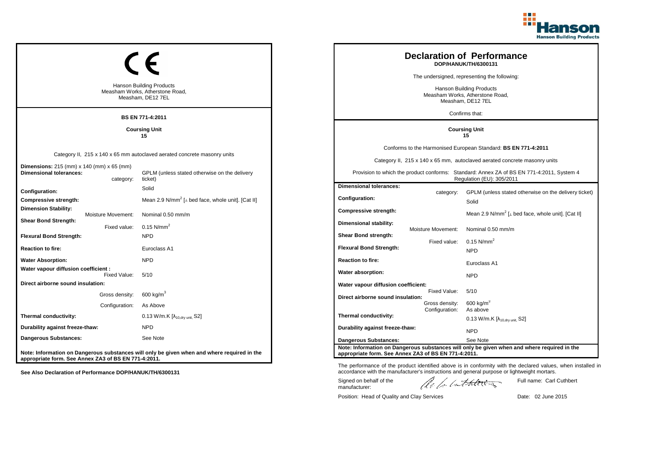

|                                                                                                                                                     |                                                                                  |                                                                                  |                | <b>Declaration of Performance</b><br>DOP/HANUK/TH/6300131                                                                                                                                                                                                                                                                               |
|-----------------------------------------------------------------------------------------------------------------------------------------------------|----------------------------------------------------------------------------------|----------------------------------------------------------------------------------|----------------|-----------------------------------------------------------------------------------------------------------------------------------------------------------------------------------------------------------------------------------------------------------------------------------------------------------------------------------------|
|                                                                                                                                                     |                                                                                  |                                                                                  |                | The undersigned, representing the following:                                                                                                                                                                                                                                                                                            |
| <b>Hanson Building Products</b><br>Measham Works, Atherstone Road,<br>Measham, DE12 7EL                                                             |                                                                                  | Hanson Building Products<br>Measham Works, Atherstone Road,<br>Measham, DE12 7EL |                |                                                                                                                                                                                                                                                                                                                                         |
| <b>BS EN 771-4:2011</b>                                                                                                                             |                                                                                  |                                                                                  |                | Confirms that:                                                                                                                                                                                                                                                                                                                          |
| <b>Coursing Unit</b><br>15                                                                                                                          |                                                                                  |                                                                                  |                | <b>Coursing Unit</b><br>15                                                                                                                                                                                                                                                                                                              |
|                                                                                                                                                     |                                                                                  |                                                                                  |                | Conforms to the Harmonised European Standard: BS EN 771-4:2011                                                                                                                                                                                                                                                                          |
|                                                                                                                                                     |                                                                                  |                                                                                  |                | Category II, 215 x 140 x 65 mm, autoclaved aerated concrete masonry units                                                                                                                                                                                                                                                               |
| GPLM (unless stated otherwise on the delivery<br>ticket)                                                                                            |                                                                                  |                                                                                  |                | Provision to which the product conforms: Standard: Annex ZA of BS EN 771-4:2011, System 4<br>Regulation (EU): 305/2011                                                                                                                                                                                                                  |
| Solid                                                                                                                                               |                                                                                  | <b>Dimensional tolerances:</b>                                                   |                | GPLM (unless stated otherwise on the delivery ticket)                                                                                                                                                                                                                                                                                   |
| Mean 2.9 N/mm <sup>2</sup> [ $\perp$ bed face, whole unit]. [Cat II]                                                                                |                                                                                  | <b>Configuration:</b>                                                            |                | Solid                                                                                                                                                                                                                                                                                                                                   |
| Nominal 0.50 mm/m                                                                                                                                   |                                                                                  | <b>Compressive strength:</b>                                                     |                | Mean 2.9 N/mm <sup>2</sup> [ $\perp$ bed face, whole unit]. [Cat II]                                                                                                                                                                                                                                                                    |
| 0.15 $N/mm^2$                                                                                                                                       |                                                                                  | Dimensional stability:                                                           |                | Nominal 0.50 mm/m                                                                                                                                                                                                                                                                                                                       |
| NPD                                                                                                                                                 |                                                                                  | Shear Bond strength:                                                             |                |                                                                                                                                                                                                                                                                                                                                         |
| Euroclass A1                                                                                                                                        |                                                                                  | <b>Flexural Bond Strength:</b>                                                   |                | $0.15$ N/mm <sup>2</sup><br><b>NPD</b>                                                                                                                                                                                                                                                                                                  |
| <b>NPD</b>                                                                                                                                          |                                                                                  | <b>Reaction to fire:</b>                                                         |                | Euroclass A1                                                                                                                                                                                                                                                                                                                            |
|                                                                                                                                                     |                                                                                  | Water absorption:                                                                |                | <b>NPD</b>                                                                                                                                                                                                                                                                                                                              |
|                                                                                                                                                     |                                                                                  |                                                                                  |                |                                                                                                                                                                                                                                                                                                                                         |
| 600 kg/m $^3$                                                                                                                                       |                                                                                  |                                                                                  | Fixed Value:   | 5/10                                                                                                                                                                                                                                                                                                                                    |
| As Above                                                                                                                                            |                                                                                  |                                                                                  | Gross density: | $600 \text{ kg/m}^3$<br>As above                                                                                                                                                                                                                                                                                                        |
| 0.13 W/m.K $[\lambda_{10, dry \text{ unit}}, S2]$                                                                                                   |                                                                                  | Thermal conductivity:                                                            |                | 0.13 W/m.K $[\lambda_{10.0}$ <sub>W unit.</sub> S2]                                                                                                                                                                                                                                                                                     |
| <b>NPD</b>                                                                                                                                          |                                                                                  |                                                                                  |                | <b>NPD</b>                                                                                                                                                                                                                                                                                                                              |
| See Note                                                                                                                                            |                                                                                  | <b>Dangerous Substances:</b>                                                     |                | See Note                                                                                                                                                                                                                                                                                                                                |
| Note: Information on Dangerous substances will only be given when and where required in the<br>appropriate form. See Annex ZA3 of BS EN 771-4:2011. |                                                                                  |                                                                                  |                |                                                                                                                                                                                                                                                                                                                                         |
|                                                                                                                                                     | Category II, 215 x 140 x 65 mm autoclaved aerated concrete masonry units<br>5/10 |                                                                                  |                | category:<br>Moisture Movement:<br>Fixed value:<br>Water vapour diffusion coefficient:<br>Direct airborne sound insulation:<br>Configuration:<br>Durability against freeze-thaw:<br>Note: Information on Dangerous substances will only be given when and where required in the<br>appropriate form. See Annex ZA3 of BS EN 771-4:2011. |

The performance of the product identified above is in conformity with the declared values, when installed in accordance with the manufacturer's instructions and general purpose or lightweight mortars.

Signed on behalf of the manufacturer:

ach lathering

Full name: Carl Cuthbert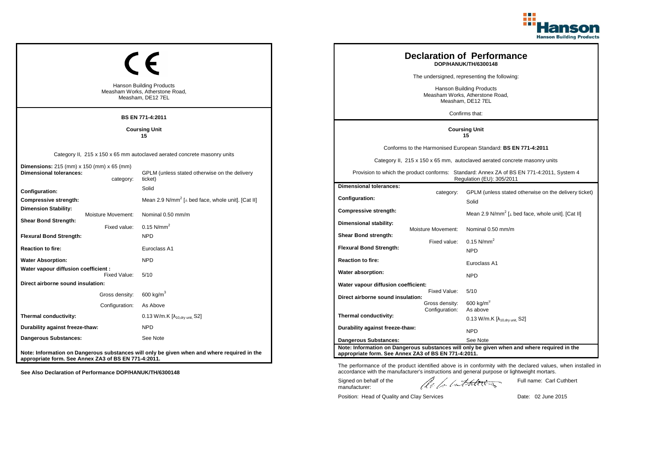

|                                                                                         |                    |                                                                                                           |                                                      |                    | <b>Declaration of Performance</b><br>DOP/HANUK/TH/6300148                                                              |
|-----------------------------------------------------------------------------------------|--------------------|-----------------------------------------------------------------------------------------------------------|------------------------------------------------------|--------------------|------------------------------------------------------------------------------------------------------------------------|
|                                                                                         |                    |                                                                                                           |                                                      |                    | The undersigned, representing the following:                                                                           |
| <b>Hanson Building Products</b><br>Measham Works, Atherstone Road,<br>Measham, DE12 7EL |                    | <b>Hanson Building Products</b><br>Measham Works, Atherstone Road,<br>Measham, DE12 7EL<br>Confirms that: |                                                      |                    |                                                                                                                        |
|                                                                                         |                    | <b>BS EN 771-4:2011</b>                                                                                   |                                                      |                    |                                                                                                                        |
|                                                                                         |                    | <b>Coursing Unit</b><br>15                                                                                |                                                      |                    | <b>Coursing Unit</b><br>15                                                                                             |
|                                                                                         |                    |                                                                                                           |                                                      |                    | Conforms to the Harmonised European Standard: BS EN 771-4:2011                                                         |
|                                                                                         |                    | Category II, 215 x 150 x 65 mm autoclaved aerated concrete masonry units                                  |                                                      |                    | Category II, 215 x 150 x 65 mm, autoclaved aerated concrete masonry units                                              |
| <b>Dimensions:</b> 215 (mm) x 150 (mm) x 65 (mm)<br><b>Dimensional tolerances:</b>      | category:          | GPLM (unless stated otherwise on the delivery<br>ticket)                                                  |                                                      |                    | Provision to which the product conforms: Standard: Annex ZA of BS EN 771-4:2011, System 4<br>Regulation (EU): 305/2011 |
| Configuration:                                                                          |                    | Solid                                                                                                     | <b>Dimensional tolerances:</b>                       |                    | GPLM (unless stated otherwise on the delivery ticket)                                                                  |
| Compressive strength:                                                                   |                    | Mean 2.9 N/mm <sup>2</sup> [ $\perp$ bed face, whole unit]. [Cat II]                                      | <b>Configuration:</b>                                | category:          | Solid                                                                                                                  |
| <b>Dimension Stability:</b>                                                             | Moisture Movement: | Nominal 0.50 mm/m                                                                                         | Compressive strength:                                |                    | Mean 2.9 N/mm <sup>2</sup> [ $\perp$ bed face, whole unit]. [Cat II]                                                   |
| <b>Shear Bond Strength:</b>                                                             | Fixed value:       | 0.15 $N/mm^2$                                                                                             | Dimensional stability:                               | Moisture Movement: | Nominal 0.50 mm/m                                                                                                      |
| <b>Flexural Bond Strength:</b>                                                          |                    | <b>NPD</b>                                                                                                | Shear Bond strength:                                 |                    | $0.15$ N/mm <sup>2</sup>                                                                                               |
| <b>Reaction to fire:</b>                                                                |                    | Euroclass A1                                                                                              | <b>Flexural Bond Strength:</b>                       | Fixed value:       | NPD                                                                                                                    |
| <b>Water Absorption:</b>                                                                |                    | <b>NPD</b>                                                                                                | <b>Reaction to fire:</b>                             |                    | Euroclass A1                                                                                                           |
| Water vapour diffusion coefficient :                                                    | Fixed Value:       | 5/10                                                                                                      | Water absorption:                                    |                    | <b>NPD</b>                                                                                                             |
| Direct airborne sound insulation:                                                       |                    |                                                                                                           | Water vapour diffusion coefficient:                  |                    |                                                                                                                        |
|                                                                                         | Gross density:     | 600 kg/m $3$                                                                                              | Direct airborne sound insulation:                    | Fixed Value:       | 5/10                                                                                                                   |
|                                                                                         | Configuration:     | As Above                                                                                                  |                                                      | Gross density:     | $600$ kg/m <sup>3</sup>                                                                                                |
| Thermal conductivity:                                                                   |                    | 0.13 W/m.K [λ <sub>10,dry unit,</sub> S2]                                                                 | Thermal conductivity:                                | Configuration:     | As above<br>$0.13$ W/m.K [ $\lambda_{10, dry \text{ unit}}$ , S2]                                                      |
| Durability against freeze-thaw:                                                         |                    | <b>NPD</b>                                                                                                | Durability against freeze-thaw:                      |                    | <b>NPD</b>                                                                                                             |
| Dangerous Substances:                                                                   |                    | See Note                                                                                                  | <b>Dangerous Substances:</b>                         |                    | See Note                                                                                                               |
| appropriate form. See Annex ZA3 of BS EN 771-4:2011.                                    |                    | Note: Information on Dangerous substances will only be given when and where required in the               | appropriate form. See Annex ZA3 of BS EN 771-4:2011. |                    | Note: Information on Dangerous substances will only be given when and where required in the                            |

Position: Head of Quality and Clay Services Date: 02 June 2015

Signed on behalf of the manufacturer:

Full name: Carl Cuthbert

The performance of the product identified above is in conformity with the declared values, when installed in accordance with the manufacturer's instructions and general purpose or lightweight mortars.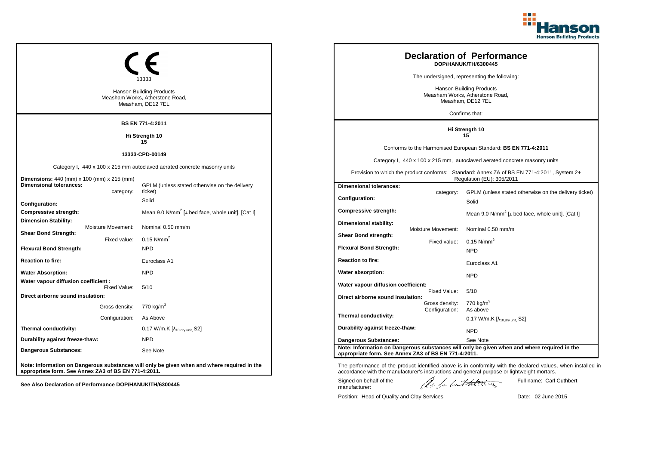

|                                                          | Hanson Building Products<br>Measham Works, Atherstone Road,<br>Measham, DE12 7EL            |  | <b>Declaration of Performance</b><br>DOP/HANUK/TH/6300445<br>The undersigned, representing the following:<br><b>Hanson Building Products</b><br>Measham Works, Atherstone Road,<br>Measham, DE12 7EL |                                  |                                                                                                                                                                                                             |  |
|----------------------------------------------------------|---------------------------------------------------------------------------------------------|--|------------------------------------------------------------------------------------------------------------------------------------------------------------------------------------------------------|----------------------------------|-------------------------------------------------------------------------------------------------------------------------------------------------------------------------------------------------------------|--|
|                                                          | <b>BS EN 771-4:2011</b>                                                                     |  |                                                                                                                                                                                                      |                                  | Confirms that:                                                                                                                                                                                              |  |
|                                                          | Hi Strength 10                                                                              |  |                                                                                                                                                                                                      |                                  | Hi Strength 10<br>15                                                                                                                                                                                        |  |
|                                                          | 15                                                                                          |  |                                                                                                                                                                                                      |                                  |                                                                                                                                                                                                             |  |
|                                                          | 13333-CPD-00149                                                                             |  |                                                                                                                                                                                                      |                                  | Conforms to the Harmonised European Standard: BS EN 771-4:2011                                                                                                                                              |  |
|                                                          | Category I, 440 x 100 x 215 mm autoclaved aerated concrete masonry units                    |  |                                                                                                                                                                                                      |                                  | Category I, 440 x 100 x 215 mm, autoclaved aerated concrete masonry units                                                                                                                                   |  |
| Dimensions: 440 (mm) x 100 (mm) x 215 (mm)               |                                                                                             |  | Provision to which the product conforms: Standard: Annex ZA of BS EN 771-4:2011, System 2+<br>Regulation (EU): 305/2011                                                                              |                                  |                                                                                                                                                                                                             |  |
| <b>Dimensional tolerances:</b><br>category:              | GPLM (unless stated otherwise on the delivery<br>ticket)                                    |  | <b>Dimensional tolerances:</b>                                                                                                                                                                       | category:                        | GPLM (unless stated otherwise on the delivery ticket)                                                                                                                                                       |  |
| Configuration:                                           | Solid                                                                                       |  | Configuration:                                                                                                                                                                                       |                                  | Solid                                                                                                                                                                                                       |  |
| <b>Compressive strength:</b>                             | Mean 9.0 N/mm <sup>2</sup> [ $\perp$ bed face, whole unit]. [Cat I]                         |  | <b>Compressive strength:</b>                                                                                                                                                                         |                                  | Mean 9.0 N/mm <sup>2</sup> [ $\perp$ bed face, whole unit]. [Cat I]                                                                                                                                         |  |
| <b>Dimension Stability:</b><br>Moisture Movement:        | Nominal 0.50 mm/m                                                                           |  | Dimensional stability:                                                                                                                                                                               |                                  |                                                                                                                                                                                                             |  |
| <b>Shear Bond Strength:</b><br>Fixed value:              | $0.15$ N/mm <sup>2</sup>                                                                    |  | Shear Bond strength:                                                                                                                                                                                 | Moisture Movement:               | Nominal 0.50 mm/m                                                                                                                                                                                           |  |
| <b>Flexural Bond Strength:</b>                           | <b>NPD</b>                                                                                  |  | <b>Flexural Bond Strength:</b>                                                                                                                                                                       | Fixed value:                     | $0.15$ N/mm <sup>2</sup><br><b>NPD</b>                                                                                                                                                                      |  |
| <b>Reaction to fire:</b>                                 | Euroclass A1                                                                                |  | <b>Reaction to fire:</b>                                                                                                                                                                             |                                  | Euroclass A1                                                                                                                                                                                                |  |
| <b>Water Absorption:</b>                                 | <b>NPD</b>                                                                                  |  | Water absorption:                                                                                                                                                                                    |                                  | <b>NPD</b>                                                                                                                                                                                                  |  |
| Water vapour diffusion coefficient :<br>Fixed Value:     | 5/10                                                                                        |  | Water vapour diffusion coefficient:                                                                                                                                                                  |                                  |                                                                                                                                                                                                             |  |
| Direct airborne sound insulation:                        |                                                                                             |  | Direct airborne sound insulation:                                                                                                                                                                    | Fixed Value:                     | 5/10                                                                                                                                                                                                        |  |
| Gross density: 770 kg/m <sup>3</sup>                     |                                                                                             |  |                                                                                                                                                                                                      | Gross density:<br>Configuration: | 770 kg/m <sup>3</sup><br>As above                                                                                                                                                                           |  |
| Configuration:                                           | As Above                                                                                    |  | Thermal conductivity:                                                                                                                                                                                |                                  | 0.17 W/m.K $[\lambda_{10, dry \text{ unit}}, S2]$                                                                                                                                                           |  |
| Thermal conductivity:                                    | 0.17 W/m.K $[\lambda_{10, dry \text{ unit}}, S2]$                                           |  | Durability against freeze-thaw:                                                                                                                                                                      |                                  | <b>NPD</b>                                                                                                                                                                                                  |  |
| Durability against freeze-thaw:                          | <b>NPD</b>                                                                                  |  | <b>Dangerous Substances:</b>                                                                                                                                                                         |                                  | See Note                                                                                                                                                                                                    |  |
| <b>Dangerous Substances:</b>                             | See Note                                                                                    |  | appropriate form. See Annex ZA3 of BS EN 771-4:2011.                                                                                                                                                 |                                  | Note: Information on Dangerous substances will only be given when and where required in the                                                                                                                 |  |
| appropriate form. See Annex ZA3 of BS EN 771-4:2011.     | Note: Information on Dangerous substances will only be given when and where required in the |  |                                                                                                                                                                                                      |                                  | The performance of the product identified above is in conformity with the declared values, when installed in<br>accordance with the manufacturer's instructions and general purpose or lightweight mortars. |  |
| See Also Declaration of Performance DOP/HANUK/TH/6300445 |                                                                                             |  | Signed on behalf of the<br>manufacturer:                                                                                                                                                             |                                  | Full name: Carl Cuthbert<br>lle for lathering                                                                                                                                                               |  |

Position: Head of Quality and Clay Services Date: 02 June 2015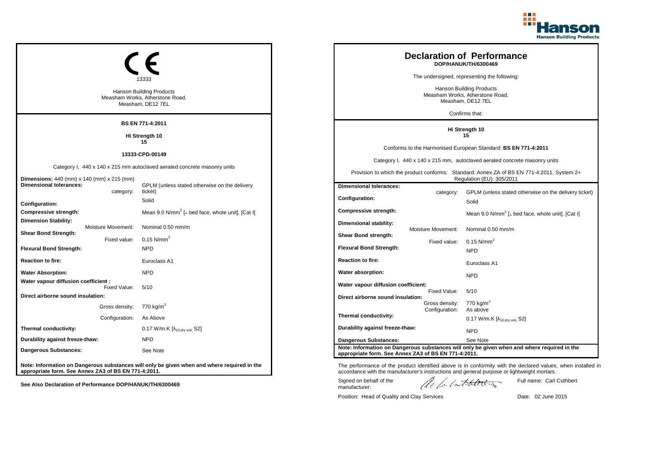

|                                                                                           | Hanson Building Products<br>Measham Works, Atherstone Road,<br>Measham, DE12 7EL            |  |                                                                                                                         |                    | <b>Declaration of Performance</b><br>DOP/HANUK/TH/6300469<br>The undersigned, representing the following:<br><b>Hanson Building Products</b><br>Measham Works, Atherstone Road,<br>Measham, DE12 7EL        |
|-------------------------------------------------------------------------------------------|---------------------------------------------------------------------------------------------|--|-------------------------------------------------------------------------------------------------------------------------|--------------------|-------------------------------------------------------------------------------------------------------------------------------------------------------------------------------------------------------------|
|                                                                                           | <b>BS EN 771-4:2011</b>                                                                     |  |                                                                                                                         |                    | Confirms that:                                                                                                                                                                                              |
|                                                                                           | Hi Strength 10<br>15                                                                        |  |                                                                                                                         |                    | Hi Strength 10<br>15                                                                                                                                                                                        |
|                                                                                           | 13333-CPD-00149                                                                             |  |                                                                                                                         |                    | Conforms to the Harmonised European Standard: BS EN 771-4:2011                                                                                                                                              |
|                                                                                           | Category I, 440 x 140 x 215 mm autoclaved aerated concrete masonry units                    |  |                                                                                                                         |                    | Category I, 440 x 140 x 215 mm, autoclaved aerated concrete masonry units                                                                                                                                   |
| Dimensions: 440 (mm) x 140 (mm) x 215 (mm)                                                |                                                                                             |  | Provision to which the product conforms: Standard: Annex ZA of BS EN 771-4:2011, System 2+<br>Regulation (EU): 305/2011 |                    |                                                                                                                                                                                                             |
| <b>Dimensional tolerances:</b>                                                            | GPLM (unless stated otherwise on the delivery                                               |  | <b>Dimensional tolerances:</b>                                                                                          |                    |                                                                                                                                                                                                             |
| category:<br>Configuration:                                                               | ticket)<br>Solid                                                                            |  | Configuration:                                                                                                          | category:          | GPLM (unless stated otherwise on the delivery ticket)<br>Solid                                                                                                                                              |
| <b>Compressive strength:</b>                                                              | Mean 9.0 N/mm <sup>2</sup> [ $\perp$ bed face, whole unit]. [Cat I]                         |  | <b>Compressive strength:</b>                                                                                            |                    | Mean 9.0 N/mm <sup>2</sup> [ $\perp$ bed face, whole unit]. [Cat I]                                                                                                                                         |
| <b>Dimension Stability:</b><br>Moisture Movement:<br><b>Shear Bond Strength:</b>          | Nominal 0.50 mm/m                                                                           |  | Dimensional stability:                                                                                                  | Moisture Movement: | Nominal 0.50 mm/m                                                                                                                                                                                           |
| Fixed value:                                                                              | $0.15$ N/mm <sup>2</sup>                                                                    |  | Shear Bond strength:                                                                                                    | Fixed value:       | $0.15$ N/mm <sup>2</sup>                                                                                                                                                                                    |
| <b>Flexural Bond Strength:</b>                                                            | <b>NPD</b>                                                                                  |  | <b>Flexural Bond Strength:</b>                                                                                          |                    | <b>NPD</b>                                                                                                                                                                                                  |
| <b>Reaction to fire:</b>                                                                  | Euroclass A1                                                                                |  | <b>Reaction to fire:</b>                                                                                                |                    | Euroclass A1                                                                                                                                                                                                |
| <b>Water Absorption:</b>                                                                  | <b>NPD</b>                                                                                  |  | Water absorption:                                                                                                       |                    | <b>NPD</b>                                                                                                                                                                                                  |
| Water vapour diffusion coefficient :<br>Fixed Value:<br>Direct airborne sound insulation: | 5/10                                                                                        |  | Water vapour diffusion coefficient:                                                                                     | Fixed Value:       | 5/10                                                                                                                                                                                                        |
| Gross density: 770 kg/m <sup>3</sup>                                                      |                                                                                             |  | Direct airborne sound insulation:                                                                                       | Gross density:     | 770 kg/m <sup>3</sup>                                                                                                                                                                                       |
| Configuration:                                                                            | As Above                                                                                    |  | Thermal conductivity:                                                                                                   | Configuration:     | As above                                                                                                                                                                                                    |
| Thermal conductivity:                                                                     | 0.17 W/m.K $[\lambda_{10, dry \text{ unit}}, S2]$                                           |  | Durability against freeze-thaw:                                                                                         |                    | 0.17 W/m.K $[\lambda_{10, dry \text{ unit}}, S2]$                                                                                                                                                           |
| Durability against freeze-thaw:                                                           | <b>NPD</b>                                                                                  |  | <b>Dangerous Substances:</b>                                                                                            |                    | <b>NPD</b><br>See Note                                                                                                                                                                                      |
| Dangerous Substances:                                                                     | See Note                                                                                    |  | appropriate form. See Annex ZA3 of BS EN 771-4:2011.                                                                    |                    | Note: Information on Dangerous substances will only be given when and where required in the                                                                                                                 |
| appropriate form. See Annex ZA3 of BS EN 771-4:2011.                                      | Note: Information on Dangerous substances will only be given when and where required in the |  |                                                                                                                         |                    | The performance of the product identified above is in conformity with the declared values, when installed in<br>accordance with the manufacturer's instructions and general purpose or lightweight mortars. |
| See Also Declaration of Performance DOP/HANUK/TH/6300469                                  |                                                                                             |  | Signed on behalf of the<br>manufacturer:                                                                                |                    | Full name: Carl Cuthbert<br>lle for lathering                                                                                                                                                               |

Position: Head of Quality and Clay Services Date: 02 June 2015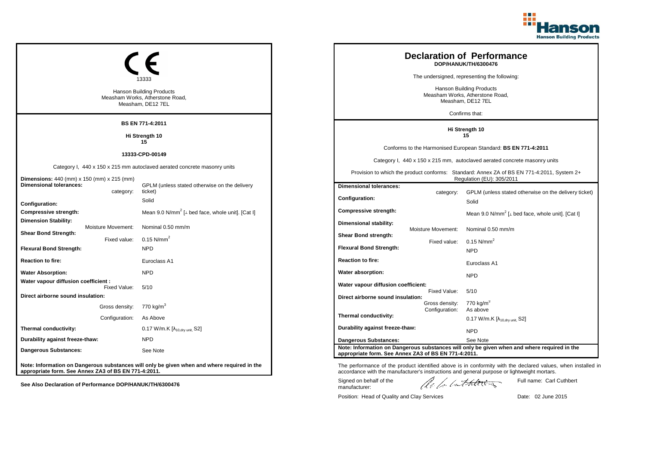

|                                                          | Hanson Building Products<br>Measham Works, Atherstone Road,<br>Measham, DE12 7EL            |  |                                                                                                                         | <b>Declaration of Performance</b><br>DOP/HANUK/TH/6300476<br>The undersigned, representing the following:<br><b>Hanson Building Products</b><br>Measham Works, Atherstone Road,<br>Measham, DE12 7EL |                                                                                                                                                                                                             |  |
|----------------------------------------------------------|---------------------------------------------------------------------------------------------|--|-------------------------------------------------------------------------------------------------------------------------|------------------------------------------------------------------------------------------------------------------------------------------------------------------------------------------------------|-------------------------------------------------------------------------------------------------------------------------------------------------------------------------------------------------------------|--|
|                                                          |                                                                                             |  |                                                                                                                         |                                                                                                                                                                                                      | Confirms that:                                                                                                                                                                                              |  |
|                                                          | <b>BS EN 771-4:2011</b>                                                                     |  |                                                                                                                         |                                                                                                                                                                                                      | Hi Strength 10                                                                                                                                                                                              |  |
|                                                          | Hi Strength 10<br>15                                                                        |  |                                                                                                                         |                                                                                                                                                                                                      | 15                                                                                                                                                                                                          |  |
|                                                          | 13333-CPD-00149                                                                             |  |                                                                                                                         |                                                                                                                                                                                                      | Conforms to the Harmonised European Standard: BS EN 771-4:2011                                                                                                                                              |  |
|                                                          | Category I, 440 x 150 x 215 mm autoclaved aerated concrete masonry units                    |  |                                                                                                                         |                                                                                                                                                                                                      | Category I, 440 x 150 x 215 mm, autoclaved aerated concrete masonry units                                                                                                                                   |  |
| Dimensions: 440 (mm) x 150 (mm) x 215 (mm)               |                                                                                             |  | Provision to which the product conforms: Standard: Annex ZA of BS EN 771-4:2011, System 2+<br>Regulation (EU): 305/2011 |                                                                                                                                                                                                      |                                                                                                                                                                                                             |  |
| <b>Dimensional tolerances:</b><br>category:              | GPLM (unless stated otherwise on the delivery<br>ticket)                                    |  | <b>Dimensional tolerances:</b>                                                                                          | category:                                                                                                                                                                                            | GPLM (unless stated otherwise on the delivery ticket)                                                                                                                                                       |  |
| Configuration:                                           | Solid                                                                                       |  | Configuration:                                                                                                          |                                                                                                                                                                                                      | Solid                                                                                                                                                                                                       |  |
| <b>Compressive strength:</b>                             | Mean 9.0 N/mm <sup>2</sup> [ $\perp$ bed face, whole unit]. [Cat I]                         |  | <b>Compressive strength:</b>                                                                                            |                                                                                                                                                                                                      | Mean 9.0 N/mm <sup>2</sup> [ $\perp$ bed face, whole unit]. [Cat I]                                                                                                                                         |  |
| <b>Dimension Stability:</b><br>Moisture Movement:        | Nominal 0.50 mm/m                                                                           |  | Dimensional stability:                                                                                                  | Moisture Movement:                                                                                                                                                                                   | Nominal 0.50 mm/m                                                                                                                                                                                           |  |
| <b>Shear Bond Strength:</b><br>Fixed value:              | $0.15$ N/mm <sup>2</sup>                                                                    |  | Shear Bond strength:                                                                                                    |                                                                                                                                                                                                      | $0.15$ N/mm <sup>2</sup>                                                                                                                                                                                    |  |
| <b>Flexural Bond Strength:</b>                           | <b>NPD</b>                                                                                  |  | <b>Flexural Bond Strength:</b>                                                                                          | Fixed value:                                                                                                                                                                                         | <b>NPD</b>                                                                                                                                                                                                  |  |
| <b>Reaction to fire:</b>                                 | Euroclass A1                                                                                |  | <b>Reaction to fire:</b>                                                                                                |                                                                                                                                                                                                      | Euroclass A1                                                                                                                                                                                                |  |
| <b>Water Absorption:</b>                                 | <b>NPD</b>                                                                                  |  | Water absorption:                                                                                                       |                                                                                                                                                                                                      | <b>NPD</b>                                                                                                                                                                                                  |  |
| Water vapour diffusion coefficient :<br>Fixed Value:     | 5/10                                                                                        |  | Water vapour diffusion coefficient:                                                                                     |                                                                                                                                                                                                      |                                                                                                                                                                                                             |  |
| Direct airborne sound insulation:                        |                                                                                             |  | Direct airborne sound insulation:                                                                                       | Fixed Value:                                                                                                                                                                                         | 5/10                                                                                                                                                                                                        |  |
| Gross density: 770 kg/m <sup>3</sup>                     |                                                                                             |  |                                                                                                                         | Gross density:<br>Configuration:                                                                                                                                                                     | 770 kg/m <sup>3</sup><br>As above                                                                                                                                                                           |  |
| Configuration:                                           | As Above                                                                                    |  | Thermal conductivity:                                                                                                   |                                                                                                                                                                                                      | 0.17 W/m.K $[\lambda_{10, dry \text{ unit}}, S2]$                                                                                                                                                           |  |
| Thermal conductivity:                                    | 0.17 W/m.K $[\lambda_{10, dry \text{ unit}}, S2]$                                           |  | Durability against freeze-thaw:                                                                                         |                                                                                                                                                                                                      | <b>NPD</b>                                                                                                                                                                                                  |  |
| Durability against freeze-thaw:                          | <b>NPD</b>                                                                                  |  | <b>Dangerous Substances:</b>                                                                                            |                                                                                                                                                                                                      | See Note                                                                                                                                                                                                    |  |
| Dangerous Substances:                                    | See Note                                                                                    |  | appropriate form. See Annex ZA3 of BS EN 771-4:2011.                                                                    |                                                                                                                                                                                                      | Note: Information on Dangerous substances will only be given when and where required in the                                                                                                                 |  |
| appropriate form. See Annex ZA3 of BS EN 771-4:2011.     | Note: Information on Dangerous substances will only be given when and where required in the |  |                                                                                                                         |                                                                                                                                                                                                      | The performance of the product identified above is in conformity with the declared values, when installed in<br>accordance with the manufacturer's instructions and general purpose or lightweight mortars. |  |
| See Also Declaration of Performance DOP/HANUK/TH/6300476 |                                                                                             |  | Signed on behalf of the<br>manufacturer:                                                                                |                                                                                                                                                                                                      | Full name: Carl Cuthbert<br>lle for lathering                                                                                                                                                               |  |

Position: Head of Quality and Clay Services Date: 02 June 2015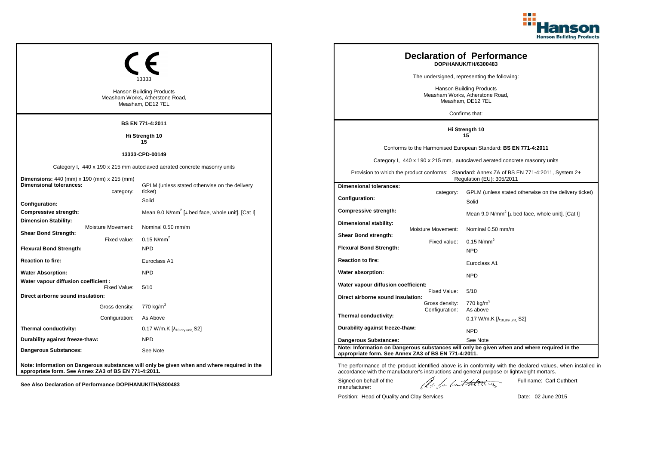

|                                                          | 13333                                                                                       |                                                                                                                         |                                  | <b>Declaration of Performance</b><br>DOP/HANUK/TH/6300483<br>The undersigned, representing the following:                                                                                                   |
|----------------------------------------------------------|---------------------------------------------------------------------------------------------|-------------------------------------------------------------------------------------------------------------------------|----------------------------------|-------------------------------------------------------------------------------------------------------------------------------------------------------------------------------------------------------------|
|                                                          | <b>Hanson Building Products</b><br>Measham Works, Atherstone Road,<br>Measham, DE12 7EL     | Hanson Building Products<br>Measham Works, Atherstone Road,<br>Measham, DE12 7EL                                        |                                  |                                                                                                                                                                                                             |
|                                                          |                                                                                             |                                                                                                                         |                                  | Confirms that:                                                                                                                                                                                              |
|                                                          | BS EN 771-4:2011                                                                            |                                                                                                                         |                                  | Hi Strength 10                                                                                                                                                                                              |
|                                                          | Hi Strength 10<br>15                                                                        |                                                                                                                         |                                  | 15                                                                                                                                                                                                          |
|                                                          | 13333-CPD-00149                                                                             |                                                                                                                         |                                  | Conforms to the Harmonised European Standard: BS EN 771-4:2011                                                                                                                                              |
|                                                          | Category I, 440 x 190 x 215 mm autoclaved aerated concrete masonry units                    |                                                                                                                         |                                  | Category I, 440 x 190 x 215 mm, autoclaved aerated concrete masonry units                                                                                                                                   |
| <b>Dimensions:</b> 440 (mm) x 190 (mm) x 215 (mm)        |                                                                                             | Provision to which the product conforms: Standard: Annex ZA of BS EN 771-4:2011, System 2+<br>Regulation (EU): 305/2011 |                                  |                                                                                                                                                                                                             |
| <b>Dimensional tolerances:</b><br>category:              | GPLM (unless stated otherwise on the delivery<br>ticket)                                    | <b>Dimensional tolerances:</b>                                                                                          | category:                        | GPLM (unless stated otherwise on the delivery ticket)                                                                                                                                                       |
| Configuration:                                           | Solid                                                                                       | Configuration:                                                                                                          |                                  | Solid                                                                                                                                                                                                       |
| <b>Compressive strength:</b>                             | Mean 9.0 N/mm <sup>2</sup> [ $\perp$ bed face, whole unit]. [Cat I]                         | <b>Compressive strength:</b>                                                                                            |                                  | Mean 9.0 N/mm <sup>2</sup> [ $\perp$ bed face, whole unit]. [Cat I]                                                                                                                                         |
| <b>Dimension Stability:</b><br>Moisture Movement:        | Nominal 0.50 mm/m                                                                           | Dimensional stability:                                                                                                  |                                  |                                                                                                                                                                                                             |
| <b>Shear Bond Strength:</b><br>Fixed value:              | $0.15$ N/mm <sup>2</sup>                                                                    | Shear Bond strength:                                                                                                    | <b>Moisture Movement:</b>        | Nominal 0.50 mm/m                                                                                                                                                                                           |
| <b>Flexural Bond Strength:</b>                           | <b>NPD</b>                                                                                  | <b>Flexural Bond Strength:</b>                                                                                          | Fixed value:                     | $0.15$ N/mm <sup>2</sup><br><b>NPD</b>                                                                                                                                                                      |
| <b>Reaction to fire:</b>                                 | Euroclass A1                                                                                | <b>Reaction to fire:</b>                                                                                                |                                  | Euroclass A1                                                                                                                                                                                                |
| <b>Water Absorption:</b>                                 | <b>NPD</b>                                                                                  | Water absorption:                                                                                                       |                                  | <b>NPD</b>                                                                                                                                                                                                  |
| Water vapour diffusion coefficient :<br>Fixed Value:     | 5/10                                                                                        | Water vapour diffusion coefficient:                                                                                     | Fixed Value:                     | 5/10                                                                                                                                                                                                        |
| Direct airborne sound insulation:                        |                                                                                             | Direct airborne sound insulation:                                                                                       |                                  |                                                                                                                                                                                                             |
| Gross density: 770 kg/m <sup>3</sup>                     |                                                                                             |                                                                                                                         | Gross density:<br>Configuration: | $770$ kg/m <sup>3</sup><br>As above                                                                                                                                                                         |
| Configuration:                                           | As Above                                                                                    | Thermal conductivity:                                                                                                   |                                  | $0.17$ W/m.K [ $\lambda_{10, dry \text{ unit}}$ , S2]                                                                                                                                                       |
| Thermal conductivity:                                    | 0.17 W/m.K $[\lambda_{10, dry \text{ unit}}, S2]$                                           | Durability against freeze-thaw:                                                                                         |                                  | <b>NPD</b>                                                                                                                                                                                                  |
| Durability against freeze-thaw:                          | <b>NPD</b>                                                                                  | <b>Dangerous Substances:</b>                                                                                            |                                  | See Note                                                                                                                                                                                                    |
| <b>Dangerous Substances:</b>                             | See Note                                                                                    | appropriate form. See Annex ZA3 of BS EN 771-4:2011.                                                                    |                                  | Note: Information on Dangerous substances will only be given when and where required in the                                                                                                                 |
| appropriate form. See Annex ZA3 of BS EN 771-4:2011.     | Note: Information on Dangerous substances will only be given when and where required in the |                                                                                                                         |                                  | The performance of the product identified above is in conformity with the declared values, when installed in<br>accordance with the manufacturer's instructions and general purpose or lightweight mortars. |
| See Also Declaration of Performance DOP/HANUK/TH/6300483 |                                                                                             | Signed on behalf of the<br>manufacturer:                                                                                |                                  | Full name: Carl Cuthbert<br>lle la lathering                                                                                                                                                                |

Position: Head of Quality and Clay Services Date: 02 June 2015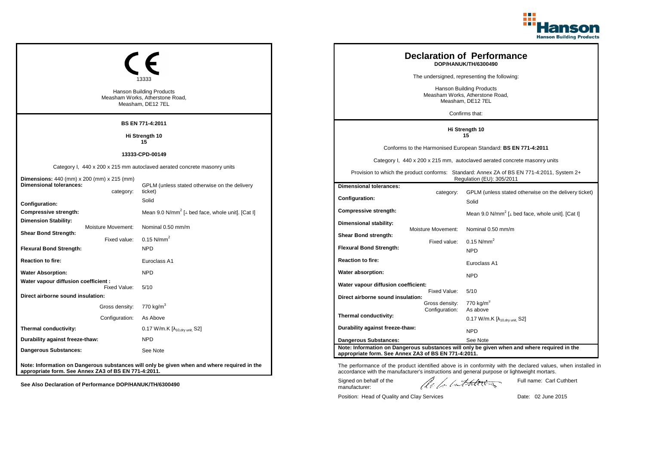

|                                                                                           | 13333<br>Hanson Building Products<br>Measham Works, Atherstone Road,<br>Measham, DE12 7EL   | <b>Declaration of Performance</b><br>DOP/HANUK/TH/6300490<br>The undersigned, representing the following:<br><b>Hanson Building Products</b><br>Measham Works, Atherstone Road,<br>Measham, DE12 7EL<br>Confirms that: |                    |                                                                                                                                                                                                             |
|-------------------------------------------------------------------------------------------|---------------------------------------------------------------------------------------------|------------------------------------------------------------------------------------------------------------------------------------------------------------------------------------------------------------------------|--------------------|-------------------------------------------------------------------------------------------------------------------------------------------------------------------------------------------------------------|
|                                                                                           | <b>BS EN 771-4:2011</b>                                                                     |                                                                                                                                                                                                                        |                    |                                                                                                                                                                                                             |
|                                                                                           | Hi Strength 10<br>15                                                                        |                                                                                                                                                                                                                        |                    | Hi Strength 10<br>15                                                                                                                                                                                        |
|                                                                                           | 13333-CPD-00149                                                                             |                                                                                                                                                                                                                        |                    | Conforms to the Harmonised European Standard: BS EN 771-4:2011                                                                                                                                              |
|                                                                                           | Category I, 440 x 200 x 215 mm autoclaved aerated concrete masonry units                    |                                                                                                                                                                                                                        |                    | Category I, 440 x 200 x 215 mm, autoclaved aerated concrete masonry units                                                                                                                                   |
| <b>Dimensions:</b> 440 (mm) x 200 (mm) x 215 (mm)                                         |                                                                                             | Provision to which the product conforms: Standard: Annex ZA of BS EN 771-4:2011, System 2+<br>Regulation (EU): 305/2011                                                                                                |                    |                                                                                                                                                                                                             |
| <b>Dimensional tolerances:</b><br>category:                                               | GPLM (unless stated otherwise on the delivery<br>ticket)                                    | <b>Dimensional tolerances:</b>                                                                                                                                                                                         | category:          | GPLM (unless stated otherwise on the delivery ticket)                                                                                                                                                       |
| Configuration:                                                                            | Solid                                                                                       | <b>Configuration:</b>                                                                                                                                                                                                  |                    | Solid                                                                                                                                                                                                       |
| <b>Compressive strength:</b>                                                              | Mean 9.0 N/mm <sup>2</sup> [ $\perp$ bed face, whole unit]. [Cat I]                         | <b>Compressive strength:</b>                                                                                                                                                                                           |                    | Mean 9.0 N/mm <sup>2</sup> [ $\perp$ bed face, whole unit]. [Cat I]                                                                                                                                         |
| <b>Dimension Stability:</b><br>Moisture Movement:                                         | Nominal 0.50 mm/m                                                                           | Dimensional stability:                                                                                                                                                                                                 | Moisture Movement: | Nominal 0.50 mm/m                                                                                                                                                                                           |
| <b>Shear Bond Strength:</b><br>Fixed value:                                               | $0.15$ N/mm <sup>2</sup>                                                                    | Shear Bond strength:                                                                                                                                                                                                   | Fixed value:       | $0.15$ N/mm <sup>2</sup>                                                                                                                                                                                    |
| <b>Flexural Bond Strength:</b>                                                            | <b>NPD</b>                                                                                  | <b>Flexural Bond Strength:</b>                                                                                                                                                                                         |                    | <b>NPD</b>                                                                                                                                                                                                  |
| <b>Reaction to fire:</b>                                                                  | Euroclass A1                                                                                | <b>Reaction to fire:</b>                                                                                                                                                                                               |                    | Euroclass A1                                                                                                                                                                                                |
| <b>Water Absorption:</b>                                                                  | <b>NPD</b>                                                                                  | Water absorption:                                                                                                                                                                                                      |                    | <b>NPD</b>                                                                                                                                                                                                  |
| Water vapour diffusion coefficient :<br>Fixed Value:<br>Direct airborne sound insulation: | 5/10                                                                                        | Water vapour diffusion coefficient:                                                                                                                                                                                    | Fixed Value:       | 5/10                                                                                                                                                                                                        |
| Gross density: 770 kg/m <sup>3</sup>                                                      |                                                                                             | Direct airborne sound insulation:                                                                                                                                                                                      | Gross density:     | $770$ kg/m <sup>3</sup>                                                                                                                                                                                     |
| Configuration:                                                                            | As Above                                                                                    | Thermal conductivity:                                                                                                                                                                                                  | Configuration:     | As above<br>$0.17$ W/m.K [ $\lambda_{10, dry \text{ unit}}$ , S2]                                                                                                                                           |
| Thermal conductivity:                                                                     | $0.17$ W/m.K $[\lambda_{10, dry \text{ unit}}, S2]$                                         | Durability against freeze-thaw:                                                                                                                                                                                        |                    | <b>NPD</b>                                                                                                                                                                                                  |
| Durability against freeze-thaw:                                                           | <b>NPD</b>                                                                                  | <b>Dangerous Substances:</b>                                                                                                                                                                                           |                    | See Note                                                                                                                                                                                                    |
| Dangerous Substances:                                                                     | See Note                                                                                    | appropriate form. See Annex ZA3 of BS EN 771-4:2011.                                                                                                                                                                   |                    | Note: Information on Dangerous substances will only be given when and where required in the                                                                                                                 |
| appropriate form. See Annex ZA3 of BS EN 771-4:2011.                                      | Note: Information on Dangerous substances will only be given when and where required in the |                                                                                                                                                                                                                        |                    | The performance of the product identified above is in conformity with the declared values, when installed in<br>accordance with the manufacturer's instructions and general purpose or lightweight mortars. |
| See Also Declaration of Performance DOP/HANUK/TH/6300490                                  |                                                                                             | Signed on behalf of the<br>manufacturer:                                                                                                                                                                               |                    | Full name: Carl Cuthbert<br>lle la latherez                                                                                                                                                                 |

Position: Head of Quality and Clay Services Date: 02 June 2015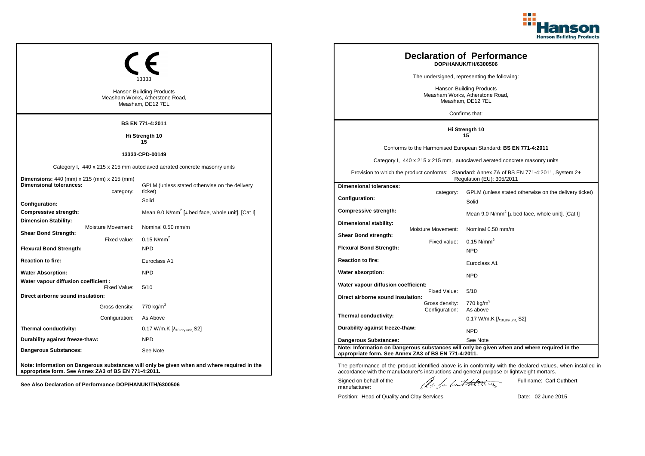

| <b>Hanson Building Products</b><br>Measham Works, Atherstone Road,<br>Measham, DE12 7EL   |                                                                                             |                                                                                                                         |                    | <b>Declaration of Performance</b><br>DOP/HANUK/TH/6300506<br>The undersigned, representing the following:<br><b>Hanson Building Products</b><br>Measham Works, Atherstone Road,<br>Measham, DE12 7EL<br>Confirms that: |
|-------------------------------------------------------------------------------------------|---------------------------------------------------------------------------------------------|-------------------------------------------------------------------------------------------------------------------------|--------------------|------------------------------------------------------------------------------------------------------------------------------------------------------------------------------------------------------------------------|
|                                                                                           | <b>BS EN 771-4:2011</b>                                                                     |                                                                                                                         |                    | Hi Strength 10                                                                                                                                                                                                         |
| Hi Strength 10                                                                            |                                                                                             |                                                                                                                         | 15                 |                                                                                                                                                                                                                        |
|                                                                                           | 15                                                                                          |                                                                                                                         |                    | Conforms to the Harmonised European Standard: BS EN 771-4:2011                                                                                                                                                         |
|                                                                                           | 13333-CPD-00149                                                                             | Category I, 440 x 215 x 215 mm, autoclaved aerated concrete masonry units                                               |                    |                                                                                                                                                                                                                        |
| Dimensions: 440 (mm) x 215 (mm) x 215 (mm)                                                | Category I, 440 x 215 x 215 mm autoclaved aerated concrete masonry units                    | Provision to which the product conforms: Standard: Annex ZA of BS EN 771-4:2011, System 2+<br>Regulation (EU): 305/2011 |                    |                                                                                                                                                                                                                        |
| <b>Dimensional tolerances:</b>                                                            | GPLM (unless stated otherwise on the delivery<br>ticket)                                    | <b>Dimensional tolerances:</b>                                                                                          |                    |                                                                                                                                                                                                                        |
| category:<br>Configuration:                                                               | Solid                                                                                       | <b>Configuration:</b>                                                                                                   | category:          | GPLM (unless stated otherwise on the delivery ticket)<br>Solid                                                                                                                                                         |
| <b>Compressive strength:</b>                                                              | Mean 9.0 N/mm <sup>2</sup> [ $\perp$ bed face, whole unit]. [Cat I]                         | <b>Compressive strength:</b>                                                                                            |                    | Mean 9.0 N/mm <sup>2</sup> [ $\perp$ bed face, whole unit]. [Cat I]                                                                                                                                                    |
| <b>Dimension Stability:</b><br>Moisture Movement:<br><b>Shear Bond Strength:</b>          | Nominal 0.50 mm/m                                                                           | Dimensional stability:<br>Shear Bond strength:                                                                          | Moisture Movement: | Nominal 0.50 mm/m                                                                                                                                                                                                      |
| Fixed value:                                                                              | $0.15$ N/mm <sup>2</sup>                                                                    |                                                                                                                         | Fixed value:       | $0.15$ N/mm <sup>2</sup>                                                                                                                                                                                               |
| <b>Flexural Bond Strength:</b>                                                            | <b>NPD</b>                                                                                  | <b>Flexural Bond Strength:</b>                                                                                          |                    | <b>NPD</b>                                                                                                                                                                                                             |
| <b>Reaction to fire:</b>                                                                  | Euroclass A1                                                                                | <b>Reaction to fire:</b>                                                                                                |                    | Euroclass A1                                                                                                                                                                                                           |
| <b>Water Absorption:</b>                                                                  | <b>NPD</b>                                                                                  | Water absorption:                                                                                                       |                    | <b>NPD</b>                                                                                                                                                                                                             |
| Water vapour diffusion coefficient :<br>Fixed Value:<br>Direct airborne sound insulation: | 5/10                                                                                        | Water vapour diffusion coefficient:<br>Direct airborne sound insulation:                                                | Fixed Value:       | 5/10                                                                                                                                                                                                                   |
| Gross density: 770 kg/m <sup>3</sup>                                                      |                                                                                             |                                                                                                                         | Gross density:     | 770 kg/m <sup>3</sup>                                                                                                                                                                                                  |
| Configuration: As Above                                                                   |                                                                                             | Thermal conductivity:                                                                                                   | Configuration:     | As above<br>$0.17$ W/m.K [ $\lambda_{10, dry \text{ unit}}$ , S2]                                                                                                                                                      |
| Thermal conductivity:                                                                     | 0.17 W/m.K $[\lambda_{10, dry \text{ unit}}, S2]$                                           | Durability against freeze-thaw:                                                                                         |                    | <b>NPD</b>                                                                                                                                                                                                             |
| Durability against freeze-thaw:                                                           | <b>NPD</b>                                                                                  | <b>Dangerous Substances:</b>                                                                                            |                    | See Note                                                                                                                                                                                                               |
| <b>Dangerous Substances:</b>                                                              | See Note                                                                                    | appropriate form. See Annex ZA3 of BS EN 771-4:2011.                                                                    |                    | Note: Information on Dangerous substances will only be given when and where required in the                                                                                                                            |
| appropriate form. See Annex ZA3 of BS EN 771-4:2011.                                      | Note: Information on Dangerous substances will only be given when and where required in the |                                                                                                                         |                    | The performance of the product identified above is in conformity with the declared values, when installed in<br>accordance with the manufacturer's instructions and general purpose or lightweight mortars.            |
| See Also Declaration of Performance DOP/HANUK/TH/6300506                                  |                                                                                             | Signed on behalf of the<br>manufacturer:                                                                                |                    | Full name: Carl Cuthbert<br>lle le lutherez                                                                                                                                                                            |

Position: Head of Quality and Clay Services Date: 02 June 2015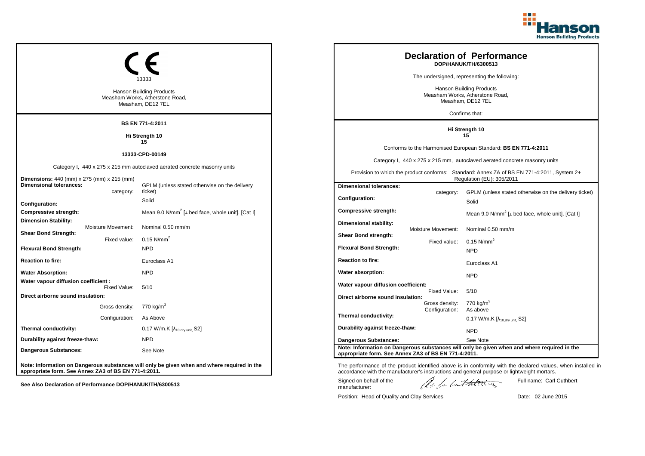

|                                                                                           | <b>Hanson Building Products</b><br>Measham Works, Atherstone Road,<br>Measham, DE12 7EL     |  |                                                                                            |                    | <b>Declaration of Performance</b><br>DOP/HANUK/TH/6300513<br>The undersigned, representing the following:<br><b>Hanson Building Products</b><br>Measham Works, Atherstone Road,<br>Measham, DE12 7EL<br>Confirms that:                  |
|-------------------------------------------------------------------------------------------|---------------------------------------------------------------------------------------------|--|--------------------------------------------------------------------------------------------|--------------------|-----------------------------------------------------------------------------------------------------------------------------------------------------------------------------------------------------------------------------------------|
|                                                                                           | BS EN 771-4:2011                                                                            |  | Hi Strength 10                                                                             |                    |                                                                                                                                                                                                                                         |
|                                                                                           | Hi Strength 10                                                                              |  |                                                                                            |                    | 15                                                                                                                                                                                                                                      |
|                                                                                           | 15                                                                                          |  |                                                                                            |                    | Conforms to the Harmonised European Standard: BS EN 771-4:2011                                                                                                                                                                          |
|                                                                                           | 13333-CPD-00149                                                                             |  | Category I, 440 x 275 x 215 mm, autoclaved aerated concrete masonry units                  |                    |                                                                                                                                                                                                                                         |
|                                                                                           | Category I, 440 x 275 x 215 mm autoclaved aerated concrete masonry units                    |  | Provision to which the product conforms: Standard: Annex ZA of BS EN 771-4:2011, System 2+ |                    |                                                                                                                                                                                                                                         |
| <b>Dimensions:</b> 440 (mm) x 275 (mm) x 215 (mm)<br><b>Dimensional tolerances:</b>       | GPLM (unless stated otherwise on the delivery                                               |  | <b>Dimensional tolerances:</b>                                                             |                    | Regulation (EU): 305/2011                                                                                                                                                                                                               |
| category:<br>Configuration:                                                               | ticket)<br>Solid                                                                            |  | Configuration:                                                                             | category:          | GPLM (unless stated otherwise on the delivery ticket)<br>Solid                                                                                                                                                                          |
| Compressive strength:                                                                     | Mean 9.0 N/mm <sup>2</sup> [ $\perp$ bed face, whole unit]. [Cat I]                         |  | <b>Compressive strength:</b>                                                               |                    | Mean 9.0 N/mm <sup>2</sup> [ $\perp$ bed face, whole unit]. [Cat I]                                                                                                                                                                     |
| <b>Dimension Stability:</b><br>Moisture Movement:<br><b>Shear Bond Strength:</b>          | Nominal 0.50 mm/m                                                                           |  | Dimensional stability:<br>Shear Bond strength:                                             | Moisture Movement: | Nominal 0.50 mm/m                                                                                                                                                                                                                       |
| Fixed value:                                                                              | $0.15$ N/mm <sup>2</sup>                                                                    |  |                                                                                            | Fixed value:       | $0.15$ N/mm <sup>2</sup>                                                                                                                                                                                                                |
| <b>Flexural Bond Strength:</b>                                                            | <b>NPD</b>                                                                                  |  | <b>Flexural Bond Strength:</b>                                                             |                    | <b>NPD</b>                                                                                                                                                                                                                              |
| <b>Reaction to fire:</b>                                                                  | Euroclass A1                                                                                |  | <b>Reaction to fire:</b>                                                                   |                    | Euroclass A1                                                                                                                                                                                                                            |
| <b>Water Absorption:</b>                                                                  | <b>NPD</b>                                                                                  |  | Water absorption:                                                                          |                    | <b>NPD</b>                                                                                                                                                                                                                              |
| Water vapour diffusion coefficient :<br>Fixed Value:<br>Direct airborne sound insulation: | 5/10                                                                                        |  | Water vapour diffusion coefficient:<br>Direct airborne sound insulation:                   | Fixed Value:       | 5/10                                                                                                                                                                                                                                    |
| Gross density: 770 kg/m <sup>3</sup>                                                      |                                                                                             |  |                                                                                            | Gross density:     | 770 kg/m <sup>3</sup>                                                                                                                                                                                                                   |
| Configuration:                                                                            | As Above                                                                                    |  | Thermal conductivity:                                                                      | Configuration:     | As above<br>$0.17$ W/m.K $[\lambda_{10, dry \, unit}$ , S2]                                                                                                                                                                             |
| Thermal conductivity:                                                                     | 0.17 W/m.K $[\lambda_{10, dry \text{ unit}}, S2]$                                           |  | Durability against freeze-thaw:                                                            |                    | <b>NPD</b>                                                                                                                                                                                                                              |
| Durability against freeze-thaw:                                                           | <b>NPD</b>                                                                                  |  | <b>Dangerous Substances:</b>                                                               |                    | See Note                                                                                                                                                                                                                                |
| <b>Dangerous Substances:</b>                                                              | See Note                                                                                    |  | appropriate form. See Annex ZA3 of BS EN 771-4:2011.                                       |                    | Note: Information on Dangerous substances will only be given when and where required in the                                                                                                                                             |
| appropriate form. See Annex ZA3 of BS EN 771-4:2011.                                      | Note: Information on Dangerous substances will only be given when and where required in the |  | Signed on behalf of the                                                                    |                    | The performance of the product identified above is in conformity with the declared values, when installed in<br>accordance with the manufacturer's instructions and general purpose or lightweight mortars.<br>Full name: Carl Cuthbert |
| See Also Declaration of Performance DOP/HANUK/TH/6300513                                  |                                                                                             |  | manufacturer:                                                                              |                    | lle for lathering                                                                                                                                                                                                                       |

Position: Head of Quality and Clay Services Date: 02 June 2015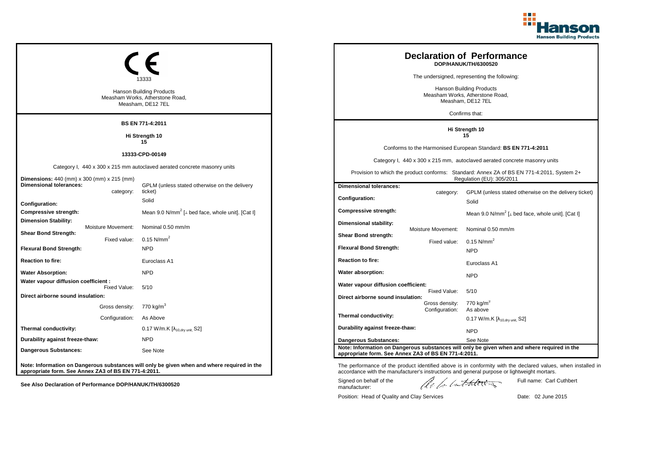

|                                                                                                                  | Hanson Building Products<br>Measham Works, Atherstone Road,<br>Measham, DE12 7EL            |                      |                                                                                                                         |                                                                | <b>Declaration of Performance</b><br>DOP/HANUK/TH/6300520<br>The undersigned, representing the following:<br><b>Hanson Building Products</b><br>Measham Works, Atherstone Road,<br>Measham, DE12 7EL<br>Confirms that:                                       |
|------------------------------------------------------------------------------------------------------------------|---------------------------------------------------------------------------------------------|----------------------|-------------------------------------------------------------------------------------------------------------------------|----------------------------------------------------------------|--------------------------------------------------------------------------------------------------------------------------------------------------------------------------------------------------------------------------------------------------------------|
|                                                                                                                  | BS EN 771-4:2011                                                                            |                      |                                                                                                                         |                                                                |                                                                                                                                                                                                                                                              |
| Hi Strength 10                                                                                                   |                                                                                             | Hi Strength 10<br>15 |                                                                                                                         |                                                                |                                                                                                                                                                                                                                                              |
| 13333-CPD-00149                                                                                                  |                                                                                             |                      | Conforms to the Harmonised European Standard: BS EN 771-4:2011                                                          |                                                                |                                                                                                                                                                                                                                                              |
|                                                                                                                  | Category I, 440 x 300 x 215 mm autoclaved aerated concrete masonry units                    |                      | Category I, 440 x 300 x 215 mm, autoclaved aerated concrete masonry units                                               |                                                                |                                                                                                                                                                                                                                                              |
| <b>Dimensions:</b> 440 (mm) x 300 (mm) x 215 (mm)                                                                |                                                                                             |                      | Provision to which the product conforms: Standard: Annex ZA of BS EN 771-4:2011, System 2+<br>Regulation (EU): 305/2011 |                                                                |                                                                                                                                                                                                                                                              |
| <b>Dimensional tolerances:</b><br>category:                                                                      | GPLM (unless stated otherwise on the delivery<br>ticket)                                    |                      | <b>Dimensional tolerances:</b>                                                                                          |                                                                |                                                                                                                                                                                                                                                              |
| Configuration:                                                                                                   | Solid                                                                                       | Configuration:       | category:                                                                                                               | GPLM (unless stated otherwise on the delivery ticket)<br>Solid |                                                                                                                                                                                                                                                              |
| <b>Compressive strength:</b>                                                                                     | Mean 9.0 N/mm <sup>2</sup> [ $\perp$ bed face, whole unit]. [Cat I]                         |                      | <b>Compressive strength:</b>                                                                                            |                                                                | Mean 9.0 N/mm <sup>2</sup> [ $\perp$ bed face, whole unit]. [Cat I]                                                                                                                                                                                          |
| <b>Dimension Stability:</b><br>Moisture Movement:<br><b>Shear Bond Strength:</b>                                 | Nominal 0.50 mm/m                                                                           |                      | Dimensional stability:<br>Shear Bond strength:                                                                          | <b>Moisture Movement:</b>                                      | Nominal 0.50 mm/m                                                                                                                                                                                                                                            |
| Fixed value:                                                                                                     | $0.15$ N/mm <sup>2</sup>                                                                    |                      |                                                                                                                         | Fixed value:                                                   | $0.15$ N/mm <sup>2</sup>                                                                                                                                                                                                                                     |
| <b>Flexural Bond Strength:</b>                                                                                   | <b>NPD</b>                                                                                  |                      | <b>Flexural Bond Strength:</b>                                                                                          |                                                                | <b>NPD</b>                                                                                                                                                                                                                                                   |
| <b>Reaction to fire:</b>                                                                                         | Euroclass A1                                                                                |                      | <b>Reaction to fire:</b>                                                                                                |                                                                | Euroclass A1                                                                                                                                                                                                                                                 |
| <b>Water Absorption:</b>                                                                                         | <b>NPD</b>                                                                                  |                      | Water absorption:                                                                                                       |                                                                | <b>NPD</b>                                                                                                                                                                                                                                                   |
| Water vapour diffusion coefficient :<br>Fixed Value:<br>Direct airborne sound insulation:                        | 5/10                                                                                        |                      | Water vapour diffusion coefficient:<br>Direct airborne sound insulation:                                                | Fixed Value:                                                   | 5/10                                                                                                                                                                                                                                                         |
| Gross density: 770 kg/m <sup>3</sup>                                                                             |                                                                                             |                      |                                                                                                                         | Gross density:                                                 | 770 kg/m <sup>3</sup>                                                                                                                                                                                                                                        |
| Configuration:                                                                                                   | As Above                                                                                    |                      | Thermal conductivity:                                                                                                   | Configuration:                                                 | As above<br>0.17 W/m.K $[\lambda_{10, dry \text{ unit}}, S2]$                                                                                                                                                                                                |
| Thermal conductivity:                                                                                            | 0.17 W/m.K $[\lambda_{10, dry \text{ unit}}, S2]$                                           |                      | Durability against freeze-thaw:                                                                                         |                                                                | <b>NPD</b>                                                                                                                                                                                                                                                   |
| Durability against freeze-thaw:                                                                                  | <b>NPD</b>                                                                                  |                      | <b>Dangerous Substances:</b>                                                                                            |                                                                | See Note                                                                                                                                                                                                                                                     |
| <b>Dangerous Substances:</b>                                                                                     | See Note                                                                                    |                      | appropriate form. See Annex ZA3 of BS EN 771-4:2011.                                                                    |                                                                | Note: Information on Dangerous substances will only be given when and where required in the                                                                                                                                                                  |
| appropriate form. See Annex ZA3 of BS EN 771-4:2011.<br>See Also Declaration of Performance DOP/HANUK/TH/6300520 | Note: Information on Dangerous substances will only be given when and where required in the |                      | Signed on behalf of the<br>manufacturer:                                                                                |                                                                | The performance of the product identified above is in conformity with the declared values, when installed in<br>accordance with the manufacturer's instructions and general purpose or lightweight mortars.<br>Full name: Carl Cuthbert<br>lle for lathering |

Position: Head of Quality and Clay Services Date: 02 June 2015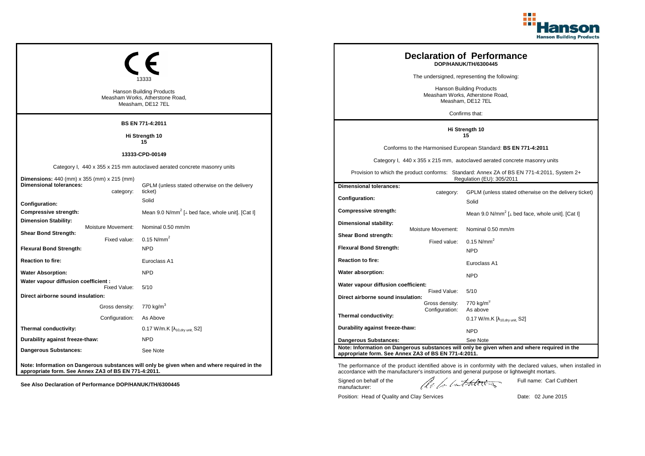

| <b>Hanson Building Products</b><br>Measham Works, Atherstone Road,<br>Measham, DE12 7EL |                                                                                              |  |                                                                                                                         |                                                                | <b>Declaration of Performance</b><br>DOP/HANUK/TH/6300445<br>The undersigned, representing the following:<br><b>Hanson Building Products</b><br>Measham Works, Atherstone Road,<br>Measham, DE12 7EL<br>Confirms that: |
|-----------------------------------------------------------------------------------------|----------------------------------------------------------------------------------------------|--|-------------------------------------------------------------------------------------------------------------------------|----------------------------------------------------------------|------------------------------------------------------------------------------------------------------------------------------------------------------------------------------------------------------------------------|
|                                                                                         | <b>BS EN 771-4:2011</b>                                                                      |  |                                                                                                                         |                                                                | Hi Strength 10                                                                                                                                                                                                         |
| Hi Strength 10                                                                          |                                                                                              |  |                                                                                                                         | 15                                                             |                                                                                                                                                                                                                        |
|                                                                                         |                                                                                              |  |                                                                                                                         | Conforms to the Harmonised European Standard: BS EN 771-4:2011 |                                                                                                                                                                                                                        |
|                                                                                         | 13333-CPD-00149<br>Category I, 440 x 355 x 215 mm, autoclaved aerated concrete masonry units |  |                                                                                                                         |                                                                |                                                                                                                                                                                                                        |
| Dimensions: 440 (mm) x 355 (mm) x 215 (mm)                                              | Category I, 440 x 355 x 215 mm autoclaved aerated concrete masonry units                     |  | Provision to which the product conforms: Standard: Annex ZA of BS EN 771-4:2011, System 2+<br>Regulation (EU): 305/2011 |                                                                |                                                                                                                                                                                                                        |
| <b>Dimensional tolerances:</b>                                                          | GPLM (unless stated otherwise on the delivery                                                |  | <b>Dimensional tolerances:</b>                                                                                          |                                                                |                                                                                                                                                                                                                        |
| category:<br>Configuration:                                                             | ticket)<br>Solid                                                                             |  | <b>Configuration:</b>                                                                                                   | category:                                                      | GPLM (unless stated otherwise on the delivery ticket)<br>Solid                                                                                                                                                         |
| <b>Compressive strength:</b>                                                            | Mean 9.0 N/mm <sup>2</sup> [ $\perp$ bed face, whole unit]. [Cat I]                          |  | <b>Compressive strength:</b>                                                                                            |                                                                | Mean 9.0 N/mm <sup>2</sup> [ $\perp$ bed face, whole unit]. [Cat I]                                                                                                                                                    |
| <b>Dimension Stability:</b><br>Moisture Movement:<br><b>Shear Bond Strength:</b>        | Nominal 0.50 mm/m                                                                            |  | Dimensional stability:<br>Shear Bond strength:                                                                          | Moisture Movement:                                             | Nominal 0.50 mm/m                                                                                                                                                                                                      |
| Fixed value:<br><b>Flexural Bond Strength:</b>                                          | $0.15$ N/mm <sup>2</sup><br><b>NPD</b>                                                       |  | <b>Flexural Bond Strength:</b>                                                                                          | Fixed value:                                                   | $0.15$ N/mm <sup>2</sup>                                                                                                                                                                                               |
| <b>Reaction to fire:</b>                                                                | Euroclass A1                                                                                 |  | <b>Reaction to fire:</b>                                                                                                |                                                                | <b>NPD</b>                                                                                                                                                                                                             |
|                                                                                         | <b>NPD</b>                                                                                   |  |                                                                                                                         |                                                                | Euroclass A1                                                                                                                                                                                                           |
| <b>Water Absorption:</b><br>Water vapour diffusion coefficient :<br>Fixed Value:        | 5/10                                                                                         |  | Water absorption:<br>Water vapour diffusion coefficient:                                                                |                                                                | <b>NPD</b>                                                                                                                                                                                                             |
| Direct airborne sound insulation:                                                       |                                                                                              |  | Direct airborne sound insulation:                                                                                       | Fixed Value:                                                   | 5/10                                                                                                                                                                                                                   |
| Gross density: 770 kg/m <sup>3</sup>                                                    |                                                                                              |  |                                                                                                                         | Gross density:<br>Configuration:                               | 770 kg/m <sup>3</sup><br>As above                                                                                                                                                                                      |
| Configuration: As Above                                                                 |                                                                                              |  | Thermal conductivity:                                                                                                   |                                                                | 0.17 W/m.K $[\lambda_{10, dry \, unit}$ , S2]                                                                                                                                                                          |
| Thermal conductivity:                                                                   | 0.17 W/m.K $[\lambda_{10, dry \text{ unit}}, S2]$                                            |  | Durability against freeze-thaw:                                                                                         |                                                                | <b>NPD</b>                                                                                                                                                                                                             |
| Durability against freeze-thaw:                                                         | <b>NPD</b>                                                                                   |  | <b>Dangerous Substances:</b>                                                                                            |                                                                | See Note                                                                                                                                                                                                               |
| <b>Dangerous Substances:</b>                                                            | See Note                                                                                     |  | appropriate form. See Annex ZA3 of BS EN 771-4:2011.                                                                    |                                                                | Note: Information on Dangerous substances will only be given when and where required in the                                                                                                                            |
| appropriate form. See Annex ZA3 of BS EN 771-4:2011.                                    | Note: Information on Dangerous substances will only be given when and where required in the  |  |                                                                                                                         |                                                                | The performance of the product identified above is in conformity with the declared values, when installed in<br>accordance with the manufacturer's instructions and general purpose or lightweight mortars.            |
| See Also Declaration of Performance DOP/HANUK/TH/6300445                                |                                                                                              |  | Signed on behalf of the<br>manufacturer:                                                                                |                                                                | Full name: Carl Cuthbert<br>lle le lutherez                                                                                                                                                                            |

Position: Head of Quality and Clay Services Date: 02 June 2015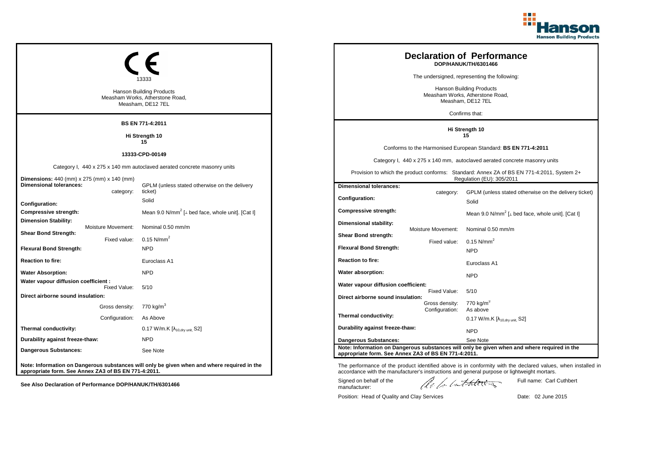

| BS EN 771-4:2011<br>Hi Strength 10<br>Hi Strength 10<br>15<br>15<br>Conforms to the Harmonised European Standard: BS EN 771-4:2011<br>13333-CPD-00149<br>Category I, 440 x 275 x 140 mm, autoclaved aerated concrete masonry units<br>Category I, 440 x 275 x 140 mm autoclaved aerated concrete masonry units<br>Provision to which the product conforms: Standard: Annex ZA of BS EN 771-4:2011, System 2+<br>Regulation (EU): 305/2011<br>Dimensions: 440 (mm) x 275 (mm) x 140 (mm)<br><b>Dimensional tolerances:</b><br>GPLM (unless stated otherwise on the delivery<br><b>Dimensional tolerances:</b><br>ticket)<br>category:<br>category:<br><b>Configuration:</b><br>Solid<br>Solid<br>Configuration: | <b>Hanson Building Products</b><br>Measham Works, Atherstone Road,<br>Measham, DE12 7EL |  |  | <b>Declaration of Performance</b><br>DOP/HANUK/TH/6301466<br>The undersigned, representing the following:<br><b>Hanson Building Products</b><br>Measham Works, Atherstone Road,<br>Measham, DE12 7EL<br>Confirms that: |
|----------------------------------------------------------------------------------------------------------------------------------------------------------------------------------------------------------------------------------------------------------------------------------------------------------------------------------------------------------------------------------------------------------------------------------------------------------------------------------------------------------------------------------------------------------------------------------------------------------------------------------------------------------------------------------------------------------------|-----------------------------------------------------------------------------------------|--|--|------------------------------------------------------------------------------------------------------------------------------------------------------------------------------------------------------------------------|
|                                                                                                                                                                                                                                                                                                                                                                                                                                                                                                                                                                                                                                                                                                                |                                                                                         |  |  |                                                                                                                                                                                                                        |
|                                                                                                                                                                                                                                                                                                                                                                                                                                                                                                                                                                                                                                                                                                                |                                                                                         |  |  |                                                                                                                                                                                                                        |
|                                                                                                                                                                                                                                                                                                                                                                                                                                                                                                                                                                                                                                                                                                                |                                                                                         |  |  |                                                                                                                                                                                                                        |
|                                                                                                                                                                                                                                                                                                                                                                                                                                                                                                                                                                                                                                                                                                                |                                                                                         |  |  |                                                                                                                                                                                                                        |
|                                                                                                                                                                                                                                                                                                                                                                                                                                                                                                                                                                                                                                                                                                                |                                                                                         |  |  | GPLM (unless stated otherwise on the delivery ticket)                                                                                                                                                                  |
| <b>Compressive strength:</b><br>Mean 9.0 N/mm <sup>2</sup> [ $\perp$ bed face, whole unit]. [Cat I]<br><b>Compressive strength:</b><br>Mean 9.0 N/mm <sup>2</sup> [ $\perp$ bed face, whole unit]. [Cat I]                                                                                                                                                                                                                                                                                                                                                                                                                                                                                                     |                                                                                         |  |  |                                                                                                                                                                                                                        |
| <b>Dimension Stability:</b><br>Dimensional stability:<br>Moisture Movement:<br>Nominal 0.50 mm/m<br>Moisture Movement:<br>Nominal 0.50 mm/m<br><b>Shear Bond Strength:</b><br>Shear Bond strength:<br>$0.15$ N/mm <sup>2</sup><br>Fixed value:<br>$0.15$ N/mm <sup>2</sup><br>Fixed value:                                                                                                                                                                                                                                                                                                                                                                                                                     |                                                                                         |  |  |                                                                                                                                                                                                                        |
| <b>Flexural Bond Strength:</b><br><b>Flexural Bond Strength:</b><br><b>NPD</b><br><b>NPD</b>                                                                                                                                                                                                                                                                                                                                                                                                                                                                                                                                                                                                                   |                                                                                         |  |  |                                                                                                                                                                                                                        |
| <b>Reaction to fire:</b><br><b>Reaction to fire:</b><br>Euroclass A1<br>Euroclass A1                                                                                                                                                                                                                                                                                                                                                                                                                                                                                                                                                                                                                           |                                                                                         |  |  |                                                                                                                                                                                                                        |
| <b>Water Absorption:</b><br><b>NPD</b><br>Water absorption:<br><b>NPD</b><br>Water vapour diffusion coefficient :                                                                                                                                                                                                                                                                                                                                                                                                                                                                                                                                                                                              |                                                                                         |  |  |                                                                                                                                                                                                                        |
| Water vapour diffusion coefficient:<br>Fixed Value:<br>5/10<br>5/10<br>Fixed Value:<br>Direct airborne sound insulation:<br>Direct airborne sound insulation:                                                                                                                                                                                                                                                                                                                                                                                                                                                                                                                                                  |                                                                                         |  |  |                                                                                                                                                                                                                        |
| 770 $kg/m3$<br>Gross density:<br>770 kg/m $^3$<br>Gross density:<br>Configuration:<br>As above                                                                                                                                                                                                                                                                                                                                                                                                                                                                                                                                                                                                                 |                                                                                         |  |  |                                                                                                                                                                                                                        |
| Thermal conductivity:<br>Configuration:<br>As Above<br>$0.17$ W/m.K [ $\lambda_{10, dry \text{ unit}}$ , S2]                                                                                                                                                                                                                                                                                                                                                                                                                                                                                                                                                                                                   |                                                                                         |  |  |                                                                                                                                                                                                                        |
| Durability against freeze-thaw:<br>Thermal conductivity:<br>$0.17$ W/m.K $[\lambda_{10, dry \text{ unit}}, S2]$<br><b>NPD</b>                                                                                                                                                                                                                                                                                                                                                                                                                                                                                                                                                                                  |                                                                                         |  |  |                                                                                                                                                                                                                        |
| Durability against freeze-thaw:<br><b>NPD</b><br><b>Dangerous Substances:</b><br>See Note                                                                                                                                                                                                                                                                                                                                                                                                                                                                                                                                                                                                                      |                                                                                         |  |  |                                                                                                                                                                                                                        |
| Note: Information on Dangerous substances will only be given when and where required in the<br>Dangerous Substances:<br>See Note<br>appropriate form. See Annex ZA3 of BS EN 771-4:2011.                                                                                                                                                                                                                                                                                                                                                                                                                                                                                                                       |                                                                                         |  |  |                                                                                                                                                                                                                        |
| Note: Information on Dangerous substances will only be given when and where required in the<br>The performance of the product identified above is in conformity with the declared values, when installed in<br>appropriate form. See Annex ZA3 of BS EN 771-4:2011.<br>accordance with the manufacturer's instructions and general purpose or lightweight mortars.<br>Signed on behalf of the<br>Full name: Carl Cuthbert<br>le la lathering<br>See Also Declaration of Performance DOP/HANUK/TH/6301466                                                                                                                                                                                                       |                                                                                         |  |  |                                                                                                                                                                                                                        |

Position: Head of Quality and Clay Services Date: 02 June 2015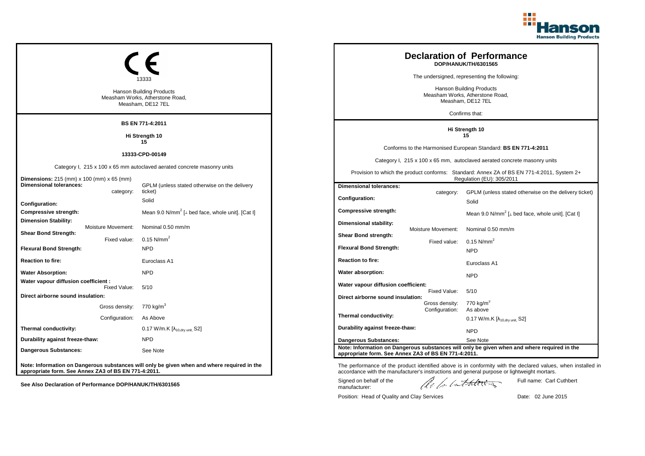

| BS EN 771-4:2011<br>Hi Strength 10<br>Hi Strength 10<br>15<br>15<br>Conforms to the Harmonised European Standard: BS EN 771-4:2011<br>13333-CPD-00149<br>Category I, 215 x 100 x 65 mm, autoclaved aerated concrete masonry units<br>Category I, 215 x 100 x 65 mm autoclaved aerated concrete masonry units<br>Provision to which the product conforms: Standard: Annex ZA of BS EN 771-4:2011, System 2+<br>Regulation (EU): 305/2011<br>Dimensions: 215 (mm) x 100 (mm) x 65 (mm)<br><b>Dimensional tolerances:</b><br>GPLM (unless stated otherwise on the delivery<br><b>Dimensional tolerances:</b><br>ticket)<br>category:<br>GPLM (unless stated otherwise on the delivery ticket)<br>category:<br><b>Configuration:</b><br>Solid<br>Solid<br>Configuration:<br><b>Compressive strength:</b><br>Mean 9.0 N/mm <sup>2</sup> [ $\perp$ bed face, whole unit]. [Cat I]<br><b>Compressive strength:</b><br>Mean 9.0 N/mm <sup>2</sup> [ $\perp$ bed face, whole unit]. [Cat I]<br><b>Dimension Stability:</b><br>Dimensional stability:<br>Moisture Movement:<br>Nominal 0.50 mm/m<br>Moisture Movement:<br>Nominal 0.50 mm/m<br><b>Shear Bond Strength:</b><br>Shear Bond strength:<br>$0.15$ N/mm <sup>2</sup><br>Fixed value:<br>$0.15$ N/mm <sup>2</sup><br>Fixed value:<br><b>Flexural Bond Strength:</b><br><b>Flexural Bond Strength:</b><br><b>NPD</b><br><b>NPD</b><br><b>Reaction to fire:</b><br><b>Reaction to fire:</b><br>Euroclass A1<br>Euroclass A1<br><b>Water Absorption:</b><br><b>NPD</b><br>Water absorption:<br><b>NPD</b><br>Water vapour diffusion coefficient :<br>Water vapour diffusion coefficient:<br>Fixed Value:<br>5/10<br>5/10<br>Fixed Value:<br>Direct airborne sound insulation:<br>Direct airborne sound insulation:<br>770 $kg/m3$<br>Gross density:<br>770 kg/m $^3$<br>Gross density:<br>Configuration:<br>As above<br>Thermal conductivity:<br>Configuration:<br>As Above<br>$0.17$ W/m.K [ $\lambda_{10, dry \text{ unit}}$ , S2]<br>Durability against freeze-thaw:<br>Thermal conductivity:<br>$0.17$ W/m.K $[\lambda_{10, dry \text{ unit}}, S2]$<br><b>NPD</b><br>Durability against freeze-thaw:<br><b>NPD</b><br><b>Dangerous Substances:</b><br>See Note<br>Note: Information on Dangerous substances will only be given when and where required in the<br>Dangerous Substances:<br>See Note<br>appropriate form. See Annex ZA3 of BS EN 771-4:2011.<br>Note: Information on Dangerous substances will only be given when and where required in the<br>appropriate form. See Annex ZA3 of BS EN 771-4:2011.<br>accordance with the manufacturer's instructions and general purpose or lightweight mortars.<br>le la lathering | <b>Hanson Building Products</b><br>Measham Works, Atherstone Road,<br>Measham, DE12 7EL |                         |  | <b>Declaration of Performance</b><br>DOP/HANUK/TH/6301565<br>The undersigned, representing the following:<br><b>Hanson Building Products</b><br>Measham Works, Atherstone Road,<br>Measham, DE12 7EL<br>Confirms that: |  |
|-------------------------------------------------------------------------------------------------------------------------------------------------------------------------------------------------------------------------------------------------------------------------------------------------------------------------------------------------------------------------------------------------------------------------------------------------------------------------------------------------------------------------------------------------------------------------------------------------------------------------------------------------------------------------------------------------------------------------------------------------------------------------------------------------------------------------------------------------------------------------------------------------------------------------------------------------------------------------------------------------------------------------------------------------------------------------------------------------------------------------------------------------------------------------------------------------------------------------------------------------------------------------------------------------------------------------------------------------------------------------------------------------------------------------------------------------------------------------------------------------------------------------------------------------------------------------------------------------------------------------------------------------------------------------------------------------------------------------------------------------------------------------------------------------------------------------------------------------------------------------------------------------------------------------------------------------------------------------------------------------------------------------------------------------------------------------------------------------------------------------------------------------------------------------------------------------------------------------------------------------------------------------------------------------------------------------------------------------------------------------------------------------------------------------------------------------------------------------------------------------------------------------------------------------------------------------------------------------------------------------------------------------------------------------------------|-----------------------------------------------------------------------------------------|-------------------------|--|------------------------------------------------------------------------------------------------------------------------------------------------------------------------------------------------------------------------|--|
|                                                                                                                                                                                                                                                                                                                                                                                                                                                                                                                                                                                                                                                                                                                                                                                                                                                                                                                                                                                                                                                                                                                                                                                                                                                                                                                                                                                                                                                                                                                                                                                                                                                                                                                                                                                                                                                                                                                                                                                                                                                                                                                                                                                                                                                                                                                                                                                                                                                                                                                                                                                                                                                                                     |                                                                                         |                         |  |                                                                                                                                                                                                                        |  |
|                                                                                                                                                                                                                                                                                                                                                                                                                                                                                                                                                                                                                                                                                                                                                                                                                                                                                                                                                                                                                                                                                                                                                                                                                                                                                                                                                                                                                                                                                                                                                                                                                                                                                                                                                                                                                                                                                                                                                                                                                                                                                                                                                                                                                                                                                                                                                                                                                                                                                                                                                                                                                                                                                     |                                                                                         |                         |  |                                                                                                                                                                                                                        |  |
|                                                                                                                                                                                                                                                                                                                                                                                                                                                                                                                                                                                                                                                                                                                                                                                                                                                                                                                                                                                                                                                                                                                                                                                                                                                                                                                                                                                                                                                                                                                                                                                                                                                                                                                                                                                                                                                                                                                                                                                                                                                                                                                                                                                                                                                                                                                                                                                                                                                                                                                                                                                                                                                                                     |                                                                                         |                         |  |                                                                                                                                                                                                                        |  |
|                                                                                                                                                                                                                                                                                                                                                                                                                                                                                                                                                                                                                                                                                                                                                                                                                                                                                                                                                                                                                                                                                                                                                                                                                                                                                                                                                                                                                                                                                                                                                                                                                                                                                                                                                                                                                                                                                                                                                                                                                                                                                                                                                                                                                                                                                                                                                                                                                                                                                                                                                                                                                                                                                     |                                                                                         |                         |  |                                                                                                                                                                                                                        |  |
| The performance of the product identified above is in conformity with the declared values, when installed in                                                                                                                                                                                                                                                                                                                                                                                                                                                                                                                                                                                                                                                                                                                                                                                                                                                                                                                                                                                                                                                                                                                                                                                                                                                                                                                                                                                                                                                                                                                                                                                                                                                                                                                                                                                                                                                                                                                                                                                                                                                                                                                                                                                                                                                                                                                                                                                                                                                                                                                                                                        |                                                                                         |                         |  |                                                                                                                                                                                                                        |  |
|                                                                                                                                                                                                                                                                                                                                                                                                                                                                                                                                                                                                                                                                                                                                                                                                                                                                                                                                                                                                                                                                                                                                                                                                                                                                                                                                                                                                                                                                                                                                                                                                                                                                                                                                                                                                                                                                                                                                                                                                                                                                                                                                                                                                                                                                                                                                                                                                                                                                                                                                                                                                                                                                                     |                                                                                         |                         |  |                                                                                                                                                                                                                        |  |
|                                                                                                                                                                                                                                                                                                                                                                                                                                                                                                                                                                                                                                                                                                                                                                                                                                                                                                                                                                                                                                                                                                                                                                                                                                                                                                                                                                                                                                                                                                                                                                                                                                                                                                                                                                                                                                                                                                                                                                                                                                                                                                                                                                                                                                                                                                                                                                                                                                                                                                                                                                                                                                                                                     |                                                                                         |                         |  |                                                                                                                                                                                                                        |  |
|                                                                                                                                                                                                                                                                                                                                                                                                                                                                                                                                                                                                                                                                                                                                                                                                                                                                                                                                                                                                                                                                                                                                                                                                                                                                                                                                                                                                                                                                                                                                                                                                                                                                                                                                                                                                                                                                                                                                                                                                                                                                                                                                                                                                                                                                                                                                                                                                                                                                                                                                                                                                                                                                                     |                                                                                         |                         |  |                                                                                                                                                                                                                        |  |
|                                                                                                                                                                                                                                                                                                                                                                                                                                                                                                                                                                                                                                                                                                                                                                                                                                                                                                                                                                                                                                                                                                                                                                                                                                                                                                                                                                                                                                                                                                                                                                                                                                                                                                                                                                                                                                                                                                                                                                                                                                                                                                                                                                                                                                                                                                                                                                                                                                                                                                                                                                                                                                                                                     |                                                                                         |                         |  |                                                                                                                                                                                                                        |  |
|                                                                                                                                                                                                                                                                                                                                                                                                                                                                                                                                                                                                                                                                                                                                                                                                                                                                                                                                                                                                                                                                                                                                                                                                                                                                                                                                                                                                                                                                                                                                                                                                                                                                                                                                                                                                                                                                                                                                                                                                                                                                                                                                                                                                                                                                                                                                                                                                                                                                                                                                                                                                                                                                                     |                                                                                         |                         |  |                                                                                                                                                                                                                        |  |
|                                                                                                                                                                                                                                                                                                                                                                                                                                                                                                                                                                                                                                                                                                                                                                                                                                                                                                                                                                                                                                                                                                                                                                                                                                                                                                                                                                                                                                                                                                                                                                                                                                                                                                                                                                                                                                                                                                                                                                                                                                                                                                                                                                                                                                                                                                                                                                                                                                                                                                                                                                                                                                                                                     |                                                                                         |                         |  |                                                                                                                                                                                                                        |  |
|                                                                                                                                                                                                                                                                                                                                                                                                                                                                                                                                                                                                                                                                                                                                                                                                                                                                                                                                                                                                                                                                                                                                                                                                                                                                                                                                                                                                                                                                                                                                                                                                                                                                                                                                                                                                                                                                                                                                                                                                                                                                                                                                                                                                                                                                                                                                                                                                                                                                                                                                                                                                                                                                                     |                                                                                         |                         |  |                                                                                                                                                                                                                        |  |
|                                                                                                                                                                                                                                                                                                                                                                                                                                                                                                                                                                                                                                                                                                                                                                                                                                                                                                                                                                                                                                                                                                                                                                                                                                                                                                                                                                                                                                                                                                                                                                                                                                                                                                                                                                                                                                                                                                                                                                                                                                                                                                                                                                                                                                                                                                                                                                                                                                                                                                                                                                                                                                                                                     |                                                                                         |                         |  |                                                                                                                                                                                                                        |  |
|                                                                                                                                                                                                                                                                                                                                                                                                                                                                                                                                                                                                                                                                                                                                                                                                                                                                                                                                                                                                                                                                                                                                                                                                                                                                                                                                                                                                                                                                                                                                                                                                                                                                                                                                                                                                                                                                                                                                                                                                                                                                                                                                                                                                                                                                                                                                                                                                                                                                                                                                                                                                                                                                                     |                                                                                         |                         |  |                                                                                                                                                                                                                        |  |
|                                                                                                                                                                                                                                                                                                                                                                                                                                                                                                                                                                                                                                                                                                                                                                                                                                                                                                                                                                                                                                                                                                                                                                                                                                                                                                                                                                                                                                                                                                                                                                                                                                                                                                                                                                                                                                                                                                                                                                                                                                                                                                                                                                                                                                                                                                                                                                                                                                                                                                                                                                                                                                                                                     |                                                                                         |                         |  |                                                                                                                                                                                                                        |  |
| See Also Declaration of Performance DOP/HANUK/TH/6301565                                                                                                                                                                                                                                                                                                                                                                                                                                                                                                                                                                                                                                                                                                                                                                                                                                                                                                                                                                                                                                                                                                                                                                                                                                                                                                                                                                                                                                                                                                                                                                                                                                                                                                                                                                                                                                                                                                                                                                                                                                                                                                                                                                                                                                                                                                                                                                                                                                                                                                                                                                                                                            |                                                                                         | Signed on behalf of the |  | Full name: Carl Cuthbert                                                                                                                                                                                               |  |

Position: Head of Quality and Clay Services Date: 02 June 2015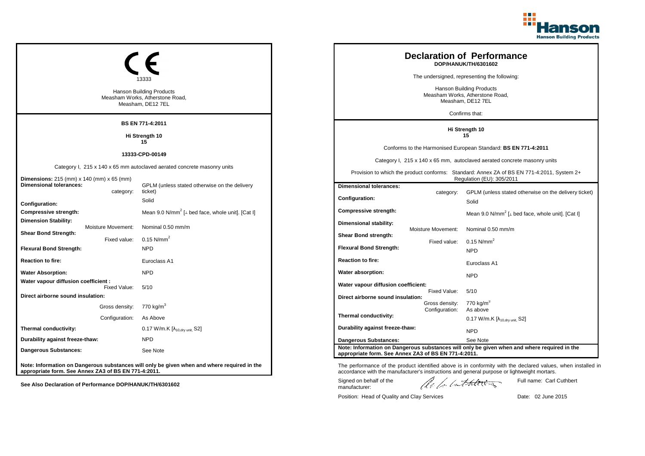

|                                                                                                                    |                | <b>Hanson Building Products</b><br>Measham Works, Atherstone Road,<br>Measham, DE12 7EL          |                                                                                  |                                    | <b>Declaration of Performance</b><br>DOP/HANUK/TH/6301602<br>The undersigned, representing the following:<br><b>Hanson Building Products</b><br>Measham Works, Atherstone Road,<br>Measham, DE12 7EL<br>Confirms that:                                     |
|--------------------------------------------------------------------------------------------------------------------|----------------|--------------------------------------------------------------------------------------------------|----------------------------------------------------------------------------------|------------------------------------|------------------------------------------------------------------------------------------------------------------------------------------------------------------------------------------------------------------------------------------------------------|
|                                                                                                                    |                | <b>BS EN 771-4:2011</b>                                                                          |                                                                                  |                                    |                                                                                                                                                                                                                                                            |
|                                                                                                                    |                | Hi Strength 10                                                                                   | Hi Strength 10<br>15                                                             |                                    |                                                                                                                                                                                                                                                            |
|                                                                                                                    |                | 15<br>13333-CPD-00149<br>Category I, 215 x 140 x 65 mm autoclaved aerated concrete masonry units |                                                                                  |                                    | Conforms to the Harmonised European Standard: BS EN 771-4:2011<br>Category I, 215 x 140 x 65 mm, autoclaved aerated concrete masonry units<br>Provision to which the product conforms: Standard: Annex ZA of BS EN 771-4:2011, System 2+                   |
| <b>Dimensions:</b> 215 (mm) x 140 (mm) x 65 (mm)<br><b>Dimensional tolerances:</b>                                 |                | GPLM (unless stated otherwise on the delivery                                                    | <b>Dimensional tolerances:</b>                                                   |                                    | Regulation (EU): 305/2011                                                                                                                                                                                                                                  |
|                                                                                                                    | category:      | ticket)<br>Solid                                                                                 | Configuration:                                                                   | category:                          | GPLM (unless stated otherwise on the delivery ticket)<br>Solid                                                                                                                                                                                             |
| Configuration:<br>Compressive strength:                                                                            |                | Mean 9.0 N/mm <sup>2</sup> [ $\perp$ bed face, whole unit]. [Cat I]                              | <b>Compressive strength:</b>                                                     |                                    | Mean 9.0 N/mm <sup>2</sup> [ $\perp$ bed face, whole unit]. [Cat I]                                                                                                                                                                                        |
| <b>Dimension Stability:</b><br>Moisture Movement:<br><b>Shear Bond Strength:</b><br><b>Flexural Bond Strength:</b> | Fixed value:   | Nominal 0.50 mm/m<br>$0.15$ N/mm <sup>2</sup><br><b>NPD</b>                                      | Dimensional stability:<br>Shear Bond strength:<br><b>Flexural Bond Strength:</b> | Moisture Movement:<br>Fixed value: | Nominal 0.50 mm/m<br>$0.15$ N/mm <sup>2</sup>                                                                                                                                                                                                              |
| <b>Reaction to fire:</b>                                                                                           |                | Euroclass A1                                                                                     | <b>Reaction to fire:</b>                                                         |                                    | <b>NPD</b><br>Euroclass A1                                                                                                                                                                                                                                 |
| <b>Water Absorption:</b>                                                                                           |                | <b>NPD</b>                                                                                       | Water absorption:                                                                |                                    | <b>NPD</b>                                                                                                                                                                                                                                                 |
| Water vapour diffusion coefficient :<br>Direct airborne sound insulation:                                          | Fixed Value:   | 5/10                                                                                             | Water vapour diffusion coefficient:<br>Direct airborne sound insulation:         | Fixed Value:                       | 5/10                                                                                                                                                                                                                                                       |
|                                                                                                                    |                | Gross density: 770 kg/m <sup>3</sup>                                                             |                                                                                  | Gross density:<br>Configuration:   | 770 $kg/m3$<br>As above                                                                                                                                                                                                                                    |
|                                                                                                                    | Configuration: | As Above                                                                                         | Thermal conductivity:                                                            |                                    | 0.17 W/m.K $[\lambda_{10, dry \text{ unit}}]$ S2]                                                                                                                                                                                                          |
| Thermal conductivity:                                                                                              |                | $0.17$ W/m.K $[\lambda_{10, dry \text{ unit}}, S2]$                                              | Durability against freeze-thaw:                                                  |                                    | <b>NPD</b>                                                                                                                                                                                                                                                 |
| Durability against freeze-thaw:                                                                                    |                | <b>NPD</b>                                                                                       | <b>Dangerous Substances:</b>                                                     |                                    | See Note                                                                                                                                                                                                                                                   |
| Dangerous Substances:                                                                                              |                | See Note                                                                                         | appropriate form. See Annex ZA3 of BS EN 771-4:2011.                             |                                    | Note: Information on Dangerous substances will only be given when and where required in the                                                                                                                                                                |
| appropriate form. See Annex ZA3 of BS EN 771-4:2011.                                                               |                | Note: Information on Dangerous substances will only be given when and where required in the      | Signed on behalf of the                                                          |                                    | The performance of the product identified above is in conformity with the declared values, when installed in<br>accordance with the manufacturer's instructions and general purpose or lightweight mortars.<br>Full name: Carl Cuthbert<br>lle la latheres |
| See Also Declaration of Performance DOP/HANUK/TH/6301602                                                           |                |                                                                                                  | manufacturer:                                                                    |                                    |                                                                                                                                                                                                                                                            |

Position: Head of Quality and Clay Services Date: 02 June 2015